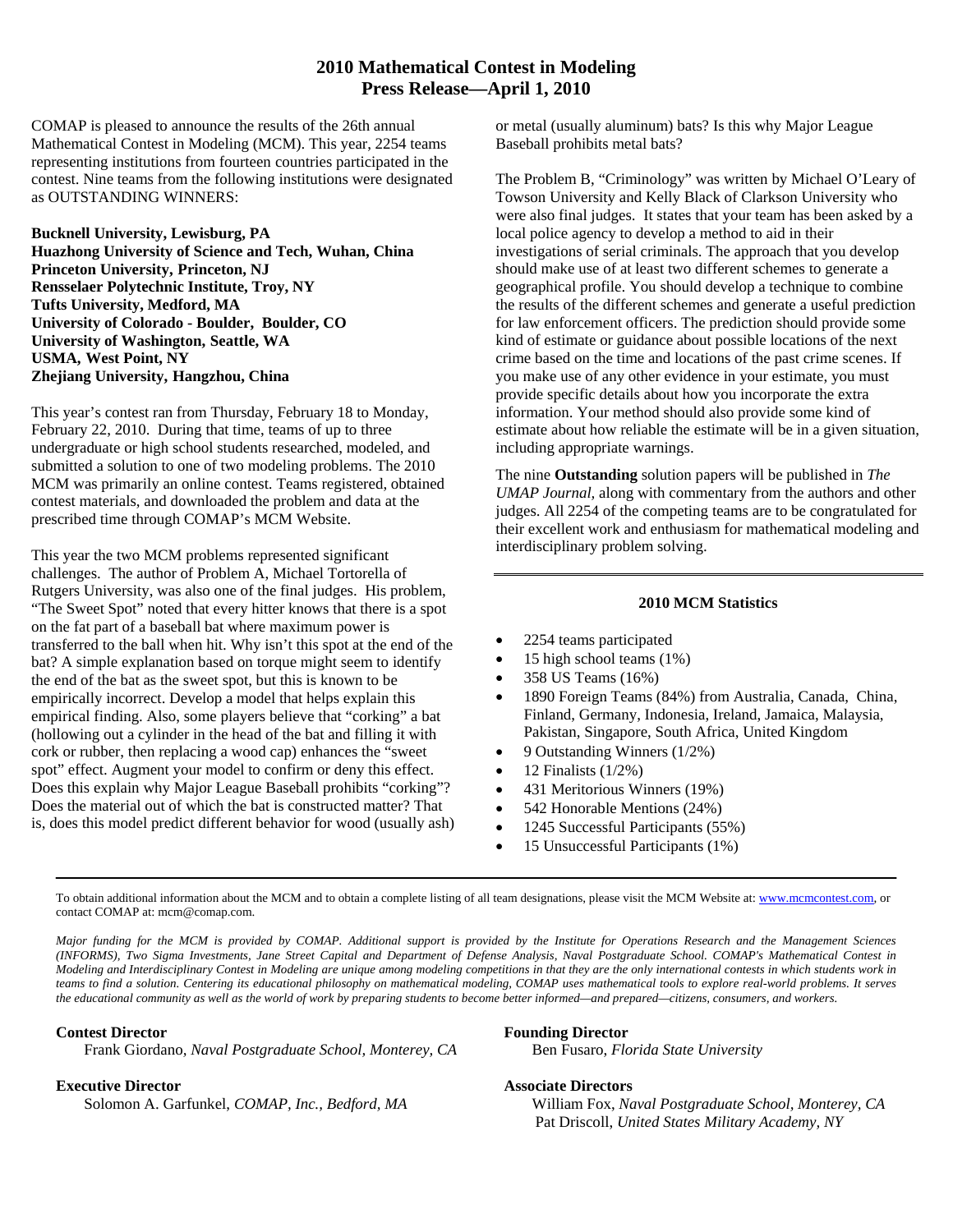#### **2010 Mathematical Contest in Modeling Press Release—April 1, 2010**

COMAP is pleased to announce the results of the 26th annual Mathematical Contest in Modeling (MCM). This year, 2254 teams representing institutions from fourteen countries participated in the contest. Nine teams from the following institutions were designated as OUTSTANDING WINNERS:

**Bucknell University, Lewisburg, PA Huazhong University of Science and Tech, Wuhan, China Princeton University, Princeton, NJ Rensselaer Polytechnic Institute, Troy, NY Tufts University, Medford, MA University of Colorado - Boulder, Boulder, CO University of Washington, Seattle, WA USMA, West Point, NY Zhejiang University, Hangzhou, China** 

This year's contest ran from Thursday, February 18 to Monday, February 22, 2010. During that time, teams of up to three undergraduate or high school students researched, modeled, and submitted a solution to one of two modeling problems. The 2010 MCM was primarily an online contest. Teams registered, obtained contest materials, and downloaded the problem and data at the prescribed time through COMAP's MCM Website.

This year the two MCM problems represented significant challenges. The author of Problem A, Michael Tortorella of Rutgers University, was also one of the final judges. His problem, "The Sweet Spot" noted that every hitter knows that there is a spot on the fat part of a baseball bat where maximum power is transferred to the ball when hit. Why isn't this spot at the end of the bat? A simple explanation based on torque might seem to identify the end of the bat as the sweet spot, but this is known to be empirically incorrect. Develop a model that helps explain this empirical finding. Also, some players believe that "corking" a bat (hollowing out a cylinder in the head of the bat and filling it with cork or rubber, then replacing a wood cap) enhances the "sweet spot" effect. Augment your model to confirm or deny this effect. Does this explain why Major League Baseball prohibits "corking"? Does the material out of which the bat is constructed matter? That is, does this model predict different behavior for wood (usually ash) or metal (usually aluminum) bats? Is this why Major League Baseball prohibits metal bats?

The Problem B, "Criminology" was written by Michael O'Leary of Towson University and Kelly Black of Clarkson University who were also final judges. It states that your team has been asked by a local police agency to develop a method to aid in their investigations of serial criminals. The approach that you develop should make use of at least two different schemes to generate a geographical profile. You should develop a technique to combine the results of the different schemes and generate a useful prediction for law enforcement officers. The prediction should provide some kind of estimate or guidance about possible locations of the next crime based on the time and locations of the past crime scenes. If you make use of any other evidence in your estimate, you must provide specific details about how you incorporate the extra information. Your method should also provide some kind of estimate about how reliable the estimate will be in a given situation, including appropriate warnings.

The nine **Outstanding** solution papers will be published in *The UMAP Journal,* along with commentary from the authors and other judges. All 2254 of the competing teams are to be congratulated for their excellent work and enthusiasm for mathematical modeling and interdisciplinary problem solving.

#### **2010 MCM Statistics**

- 2254 teams participated
- 15 high school teams (1%)
- 358 US Teams (16%)
- 1890 Foreign Teams (84%) from Australia, Canada, China, Finland, Germany, Indonesia, Ireland, Jamaica, Malaysia, Pakistan, Singapore, South Africa, United Kingdom
- 9 Outstanding Winners (1/2%)
- 12 Finalists  $(1/2%)$
- 431 Meritorious Winners (19%)
- 542 Honorable Mentions (24%)
- 1245 Successful Participants (55%)
- 15 Unsuccessful Participants (1%)

To obtain additional information about the MCM and to obtain a complete listing of all team designations, please visit the MCM Website at: www.mcmcontest.com, or contact COMAP at: mcm@comap.com.

*Major funding for the MCM is provided by COMAP. Additional support is provided by the Institute for Operations Research and the Management Sciences (INFORMS), Two Sigma Investments, Jane Street Capital and Department of Defense Analysis, Naval Postgraduate School. COMAP's Mathematical Contest in Modeling and Interdisciplinary Contest in Modeling are unique among modeling competitions in that they are the only international contests in which students work in teams to find a solution. Centering its educational philosophy on mathematical modeling, COMAP uses mathematical tools to explore real-world problems. It serves the educational community as well as the world of work by preparing students to become better informed—and prepared—citizens, consumers, and workers.* 

#### **Contest Director**

Frank Giordano*, Naval Postgraduate School, Monterey, CA* 

#### **Executive Director**

Solomon A. Garfunkel, *COMAP, Inc., Bedford, MA* 

#### **Founding Director**

Ben Fusaro, *Florida State University*

#### **Associate Directors**

William Fox, *Naval Postgraduate School, Monterey, CA* Pat Driscoll, *United States Military Academy, NY*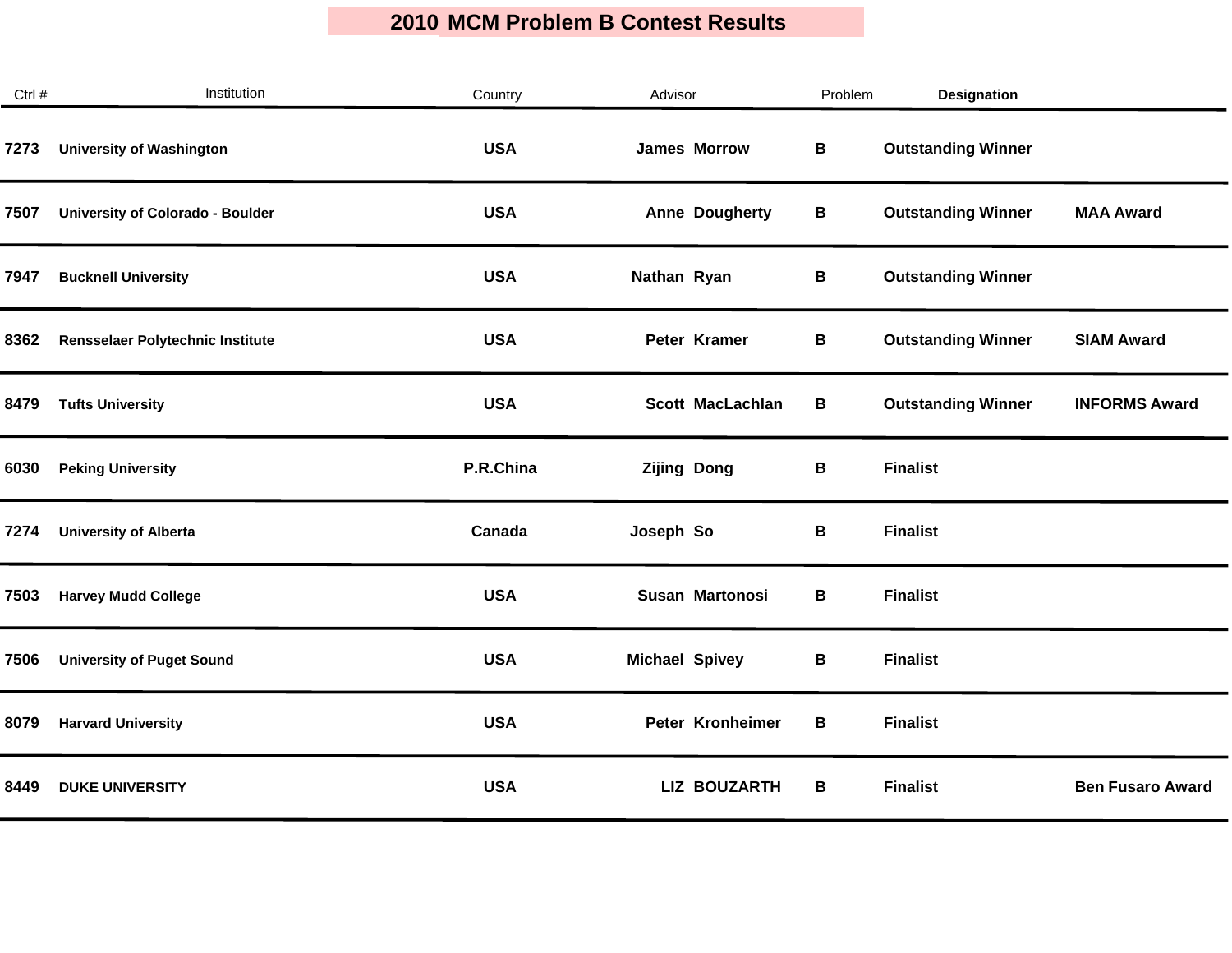$\mathcal{L}^{\mathcal{L}}$ 

| Ctrl # | Institution                             | Country    | Advisor                | Problem | <b>Designation</b>        |                         |
|--------|-----------------------------------------|------------|------------------------|---------|---------------------------|-------------------------|
| 7273   | <b>University of Washington</b>         | <b>USA</b> | <b>James Morrow</b>    | В       | <b>Outstanding Winner</b> |                         |
| 7507   | <b>University of Colorado - Boulder</b> | <b>USA</b> | <b>Anne Dougherty</b>  | В       | <b>Outstanding Winner</b> | <b>MAA Award</b>        |
| 7947   | <b>Bucknell University</b>              | <b>USA</b> | Nathan Ryan            | В       | <b>Outstanding Winner</b> |                         |
| 8362   | Rensselaer Polytechnic Institute        | <b>USA</b> | Peter Kramer           | В       | <b>Outstanding Winner</b> | <b>SIAM Award</b>       |
| 8479   | <b>Tufts University</b>                 | <b>USA</b> | Scott MacLachlan       | B       | <b>Outstanding Winner</b> | <b>INFORMS Award</b>    |
| 6030   | <b>Peking University</b>                | P.R.China  | <b>Zijing Dong</b>     | В       | <b>Finalist</b>           |                         |
| 7274   | <b>University of Alberta</b>            | Canada     | Joseph So              | В       | <b>Finalist</b>           |                         |
| 7503   | <b>Harvey Mudd College</b>              | <b>USA</b> | <b>Susan Martonosi</b> | В       | <b>Finalist</b>           |                         |
| 7506   | <b>University of Puget Sound</b>        | <b>USA</b> | <b>Michael Spivey</b>  | В       | <b>Finalist</b>           |                         |
| 8079   | <b>Harvard University</b>               | <b>USA</b> | Peter Kronheimer       | В       | <b>Finalist</b>           |                         |
| 8449   | <b>DUKE UNIVERSITY</b>                  | <b>USA</b> | <b>LIZ BOUZARTH</b>    | В       | <b>Finalist</b>           | <b>Ben Fusaro Award</b> |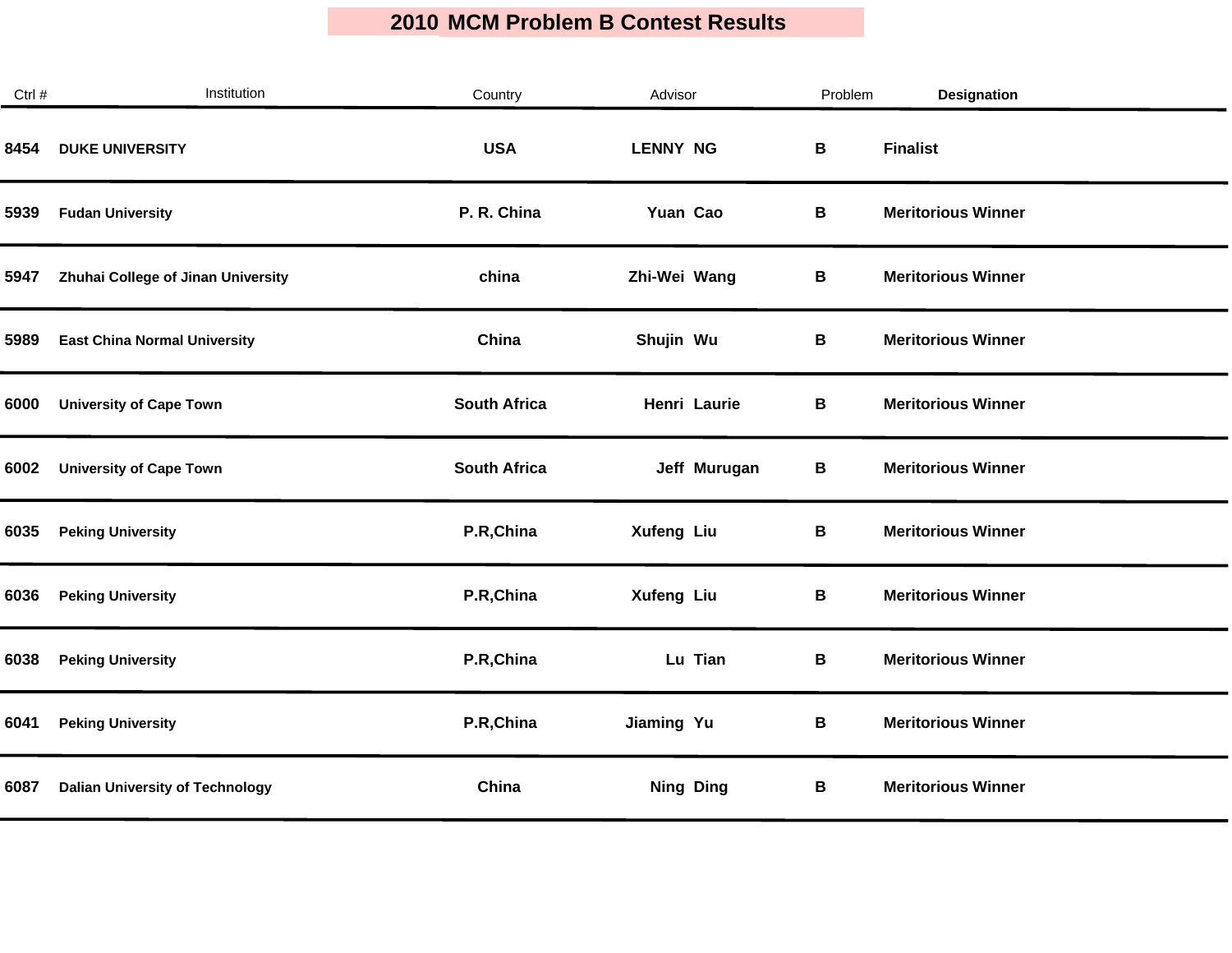$\mathcal{L}_{\mathcal{A}}$ 

| Ctrl # | Institution                            | Country             | Advisor           | Problem | <b>Designation</b>        |
|--------|----------------------------------------|---------------------|-------------------|---------|---------------------------|
| 8454   | <b>DUKE UNIVERSITY</b>                 | <b>USA</b>          | <b>LENNY NG</b>   | В       | <b>Finalist</b>           |
| 5939   | <b>Fudan University</b>                | P. R. China         | Yuan Cao          | B       | <b>Meritorious Winner</b> |
| 5947   | Zhuhai College of Jinan University     | china               | Zhi-Wei Wang      | В       | <b>Meritorious Winner</b> |
| 5989   | <b>East China Normal University</b>    | China               | Shujin Wu         | В       | <b>Meritorious Winner</b> |
| 6000   | <b>University of Cape Town</b>         | <b>South Africa</b> | Henri Laurie      | B       | <b>Meritorious Winner</b> |
| 6002   | <b>University of Cape Town</b>         | <b>South Africa</b> | Jeff Murugan      | B       | <b>Meritorious Winner</b> |
| 6035   | <b>Peking University</b>               | P.R, China          | <b>Xufeng Liu</b> | B       | <b>Meritorious Winner</b> |
| 6036   | <b>Peking University</b>               | P.R, China          | <b>Xufeng Liu</b> | B       | <b>Meritorious Winner</b> |
| 6038   | <b>Peking University</b>               | P.R, China          | Lu Tian           | B       | <b>Meritorious Winner</b> |
| 6041   | <b>Peking University</b>               | P.R, China          | Jiaming Yu        | В       | <b>Meritorious Winner</b> |
| 6087   | <b>Dalian University of Technology</b> | China               | <b>Ning Ding</b>  | B       | <b>Meritorious Winner</b> |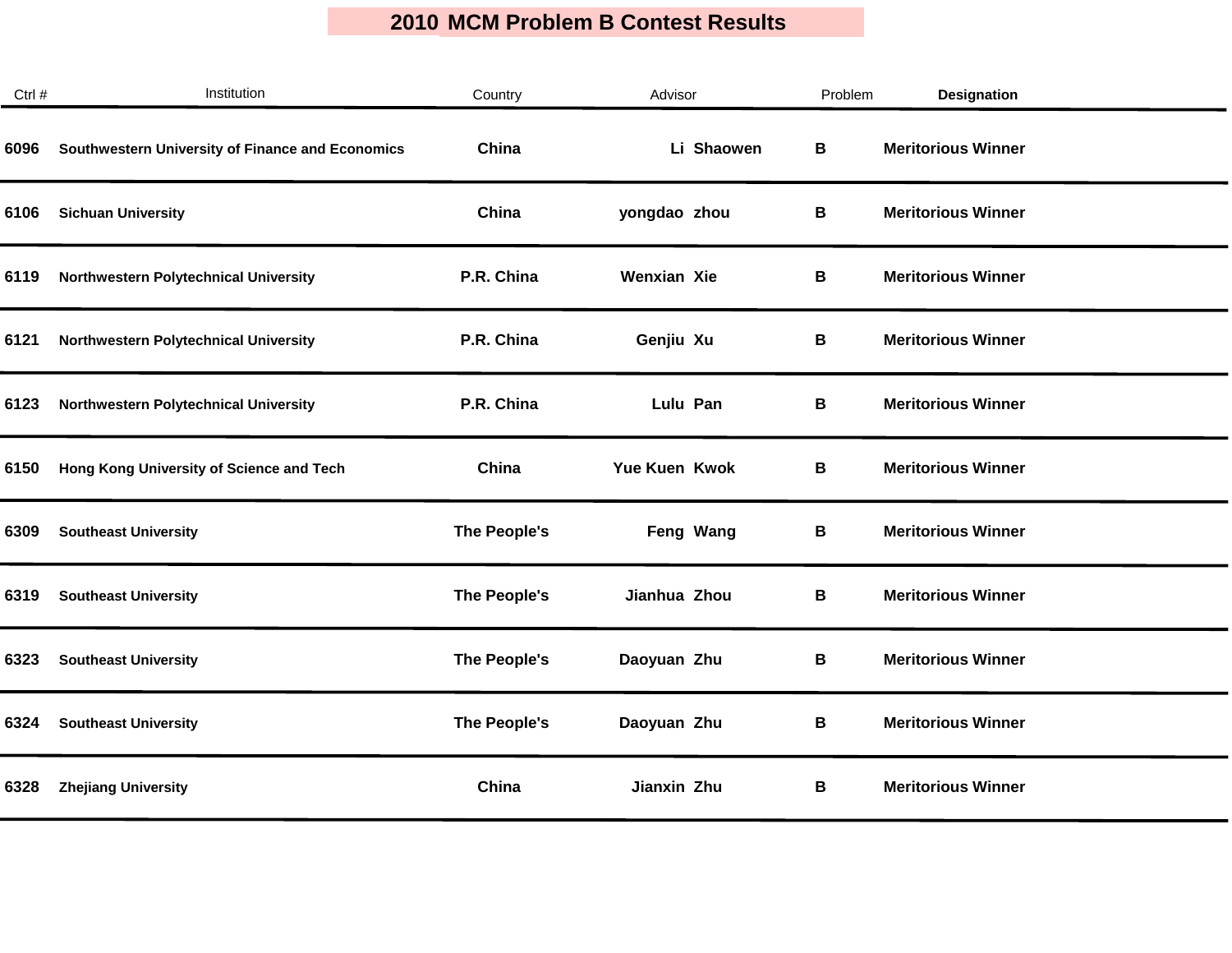| Ctrl # | Institution                                      | Country      | Advisor            | Problem | <b>Designation</b>        |  |
|--------|--------------------------------------------------|--------------|--------------------|---------|---------------------------|--|
| 6096   | Southwestern University of Finance and Economics | China        | Li Shaowen         | В       | <b>Meritorious Winner</b> |  |
| 6106   | <b>Sichuan University</b>                        | China        | yongdao zhou       | В       | <b>Meritorious Winner</b> |  |
| 6119   | Northwestern Polytechnical University            | P.R. China   | <b>Wenxian Xie</b> | В       | <b>Meritorious Winner</b> |  |
| 6121   | Northwestern Polytechnical University            | P.R. China   | Genjiu Xu          | B       | <b>Meritorious Winner</b> |  |
| 6123   | Northwestern Polytechnical University            | P.R. China   | Lulu Pan           | В       | <b>Meritorious Winner</b> |  |
| 6150   | Hong Kong University of Science and Tech         | China        | Yue Kuen Kwok      | В       | <b>Meritorious Winner</b> |  |
| 6309   | <b>Southeast University</b>                      | The People's | Feng Wang          | В       | <b>Meritorious Winner</b> |  |
| 6319   | <b>Southeast University</b>                      | The People's | Jianhua Zhou       | В       | <b>Meritorious Winner</b> |  |
| 6323   | <b>Southeast University</b>                      | The People's | Daoyuan Zhu        | В       | <b>Meritorious Winner</b> |  |
| 6324   | <b>Southeast University</b>                      | The People's | Daoyuan Zhu        | B       | <b>Meritorious Winner</b> |  |
| 6328   | <b>Zhejiang University</b>                       | China        | Jianxin Zhu        | В       | <b>Meritorious Winner</b> |  |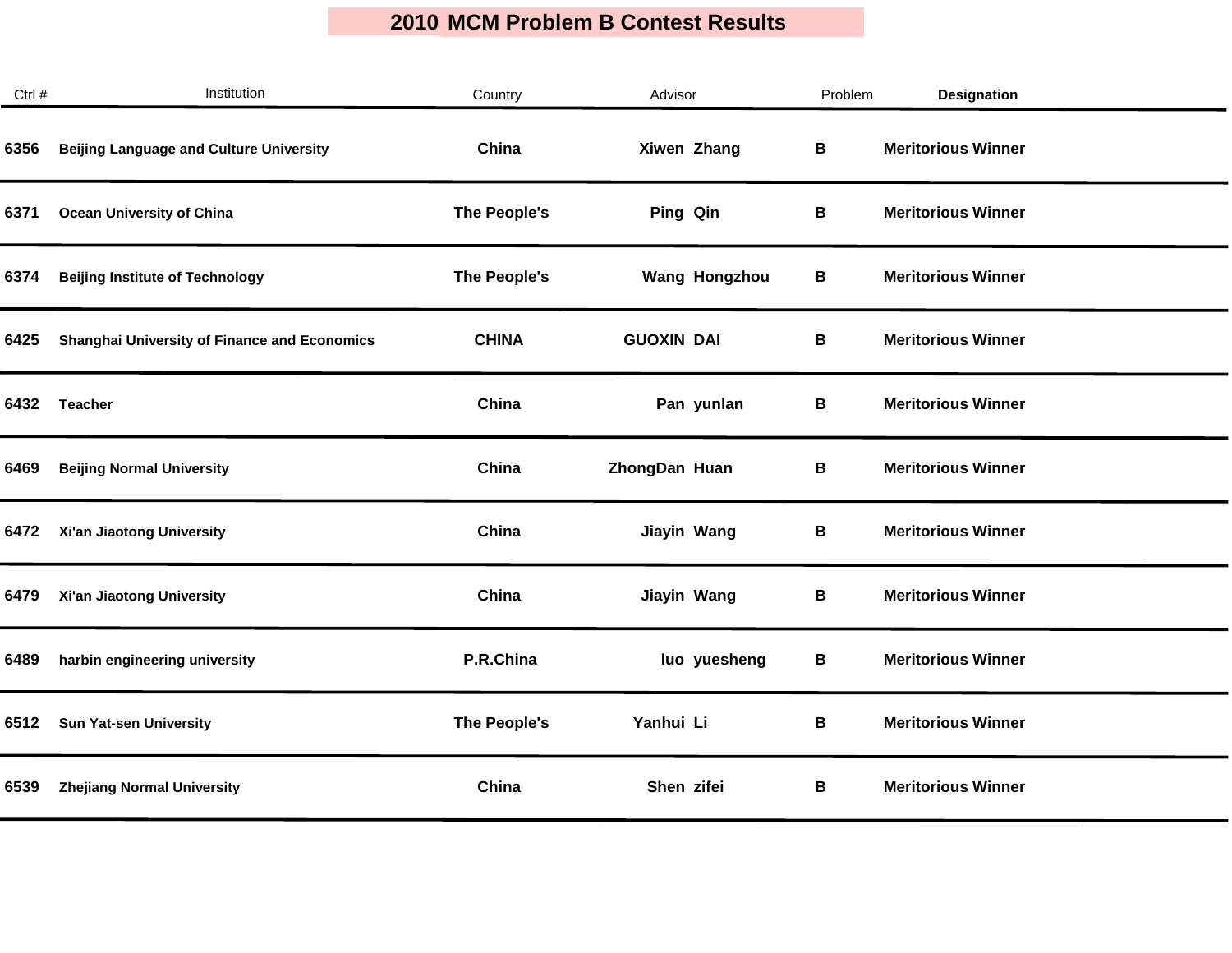| Ctrl # | Institution                                         | Country      | Advisor              | Problem | <b>Designation</b>        |  |
|--------|-----------------------------------------------------|--------------|----------------------|---------|---------------------------|--|
| 6356   | <b>Beijing Language and Culture University</b>      | China        | Xiwen Zhang          | В       | <b>Meritorious Winner</b> |  |
| 6371   | <b>Ocean University of China</b>                    | The People's | Ping Qin             | В       | <b>Meritorious Winner</b> |  |
| 6374   | <b>Beijing Institute of Technology</b>              | The People's | <b>Wang Hongzhou</b> | В       | <b>Meritorious Winner</b> |  |
| 6425   | <b>Shanghai University of Finance and Economics</b> | <b>CHINA</b> | <b>GUOXIN DAI</b>    | В       | <b>Meritorious Winner</b> |  |
| 6432   | <b>Teacher</b>                                      | China        | Pan yunlan           | В       | <b>Meritorious Winner</b> |  |
| 6469   | <b>Beijing Normal University</b>                    | China        | ZhongDan Huan        | В       | <b>Meritorious Winner</b> |  |
| 6472   | Xi'an Jiaotong University                           | China        | Jiayin Wang          | В       | <b>Meritorious Winner</b> |  |
| 6479   | Xi'an Jiaotong University                           | China        | Jiayin Wang          | В       | <b>Meritorious Winner</b> |  |
| 6489   | harbin engineering university                       | P.R.China    | luo yuesheng         | В       | <b>Meritorious Winner</b> |  |
| 6512   | <b>Sun Yat-sen University</b>                       | The People's | Yanhui Li            | В       | <b>Meritorious Winner</b> |  |
| 6539   | <b>Zhejiang Normal University</b>                   | China        | Shen zifei           | В       | <b>Meritorious Winner</b> |  |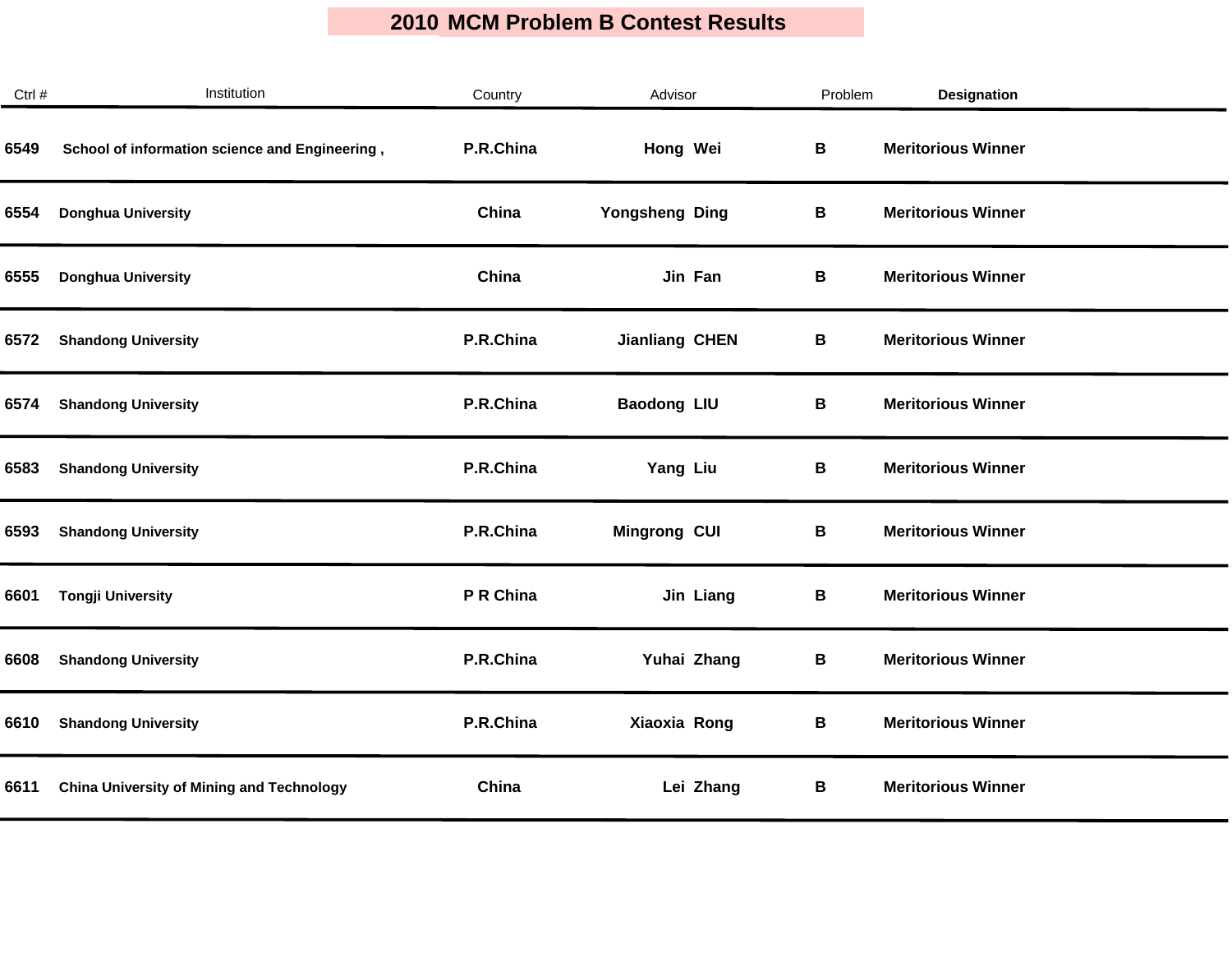| Ctrl # | Institution                                      | Country   | Advisor               | Problem | <b>Designation</b>        |
|--------|--------------------------------------------------|-----------|-----------------------|---------|---------------------------|
| 6549   | School of information science and Engineering,   | P.R.China | Hong Wei              | В       | <b>Meritorious Winner</b> |
| 6554   | <b>Donghua University</b>                        | China     | Yongsheng Ding        | В       | <b>Meritorious Winner</b> |
| 6555   | <b>Donghua University</b>                        | China     | Jin Fan               | В       | <b>Meritorious Winner</b> |
| 6572   | <b>Shandong University</b>                       | P.R.China | <b>Jianliang CHEN</b> | В       | <b>Meritorious Winner</b> |
| 6574   | <b>Shandong University</b>                       | P.R.China | <b>Baodong LIU</b>    | В       | <b>Meritorious Winner</b> |
| 6583   | <b>Shandong University</b>                       | P.R.China | Yang Liu              | В       | <b>Meritorious Winner</b> |
| 6593   | <b>Shandong University</b>                       | P.R.China | <b>Mingrong CUI</b>   | В       | <b>Meritorious Winner</b> |
| 6601   | <b>Tongji University</b>                         | P R China | Jin Liang             | В       | <b>Meritorious Winner</b> |
| 6608   | <b>Shandong University</b>                       | P.R.China | Yuhai Zhang           | В       | <b>Meritorious Winner</b> |
| 6610   | <b>Shandong University</b>                       | P.R.China | Xiaoxia Rong          | В       | <b>Meritorious Winner</b> |
| 6611   | <b>China University of Mining and Technology</b> | China     | Lei Zhang             | В       | <b>Meritorious Winner</b> |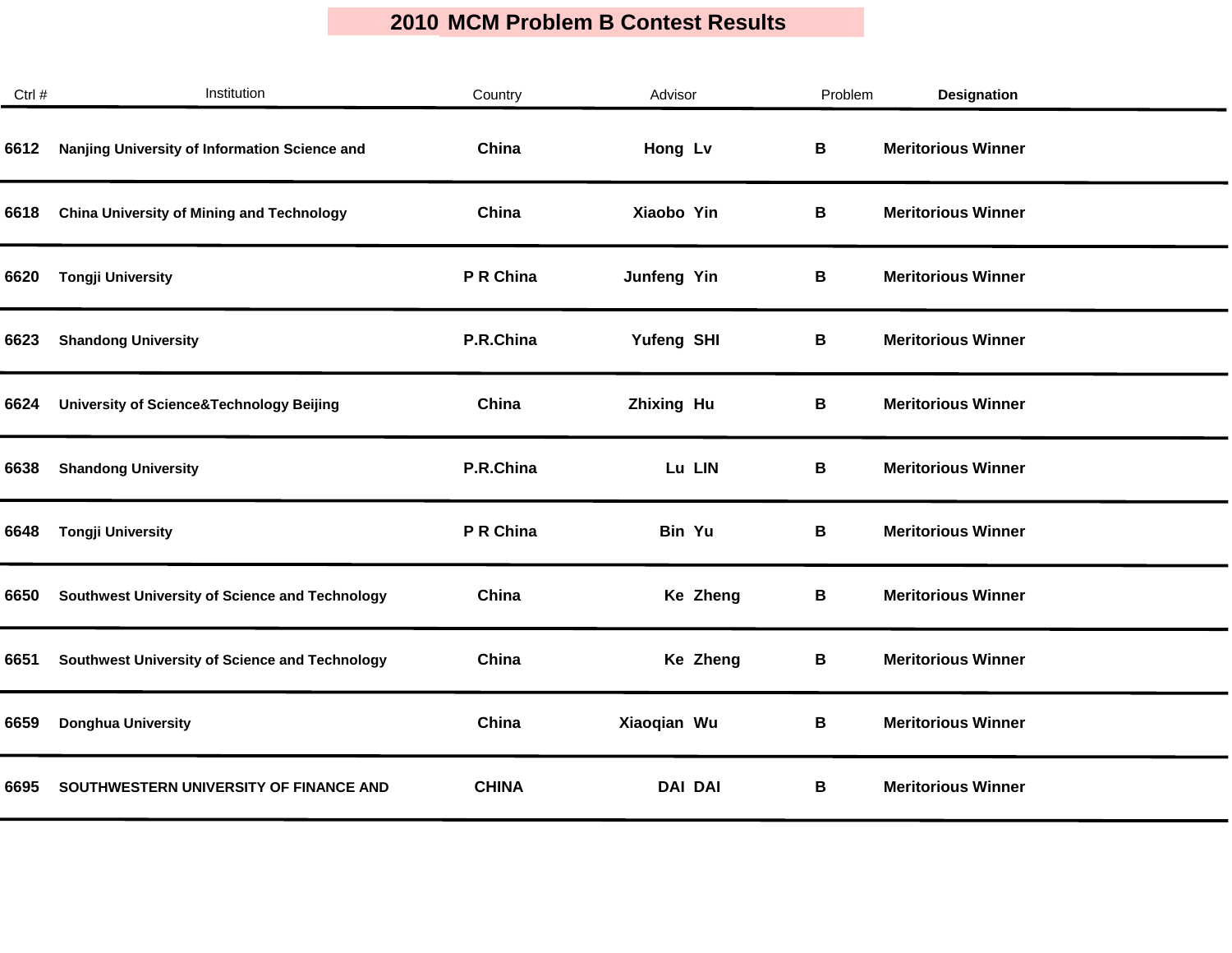| Ctrl # | Institution                                         | Country      | Advisor           | Problem | <b>Designation</b>        |
|--------|-----------------------------------------------------|--------------|-------------------|---------|---------------------------|
| 6612   | Nanjing University of Information Science and       | China        | Hong Lv           | В       | <b>Meritorious Winner</b> |
| 6618   | <b>China University of Mining and Technology</b>    | China        | Xiaobo Yin        | В       | <b>Meritorious Winner</b> |
| 6620   | <b>Tongji University</b>                            | P R China    | Junfeng Yin       | В       | <b>Meritorious Winner</b> |
| 6623   | <b>Shandong University</b>                          | P.R.China    | Yufeng SHI        | В       | <b>Meritorious Winner</b> |
| 6624   | <b>University of Science&amp;Technology Beijing</b> | China        | <b>Zhixing Hu</b> | В       | <b>Meritorious Winner</b> |
| 6638   | <b>Shandong University</b>                          | P.R.China    | Lu LIN            | В       | <b>Meritorious Winner</b> |
| 6648   | <b>Tongji University</b>                            | P R China    | Bin Yu            | В       | <b>Meritorious Winner</b> |
| 6650   | Southwest University of Science and Technology      | China        | Ke Zheng          | В       | <b>Meritorious Winner</b> |
| 6651   | Southwest University of Science and Technology      | China        | Ke Zheng          | В       | <b>Meritorious Winner</b> |
| 6659   | <b>Donghua University</b>                           | China        | Xiaoqian Wu       | В       | <b>Meritorious Winner</b> |
| 6695   | SOUTHWESTERN UNIVERSITY OF FINANCE AND              | <b>CHINA</b> | <b>DAI DAI</b>    | В       | <b>Meritorious Winner</b> |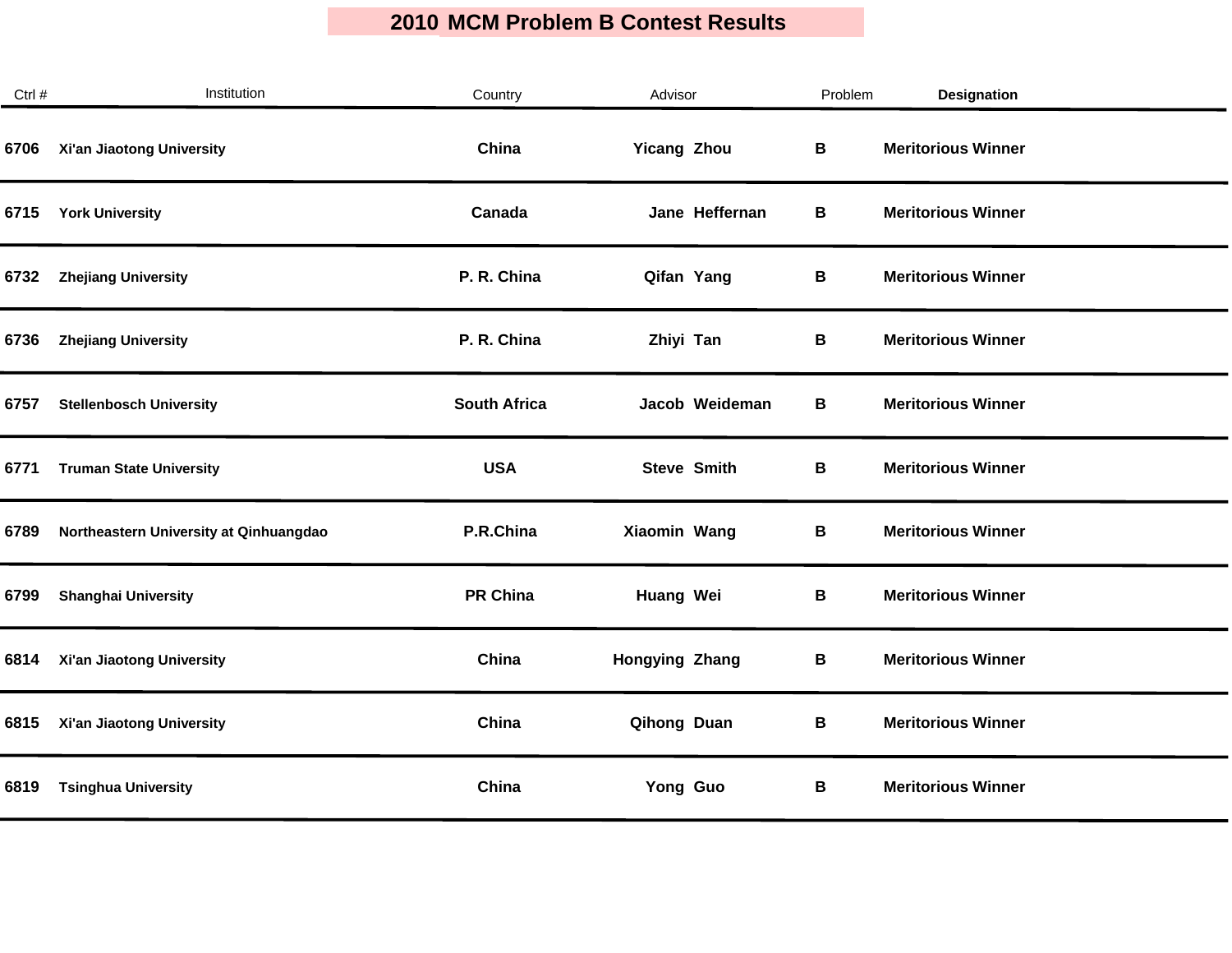| Ctrl # | Institution                            | Country             | Advisor            | Problem | Designation               |  |
|--------|----------------------------------------|---------------------|--------------------|---------|---------------------------|--|
| 6706   | Xi'an Jiaotong University              | China               | <b>Yicang Zhou</b> | B       | <b>Meritorious Winner</b> |  |
| 6715   | <b>York University</b>                 | Canada              | Jane Heffernan     | В       | <b>Meritorious Winner</b> |  |
| 6732   | <b>Zhejiang University</b>             | P. R. China         | Qifan Yang         | В       | <b>Meritorious Winner</b> |  |
| 6736   | <b>Zhejiang University</b>             | P. R. China         | Zhiyi Tan          | В       | <b>Meritorious Winner</b> |  |
| 6757   | <b>Stellenbosch University</b>         | <b>South Africa</b> | Jacob Weideman     | В       | <b>Meritorious Winner</b> |  |
| 6771   | <b>Truman State University</b>         | <b>USA</b>          | <b>Steve Smith</b> | В       | <b>Meritorious Winner</b> |  |
| 6789   | Northeastern University at Qinhuangdao | P.R.China           | Xiaomin Wang       | В       | <b>Meritorious Winner</b> |  |
| 6799   | <b>Shanghai University</b>             | <b>PR China</b>     | Huang Wei          | В       | <b>Meritorious Winner</b> |  |
| 6814   | Xi'an Jiaotong University              | China               | Hongying Zhang     | В       | <b>Meritorious Winner</b> |  |
| 6815   | Xi'an Jiaotong University              | China               | Qihong Duan        | В       | <b>Meritorious Winner</b> |  |
| 6819   | <b>Tsinghua University</b>             | China               | Yong Guo           | В       | <b>Meritorious Winner</b> |  |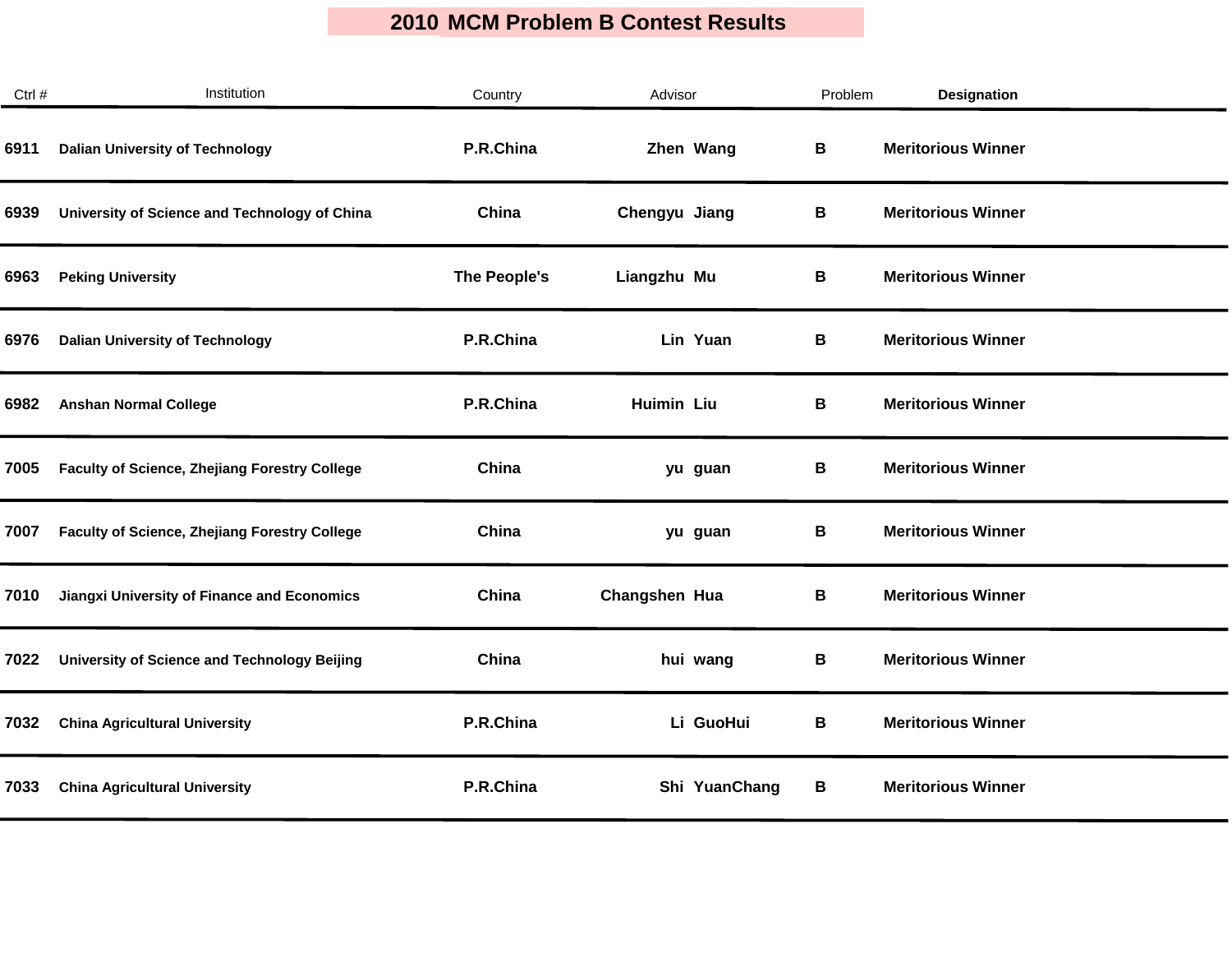| Ctrl # | Institution                                          | Country      | Advisor       | Problem | <b>Designation</b>        |  |
|--------|------------------------------------------------------|--------------|---------------|---------|---------------------------|--|
| 6911   | <b>Dalian University of Technology</b>               | P.R.China    | Zhen Wang     | B       | <b>Meritorious Winner</b> |  |
| 6939   | University of Science and Technology of China        | China        | Chengyu Jiang | В       | <b>Meritorious Winner</b> |  |
| 6963   | <b>Peking University</b>                             | The People's | Liangzhu Mu   | В       | <b>Meritorious Winner</b> |  |
| 6976   | <b>Dalian University of Technology</b>               | P.R.China    | Lin Yuan      | В       | <b>Meritorious Winner</b> |  |
| 6982   | <b>Anshan Normal College</b>                         | P.R.China    | Huimin Liu    | B       | <b>Meritorious Winner</b> |  |
| 7005   | <b>Faculty of Science, Zhejiang Forestry College</b> | China        | yu guan       | В       | <b>Meritorious Winner</b> |  |
| 7007   | <b>Faculty of Science, Zhejiang Forestry College</b> | China        | yu guan       | В       | <b>Meritorious Winner</b> |  |
| 7010   | Jiangxi University of Finance and Economics          | China        | Changshen Hua | В       | <b>Meritorious Winner</b> |  |
| 7022   | University of Science and Technology Beijing         | China        | hui wang      | B       | <b>Meritorious Winner</b> |  |
| 7032   | <b>China Agricultural University</b>                 | P.R.China    | Li GuoHui     | В       | <b>Meritorious Winner</b> |  |
| 7033   | <b>China Agricultural University</b>                 | P.R.China    | Shi YuanChang | В       | <b>Meritorious Winner</b> |  |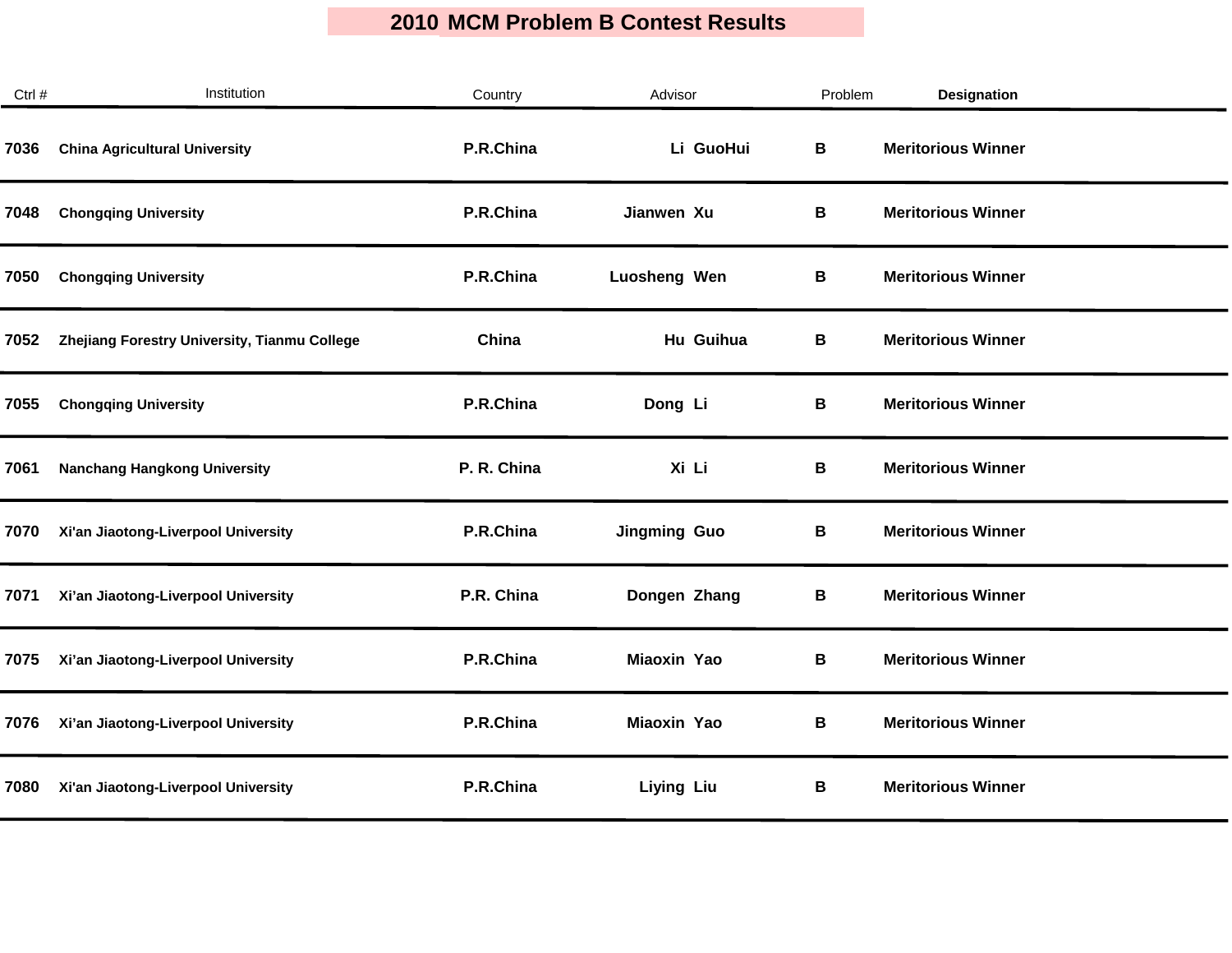$\mathcal{L}_{\mathcal{A}}$ 

| Ctrl # | Institution                                  | Country     | Advisor             | Problem | <b>Designation</b>        |  |
|--------|----------------------------------------------|-------------|---------------------|---------|---------------------------|--|
| 7036   | <b>China Agricultural University</b>         | P.R.China   | Li GuoHui           | B       | <b>Meritorious Winner</b> |  |
| 7048   | <b>Chongqing University</b>                  | P.R.China   | Jianwen Xu          | В       | <b>Meritorious Winner</b> |  |
| 7050   | <b>Chongqing University</b>                  | P.R.China   | Luosheng Wen        | В       | <b>Meritorious Winner</b> |  |
| 7052   | Zhejiang Forestry University, Tianmu College | China       | Hu Guihua           | В       | <b>Meritorious Winner</b> |  |
| 7055   | <b>Chongqing University</b>                  | P.R.China   | Dong Li             | B       | <b>Meritorious Winner</b> |  |
| 7061   | <b>Nanchang Hangkong University</b>          | P. R. China | Xi Li               | В       | <b>Meritorious Winner</b> |  |
| 7070   | Xi'an Jiaotong-Liverpool University          | P.R.China   | <b>Jingming Guo</b> | В       | <b>Meritorious Winner</b> |  |
| 7071   | Xi'an Jiaotong-Liverpool University          | P.R. China  | Dongen Zhang        | В       | <b>Meritorious Winner</b> |  |
| 7075   | Xi'an Jiaotong-Liverpool University          | P.R.China   | Miaoxin Yao         | В       | <b>Meritorious Winner</b> |  |
| 7076   | Xi'an Jiaotong-Liverpool University          | P.R.China   | Miaoxin Yao         | В       | <b>Meritorious Winner</b> |  |
| 7080   | Xi'an Jiaotong-Liverpool University          | P.R.China   | <b>Liying Liu</b>   | В       | <b>Meritorious Winner</b> |  |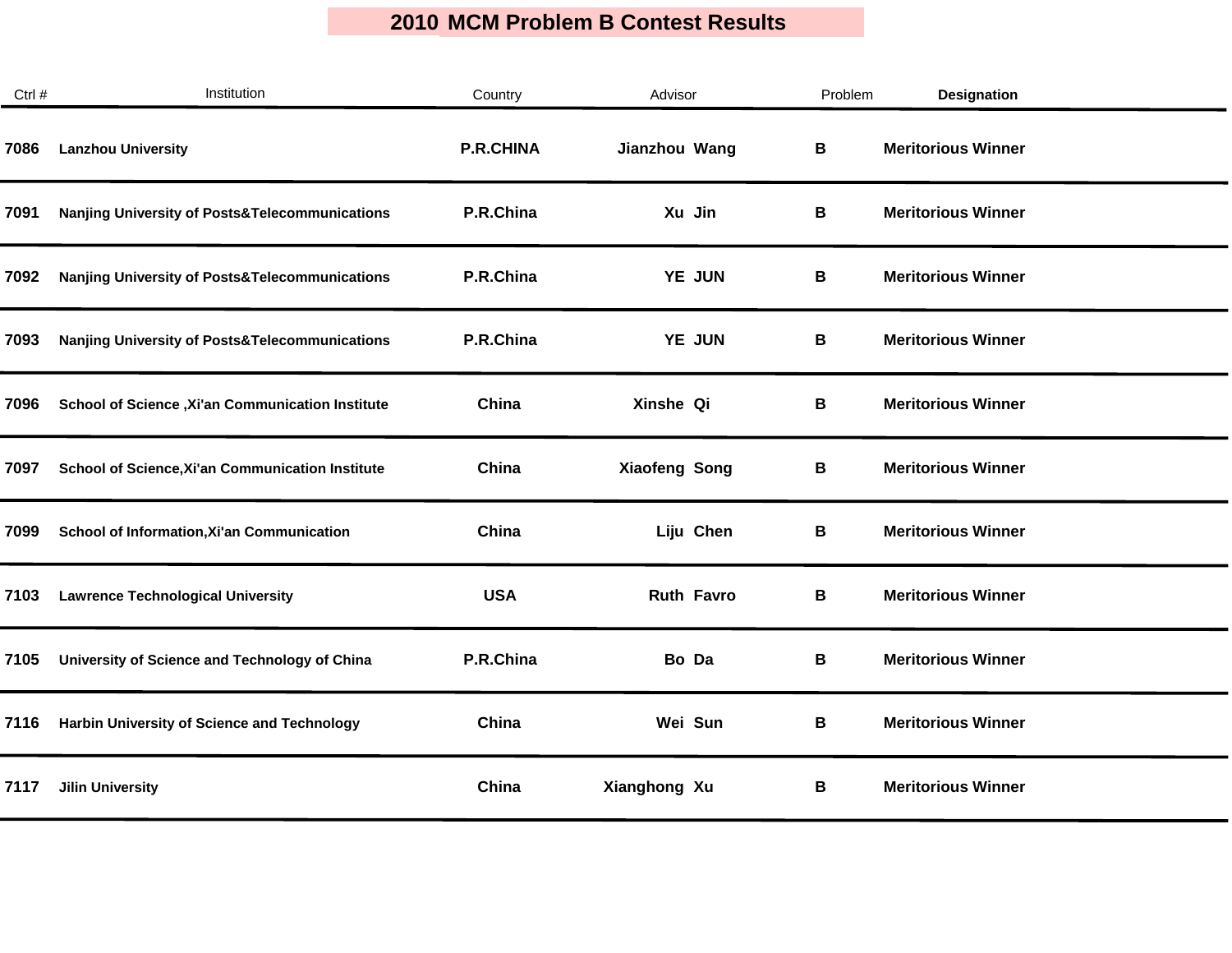| Ctrl # | Institution                                               | Country          | Advisor              | Problem | Designation               |
|--------|-----------------------------------------------------------|------------------|----------------------|---------|---------------------------|
| 7086   | <b>Lanzhou University</b>                                 | <b>P.R.CHINA</b> | Jianzhou Wang        | В       | <b>Meritorious Winner</b> |
| 7091   | Nanjing University of Posts&Telecommunications            | P.R.China        | Xu Jin               | В       | <b>Meritorious Winner</b> |
| 7092   | <b>Nanjing University of Posts&amp;Telecommunications</b> | P.R.China        | YE JUN               | В       | <b>Meritorious Winner</b> |
| 7093   | <b>Nanjing University of Posts&amp;Telecommunications</b> | P.R.China        | YE JUN               | В       | <b>Meritorious Winner</b> |
| 7096   | School of Science , Xi'an Communication Institute         | China            | Xinshe Qi            | В       | <b>Meritorious Winner</b> |
| 7097   | School of Science, Xi'an Communication Institute          | China            | <b>Xiaofeng Song</b> | В       | <b>Meritorious Winner</b> |
| 7099   | School of Information, Xi'an Communication                | China            | Liju Chen            | В       | <b>Meritorious Winner</b> |
| 7103   | <b>Lawrence Technological University</b>                  | <b>USA</b>       | <b>Ruth Favro</b>    | В       | <b>Meritorious Winner</b> |
| 7105   | University of Science and Technology of China             | P.R.China        | Bo Da                | В       | <b>Meritorious Winner</b> |
| 7116   | Harbin University of Science and Technology               | China            | Wei Sun              | В       | <b>Meritorious Winner</b> |
| 7117   | <b>Jilin University</b>                                   | China            | Xianghong Xu         | В       | <b>Meritorious Winner</b> |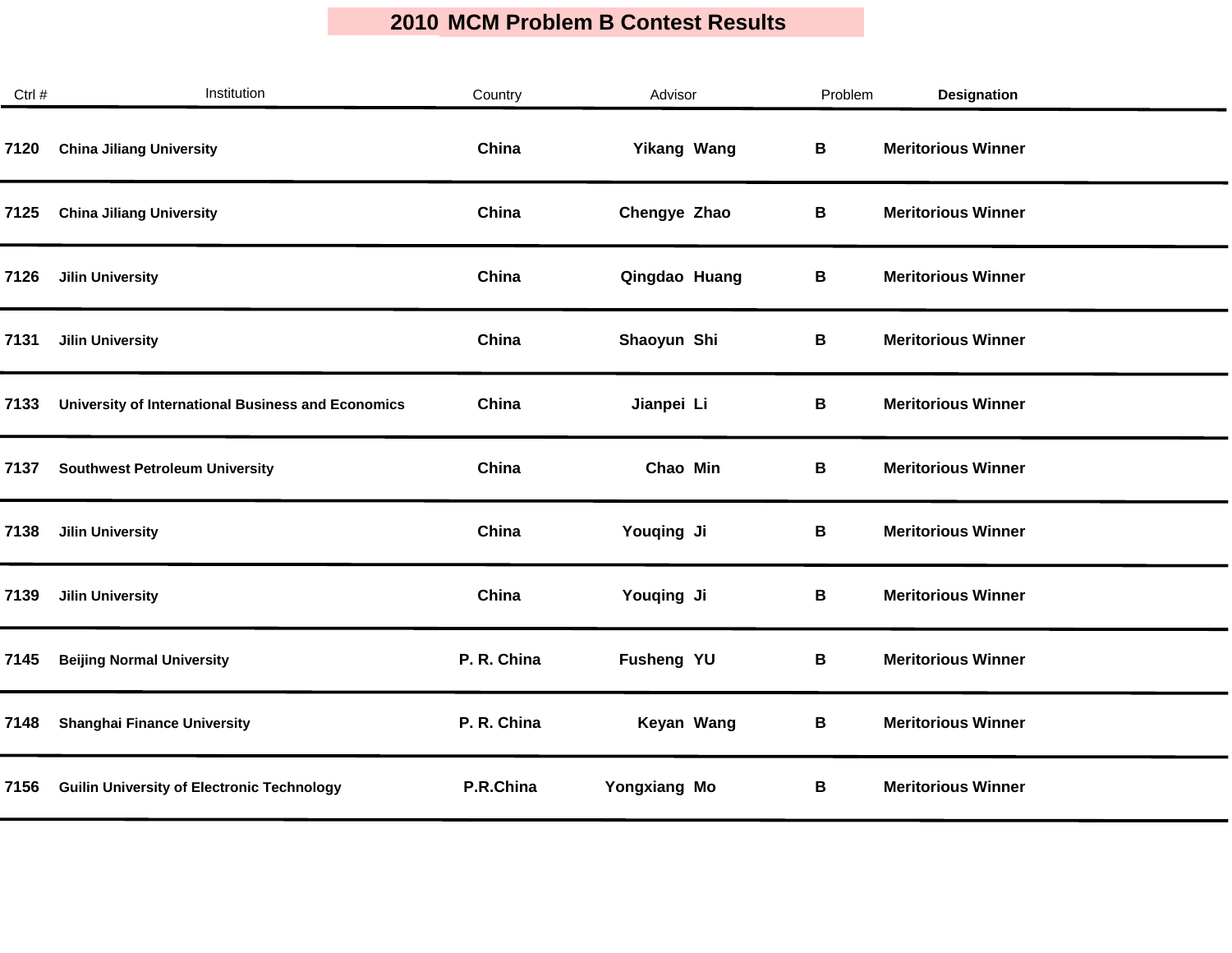| Ctrl # | Institution                                        | Country     | Advisor            | Problem | Designation               |
|--------|----------------------------------------------------|-------------|--------------------|---------|---------------------------|
| 7120   | <b>China Jiliang University</b>                    | China       | <b>Yikang Wang</b> | B       | <b>Meritorious Winner</b> |
| 7125   | <b>China Jiliang University</b>                    | China       | Chengye Zhao       | В       | <b>Meritorious Winner</b> |
| 7126   | <b>Jilin University</b>                            | China       | Qingdao Huang      | В       | <b>Meritorious Winner</b> |
| 7131   | <b>Jilin University</b>                            | China       | Shaoyun Shi        | В       | <b>Meritorious Winner</b> |
| 7133   | University of International Business and Economics | China       | Jianpei Li         | В       | <b>Meritorious Winner</b> |
| 7137   | <b>Southwest Petroleum University</b>              | China       | Chao Min           | В       | <b>Meritorious Winner</b> |
| 7138   | <b>Jilin University</b>                            | China       | Youqing Ji         | В       | <b>Meritorious Winner</b> |
| 7139   | <b>Jilin University</b>                            | China       | Youqing Ji         | В       | <b>Meritorious Winner</b> |
| 7145   | <b>Beijing Normal University</b>                   | P. R. China | Fusheng YU         | B       | <b>Meritorious Winner</b> |
| 7148   | <b>Shanghai Finance University</b>                 | P. R. China | Keyan Wang         | В       | <b>Meritorious Winner</b> |
| 7156   | <b>Guilin University of Electronic Technology</b>  | P.R.China   | Yongxiang Mo       | В       | <b>Meritorious Winner</b> |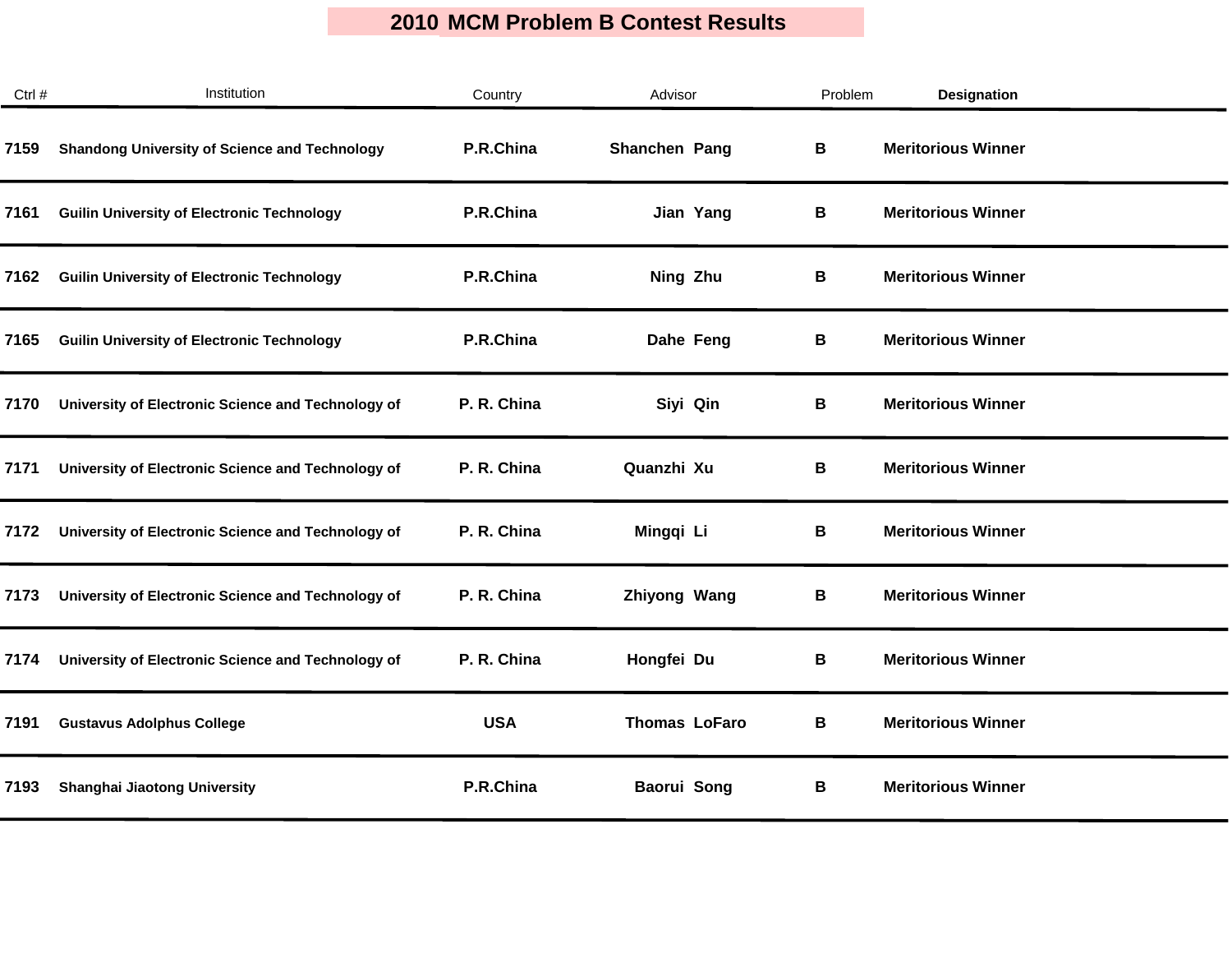| Ctrl # | Institution                                          | Country     | Advisor              | Problem | <b>Designation</b>        |
|--------|------------------------------------------------------|-------------|----------------------|---------|---------------------------|
| 7159   | <b>Shandong University of Science and Technology</b> | P.R.China   | Shanchen Pang        | В       | <b>Meritorious Winner</b> |
| 7161   | <b>Guilin University of Electronic Technology</b>    | P.R.China   | Jian Yang            | В       | <b>Meritorious Winner</b> |
| 7162   | <b>Guilin University of Electronic Technology</b>    | P.R.China   | Ning Zhu             | В       | <b>Meritorious Winner</b> |
| 7165   | <b>Guilin University of Electronic Technology</b>    | P.R.China   | Dahe Feng            | В       | <b>Meritorious Winner</b> |
| 7170   | University of Electronic Science and Technology of   | P. R. China | Siyi Qin             | В       | <b>Meritorious Winner</b> |
| 7171   | University of Electronic Science and Technology of   | P. R. China | Quanzhi Xu           | В       | <b>Meritorious Winner</b> |
| 7172   | University of Electronic Science and Technology of   | P. R. China | Mingqi Li            | В       | <b>Meritorious Winner</b> |
| 7173   | University of Electronic Science and Technology of   | P. R. China | Zhiyong Wang         | В       | <b>Meritorious Winner</b> |
| 7174   | University of Electronic Science and Technology of   | P. R. China | Hongfei Du           | В       | <b>Meritorious Winner</b> |
| 7191   | <b>Gustavus Adolphus College</b>                     | <b>USA</b>  | <b>Thomas LoFaro</b> | В       | <b>Meritorious Winner</b> |
| 7193   | Shanghai Jiaotong University                         | P.R.China   | Baorui Song          | В       | <b>Meritorious Winner</b> |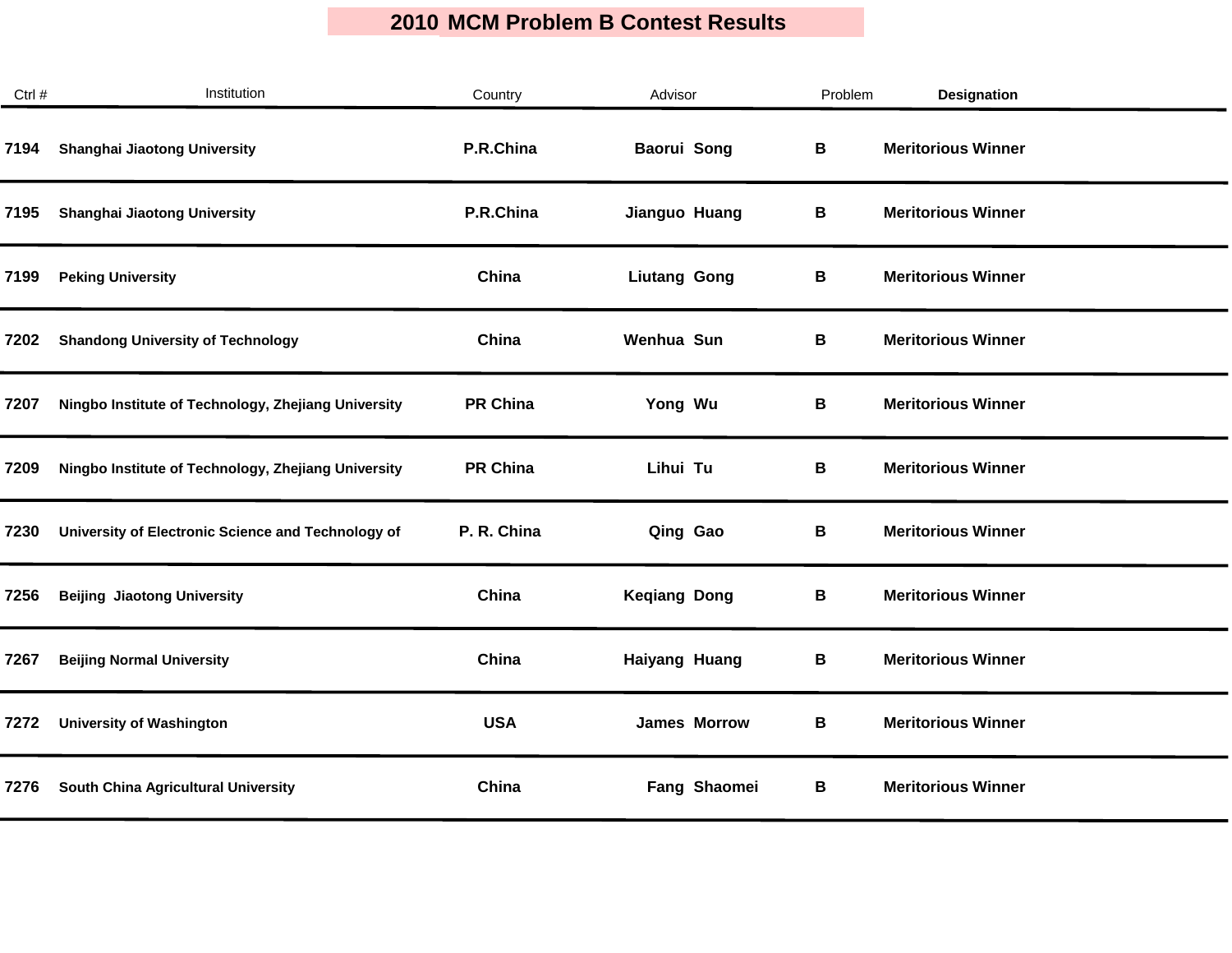| Ctrl # | Institution                                         | Country         | Advisor              | Problem | <b>Designation</b>        |
|--------|-----------------------------------------------------|-----------------|----------------------|---------|---------------------------|
| 7194   | <b>Shanghai Jiaotong University</b>                 | P.R.China       | <b>Baorui Song</b>   | В       | <b>Meritorious Winner</b> |
| 7195   | Shanghai Jiaotong University                        | P.R.China       | Jianguo Huang        | В       | <b>Meritorious Winner</b> |
| 7199   | <b>Peking University</b>                            | China           | <b>Liutang Gong</b>  | В       | <b>Meritorious Winner</b> |
| 7202   | <b>Shandong University of Technology</b>            | China           | Wenhua Sun           | В       | <b>Meritorious Winner</b> |
| 7207   | Ningbo Institute of Technology, Zhejiang University | <b>PR China</b> | Yong Wu              | В       | <b>Meritorious Winner</b> |
| 7209   | Ningbo Institute of Technology, Zhejiang University | <b>PR China</b> | Lihui Tu             | В       | <b>Meritorious Winner</b> |
| 7230   | University of Electronic Science and Technology of  | P. R. China     | Qing Gao             | В       | <b>Meritorious Winner</b> |
| 7256   | <b>Beijing Jiaotong University</b>                  | China           | <b>Keqiang Dong</b>  | В       | <b>Meritorious Winner</b> |
| 7267   | <b>Beijing Normal University</b>                    | China           | <b>Haiyang Huang</b> | В       | <b>Meritorious Winner</b> |
| 7272   | <b>University of Washington</b>                     | <b>USA</b>      | <b>James Morrow</b>  | В       | <b>Meritorious Winner</b> |
| 7276   | South China Agricultural University                 | China           | Fang Shaomei         | В       | <b>Meritorious Winner</b> |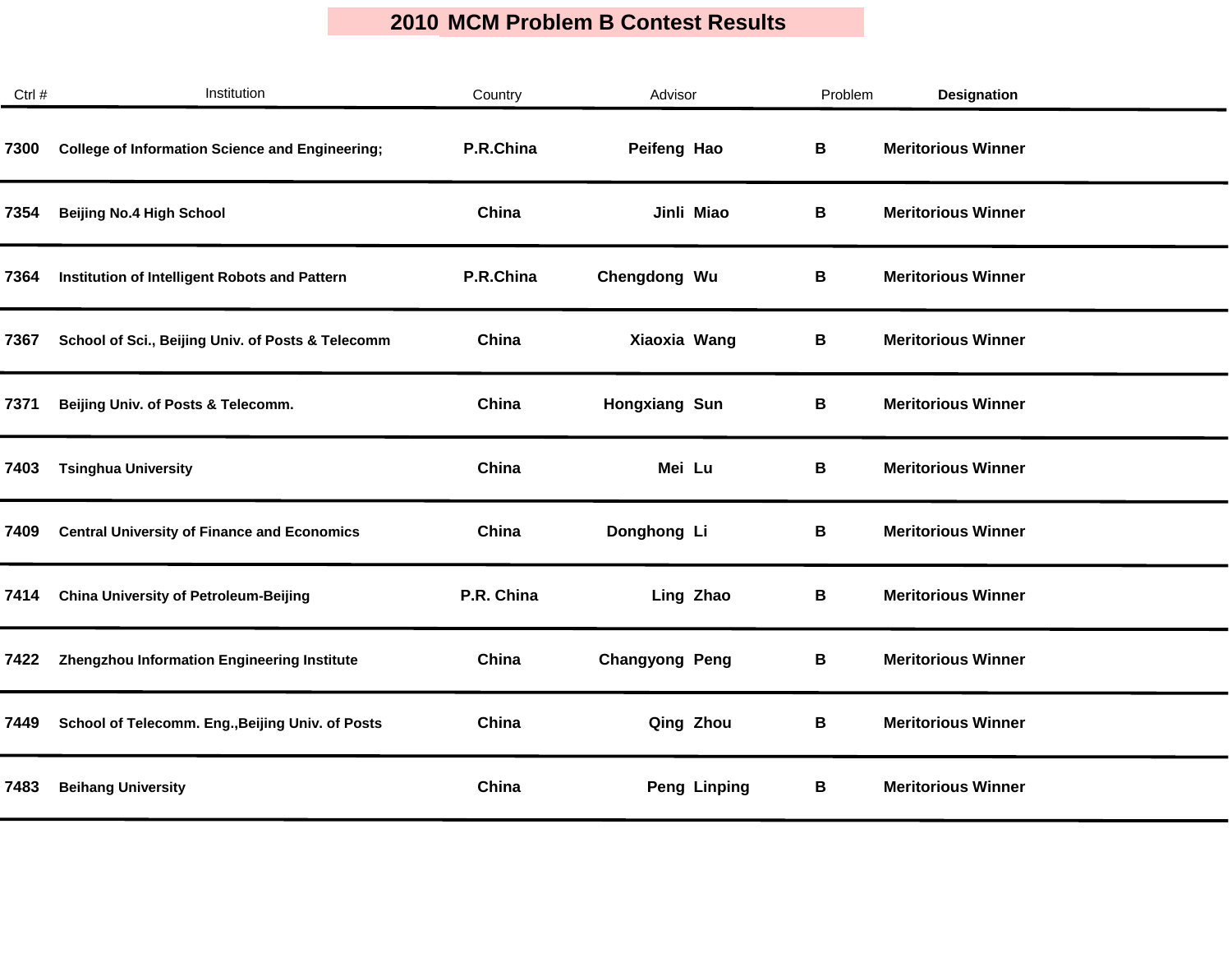| Ctrl # | Institution                                            | Country    | Advisor               | Problem | <b>Designation</b>        |  |
|--------|--------------------------------------------------------|------------|-----------------------|---------|---------------------------|--|
| 7300   | <b>College of Information Science and Engineering;</b> | P.R.China  | Peifeng Hao           | В       | <b>Meritorious Winner</b> |  |
| 7354   | <b>Beijing No.4 High School</b>                        | China      | Jinli Miao            | В       | <b>Meritorious Winner</b> |  |
| 7364   | Institution of Intelligent Robots and Pattern          | P.R.China  | Chengdong Wu          | В       | <b>Meritorious Winner</b> |  |
| 7367   | School of Sci., Beijing Univ. of Posts & Telecomm      | China      | Xiaoxia Wang          | В       | <b>Meritorious Winner</b> |  |
| 7371   | Beijing Univ. of Posts & Telecomm.                     | China      | <b>Hongxiang Sun</b>  | В       | <b>Meritorious Winner</b> |  |
| 7403   | <b>Tsinghua University</b>                             | China      | Mei Lu                | В       | <b>Meritorious Winner</b> |  |
| 7409   | <b>Central University of Finance and Economics</b>     | China      | Donghong Li           | В       | <b>Meritorious Winner</b> |  |
| 7414   | <b>China University of Petroleum-Beijing</b>           | P.R. China | Ling Zhao             | В       | <b>Meritorious Winner</b> |  |
| 7422   | Zhengzhou Information Engineering Institute            | China      | <b>Changyong Peng</b> | В       | <b>Meritorious Winner</b> |  |
| 7449   | School of Telecomm. Eng., Beijing Univ. of Posts       | China      | Qing Zhou             | B       | <b>Meritorious Winner</b> |  |
| 7483   | <b>Beihang University</b>                              | China      | <b>Peng Linping</b>   | В       | <b>Meritorious Winner</b> |  |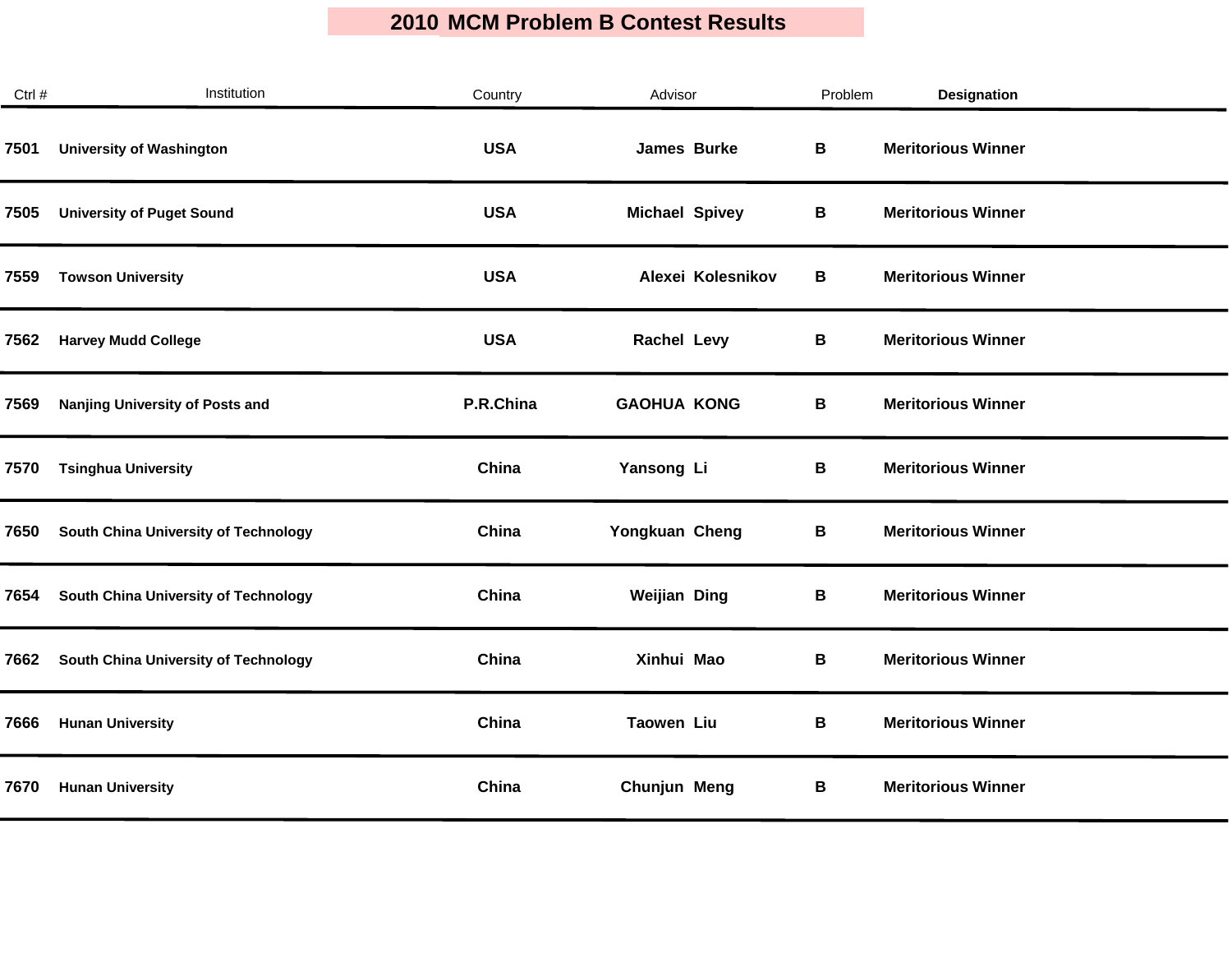| Ctrl # | Institution                          | Country    | Advisor               | Problem | <b>Designation</b>        |
|--------|--------------------------------------|------------|-----------------------|---------|---------------------------|
| 7501   | <b>University of Washington</b>      | <b>USA</b> | James Burke           | B       | <b>Meritorious Winner</b> |
| 7505   | <b>University of Puget Sound</b>     | <b>USA</b> | <b>Michael Spivey</b> | В       | <b>Meritorious Winner</b> |
| 7559   | <b>Towson University</b>             | <b>USA</b> | Alexei Kolesnikov     | В       | <b>Meritorious Winner</b> |
| 7562   | <b>Harvey Mudd College</b>           | <b>USA</b> | <b>Rachel Levy</b>    | B       | <b>Meritorious Winner</b> |
| 7569   | Nanjing University of Posts and      | P.R.China  | <b>GAOHUA KONG</b>    | В       | <b>Meritorious Winner</b> |
| 7570   | <b>Tsinghua University</b>           | China      | Yansong Li            | В       | <b>Meritorious Winner</b> |
| 7650   | South China University of Technology | China      | Yongkuan Cheng        | В       | <b>Meritorious Winner</b> |
| 7654   | South China University of Technology | China      | <b>Weijian Ding</b>   | В       | <b>Meritorious Winner</b> |
| 7662   | South China University of Technology | China      | Xinhui Mao            | В       | <b>Meritorious Winner</b> |
| 7666   | <b>Hunan University</b>              | China      | <b>Taowen Liu</b>     | В       | <b>Meritorious Winner</b> |
| 7670   | <b>Hunan University</b>              | China      | Chunjun Meng          | В       | <b>Meritorious Winner</b> |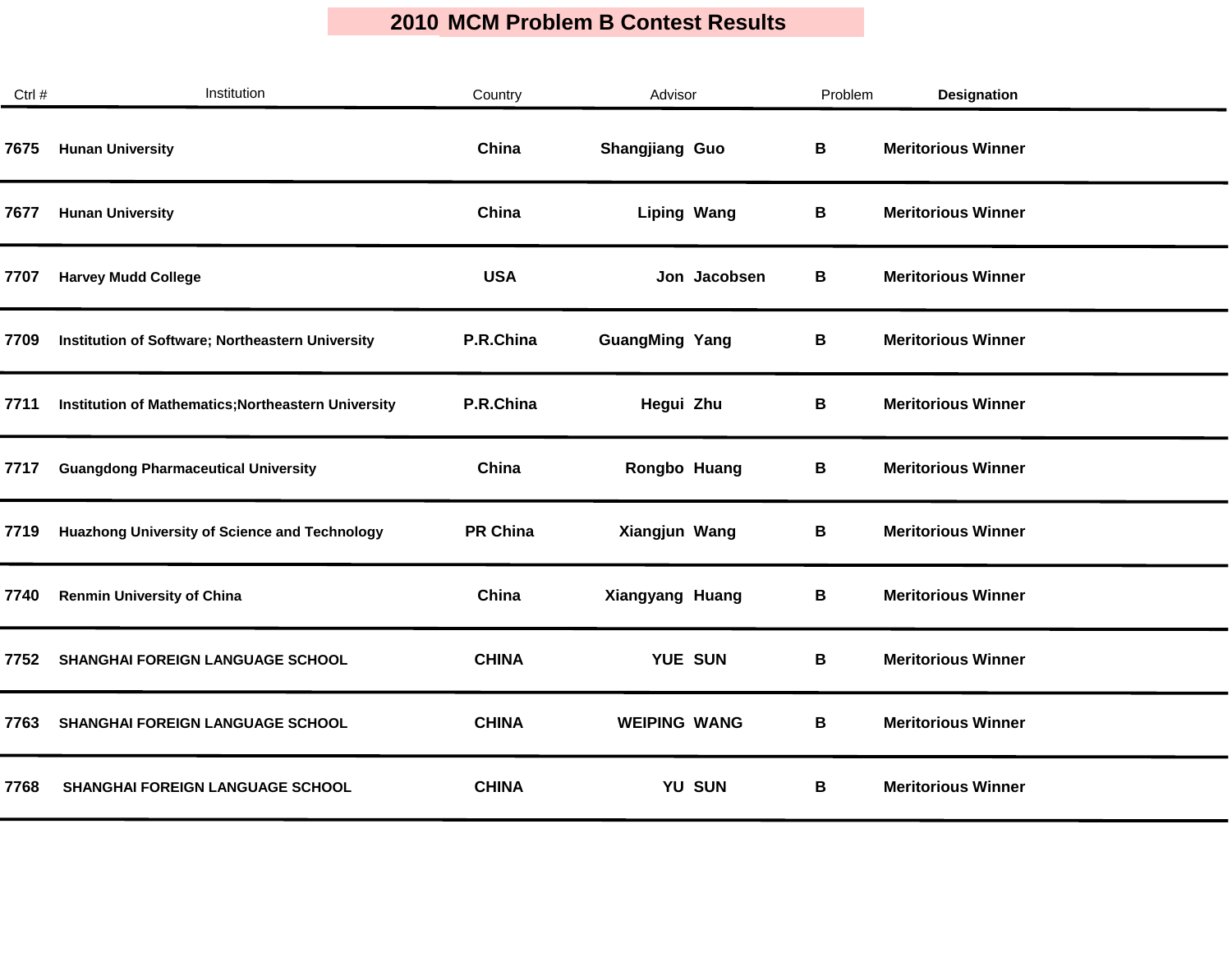| Ctrl # | Institution                                          | Country         | Advisor               |              | Problem     | <b>Designation</b>        |
|--------|------------------------------------------------------|-----------------|-----------------------|--------------|-------------|---------------------------|
| 7675   | <b>Hunan University</b>                              | China           | Shangjiang Guo        |              | $\mathbf B$ | <b>Meritorious Winner</b> |
| 7677   | <b>Hunan University</b>                              | China           | <b>Liping Wang</b>    |              | В           | <b>Meritorious Winner</b> |
| 7707   | <b>Harvey Mudd College</b>                           | <b>USA</b>      |                       | Jon Jacobsen | В           | <b>Meritorious Winner</b> |
| 7709   | Institution of Software; Northeastern University     | P.R.China       | <b>GuangMing Yang</b> |              | В           | <b>Meritorious Winner</b> |
| 7711   | Institution of Mathematics; Northeastern University  | P.R.China       | Hegui Zhu             |              | В           | <b>Meritorious Winner</b> |
| 7717   | <b>Guangdong Pharmaceutical University</b>           | China           | Rongbo Huang          |              | В           | <b>Meritorious Winner</b> |
| 7719   | <b>Huazhong University of Science and Technology</b> | <b>PR China</b> | Xiangjun Wang         |              | В           | <b>Meritorious Winner</b> |
| 7740   | <b>Renmin University of China</b>                    | China           | Xiangyang Huang       |              | В           | <b>Meritorious Winner</b> |
| 7752   | SHANGHAI FOREIGN LANGUAGE SCHOOL                     | <b>CHINA</b>    | YUE SUN               |              | B           | <b>Meritorious Winner</b> |
| 7763   | <b>SHANGHAI FOREIGN LANGUAGE SCHOOL</b>              | <b>CHINA</b>    | <b>WEIPING WANG</b>   |              | В           | <b>Meritorious Winner</b> |
| 7768   | SHANGHAI FOREIGN LANGUAGE SCHOOL                     | <b>CHINA</b>    |                       | YU SUN       | В           | <b>Meritorious Winner</b> |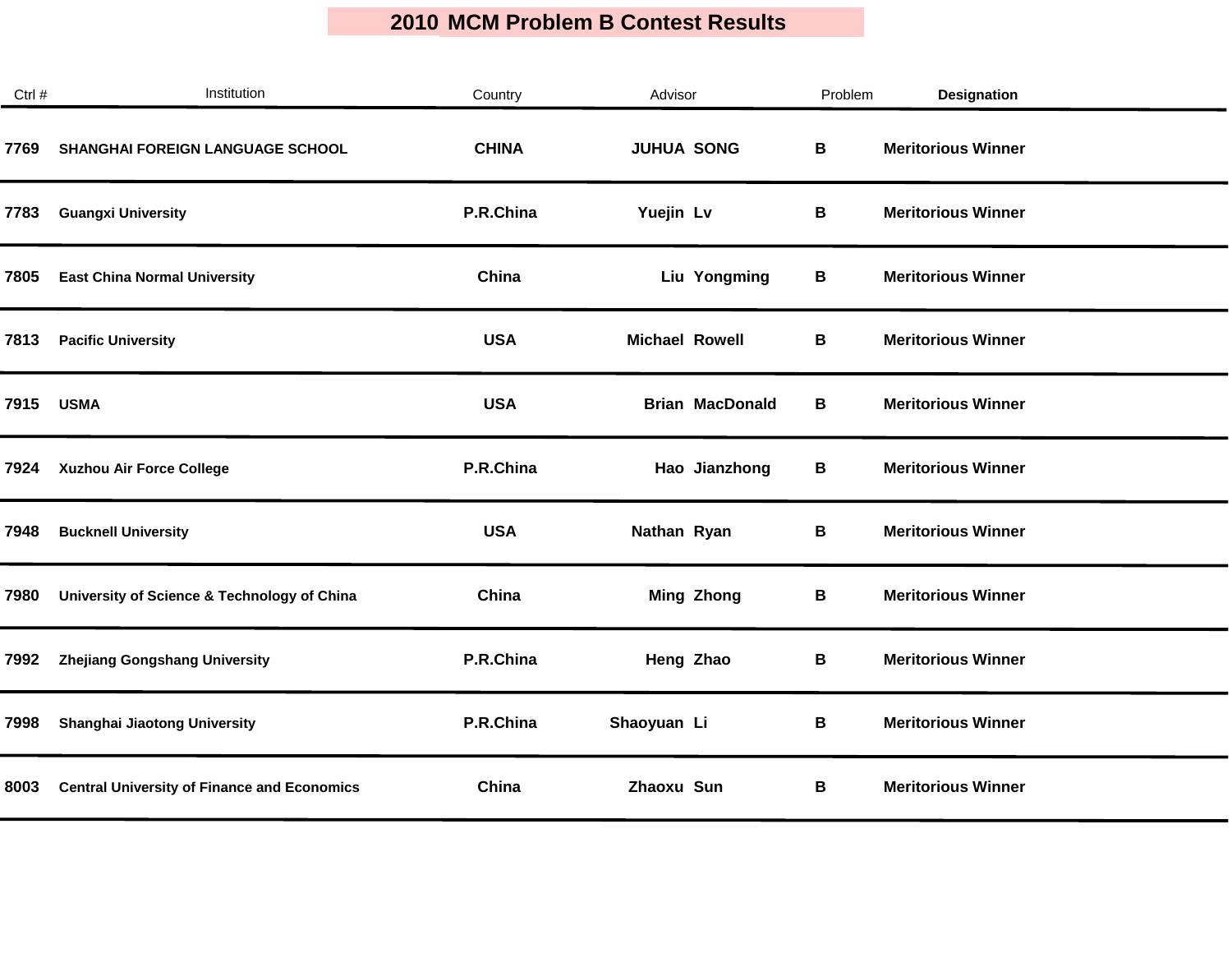$\mathcal{L}_{\mathcal{A}}$ 

| Ctrl # | Institution                                        | Country      | Advisor                | Problem | Designation               |  |
|--------|----------------------------------------------------|--------------|------------------------|---------|---------------------------|--|
| 7769   | <b>SHANGHAI FOREIGN LANGUAGE SCHOOL</b>            | <b>CHINA</b> | <b>JUHUA SONG</b>      | B       | <b>Meritorious Winner</b> |  |
| 7783   | <b>Guangxi University</b>                          | P.R.China    | Yuejin Lv              | В       | <b>Meritorious Winner</b> |  |
| 7805   | <b>East China Normal University</b>                | China        | Liu Yongming           | В       | <b>Meritorious Winner</b> |  |
| 7813   | <b>Pacific University</b>                          | <b>USA</b>   | <b>Michael Rowell</b>  | В       | <b>Meritorious Winner</b> |  |
| 7915   | <b>USMA</b>                                        | <b>USA</b>   | <b>Brian MacDonald</b> | В       | <b>Meritorious Winner</b> |  |
| 7924   | Xuzhou Air Force College                           | P.R.China    | Hao Jianzhong          | В       | <b>Meritorious Winner</b> |  |
| 7948   | <b>Bucknell University</b>                         | <b>USA</b>   | Nathan Ryan            | В       | <b>Meritorious Winner</b> |  |
| 7980   | University of Science & Technology of China        | China        | <b>Ming Zhong</b>      | В       | <b>Meritorious Winner</b> |  |
| 7992   | Zhejiang Gongshang University                      | P.R.China    | Heng Zhao              | B       | <b>Meritorious Winner</b> |  |
| 7998   | Shanghai Jiaotong University                       | P.R.China    | Shaoyuan Li            | В       | <b>Meritorious Winner</b> |  |
| 8003   | <b>Central University of Finance and Economics</b> | China        | Zhaoxu Sun             | В       | <b>Meritorious Winner</b> |  |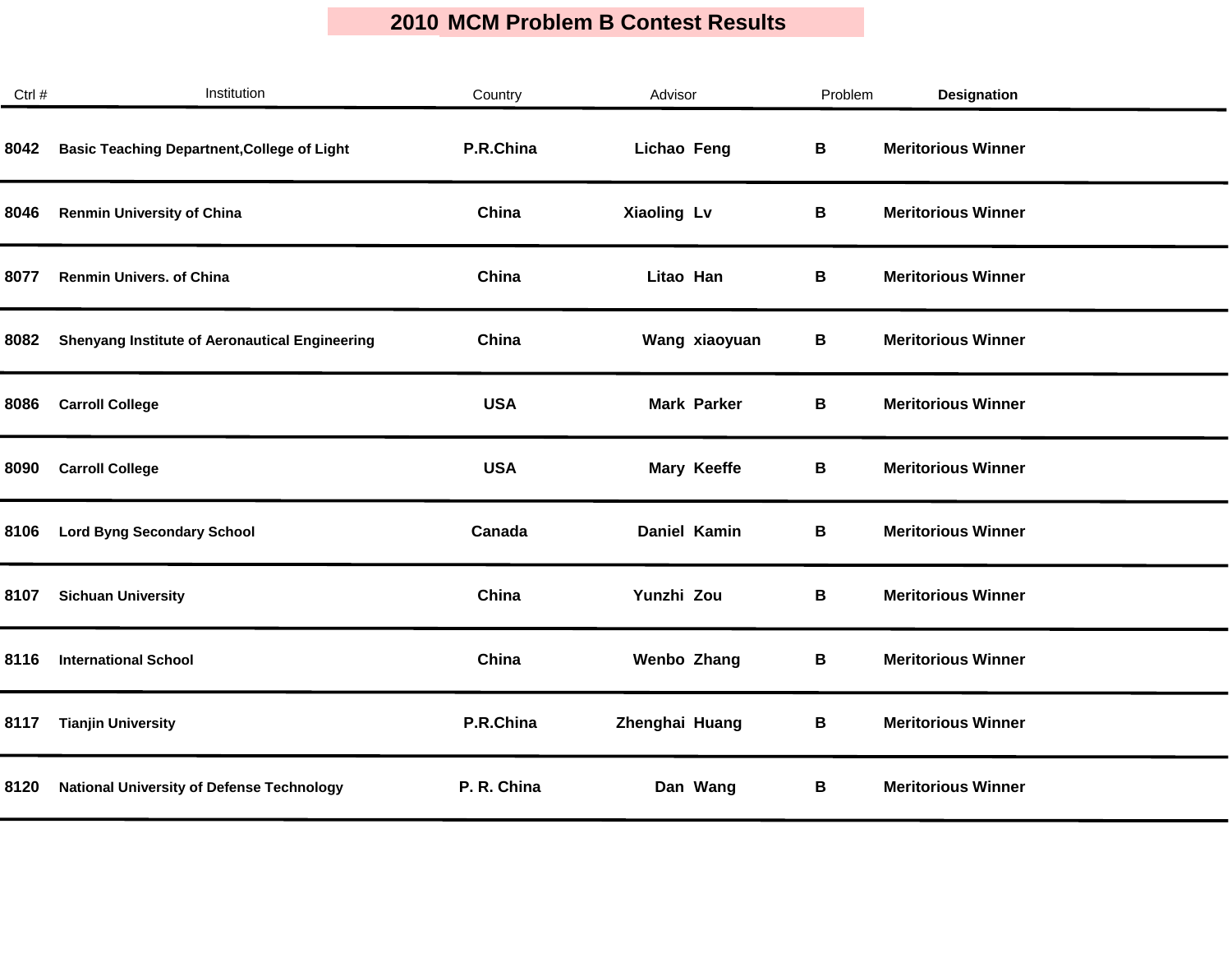| Ctrl # | Institution                                           | Country     | Advisor            | Problem | <b>Designation</b>        |
|--------|-------------------------------------------------------|-------------|--------------------|---------|---------------------------|
| 8042   | <b>Basic Teaching Departnent, College of Light</b>    | P.R.China   | Lichao Feng        | В       | <b>Meritorious Winner</b> |
| 8046   | <b>Renmin University of China</b>                     | China       | Xiaoling Lv        | В       | <b>Meritorious Winner</b> |
| 8077   | <b>Renmin Univers. of China</b>                       | China       | Litao Han          | В       | <b>Meritorious Winner</b> |
| 8082   | <b>Shenyang Institute of Aeronautical Engineering</b> | China       | Wang xiaoyuan      | В       | <b>Meritorious Winner</b> |
| 8086   | <b>Carroll College</b>                                | <b>USA</b>  | <b>Mark Parker</b> | B       | <b>Meritorious Winner</b> |
| 8090   | <b>Carroll College</b>                                | <b>USA</b>  | <b>Mary Keeffe</b> | В       | <b>Meritorious Winner</b> |
| 8106   | <b>Lord Byng Secondary School</b>                     | Canada      | Daniel Kamin       | В       | <b>Meritorious Winner</b> |
| 8107   | <b>Sichuan University</b>                             | China       | Yunzhi Zou         | В       | <b>Meritorious Winner</b> |
| 8116   | <b>International School</b>                           | China       | <b>Wenbo Zhang</b> | В       | <b>Meritorious Winner</b> |
| 8117   | <b>Tianjin University</b>                             | P.R.China   | Zhenghai Huang     | В       | <b>Meritorious Winner</b> |
| 8120   | <b>National University of Defense Technology</b>      | P. R. China | Dan Wang           | В       | <b>Meritorious Winner</b> |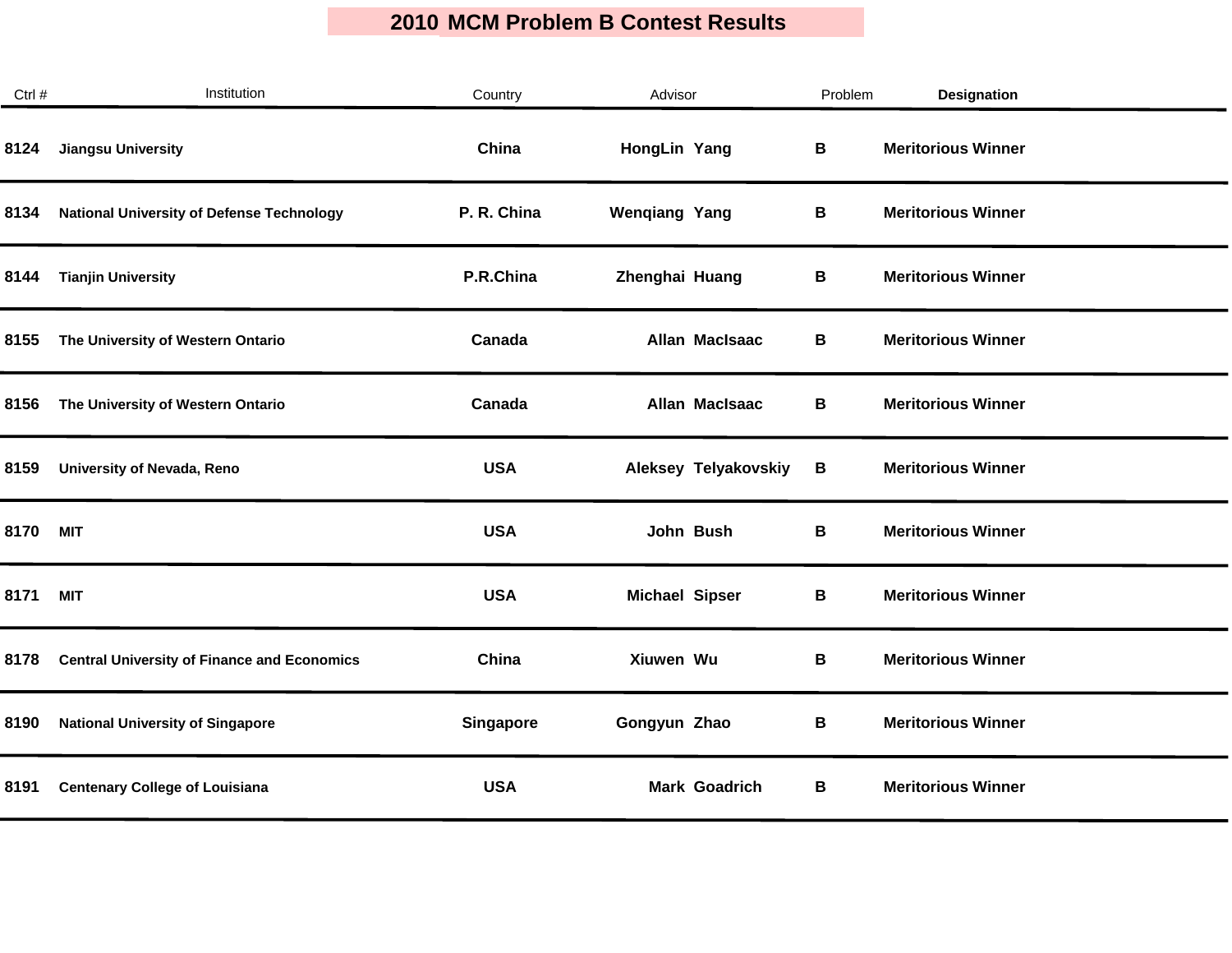| Ctrl # | Institution                                        | Country          | Advisor               | Problem | Designation               |
|--------|----------------------------------------------------|------------------|-----------------------|---------|---------------------------|
| 8124   | <b>Jiangsu University</b>                          | China            | HongLin Yang          | B       | <b>Meritorious Winner</b> |
| 8134   | <b>National University of Defense Technology</b>   | P. R. China      | <b>Wenqiang Yang</b>  | В       | <b>Meritorious Winner</b> |
| 8144   | <b>Tianjin University</b>                          | P.R.China        | Zhenghai Huang        | В       | <b>Meritorious Winner</b> |
| 8155   | The University of Western Ontario                  | Canada           | Allan MacIsaac        | В       | <b>Meritorious Winner</b> |
| 8156   | The University of Western Ontario                  | Canada           | Allan MacIsaac        | В       | <b>Meritorious Winner</b> |
| 8159   | <b>University of Nevada, Reno</b>                  | <b>USA</b>       | Aleksey Telyakovskiy  | B       | <b>Meritorious Winner</b> |
| 8170   | <b>MIT</b>                                         | <b>USA</b>       | John Bush             | В       | <b>Meritorious Winner</b> |
| 8171   | <b>MIT</b>                                         | <b>USA</b>       | <b>Michael Sipser</b> | В       | <b>Meritorious Winner</b> |
| 8178   | <b>Central University of Finance and Economics</b> | China            | Xiuwen Wu             | В       | <b>Meritorious Winner</b> |
| 8190   | <b>National University of Singapore</b>            | <b>Singapore</b> | Gongyun Zhao          | В       | <b>Meritorious Winner</b> |
| 8191   | <b>Centenary College of Louisiana</b>              | <b>USA</b>       | <b>Mark Goadrich</b>  | В       | <b>Meritorious Winner</b> |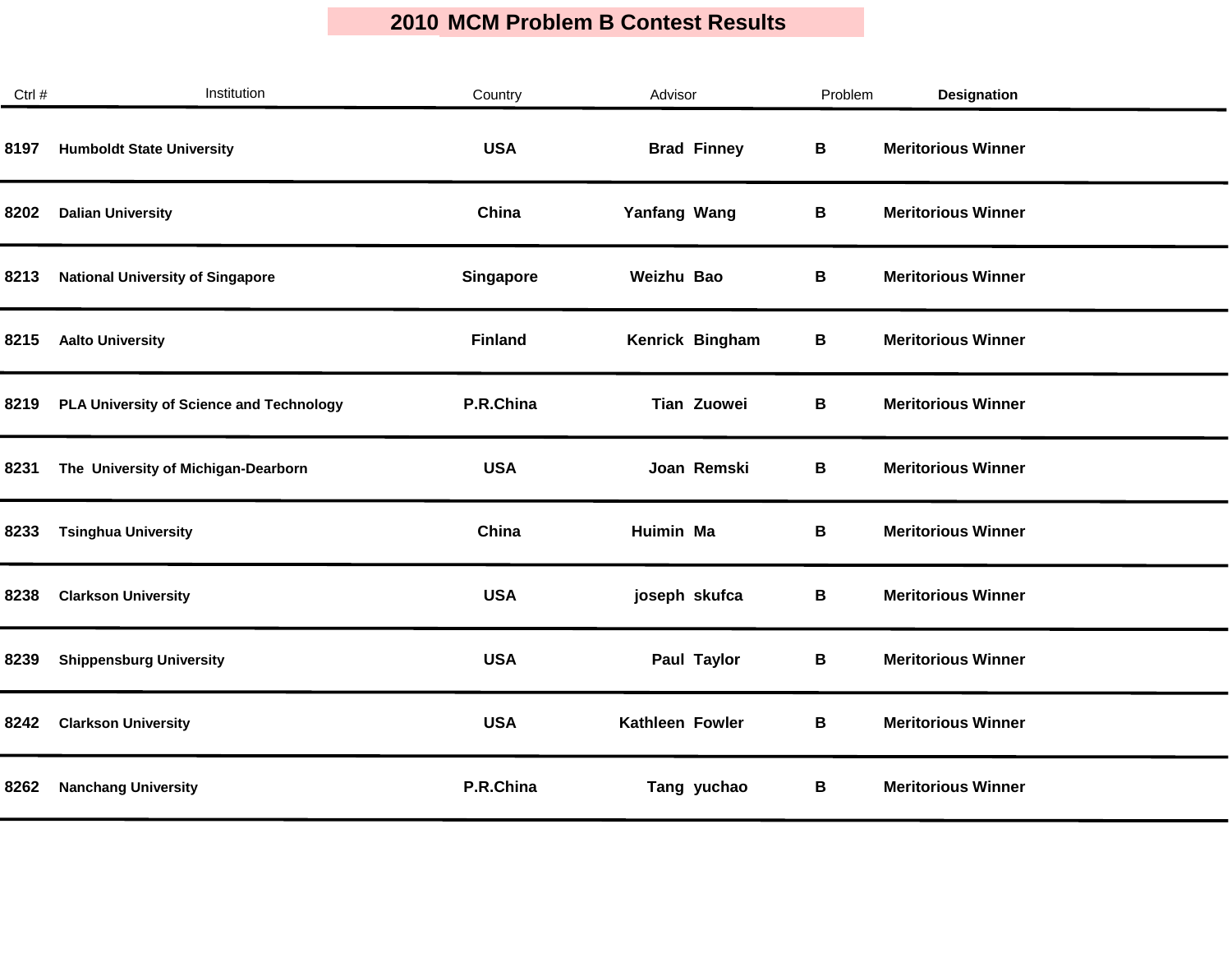| Ctrl # | Institution                              | Country          | Advisor            | Problem | Designation               |
|--------|------------------------------------------|------------------|--------------------|---------|---------------------------|
| 8197   | <b>Humboldt State University</b>         | <b>USA</b>       | <b>Brad Finney</b> | B       | <b>Meritorious Winner</b> |
| 8202   | <b>Dalian University</b>                 | China            | Yanfang Wang       | В       | <b>Meritorious Winner</b> |
| 8213   | <b>National University of Singapore</b>  | <b>Singapore</b> | Weizhu Bao         | В       | <b>Meritorious Winner</b> |
| 8215   | <b>Aalto University</b>                  | <b>Finland</b>   | Kenrick Bingham    | В       | <b>Meritorious Winner</b> |
| 8219   | PLA University of Science and Technology | P.R.China        | Tian Zuowei        | В       | <b>Meritorious Winner</b> |
| 8231   | The University of Michigan-Dearborn      | <b>USA</b>       | Joan Remski        | В       | <b>Meritorious Winner</b> |
| 8233   | <b>Tsinghua University</b>               | China            | Huimin Ma          | В       | <b>Meritorious Winner</b> |
| 8238   | <b>Clarkson University</b>               | <b>USA</b>       | joseph skufca      | В       | <b>Meritorious Winner</b> |
| 8239   | <b>Shippensburg University</b>           | <b>USA</b>       | Paul Taylor        | В       | <b>Meritorious Winner</b> |
| 8242   | <b>Clarkson University</b>               | <b>USA</b>       | Kathleen Fowler    | В       | <b>Meritorious Winner</b> |
| 8262   | <b>Nanchang University</b>               | P.R.China        | Tang yuchao        | В       | <b>Meritorious Winner</b> |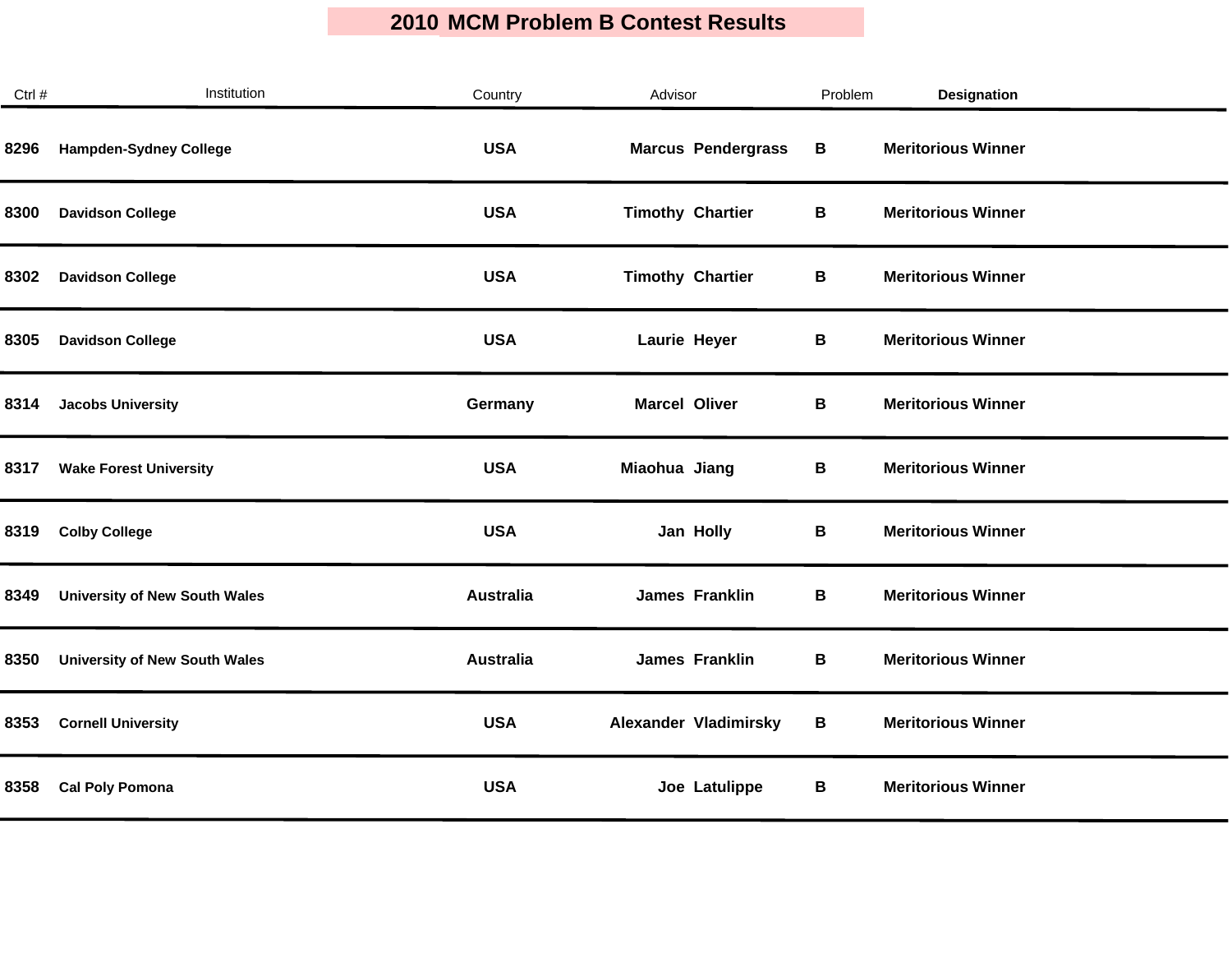| Ctrl # | Institution                          | Country          | Advisor                   | Problem     | <b>Designation</b>        |
|--------|--------------------------------------|------------------|---------------------------|-------------|---------------------------|
| 8296   | <b>Hampden-Sydney College</b>        | <b>USA</b>       | <b>Marcus Pendergrass</b> | $\mathbf B$ | <b>Meritorious Winner</b> |
| 8300   | <b>Davidson College</b>              | <b>USA</b>       | <b>Timothy Chartier</b>   | В           | <b>Meritorious Winner</b> |
| 8302   | <b>Davidson College</b>              | <b>USA</b>       | <b>Timothy Chartier</b>   | В           | <b>Meritorious Winner</b> |
| 8305   | <b>Davidson College</b>              | <b>USA</b>       | Laurie Heyer              | В           | <b>Meritorious Winner</b> |
| 8314   | <b>Jacobs University</b>             | Germany          | <b>Marcel Oliver</b>      | В           | <b>Meritorious Winner</b> |
| 8317   | <b>Wake Forest University</b>        | <b>USA</b>       | Miaohua Jiang             | В           | <b>Meritorious Winner</b> |
| 8319   | <b>Colby College</b>                 | <b>USA</b>       | Jan Holly                 | В           | <b>Meritorious Winner</b> |
| 8349   | <b>University of New South Wales</b> | <b>Australia</b> | <b>James Franklin</b>     | В           | <b>Meritorious Winner</b> |
| 8350   | <b>University of New South Wales</b> | <b>Australia</b> | <b>James Franklin</b>     | B           | <b>Meritorious Winner</b> |
| 8353   | <b>Cornell University</b>            | <b>USA</b>       | Alexander Vladimirsky     | В           | <b>Meritorious Winner</b> |
| 8358   | <b>Cal Poly Pomona</b>               | <b>USA</b>       | Joe Latulippe             | В           | <b>Meritorious Winner</b> |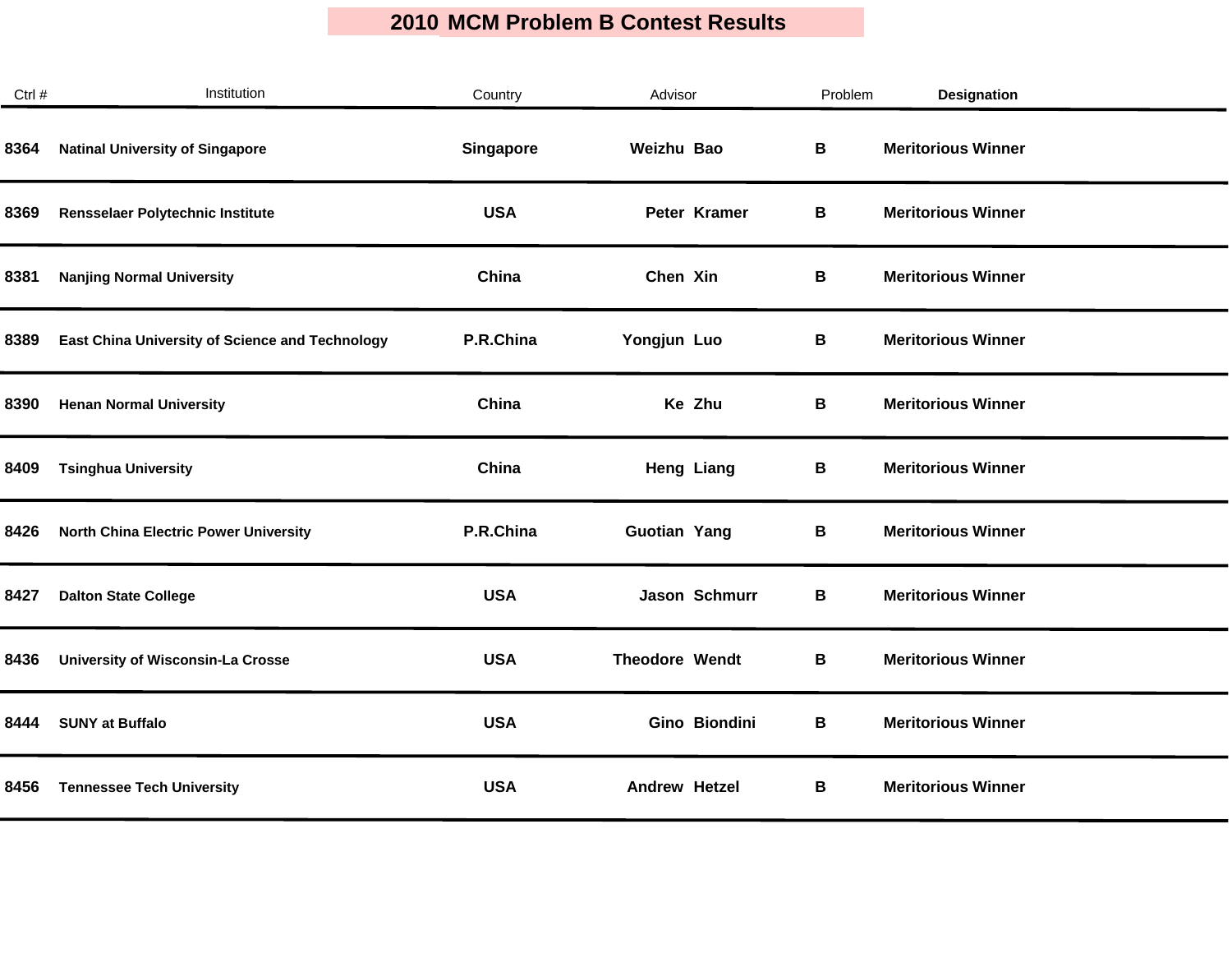| Ctrl # | Institution                                     | Country          | Advisor              | Problem | <b>Designation</b>        |  |
|--------|-------------------------------------------------|------------------|----------------------|---------|---------------------------|--|
| 8364   | <b>Natinal University of Singapore</b>          | <b>Singapore</b> | Weizhu Bao           | В       | <b>Meritorious Winner</b> |  |
| 8369   | Rensselaer Polytechnic Institute                | <b>USA</b>       | Peter Kramer         | В       | <b>Meritorious Winner</b> |  |
| 8381   | <b>Nanjing Normal University</b>                | China            | Chen Xin             | В       | <b>Meritorious Winner</b> |  |
| 8389   | East China University of Science and Technology | P.R.China        | Yongjun Luo          | В       | <b>Meritorious Winner</b> |  |
| 8390   | <b>Henan Normal University</b>                  | China            | Ke Zhu               | В       | <b>Meritorious Winner</b> |  |
| 8409   | <b>Tsinghua University</b>                      | China            | <b>Heng Liang</b>    | В       | <b>Meritorious Winner</b> |  |
| 8426   | <b>North China Electric Power University</b>    | P.R.China        | <b>Guotian Yang</b>  | В       | <b>Meritorious Winner</b> |  |
| 8427   | <b>Dalton State College</b>                     | <b>USA</b>       | Jason Schmurr        | В       | <b>Meritorious Winner</b> |  |
| 8436   | <b>University of Wisconsin-La Crosse</b>        | <b>USA</b>       | Theodore Wendt       | В       | <b>Meritorious Winner</b> |  |
| 8444   | <b>SUNY at Buffalo</b>                          | <b>USA</b>       | Gino Biondini        | В       | <b>Meritorious Winner</b> |  |
| 8456   | <b>Tennessee Tech University</b>                | <b>USA</b>       | <b>Andrew Hetzel</b> | В       | <b>Meritorious Winner</b> |  |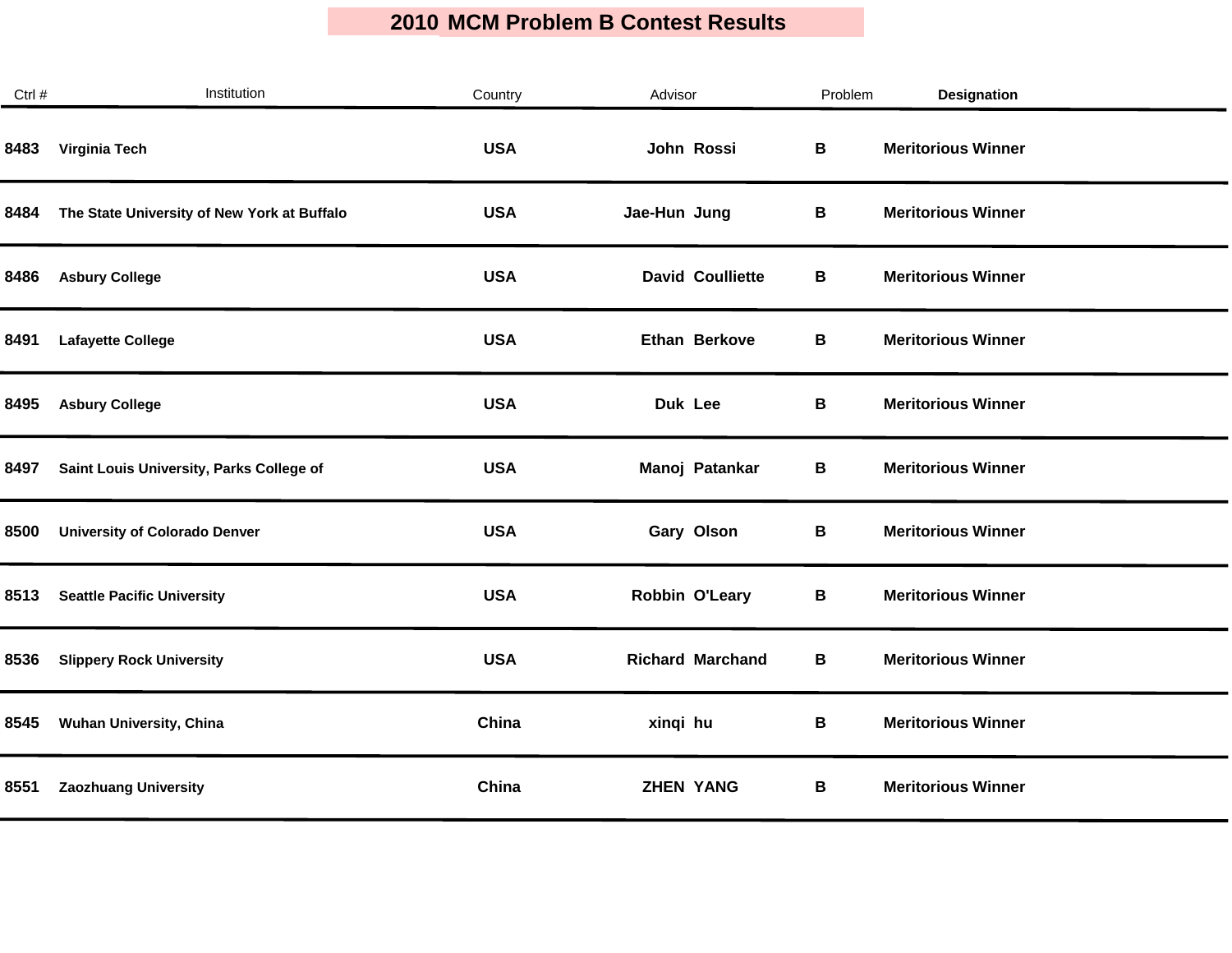| Ctrl # | Institution                                 | Country    | Advisor                 | Problem | <b>Designation</b>        |
|--------|---------------------------------------------|------------|-------------------------|---------|---------------------------|
| 8483   | Virginia Tech                               | <b>USA</b> | John Rossi              | В       | <b>Meritorious Winner</b> |
| 8484   | The State University of New York at Buffalo | <b>USA</b> | Jae-Hun Jung            | В       | <b>Meritorious Winner</b> |
| 8486   | <b>Asbury College</b>                       | <b>USA</b> | <b>David Coulliette</b> | В       | <b>Meritorious Winner</b> |
| 8491   | <b>Lafayette College</b>                    | <b>USA</b> | Ethan Berkove           | В       | <b>Meritorious Winner</b> |
| 8495   | <b>Asbury College</b>                       | <b>USA</b> | Duk Lee                 | В       | <b>Meritorious Winner</b> |
| 8497   | Saint Louis University, Parks College of    | <b>USA</b> | Manoj Patankar          | В       | <b>Meritorious Winner</b> |
| 8500   | <b>University of Colorado Denver</b>        | <b>USA</b> | Gary Olson              | В       | <b>Meritorious Winner</b> |
| 8513   | <b>Seattle Pacific University</b>           | <b>USA</b> | Robbin O'Leary          | В       | <b>Meritorious Winner</b> |
| 8536   | <b>Slippery Rock University</b>             | <b>USA</b> | <b>Richard Marchand</b> | В       | <b>Meritorious Winner</b> |
| 8545   | Wuhan University, China                     | China      | xinqi hu                | В       | <b>Meritorious Winner</b> |
| 8551   | <b>Zaozhuang University</b>                 | China      | <b>ZHEN YANG</b>        | В       | <b>Meritorious Winner</b> |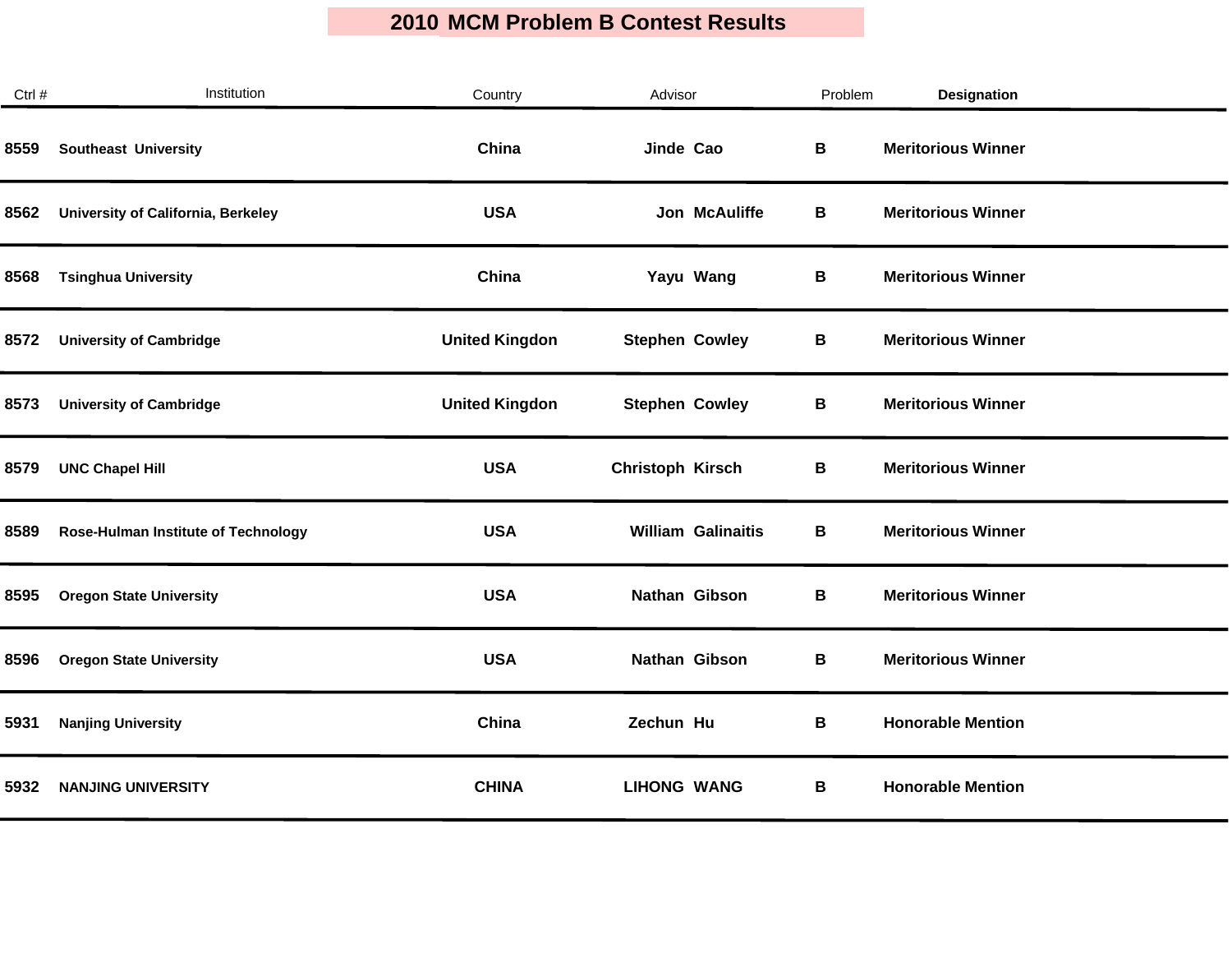| Ctrl # | Institution                         | Country               | Advisor                   | Problem | <b>Designation</b>        |
|--------|-------------------------------------|-----------------------|---------------------------|---------|---------------------------|
| 8559   | <b>Southeast University</b>         | China                 | Jinde Cao                 | В       | <b>Meritorious Winner</b> |
| 8562   | University of California, Berkeley  | <b>USA</b>            | Jon McAuliffe             | В       | <b>Meritorious Winner</b> |
| 8568   | <b>Tsinghua University</b>          | China                 | Yayu Wang                 | В       | <b>Meritorious Winner</b> |
| 8572   | <b>University of Cambridge</b>      | <b>United Kingdon</b> | <b>Stephen Cowley</b>     | В       | <b>Meritorious Winner</b> |
| 8573   | <b>University of Cambridge</b>      | <b>United Kingdon</b> | <b>Stephen Cowley</b>     | В       | <b>Meritorious Winner</b> |
| 8579   | <b>UNC Chapel Hill</b>              | <b>USA</b>            | <b>Christoph Kirsch</b>   | В       | <b>Meritorious Winner</b> |
| 8589   | Rose-Hulman Institute of Technology | <b>USA</b>            | <b>William Galinaitis</b> | В       | <b>Meritorious Winner</b> |
| 8595   | <b>Oregon State University</b>      | <b>USA</b>            | Nathan Gibson             | В       | <b>Meritorious Winner</b> |
| 8596   | <b>Oregon State University</b>      | <b>USA</b>            | Nathan Gibson             | B       | <b>Meritorious Winner</b> |
| 5931   | <b>Nanjing University</b>           | China                 | Zechun Hu                 | В       | <b>Honorable Mention</b>  |
| 5932   | <b>NANJING UNIVERSITY</b>           | <b>CHINA</b>          | <b>LIHONG WANG</b>        | В       | <b>Honorable Mention</b>  |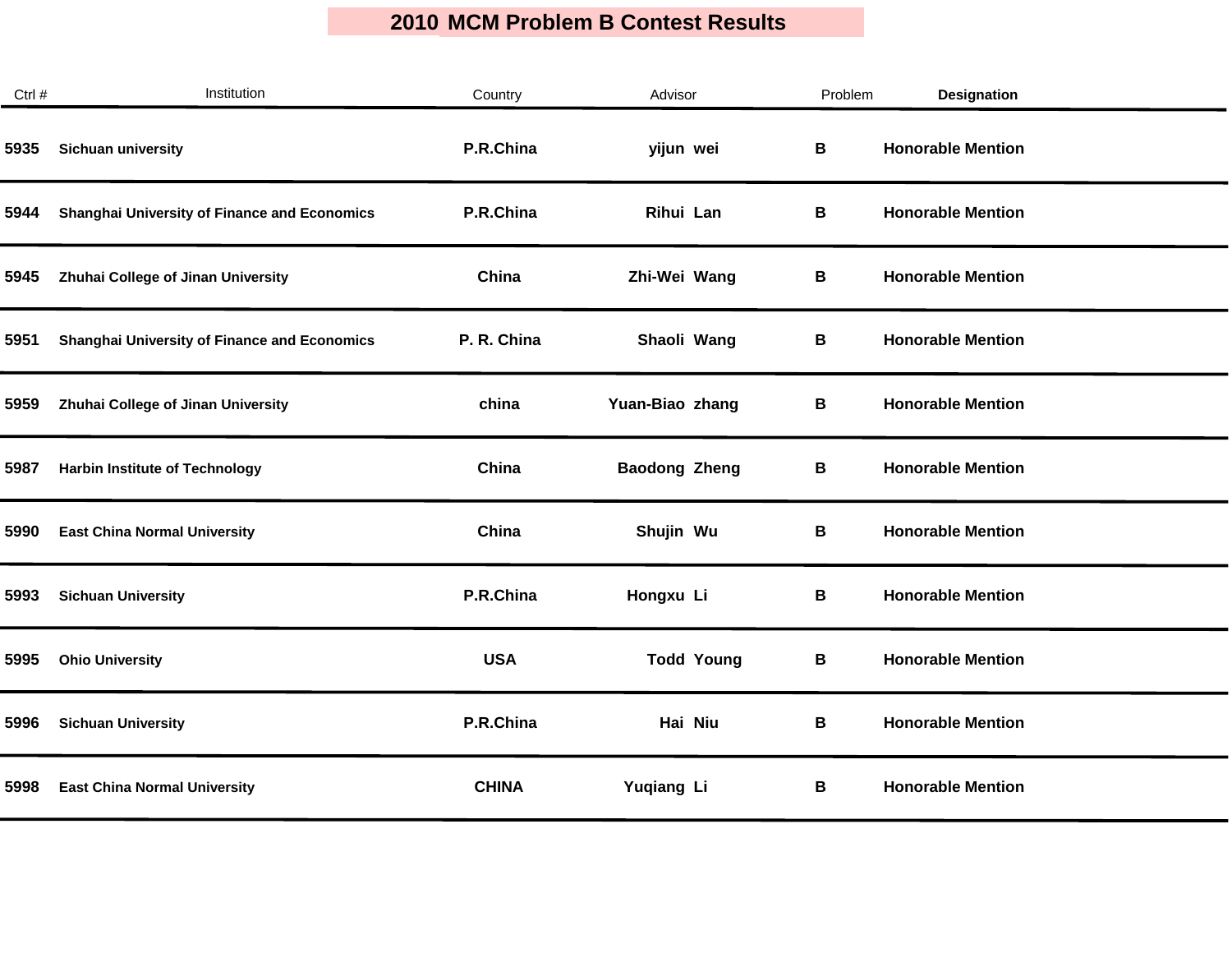| Ctrl # | Institution                                         | Country      | Advisor              | Problem | Designation              |
|--------|-----------------------------------------------------|--------------|----------------------|---------|--------------------------|
| 5935   | Sichuan university                                  | P.R.China    | yijun wei            | B       | <b>Honorable Mention</b> |
| 5944   | <b>Shanghai University of Finance and Economics</b> | P.R.China    | Rihui Lan            | В       | <b>Honorable Mention</b> |
| 5945   | Zhuhai College of Jinan University                  | China        | Zhi-Wei Wang         | В       | <b>Honorable Mention</b> |
| 5951   | <b>Shanghai University of Finance and Economics</b> | P. R. China  | Shaoli Wang          | В       | <b>Honorable Mention</b> |
| 5959   | Zhuhai College of Jinan University                  | china        | Yuan-Biao zhang      | В       | <b>Honorable Mention</b> |
| 5987   | <b>Harbin Institute of Technology</b>               | China        | <b>Baodong Zheng</b> | В       | <b>Honorable Mention</b> |
| 5990   | <b>East China Normal University</b>                 | China        | Shujin Wu            | В       | <b>Honorable Mention</b> |
| 5993   | <b>Sichuan University</b>                           | P.R.China    | Hongxu Li            | В       | <b>Honorable Mention</b> |
| 5995   | <b>Ohio University</b>                              | <b>USA</b>   | <b>Todd Young</b>    | В       | <b>Honorable Mention</b> |
| 5996   | <b>Sichuan University</b>                           | P.R.China    | Hai Niu              | B       | <b>Honorable Mention</b> |
| 5998   | <b>East China Normal University</b>                 | <b>CHINA</b> | Yuqiang Li           | В       | <b>Honorable Mention</b> |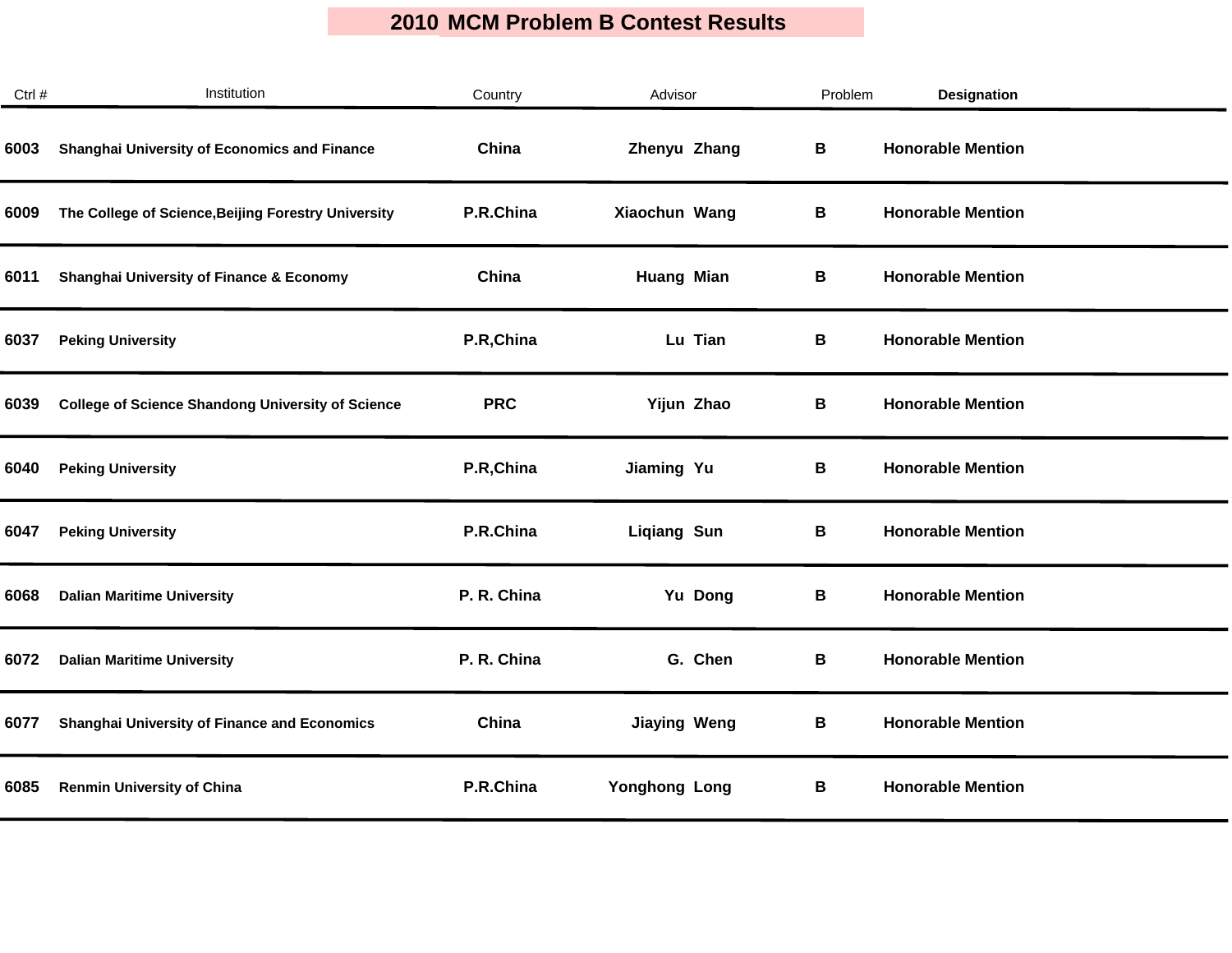| Ctrl # | Institution                                              | Country     | Advisor              | Problem | <b>Designation</b>       |  |
|--------|----------------------------------------------------------|-------------|----------------------|---------|--------------------------|--|
| 6003   | Shanghai University of Economics and Finance             | China       | Zhenyu Zhang         | В       | <b>Honorable Mention</b> |  |
| 6009   | The College of Science, Beijing Forestry University      | P.R.China   | Xiaochun Wang        | В       | <b>Honorable Mention</b> |  |
| 6011   | <b>Shanghai University of Finance &amp; Economy</b>      | China       | <b>Huang Mian</b>    | В       | <b>Honorable Mention</b> |  |
| 6037   | <b>Peking University</b>                                 | P.R, China  | Lu Tian              | В       | <b>Honorable Mention</b> |  |
| 6039   | <b>College of Science Shandong University of Science</b> | <b>PRC</b>  | Yijun Zhao           | В       | <b>Honorable Mention</b> |  |
| 6040   | <b>Peking University</b>                                 | P.R, China  | Jiaming Yu           | В       | <b>Honorable Mention</b> |  |
| 6047   | <b>Peking University</b>                                 | P.R.China   | <b>Liqiang Sun</b>   | В       | <b>Honorable Mention</b> |  |
| 6068   | <b>Dalian Maritime University</b>                        | P. R. China | Yu Dong              | В       | <b>Honorable Mention</b> |  |
| 6072   | <b>Dalian Maritime University</b>                        | P. R. China | G. Chen              | В       | <b>Honorable Mention</b> |  |
| 6077   | Shanghai University of Finance and Economics             | China       | <b>Jiaying Weng</b>  | В       | <b>Honorable Mention</b> |  |
| 6085   | <b>Renmin University of China</b>                        | P.R.China   | <b>Yonghong Long</b> | В       | <b>Honorable Mention</b> |  |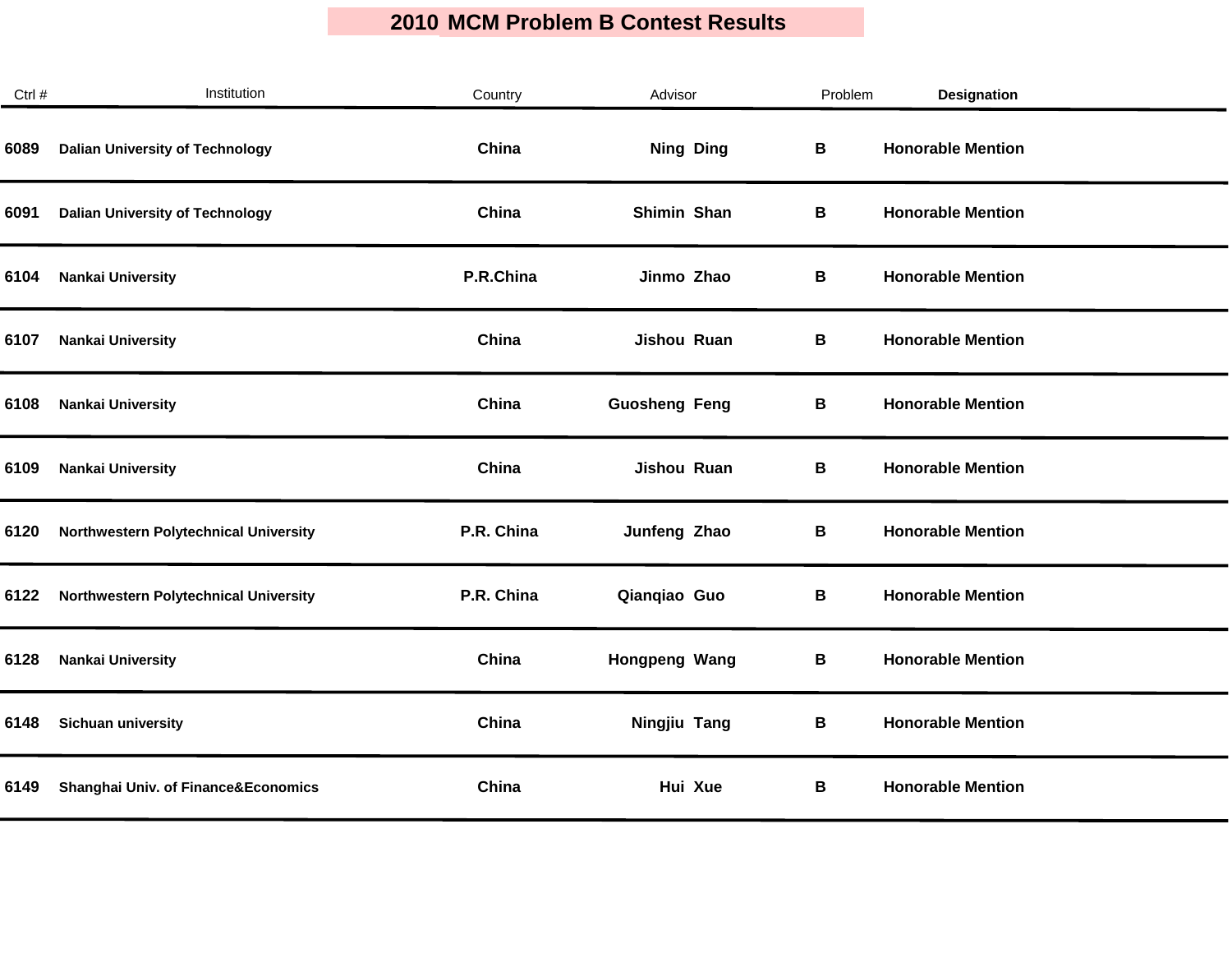| Ctrl # | Institution                                    | Country    | Advisor              | Problem | Designation              |
|--------|------------------------------------------------|------------|----------------------|---------|--------------------------|
| 6089   | <b>Dalian University of Technology</b>         | China      | <b>Ning Ding</b>     | B       | <b>Honorable Mention</b> |
| 6091   | <b>Dalian University of Technology</b>         | China      | Shimin Shan          | В       | <b>Honorable Mention</b> |
| 6104   | <b>Nankai University</b>                       | P.R.China  | Jinmo Zhao           | В       | <b>Honorable Mention</b> |
| 6107   | <b>Nankai University</b>                       | China      | Jishou Ruan          | В       | <b>Honorable Mention</b> |
| 6108   | <b>Nankai University</b>                       | China      | <b>Guosheng Feng</b> | В       | <b>Honorable Mention</b> |
| 6109   | <b>Nankai University</b>                       | China      | Jishou Ruan          | В       | <b>Honorable Mention</b> |
| 6120   | Northwestern Polytechnical University          | P.R. China | Junfeng Zhao         | В       | <b>Honorable Mention</b> |
| 6122   | <b>Northwestern Polytechnical University</b>   | P.R. China | Qianqiao Guo         | В       | <b>Honorable Mention</b> |
| 6128   | <b>Nankai University</b>                       | China      | Hongpeng Wang        | В       | <b>Honorable Mention</b> |
| 6148   | Sichuan university                             | China      | Ningjiu Tang         | В       | <b>Honorable Mention</b> |
| 6149   | <b>Shanghai Univ. of Finance&amp;Economics</b> | China      | Hui Xue              | В       | <b>Honorable Mention</b> |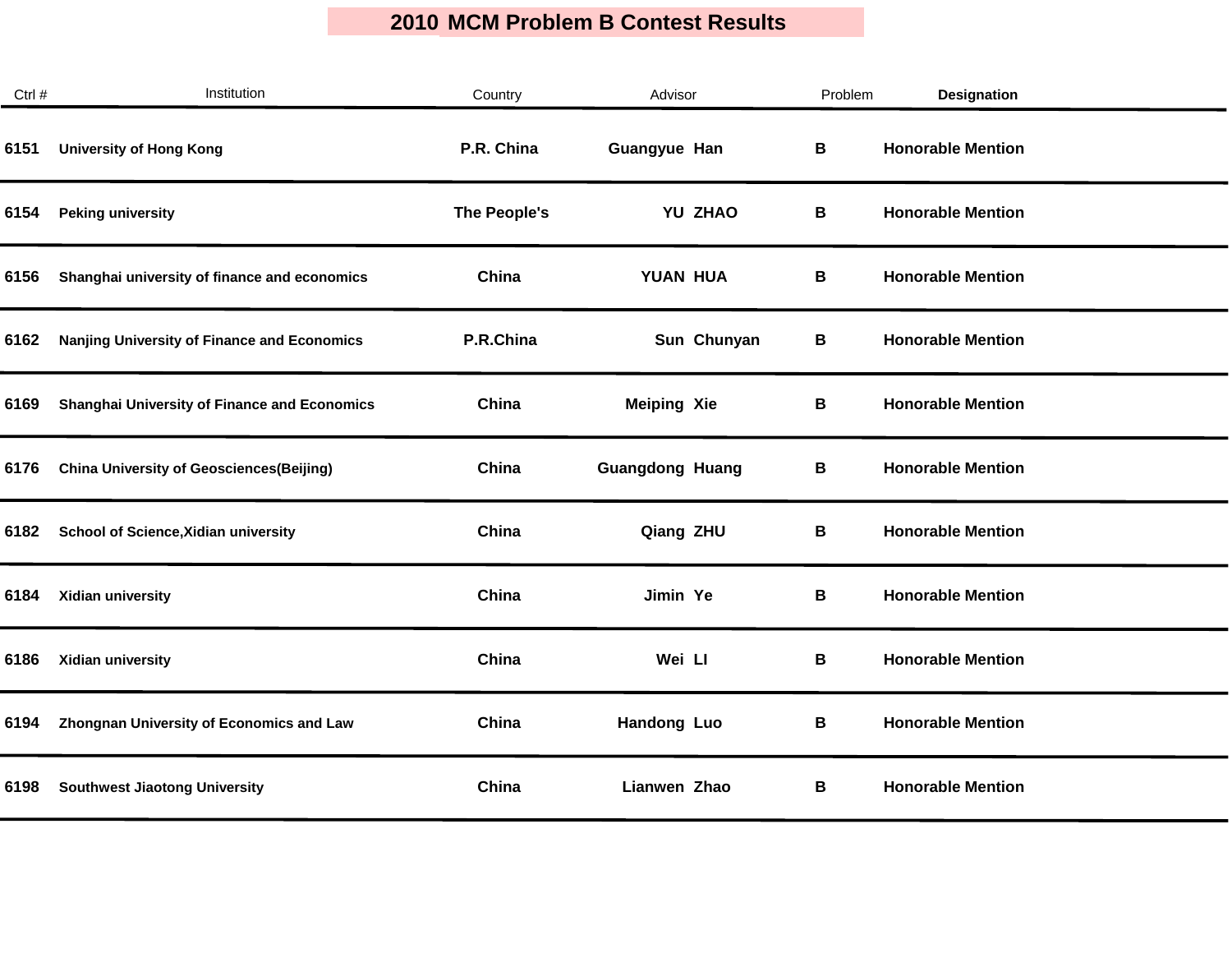| Ctrl # | Institution                                         | Country      | Advisor                | Problem | <b>Designation</b>       |  |
|--------|-----------------------------------------------------|--------------|------------------------|---------|--------------------------|--|
| 6151   | <b>University of Hong Kong</b>                      | P.R. China   | <b>Guangyue Han</b>    | B       | <b>Honorable Mention</b> |  |
| 6154   | <b>Peking university</b>                            | The People's | YU ZHAO                | В       | <b>Honorable Mention</b> |  |
| 6156   | Shanghai university of finance and economics        | China        | YUAN HUA               | В       | <b>Honorable Mention</b> |  |
| 6162   | Nanjing University of Finance and Economics         | P.R.China    | Sun Chunyan            | В       | <b>Honorable Mention</b> |  |
| 6169   | <b>Shanghai University of Finance and Economics</b> | China        | <b>Meiping Xie</b>     | B       | <b>Honorable Mention</b> |  |
| 6176   | <b>China University of Geosciences(Beijing)</b>     | China        | <b>Guangdong Huang</b> | В       | <b>Honorable Mention</b> |  |
| 6182   | School of Science, Xidian university                | China        | Qiang ZHU              | В       | <b>Honorable Mention</b> |  |
| 6184   | Xidian university                                   | China        | Jimin Ye               | В       | <b>Honorable Mention</b> |  |
| 6186   | Xidian university                                   | China        | Wei LI                 | В       | <b>Honorable Mention</b> |  |
| 6194   | <b>Zhongnan University of Economics and Law</b>     | China        | Handong Luo            | В       | <b>Honorable Mention</b> |  |
| 6198   | <b>Southwest Jiaotong University</b>                | China        | Lianwen Zhao           | В       | <b>Honorable Mention</b> |  |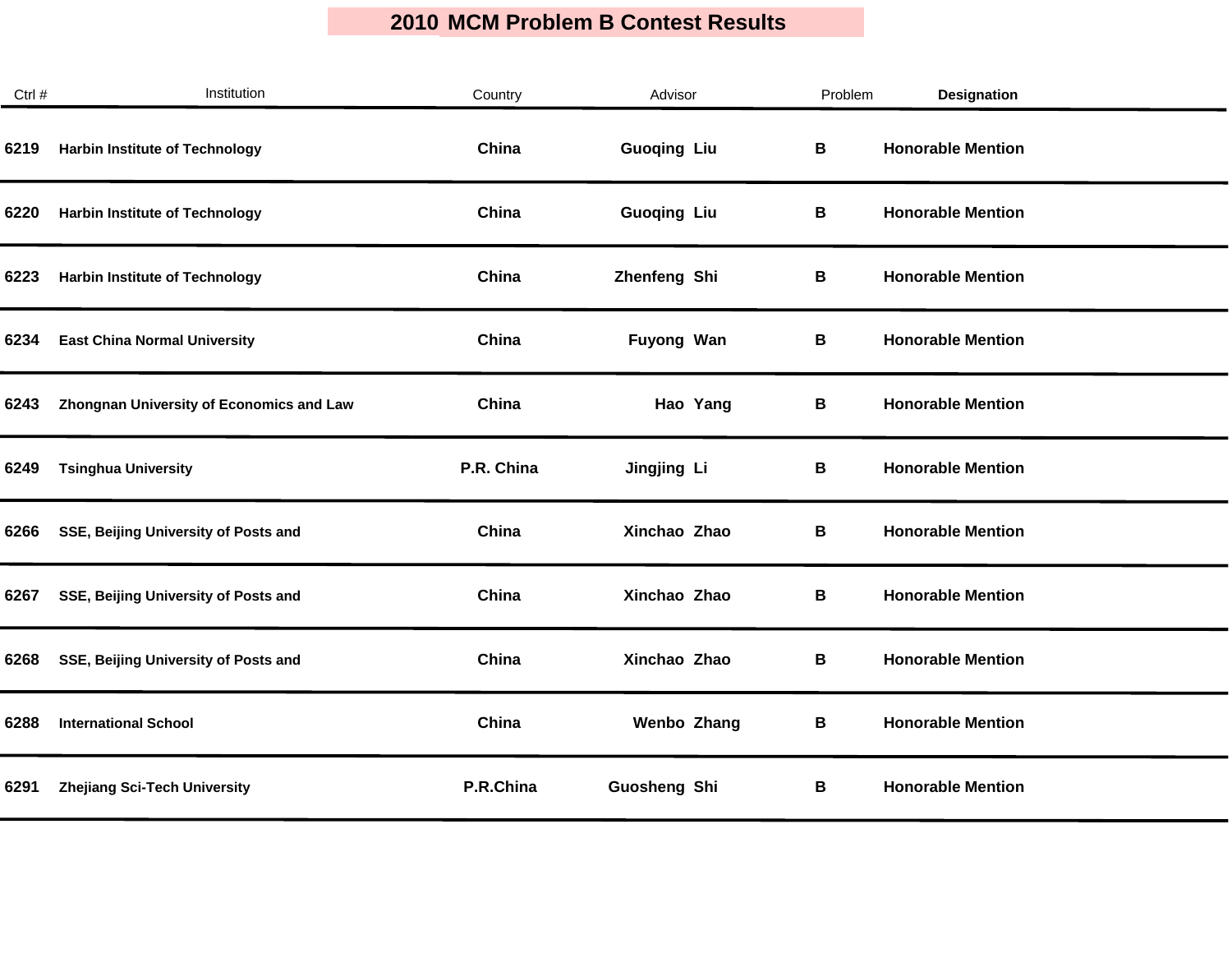| Ctrl # | Institution                              | Country    | Advisor             | Problem | <b>Designation</b>       |
|--------|------------------------------------------|------------|---------------------|---------|--------------------------|
| 6219   | <b>Harbin Institute of Technology</b>    | China      | <b>Guoqing Liu</b>  | B       | <b>Honorable Mention</b> |
| 6220   | <b>Harbin Institute of Technology</b>    | China      | <b>Guoqing Liu</b>  | В       | <b>Honorable Mention</b> |
| 6223   | <b>Harbin Institute of Technology</b>    | China      | Zhenfeng Shi        | В       | <b>Honorable Mention</b> |
| 6234   | <b>East China Normal University</b>      | China      | Fuyong Wan          | В       | <b>Honorable Mention</b> |
| 6243   | Zhongnan University of Economics and Law | China      | Hao Yang            | В       | <b>Honorable Mention</b> |
| 6249   | <b>Tsinghua University</b>               | P.R. China | Jingjing Li         | В       | <b>Honorable Mention</b> |
| 6266   | SSE, Beijing University of Posts and     | China      | Xinchao Zhao        | В       | <b>Honorable Mention</b> |
| 6267   | SSE, Beijing University of Posts and     | China      | Xinchao Zhao        | В       | <b>Honorable Mention</b> |
| 6268   | SSE, Beijing University of Posts and     | China      | Xinchao Zhao        | В       | <b>Honorable Mention</b> |
| 6288   | <b>International School</b>              | China      | <b>Wenbo Zhang</b>  | В       | <b>Honorable Mention</b> |
| 6291   | <b>Zhejiang Sci-Tech University</b>      | P.R.China  | <b>Guosheng Shi</b> | В       | <b>Honorable Mention</b> |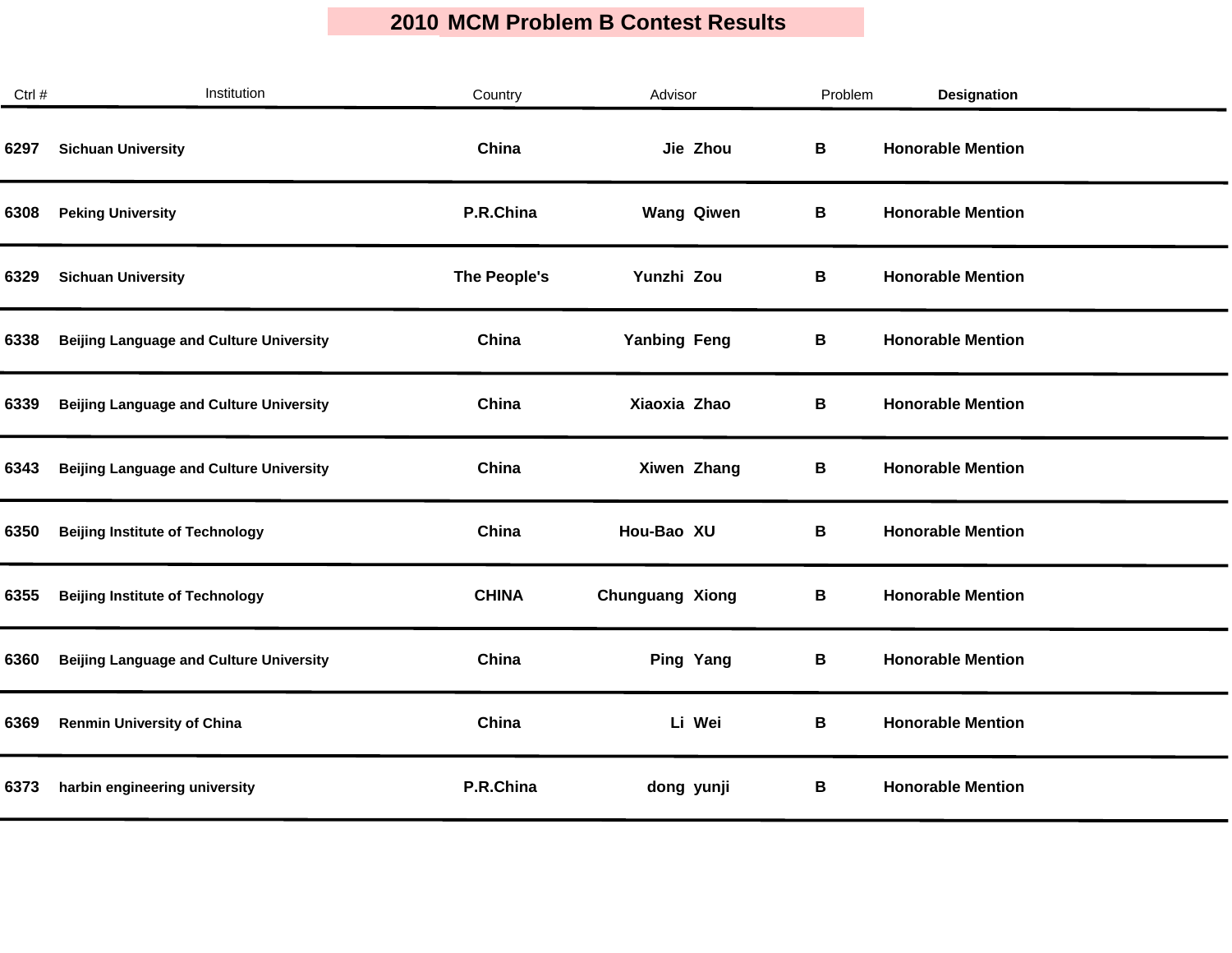| Ctrl # | Institution                                    | Country      | Advisor                | Problem | <b>Designation</b>       |  |
|--------|------------------------------------------------|--------------|------------------------|---------|--------------------------|--|
| 6297   | <b>Sichuan University</b>                      | China        | Jie Zhou               | В       | <b>Honorable Mention</b> |  |
| 6308   | <b>Peking University</b>                       | P.R.China    | <b>Wang Qiwen</b>      | В       | <b>Honorable Mention</b> |  |
| 6329   | <b>Sichuan University</b>                      | The People's | Yunzhi Zou             | В       | <b>Honorable Mention</b> |  |
| 6338   | <b>Beijing Language and Culture University</b> | China        | <b>Yanbing Feng</b>    | В       | <b>Honorable Mention</b> |  |
| 6339   | <b>Beijing Language and Culture University</b> | China        | Xiaoxia Zhao           | В       | <b>Honorable Mention</b> |  |
| 6343   | <b>Beijing Language and Culture University</b> | China        | Xiwen Zhang            | В       | <b>Honorable Mention</b> |  |
| 6350   | <b>Beijing Institute of Technology</b>         | China        | Hou-Bao XU             | В       | <b>Honorable Mention</b> |  |
| 6355   | <b>Beijing Institute of Technology</b>         | <b>CHINA</b> | <b>Chunguang Xiong</b> | В       | <b>Honorable Mention</b> |  |
| 6360   | <b>Beijing Language and Culture University</b> | China        | Ping Yang              | В       | <b>Honorable Mention</b> |  |
| 6369   | <b>Renmin University of China</b>              | China        | Li Wei                 | В       | <b>Honorable Mention</b> |  |
| 6373   | harbin engineering university                  | P.R.China    | dong yunji             | В       | <b>Honorable Mention</b> |  |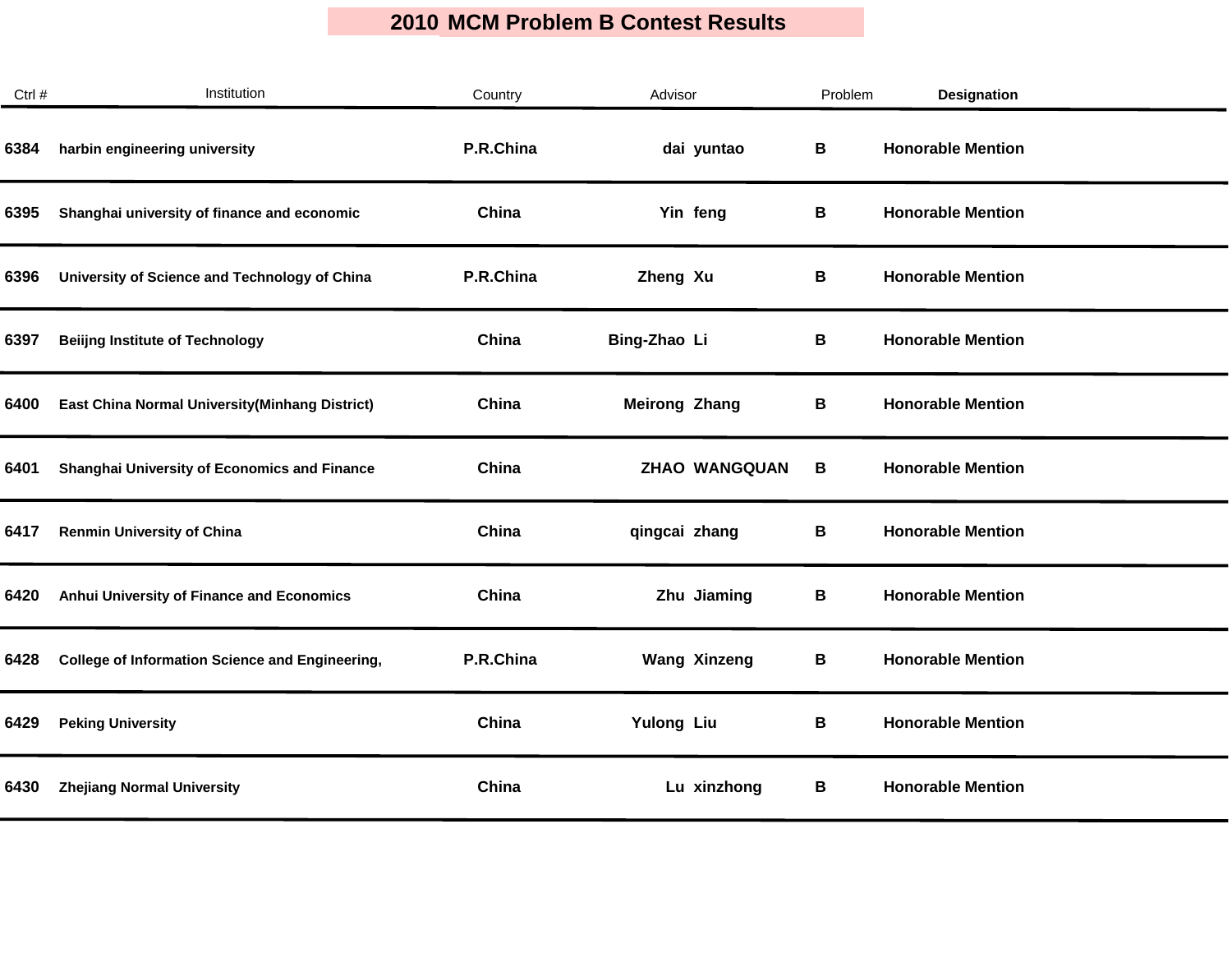| Ctrl # | Institution                                            | Country   | Advisor              | Problem | <b>Designation</b>       |  |
|--------|--------------------------------------------------------|-----------|----------------------|---------|--------------------------|--|
| 6384   | harbin engineering university                          | P.R.China | dai yuntao           | В       | <b>Honorable Mention</b> |  |
| 6395   | Shanghai university of finance and economic            | China     | Yin feng             | В       | <b>Honorable Mention</b> |  |
| 6396   | University of Science and Technology of China          | P.R.China | Zheng Xu             | В       | <b>Honorable Mention</b> |  |
| 6397   | <b>Beiling Institute of Technology</b>                 | China     | Bing-Zhao Li         | В       | <b>Honorable Mention</b> |  |
| 6400   | <b>East China Normal University (Minhang District)</b> | China     | <b>Meirong Zhang</b> | В       | <b>Honorable Mention</b> |  |
| 6401   | Shanghai University of Economics and Finance           | China     | <b>ZHAO WANGQUAN</b> | В       | <b>Honorable Mention</b> |  |
| 6417   | <b>Renmin University of China</b>                      | China     | qingcai zhang        | В       | <b>Honorable Mention</b> |  |
| 6420   | Anhui University of Finance and Economics              | China     | Zhu Jiaming          | В       | <b>Honorable Mention</b> |  |
| 6428   | <b>College of Information Science and Engineering,</b> | P.R.China | <b>Wang Xinzeng</b>  | В       | <b>Honorable Mention</b> |  |
| 6429   | <b>Peking University</b>                               | China     | <b>Yulong Liu</b>    | В       | <b>Honorable Mention</b> |  |
| 6430   | <b>Zhejiang Normal University</b>                      | China     | Lu xinzhong          | В       | <b>Honorable Mention</b> |  |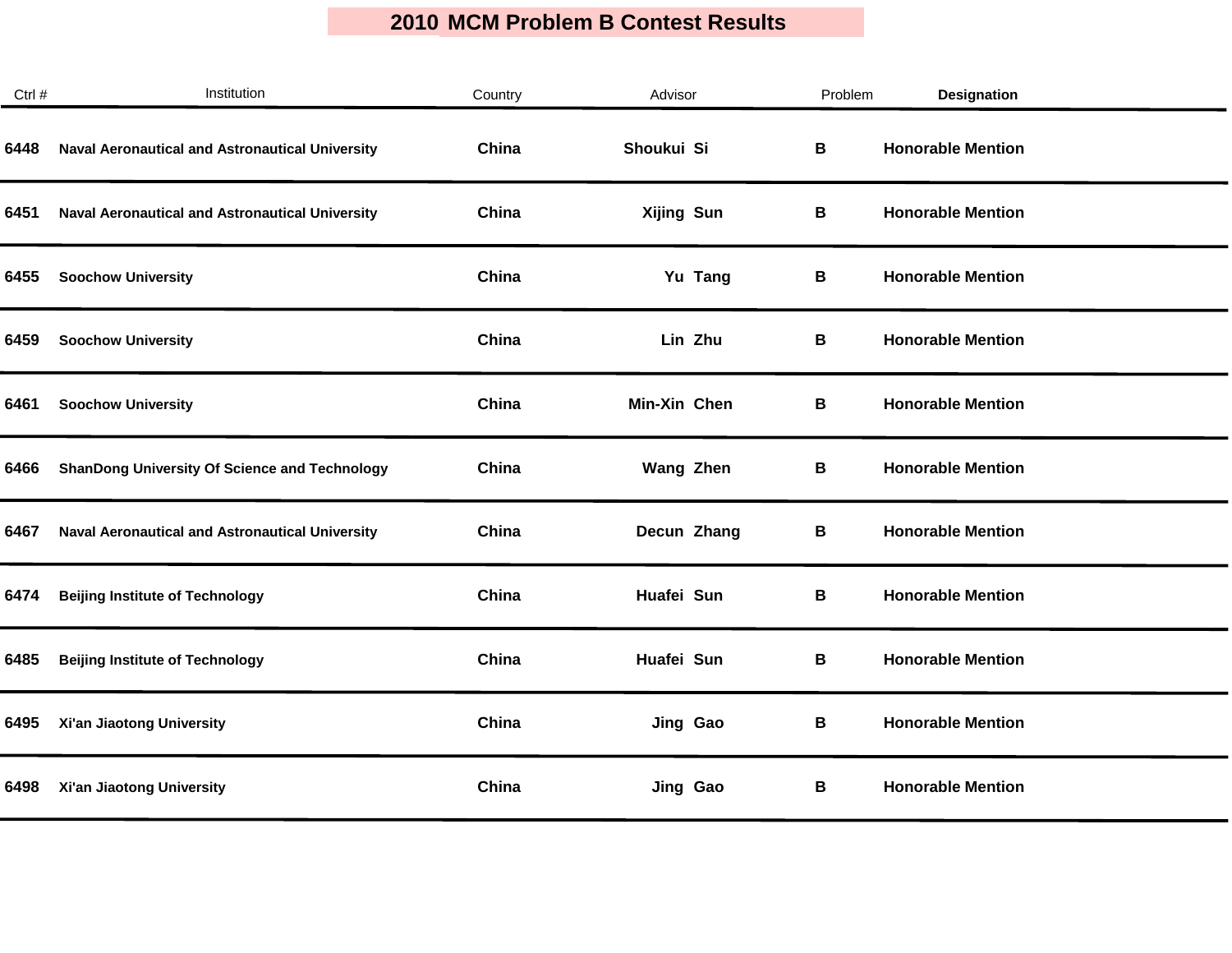| Ctrl # | Institution                                            | Country | Advisor           | Problem | <b>Designation</b>       |
|--------|--------------------------------------------------------|---------|-------------------|---------|--------------------------|
| 6448   | <b>Naval Aeronautical and Astronautical University</b> | China   | Shoukui Si        | В       | <b>Honorable Mention</b> |
| 6451   | <b>Naval Aeronautical and Astronautical University</b> | China   | <b>Xijing Sun</b> | В       | <b>Honorable Mention</b> |
| 6455   | <b>Soochow University</b>                              | China   | Yu Tang           | В       | <b>Honorable Mention</b> |
| 6459   | <b>Soochow University</b>                              | China   | Lin Zhu           | В       | <b>Honorable Mention</b> |
| 6461   | <b>Soochow University</b>                              | China   | Min-Xin Chen      | В       | <b>Honorable Mention</b> |
| 6466   | <b>ShanDong University Of Science and Technology</b>   | China   | <b>Wang Zhen</b>  | В       | <b>Honorable Mention</b> |
| 6467   | <b>Naval Aeronautical and Astronautical University</b> | China   | Decun Zhang       | В       | <b>Honorable Mention</b> |
| 6474   | <b>Beijing Institute of Technology</b>                 | China   | Huafei Sun        | В       | <b>Honorable Mention</b> |
| 6485   | <b>Beijing Institute of Technology</b>                 | China   | Huafei Sun        | В       | <b>Honorable Mention</b> |
| 6495   | Xi'an Jiaotong University                              | China   | Jing Gao          | В       | <b>Honorable Mention</b> |
| 6498   | Xi'an Jiaotong University                              | China   | Jing Gao          | В       | <b>Honorable Mention</b> |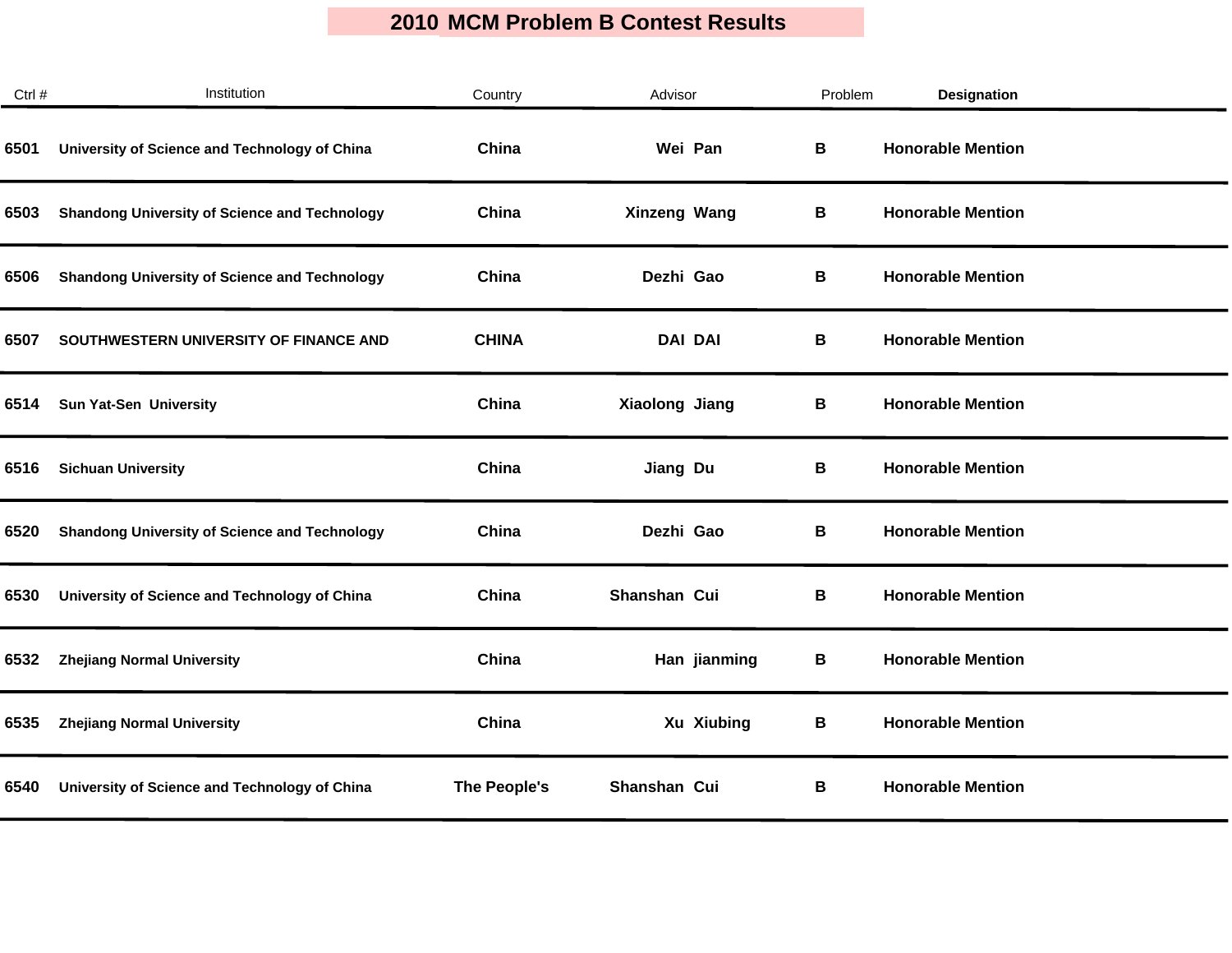| Ctrl # | Institution                                          | Country      | Advisor        | Problem | <b>Designation</b>       |
|--------|------------------------------------------------------|--------------|----------------|---------|--------------------------|
| 6501   | University of Science and Technology of China        | China        | Wei Pan        | В       | <b>Honorable Mention</b> |
| 6503   | <b>Shandong University of Science and Technology</b> | China        | Xinzeng Wang   | В       | <b>Honorable Mention</b> |
| 6506   | <b>Shandong University of Science and Technology</b> | China        | Dezhi Gao      | В       | <b>Honorable Mention</b> |
| 6507   | SOUTHWESTERN UNIVERSITY OF FINANCE AND               | <b>CHINA</b> | <b>DAI DAI</b> | В       | <b>Honorable Mention</b> |
| 6514   | Sun Yat-Sen University                               | China        | Xiaolong Jiang | В       | <b>Honorable Mention</b> |
| 6516   | <b>Sichuan University</b>                            | China        | Jiang Du       | В       | <b>Honorable Mention</b> |
| 6520   | <b>Shandong University of Science and Technology</b> | China        | Dezhi Gao      | В       | <b>Honorable Mention</b> |
| 6530   | University of Science and Technology of China        | China        | Shanshan Cui   | В       | <b>Honorable Mention</b> |
| 6532   | <b>Zhejiang Normal University</b>                    | China        | Han jianming   | В       | <b>Honorable Mention</b> |
| 6535   | <b>Zhejiang Normal University</b>                    | China        | Xu Xiubing     | В       | <b>Honorable Mention</b> |
| 6540   | University of Science and Technology of China        | The People's | Shanshan Cui   | В       | <b>Honorable Mention</b> |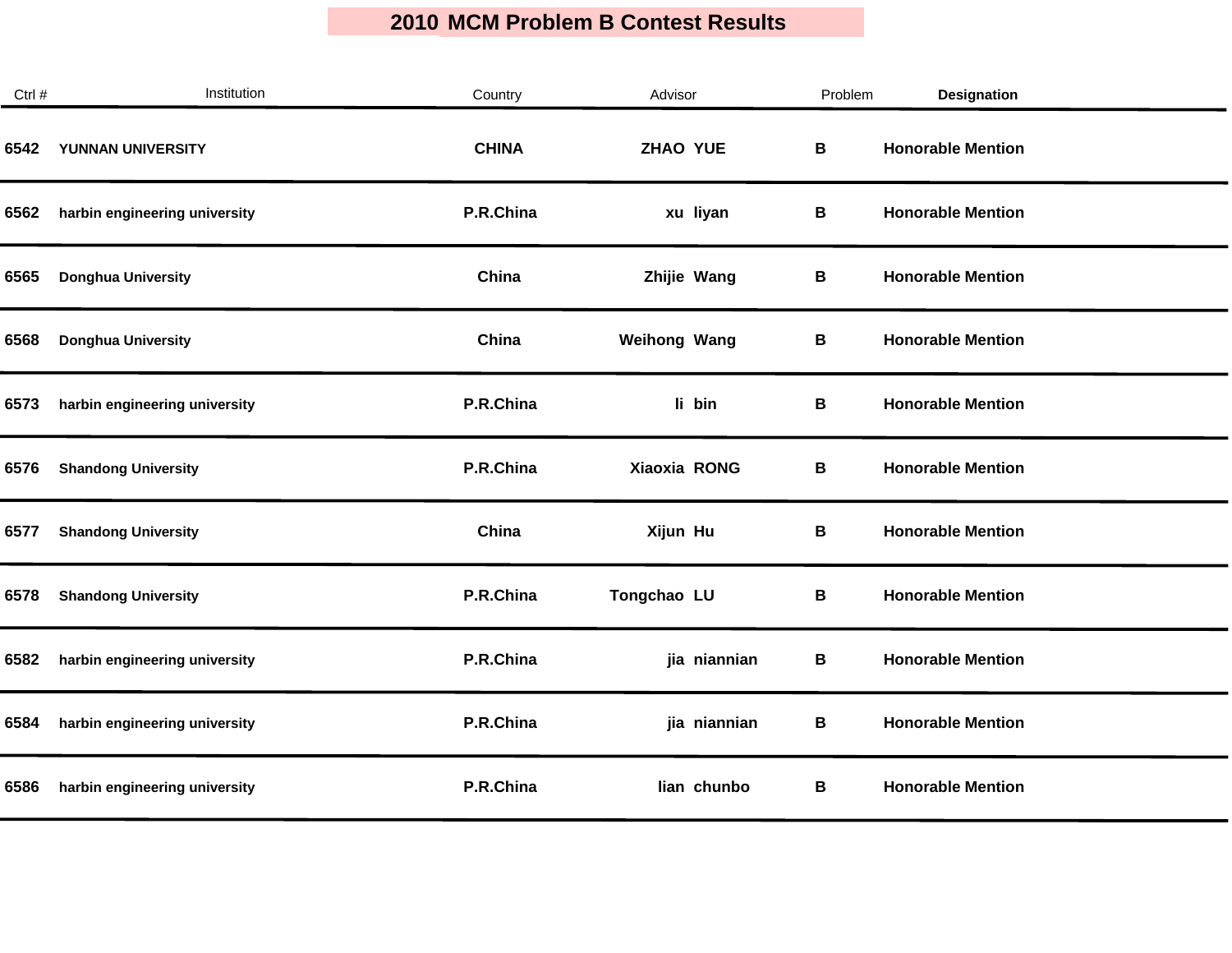| Ctrl # | Institution                   | Country      | Advisor             | Problem | Designation              |
|--------|-------------------------------|--------------|---------------------|---------|--------------------------|
| 6542   | YUNNAN UNIVERSITY             | <b>CHINA</b> | <b>ZHAO YUE</b>     | В       | <b>Honorable Mention</b> |
| 6562   | harbin engineering university | P.R.China    | xu liyan            | В       | <b>Honorable Mention</b> |
| 6565   | <b>Donghua University</b>     | China        | Zhijie Wang         | В       | <b>Honorable Mention</b> |
| 6568   | <b>Donghua University</b>     | China        | <b>Weihong Wang</b> | В       | <b>Honorable Mention</b> |
| 6573   | harbin engineering university | P.R.China    | li bin              | В       | <b>Honorable Mention</b> |
| 6576   | <b>Shandong University</b>    | P.R.China    | Xiaoxia RONG        | В       | <b>Honorable Mention</b> |
| 6577   | <b>Shandong University</b>    | China        | Xijun Hu            | В       | <b>Honorable Mention</b> |
| 6578   | <b>Shandong University</b>    | P.R.China    | Tongchao LU         | В       | <b>Honorable Mention</b> |
| 6582   | harbin engineering university | P.R.China    | jia niannian        | В       | <b>Honorable Mention</b> |
| 6584   | harbin engineering university | P.R.China    | jia niannian        | В       | <b>Honorable Mention</b> |
| 6586   | harbin engineering university | P.R.China    | lian chunbo         | В       | <b>Honorable Mention</b> |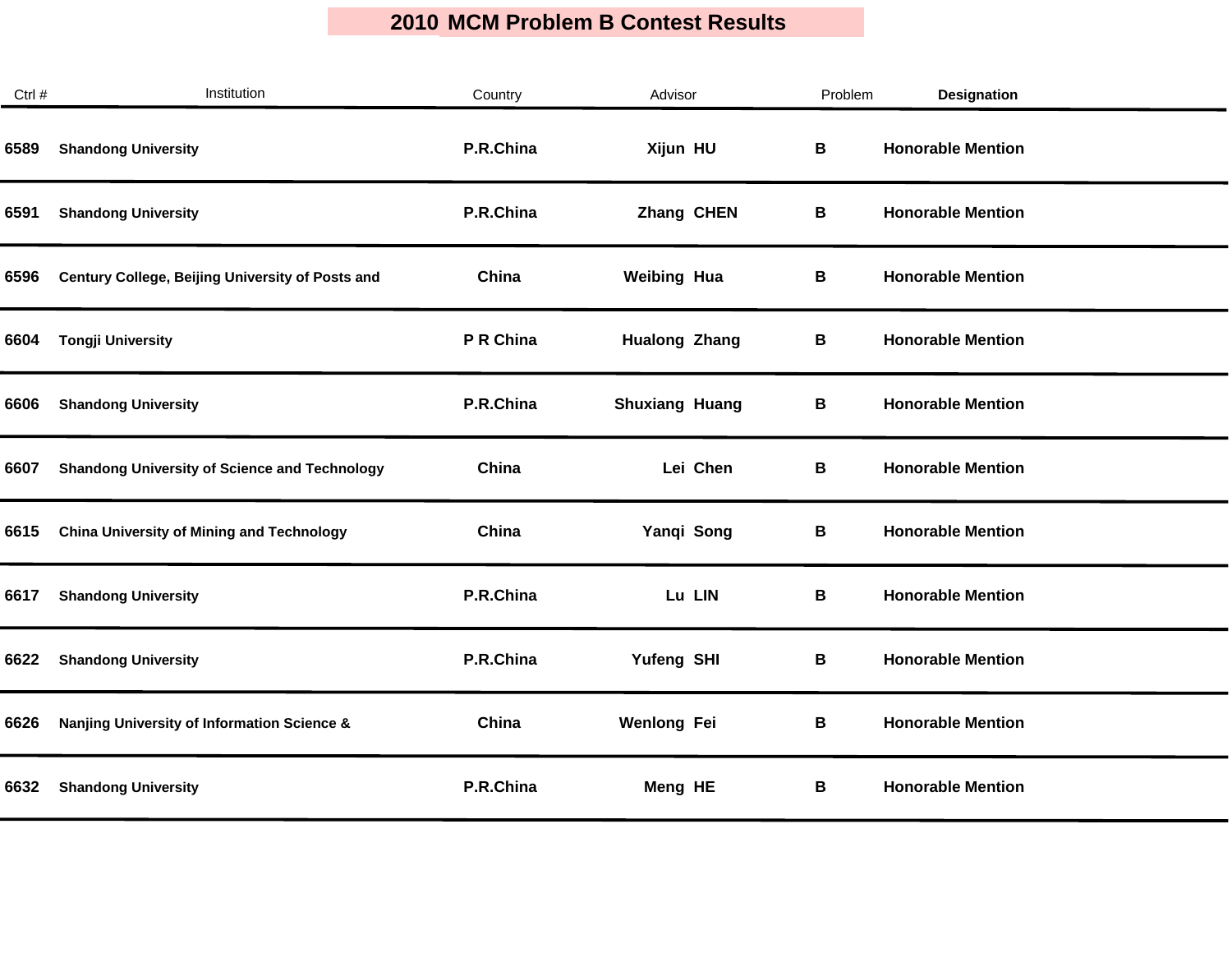$\mathcal{L}_{\mathcal{A}}$ 

| Ctrl # | Institution                                          | Country   | Advisor               |          | Problem | Designation              |  |
|--------|------------------------------------------------------|-----------|-----------------------|----------|---------|--------------------------|--|
| 6589   | <b>Shandong University</b>                           | P.R.China | Xijun HU              |          | B       | <b>Honorable Mention</b> |  |
| 6591   | <b>Shandong University</b>                           | P.R.China | Zhang CHEN            |          | В       | <b>Honorable Mention</b> |  |
| 6596   | Century College, Beijing University of Posts and     | China     | <b>Weibing Hua</b>    |          | В       | <b>Honorable Mention</b> |  |
| 6604   | <b>Tongji University</b>                             | P R China | <b>Hualong Zhang</b>  |          | В       | <b>Honorable Mention</b> |  |
| 6606   | <b>Shandong University</b>                           | P.R.China | <b>Shuxiang Huang</b> |          | В       | <b>Honorable Mention</b> |  |
| 6607   | <b>Shandong University of Science and Technology</b> | China     |                       | Lei Chen | В       | <b>Honorable Mention</b> |  |
| 6615   | <b>China University of Mining and Technology</b>     | China     | Yanqi Song            |          | В       | <b>Honorable Mention</b> |  |
| 6617   | <b>Shandong University</b>                           | P.R.China | Lu LIN                |          | В       | <b>Honorable Mention</b> |  |
| 6622   | <b>Shandong University</b>                           | P.R.China | Yufeng SHI            |          | B       | <b>Honorable Mention</b> |  |
| 6626   | Nanjing University of Information Science &          | China     | <b>Wenlong Fei</b>    |          | В       | <b>Honorable Mention</b> |  |
| 6632   | <b>Shandong University</b>                           | P.R.China | Meng HE               |          | В       | <b>Honorable Mention</b> |  |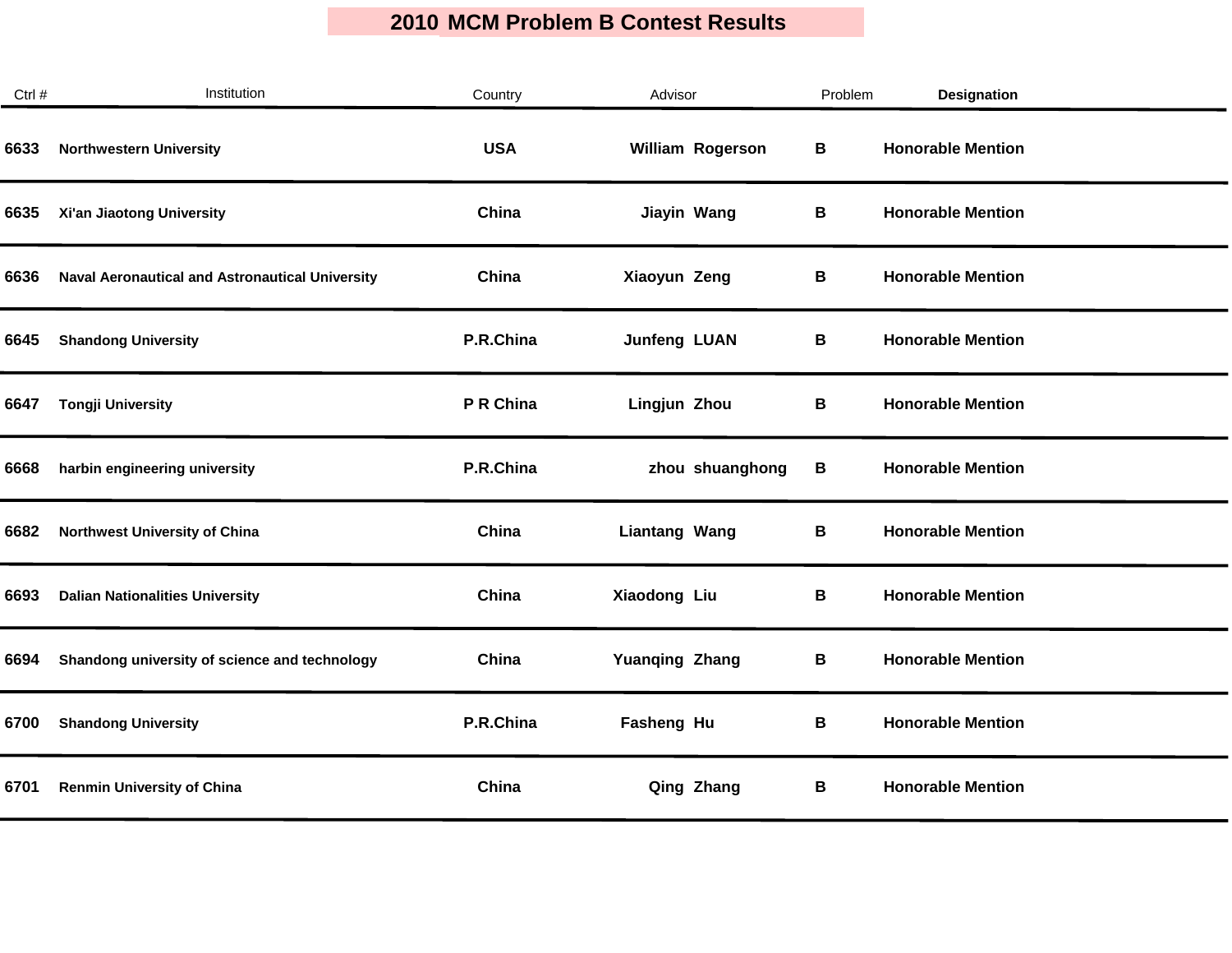| Ctrl # | Institution                                            | Country    | Advisor               | Problem | Designation              |
|--------|--------------------------------------------------------|------------|-----------------------|---------|--------------------------|
| 6633   | <b>Northwestern University</b>                         | <b>USA</b> | William Rogerson      | В       | <b>Honorable Mention</b> |
| 6635   | Xi'an Jiaotong University                              | China      | Jiayin Wang           | В       | <b>Honorable Mention</b> |
| 6636   | <b>Naval Aeronautical and Astronautical University</b> | China      | Xiaoyun Zeng          | В       | <b>Honorable Mention</b> |
| 6645   | <b>Shandong University</b>                             | P.R.China  | <b>Junfeng LUAN</b>   | В       | <b>Honorable Mention</b> |
| 6647   | <b>Tongji University</b>                               | P R China  | Lingjun Zhou          | В       | <b>Honorable Mention</b> |
| 6668   | harbin engineering university                          | P.R.China  | zhou shuanghong       | В       | <b>Honorable Mention</b> |
| 6682   | Northwest University of China                          | China      | <b>Liantang Wang</b>  | В       | <b>Honorable Mention</b> |
| 6693   | <b>Dalian Nationalities University</b>                 | China      | Xiaodong Liu          | В       | <b>Honorable Mention</b> |
| 6694   | Shandong university of science and technology          | China      | <b>Yuanqing Zhang</b> | В       | <b>Honorable Mention</b> |
| 6700   | <b>Shandong University</b>                             | P.R.China  | Fasheng Hu            | B       | <b>Honorable Mention</b> |
| 6701   | <b>Renmin University of China</b>                      | China      | Qing Zhang            | В       | <b>Honorable Mention</b> |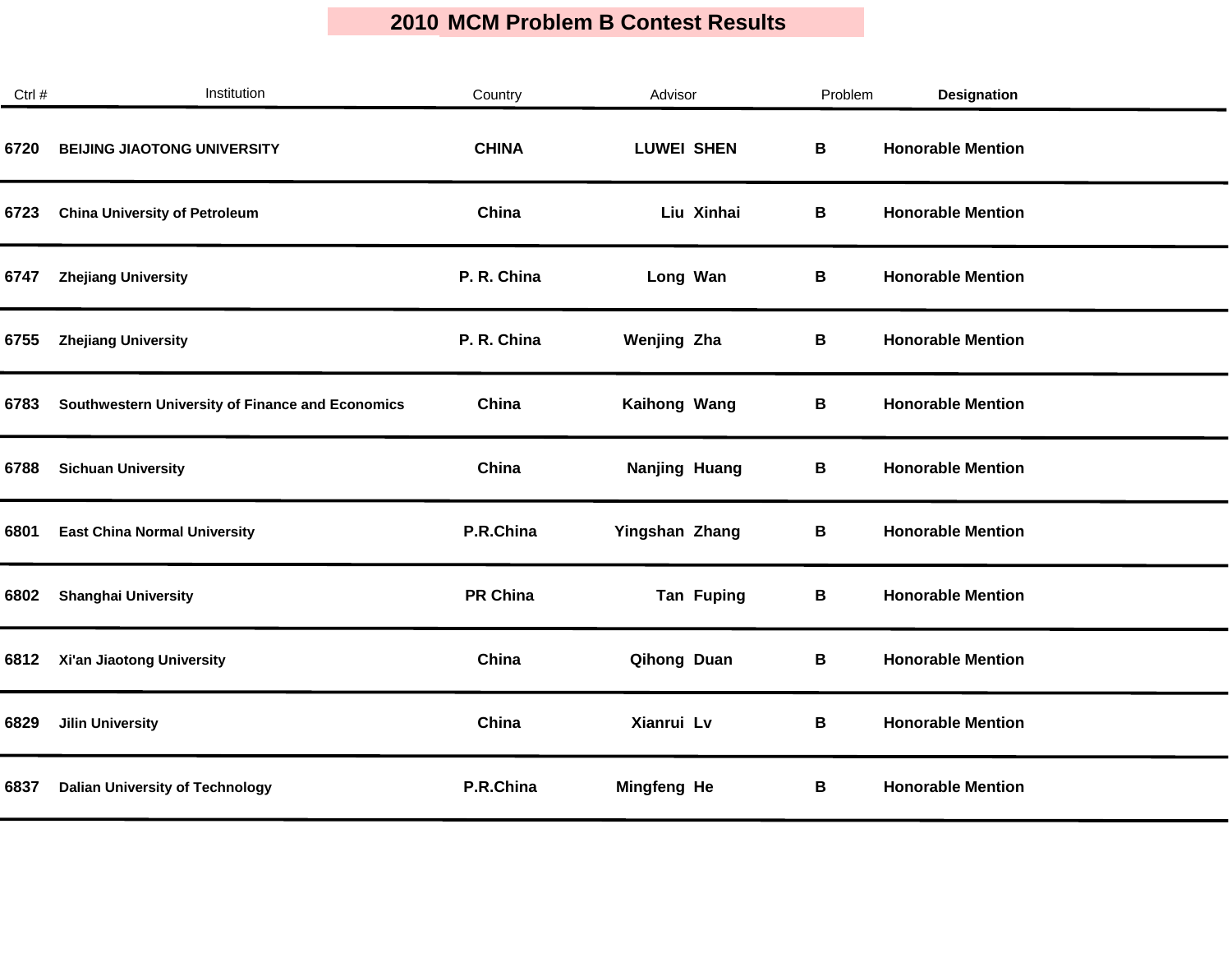| Ctrl # | Institution                                      | Country         | Advisor            | Problem | <b>Designation</b>       |  |
|--------|--------------------------------------------------|-----------------|--------------------|---------|--------------------------|--|
| 6720   | <b>BEIJING JIAOTONG UNIVERSITY</b>               | <b>CHINA</b>    | <b>LUWEI SHEN</b>  | В       | <b>Honorable Mention</b> |  |
| 6723   | <b>China University of Petroleum</b>             | China           | Liu Xinhai         | В       | <b>Honorable Mention</b> |  |
| 6747   | <b>Zhejiang University</b>                       | P. R. China     | Long Wan           | В       | <b>Honorable Mention</b> |  |
| 6755   | <b>Zhejiang University</b>                       | P. R. China     | <b>Wenjing Zha</b> | В       | <b>Honorable Mention</b> |  |
| 6783   | Southwestern University of Finance and Economics | China           | Kaihong Wang       | B       | <b>Honorable Mention</b> |  |
| 6788   | <b>Sichuan University</b>                        | China           | Nanjing Huang      | В       | <b>Honorable Mention</b> |  |
| 6801   | <b>East China Normal University</b>              | P.R.China       | Yingshan Zhang     | В       | <b>Honorable Mention</b> |  |
| 6802   | <b>Shanghai University</b>                       | <b>PR China</b> | <b>Tan Fuping</b>  | В       | <b>Honorable Mention</b> |  |
| 6812   | Xi'an Jiaotong University                        | China           | Qihong Duan        | B       | <b>Honorable Mention</b> |  |
| 6829   | <b>Jilin University</b>                          | China           | Xianrui Lv         | В       | <b>Honorable Mention</b> |  |
| 6837   | <b>Dalian University of Technology</b>           | P.R.China       | <b>Mingfeng He</b> | В       | <b>Honorable Mention</b> |  |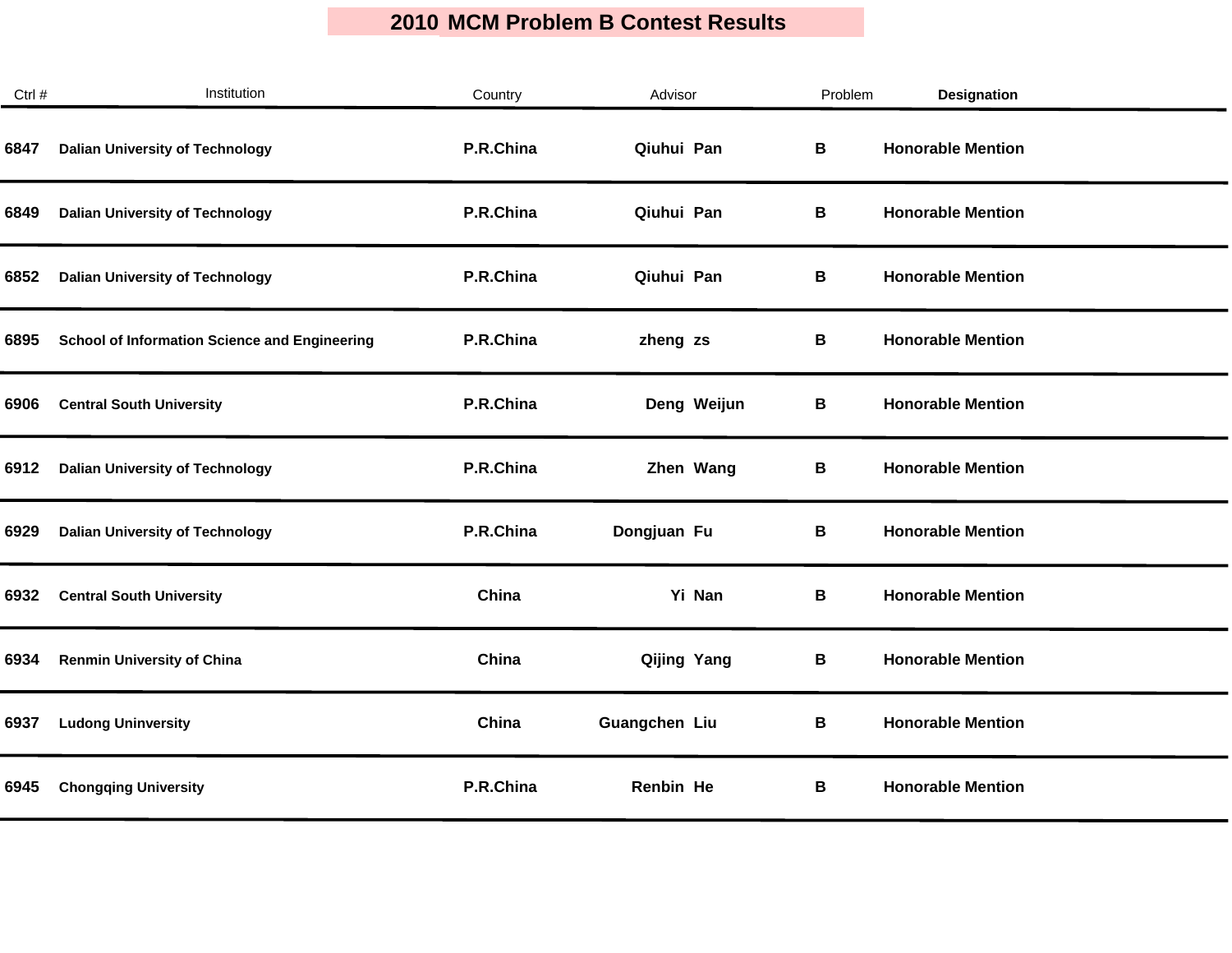| Ctrl # | Institution                                          | Country   | Advisor       | Problem     | Designation              |  |
|--------|------------------------------------------------------|-----------|---------------|-------------|--------------------------|--|
| 6847   | <b>Dalian University of Technology</b>               | P.R.China | Qiuhui Pan    | В           | <b>Honorable Mention</b> |  |
| 6849   | <b>Dalian University of Technology</b>               | P.R.China | Qiuhui Pan    | В           | <b>Honorable Mention</b> |  |
| 6852   | <b>Dalian University of Technology</b>               | P.R.China | Qiuhui Pan    | В           | <b>Honorable Mention</b> |  |
| 6895   | <b>School of Information Science and Engineering</b> | P.R.China | zheng zs      | В           | <b>Honorable Mention</b> |  |
| 6906   | <b>Central South University</b>                      | P.R.China | Deng Weijun   | В           | <b>Honorable Mention</b> |  |
| 6912   | <b>Dalian University of Technology</b>               | P.R.China | Zhen Wang     | В           | <b>Honorable Mention</b> |  |
| 6929   | <b>Dalian University of Technology</b>               | P.R.China | Dongjuan Fu   | В           | <b>Honorable Mention</b> |  |
| 6932   | <b>Central South University</b>                      | China     | Yi Nan        | В           | <b>Honorable Mention</b> |  |
| 6934   | <b>Renmin University of China</b>                    | China     | Qijing Yang   | $\mathbf B$ | <b>Honorable Mention</b> |  |
| 6937   | <b>Ludong Uninversity</b>                            | China     | Guangchen Liu | В           | <b>Honorable Mention</b> |  |
| 6945   | <b>Chongqing University</b>                          | P.R.China | Renbin He     | В           | <b>Honorable Mention</b> |  |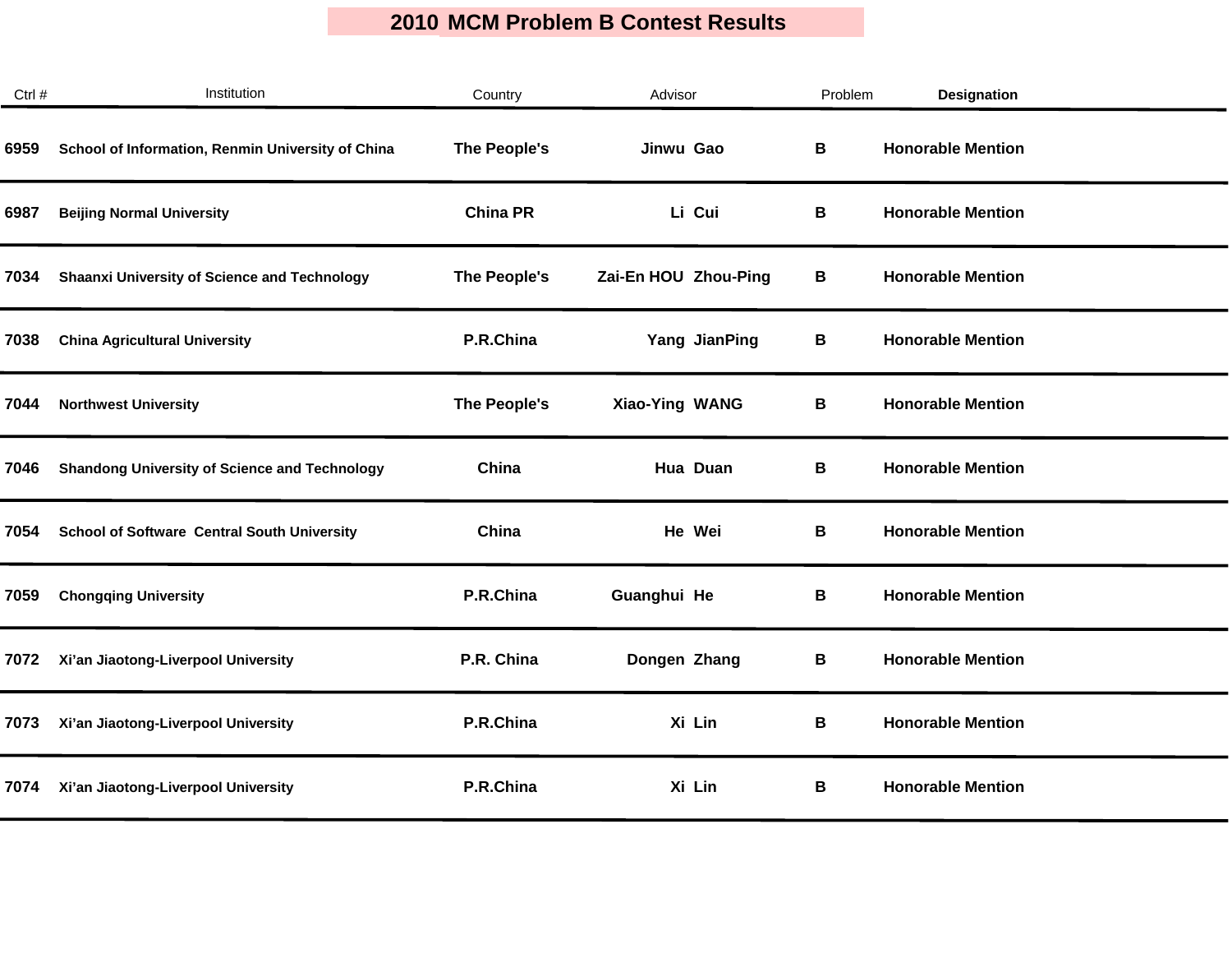| Ctrl # | Institution                                          | Country         | Advisor              | Problem | Designation              |  |
|--------|------------------------------------------------------|-----------------|----------------------|---------|--------------------------|--|
| 6959   | School of Information, Renmin University of China    | The People's    | Jinwu Gao            | В       | <b>Honorable Mention</b> |  |
| 6987   | <b>Beijing Normal University</b>                     | <b>China PR</b> | Li Cui               | В       | <b>Honorable Mention</b> |  |
| 7034   | <b>Shaanxi University of Science and Technology</b>  | The People's    | Zai-En HOU Zhou-Ping | В       | <b>Honorable Mention</b> |  |
| 7038   | <b>China Agricultural University</b>                 | P.R.China       | Yang JianPing        | В       | <b>Honorable Mention</b> |  |
| 7044   | <b>Northwest University</b>                          | The People's    | Xiao-Ying WANG       | В       | <b>Honorable Mention</b> |  |
| 7046   | <b>Shandong University of Science and Technology</b> | China           | Hua Duan             | В       | <b>Honorable Mention</b> |  |
| 7054   | <b>School of Software Central South University</b>   | China           | He Wei               | В       | <b>Honorable Mention</b> |  |
| 7059   | <b>Chongqing University</b>                          | P.R.China       | Guanghui He          | В       | <b>Honorable Mention</b> |  |
| 7072   | Xi'an Jiaotong-Liverpool University                  | P.R. China      | Dongen Zhang         | В       | <b>Honorable Mention</b> |  |
| 7073   | Xi'an Jiaotong-Liverpool University                  | P.R.China       | Xi Lin               | В       | <b>Honorable Mention</b> |  |
| 7074   | Xi'an Jiaotong-Liverpool University                  | P.R.China       | Xi Lin               | В       | <b>Honorable Mention</b> |  |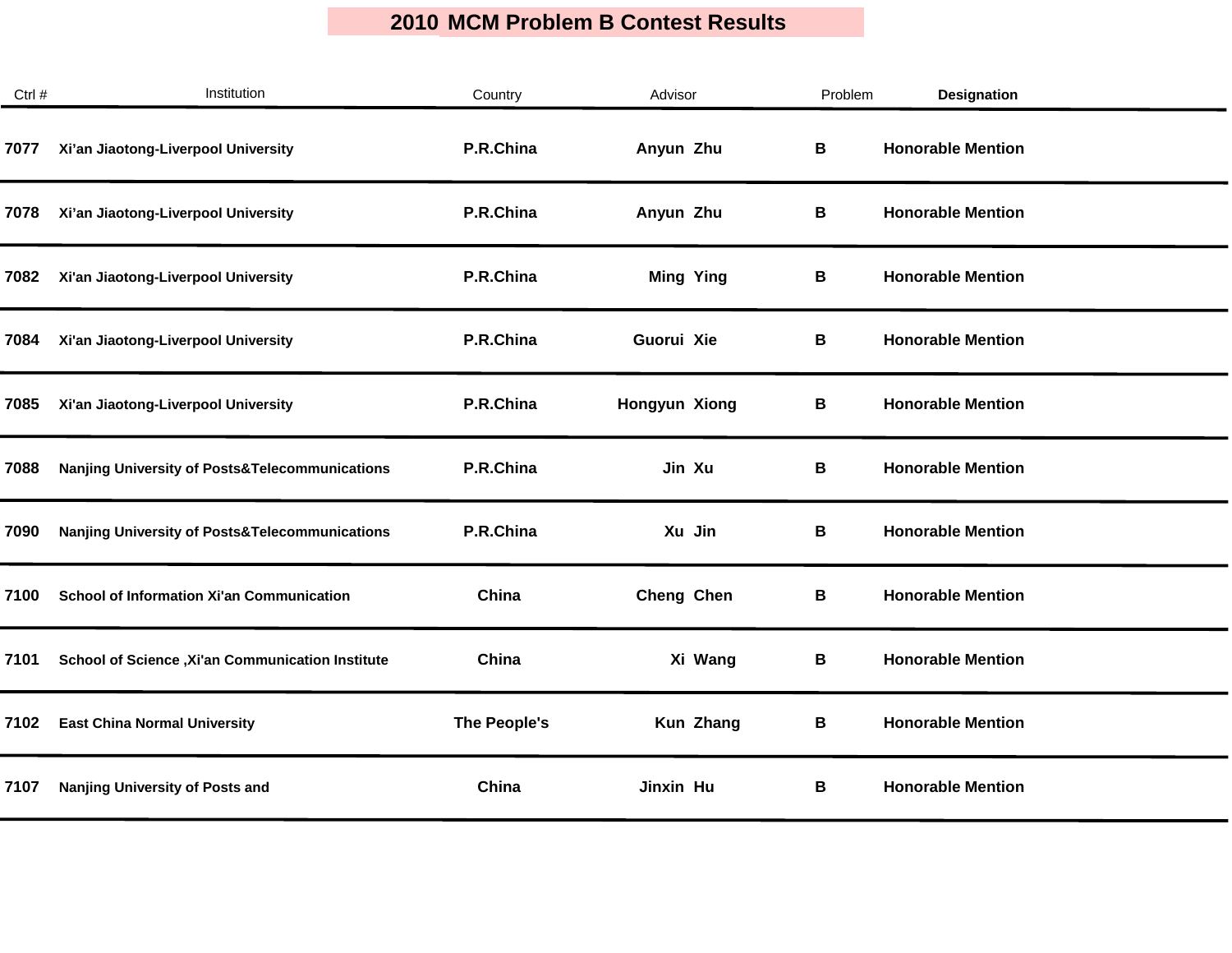| Ctrl # | Institution                                               | Country      | Advisor              | Problem | Designation              |
|--------|-----------------------------------------------------------|--------------|----------------------|---------|--------------------------|
| 7077   | Xi'an Jiaotong-Liverpool University                       | P.R.China    | Anyun Zhu            | В       | <b>Honorable Mention</b> |
| 7078   | Xi'an Jiaotong-Liverpool University                       | P.R.China    | Anyun Zhu            | В       | <b>Honorable Mention</b> |
| 7082   | Xi'an Jiaotong-Liverpool University                       | P.R.China    | <b>Ming Ying</b>     | В       | <b>Honorable Mention</b> |
| 7084   | Xi'an Jiaotong-Liverpool University                       | P.R.China    | Guorui Xie           | В       | <b>Honorable Mention</b> |
| 7085   | Xi'an Jiaotong-Liverpool University                       | P.R.China    | <b>Hongyun Xiong</b> | В       | <b>Honorable Mention</b> |
| 7088   | <b>Nanjing University of Posts&amp;Telecommunications</b> | P.R.China    | Jin Xu               | В       | <b>Honorable Mention</b> |
| 7090   | Nanjing University of Posts&Telecommunications            | P.R.China    | Xu Jin               | В       | <b>Honorable Mention</b> |
| 7100   | <b>School of Information Xi'an Communication</b>          | China        | Cheng Chen           | В       | <b>Honorable Mention</b> |
| 7101   | School of Science , Xi'an Communication Institute         | China        | Xi Wang              | В       | <b>Honorable Mention</b> |
| 7102   | <b>East China Normal University</b>                       | The People's | Kun Zhang            | В       | <b>Honorable Mention</b> |
| 7107   | Nanjing University of Posts and                           | China        | Jinxin Hu            | В       | <b>Honorable Mention</b> |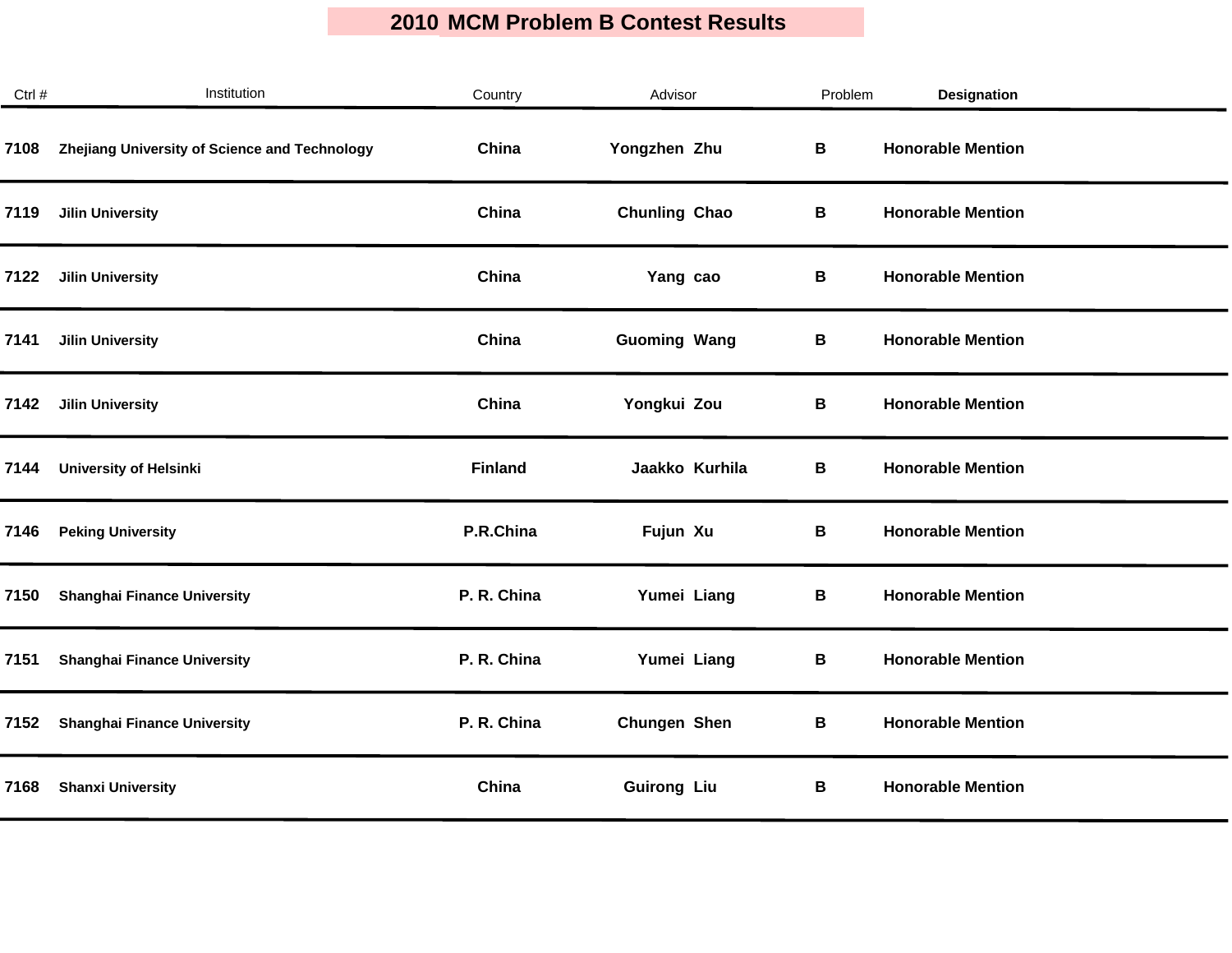| Ctrl # | Institution                                   | Country        | Advisor              | Problem | <b>Designation</b>       |  |
|--------|-----------------------------------------------|----------------|----------------------|---------|--------------------------|--|
| 7108   | Zhejiang University of Science and Technology | China          | Yongzhen Zhu         | B       | <b>Honorable Mention</b> |  |
| 7119   | <b>Jilin University</b>                       | China          | <b>Chunling Chao</b> | В       | <b>Honorable Mention</b> |  |
| 7122   | <b>Jilin University</b>                       | China          | Yang cao             | В       | <b>Honorable Mention</b> |  |
| 7141   | <b>Jilin University</b>                       | China          | <b>Guoming Wang</b>  | В       | <b>Honorable Mention</b> |  |
| 7142   | <b>Jilin University</b>                       | China          | Yongkui Zou          | B       | <b>Honorable Mention</b> |  |
| 7144   | <b>University of Helsinki</b>                 | <b>Finland</b> | Jaakko Kurhila       | В       | <b>Honorable Mention</b> |  |
| 7146   | <b>Peking University</b>                      | P.R.China      | Fujun Xu             | В       | <b>Honorable Mention</b> |  |
| 7150   | <b>Shanghai Finance University</b>            | P. R. China    | Yumei Liang          | В       | <b>Honorable Mention</b> |  |
| 7151   | <b>Shanghai Finance University</b>            | P. R. China    | Yumei Liang          | B       | <b>Honorable Mention</b> |  |
| 7152   | <b>Shanghai Finance University</b>            | P. R. China    | <b>Chungen Shen</b>  | В       | <b>Honorable Mention</b> |  |
| 7168   | <b>Shanxi University</b>                      | China          | <b>Guirong Liu</b>   | В       | <b>Honorable Mention</b> |  |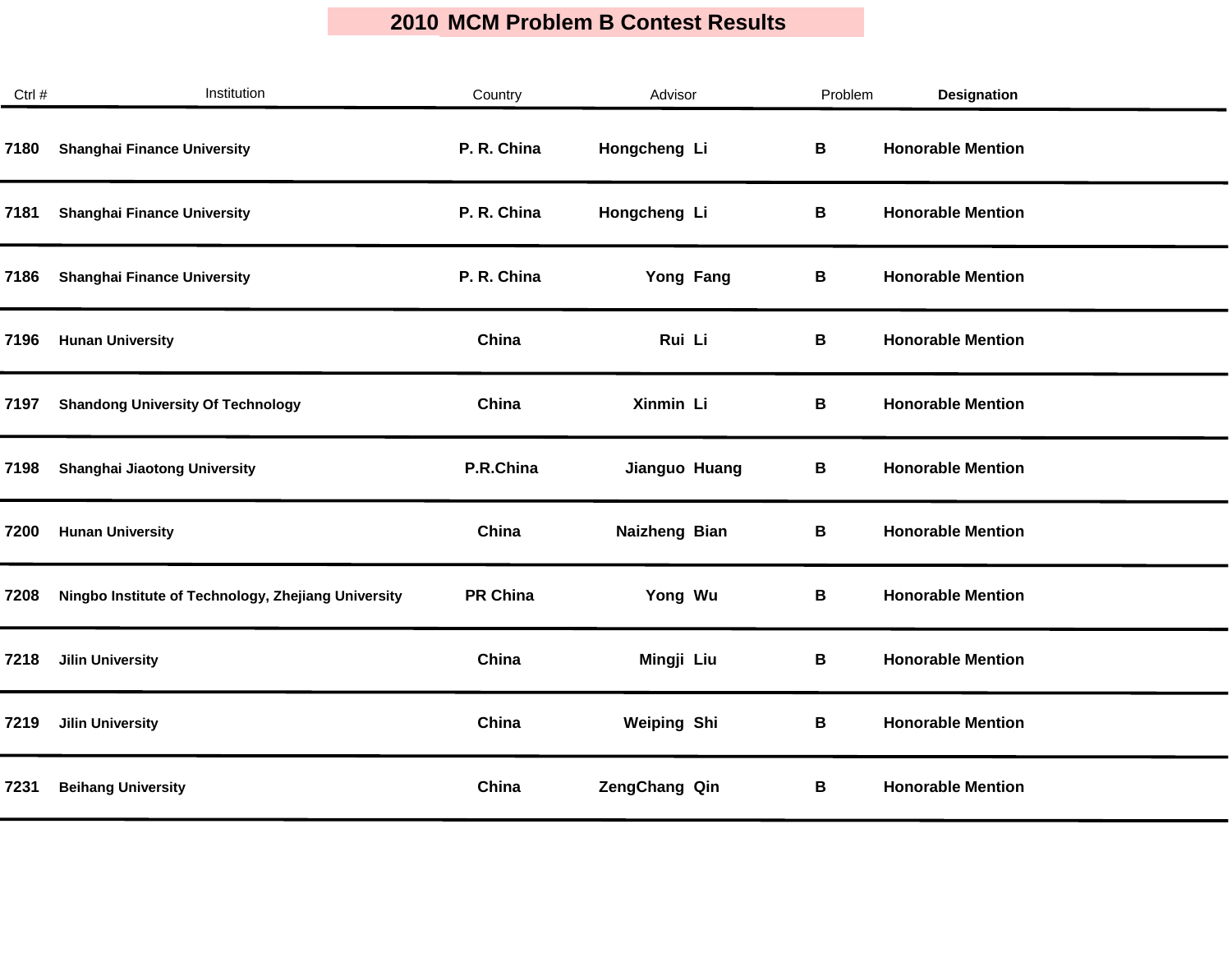| Ctrl # | Institution                                         | Country         | Advisor            | Problem     | <b>Designation</b>       |
|--------|-----------------------------------------------------|-----------------|--------------------|-------------|--------------------------|
| 7180   | <b>Shanghai Finance University</b>                  | P. R. China     | Hongcheng Li       | $\mathbf B$ | <b>Honorable Mention</b> |
| 7181   | <b>Shanghai Finance University</b>                  | P. R. China     | Hongcheng Li       | В           | <b>Honorable Mention</b> |
| 7186   | <b>Shanghai Finance University</b>                  | P. R. China     | Yong Fang          | В           | <b>Honorable Mention</b> |
| 7196   | <b>Hunan University</b>                             | China           | Rui Li             | В           | <b>Honorable Mention</b> |
| 7197   | <b>Shandong University Of Technology</b>            | China           | Xinmin Li          | В           | <b>Honorable Mention</b> |
| 7198   | <b>Shanghai Jiaotong University</b>                 | P.R.China       | Jianguo Huang      | В           | <b>Honorable Mention</b> |
| 7200   | <b>Hunan University</b>                             | China           | Naizheng Bian      | В           | <b>Honorable Mention</b> |
| 7208   | Ningbo Institute of Technology, Zhejiang University | <b>PR China</b> | Yong Wu            | В           | <b>Honorable Mention</b> |
| 7218   | <b>Jilin University</b>                             | China           | Mingji Liu         | $\mathbf B$ | <b>Honorable Mention</b> |
| 7219   | <b>Jilin University</b>                             | China           | <b>Weiping Shi</b> | В           | <b>Honorable Mention</b> |
| 7231   | <b>Beihang University</b>                           | China           | ZengChang Qin      | В           | <b>Honorable Mention</b> |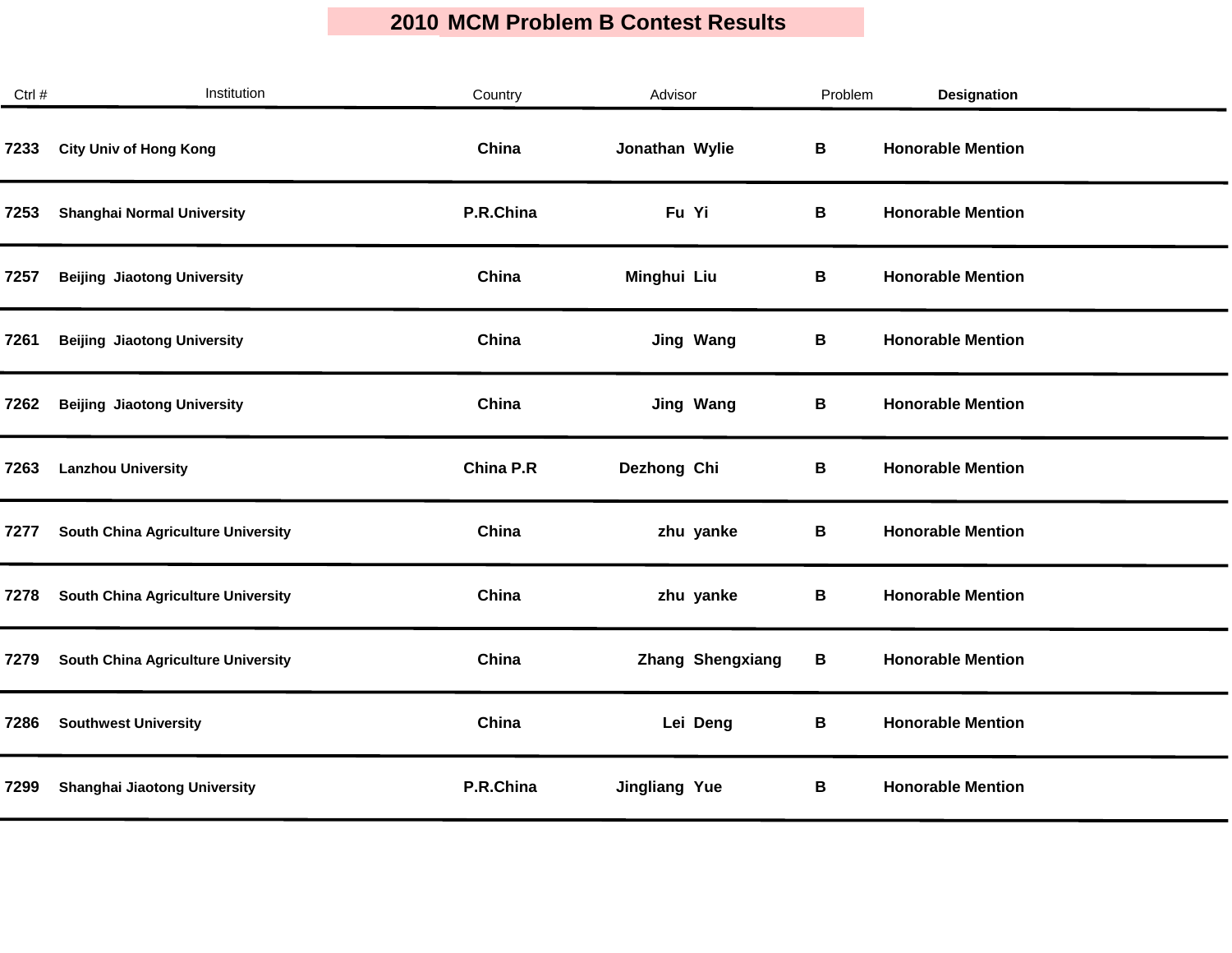| Ctrl # | Institution                               | Country   | Advisor              | Problem     | <b>Designation</b>       |
|--------|-------------------------------------------|-----------|----------------------|-------------|--------------------------|
| 7233   | <b>City Univ of Hong Kong</b>             | China     | Jonathan Wylie       | $\mathbf B$ | <b>Honorable Mention</b> |
| 7253   | <b>Shanghai Normal University</b>         | P.R.China | Fu Yi                | В           | <b>Honorable Mention</b> |
| 7257   | <b>Beijing Jiaotong University</b>        | China     | Minghui Liu          | В           | <b>Honorable Mention</b> |
| 7261   | <b>Beijing Jiaotong University</b>        | China     | Jing Wang            | В           | <b>Honorable Mention</b> |
| 7262   | <b>Beijing Jiaotong University</b>        | China     | <b>Jing Wang</b>     | В           | <b>Honorable Mention</b> |
| 7263   | <b>Lanzhou University</b>                 | China P.R | Dezhong Chi          | В           | <b>Honorable Mention</b> |
| 7277   | <b>South China Agriculture University</b> | China     | zhu yanke            | В           | <b>Honorable Mention</b> |
| 7278   | <b>South China Agriculture University</b> | China     | zhu yanke            | В           | <b>Honorable Mention</b> |
| 7279   | South China Agriculture University        | China     | Zhang Shengxiang     | В           | <b>Honorable Mention</b> |
| 7286   | <b>Southwest University</b>               | China     | Lei Deng             | В           | <b>Honorable Mention</b> |
| 7299   | Shanghai Jiaotong University              | P.R.China | <b>Jingliang Yue</b> | В           | <b>Honorable Mention</b> |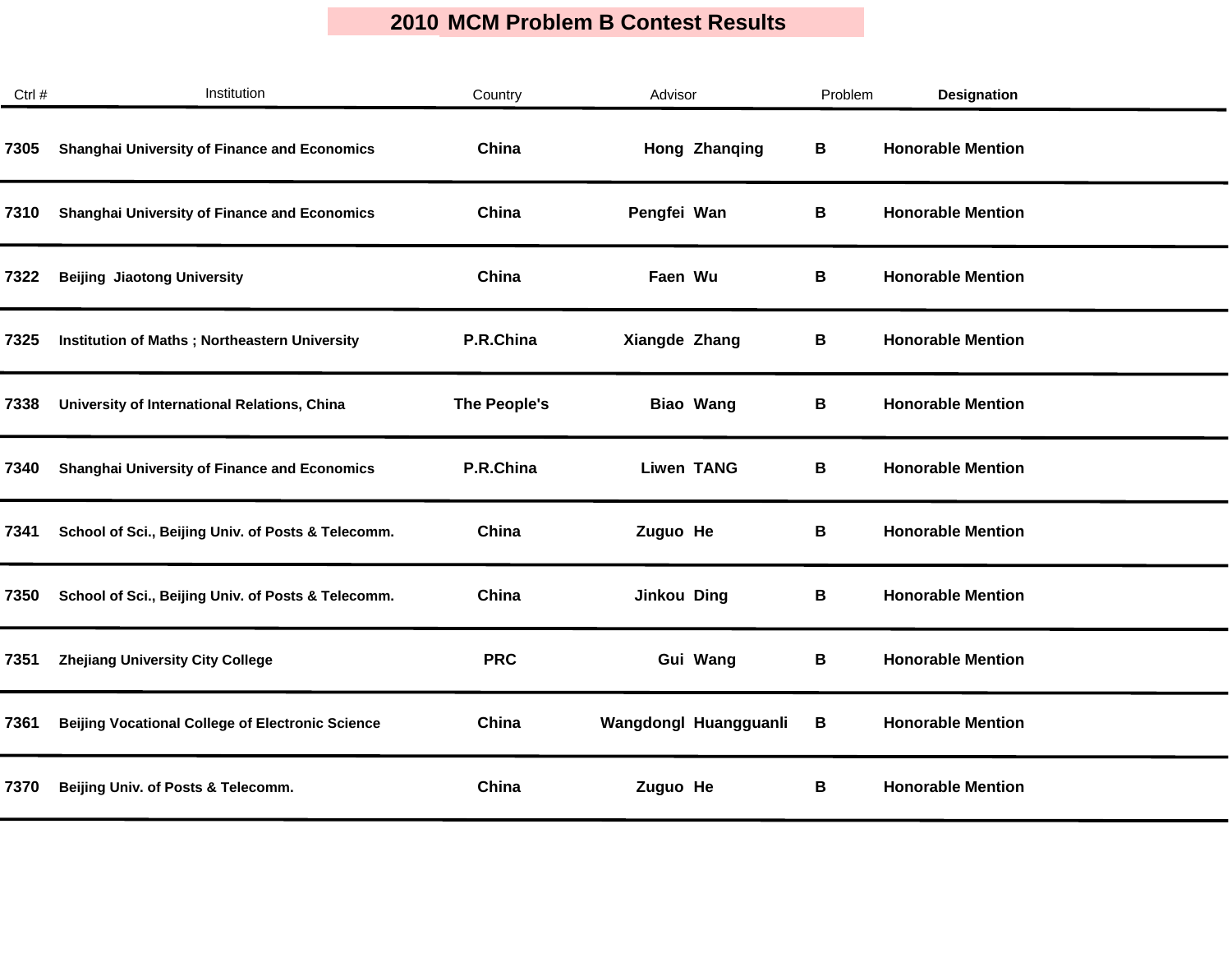| Ctrl # | Institution                                             | Country      | Advisor               | Problem | <b>Designation</b>       |  |
|--------|---------------------------------------------------------|--------------|-----------------------|---------|--------------------------|--|
| 7305   | <b>Shanghai University of Finance and Economics</b>     | China        | Hong Zhanqing         | В       | <b>Honorable Mention</b> |  |
| 7310   | <b>Shanghai University of Finance and Economics</b>     | China        | Pengfei Wan           | В       | <b>Honorable Mention</b> |  |
| 7322   | <b>Beijing Jiaotong University</b>                      | China        | Faen Wu               | В       | <b>Honorable Mention</b> |  |
| 7325   | <b>Institution of Maths; Northeastern University</b>    | P.R.China    | Xiangde Zhang         | В       | <b>Honorable Mention</b> |  |
| 7338   | University of International Relations, China            | The People's | <b>Biao Wang</b>      | В       | <b>Honorable Mention</b> |  |
| 7340   | <b>Shanghai University of Finance and Economics</b>     | P.R.China    | <b>Liwen TANG</b>     | В       | <b>Honorable Mention</b> |  |
| 7341   | School of Sci., Beijing Univ. of Posts & Telecomm.      | China        | Zuguo He              | В       | <b>Honorable Mention</b> |  |
| 7350   | School of Sci., Beijing Univ. of Posts & Telecomm.      | China        | Jinkou Ding           | В       | <b>Honorable Mention</b> |  |
| 7351   | <b>Zhejiang University City College</b>                 | <b>PRC</b>   | Gui Wang              | В       | <b>Honorable Mention</b> |  |
| 7361   | <b>Beijing Vocational College of Electronic Science</b> | China        | Wangdongl Huangguanli | B       | <b>Honorable Mention</b> |  |
| 7370   | Beijing Univ. of Posts & Telecomm.                      | China        | Zuguo He              | В       | <b>Honorable Mention</b> |  |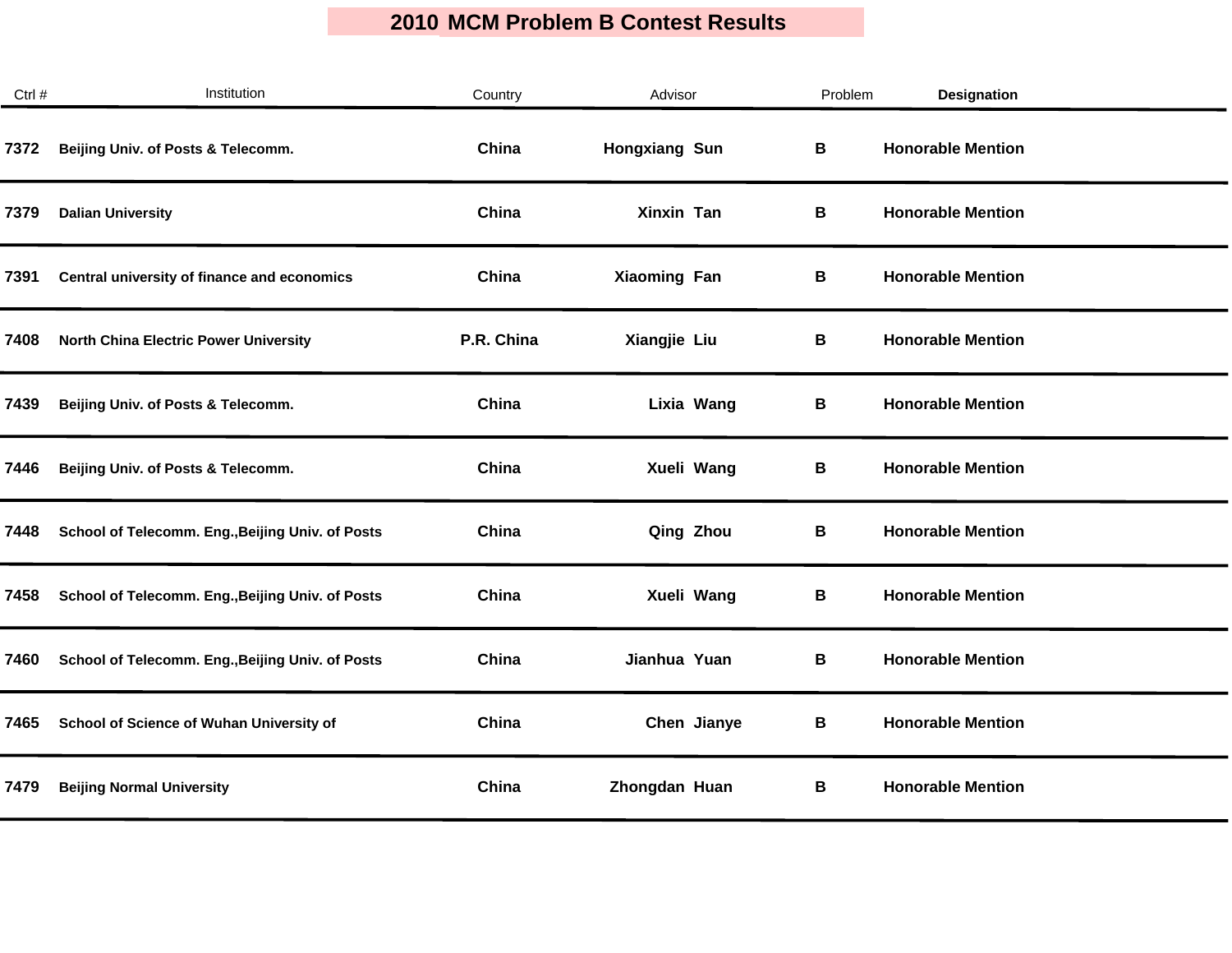| Ctrl # | Institution                                      | Country    | Advisor              | Problem | Designation              |  |
|--------|--------------------------------------------------|------------|----------------------|---------|--------------------------|--|
| 7372   | Beijing Univ. of Posts & Telecomm.               | China      | <b>Hongxiang Sun</b> | B       | <b>Honorable Mention</b> |  |
| 7379   | <b>Dalian University</b>                         | China      | Xinxin Tan           | В       | <b>Honorable Mention</b> |  |
| 7391   | Central university of finance and economics      | China      | <b>Xiaoming Fan</b>  | В       | <b>Honorable Mention</b> |  |
| 7408   | <b>North China Electric Power University</b>     | P.R. China | Xiangjie Liu         | В       | <b>Honorable Mention</b> |  |
| 7439   | Beijing Univ. of Posts & Telecomm.               | China      | Lixia Wang           | В       | <b>Honorable Mention</b> |  |
| 7446   | Beijing Univ. of Posts & Telecomm.               | China      | Xueli Wang           | В       | <b>Honorable Mention</b> |  |
| 7448   | School of Telecomm. Eng., Beijing Univ. of Posts | China      | Qing Zhou            | В       | <b>Honorable Mention</b> |  |
| 7458   | School of Telecomm. Eng., Beijing Univ. of Posts | China      | Xueli Wang           | В       | <b>Honorable Mention</b> |  |
| 7460   | School of Telecomm. Eng., Beijing Univ. of Posts | China      | Jianhua Yuan         | В       | <b>Honorable Mention</b> |  |
| 7465   | School of Science of Wuhan University of         | China      | Chen Jianye          | В       | <b>Honorable Mention</b> |  |
| 7479   | <b>Beijing Normal University</b>                 | China      | Zhongdan Huan        | В       | <b>Honorable Mention</b> |  |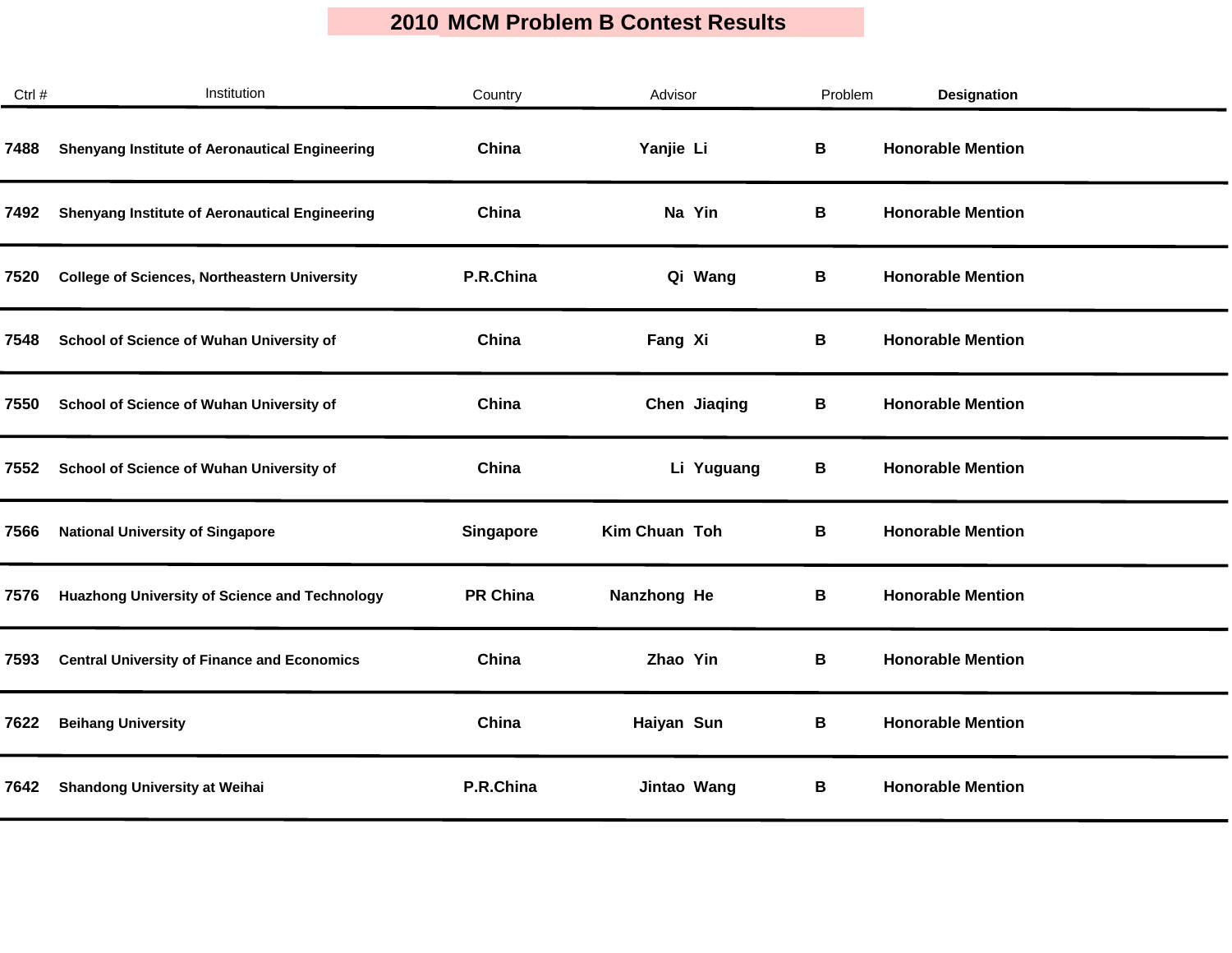| Ctrl # | Institution                                           | Country         | Advisor       | Problem | Designation              |
|--------|-------------------------------------------------------|-----------------|---------------|---------|--------------------------|
| 7488   | <b>Shenyang Institute of Aeronautical Engineering</b> | China           | Yanjie Li     | В       | <b>Honorable Mention</b> |
| 7492   | <b>Shenyang Institute of Aeronautical Engineering</b> | China           | Na Yin        | В       | <b>Honorable Mention</b> |
| 7520   | <b>College of Sciences, Northeastern University</b>   | P.R.China       | Qi Wang       | В       | <b>Honorable Mention</b> |
| 7548   | School of Science of Wuhan University of              | China           | Fang Xi       | В       | <b>Honorable Mention</b> |
| 7550   | School of Science of Wuhan University of              | China           | Chen Jiaqing  | В       | <b>Honorable Mention</b> |
| 7552   | School of Science of Wuhan University of              | China           | Li Yuguang    | В       | <b>Honorable Mention</b> |
| 7566   | <b>National University of Singapore</b>               | Singapore       | Kim Chuan Toh | В       | <b>Honorable Mention</b> |
| 7576   | <b>Huazhong University of Science and Technology</b>  | <b>PR China</b> | Nanzhong He   | В       | <b>Honorable Mention</b> |
| 7593   | <b>Central University of Finance and Economics</b>    | China           | Zhao Yin      | В       | <b>Honorable Mention</b> |
| 7622   | <b>Beihang University</b>                             | China           | Haiyan Sun    | В       | <b>Honorable Mention</b> |
| 7642   | <b>Shandong University at Weihai</b>                  | P.R.China       | Jintao Wang   | В       | <b>Honorable Mention</b> |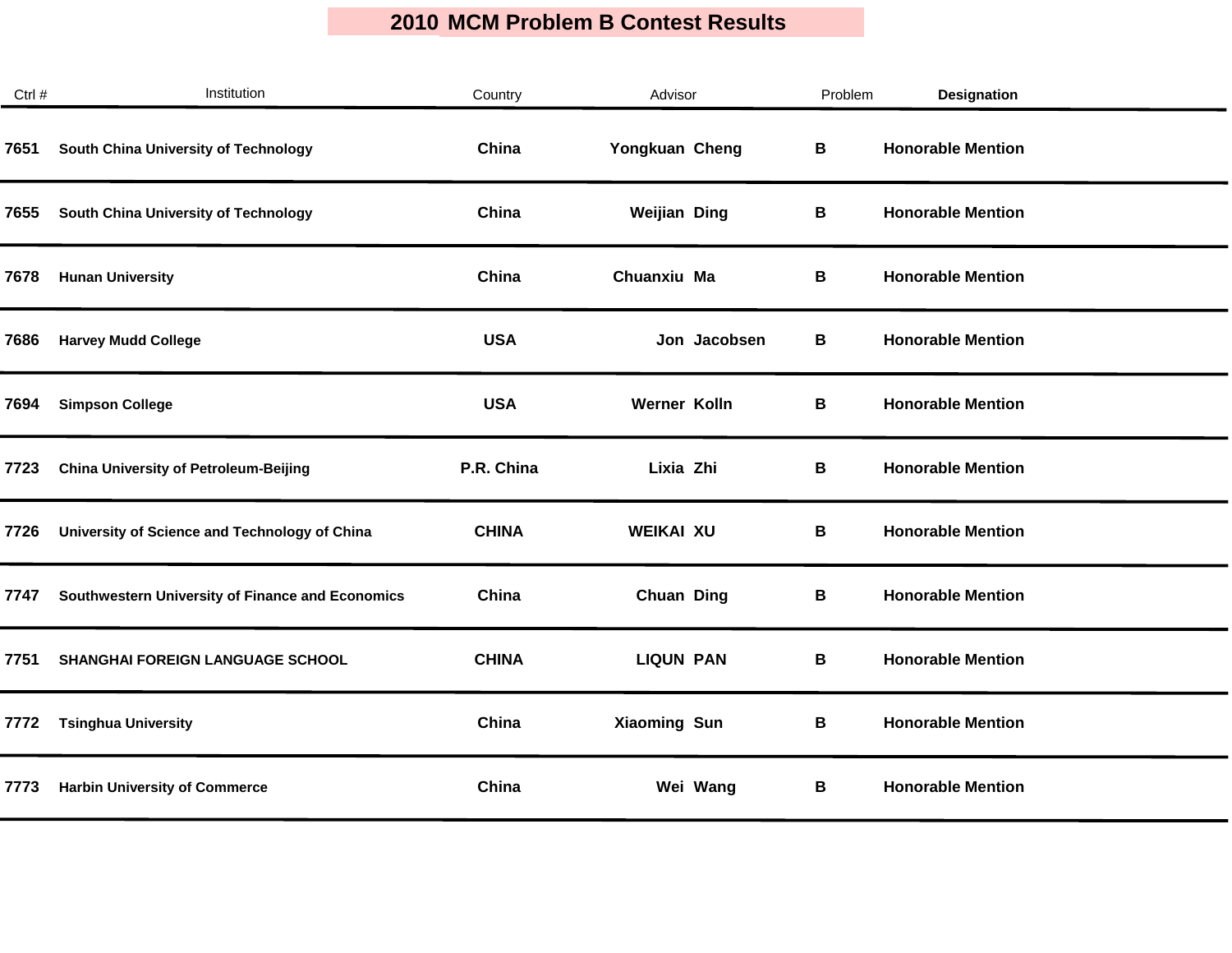| Ctrl # | Institution                                      | Country      | Advisor             | Problem | <b>Designation</b>       |  |
|--------|--------------------------------------------------|--------------|---------------------|---------|--------------------------|--|
| 7651   | South China University of Technology             | China        | Yongkuan Cheng      | В       | <b>Honorable Mention</b> |  |
| 7655   | South China University of Technology             | China        | <b>Weijian Ding</b> | В       | <b>Honorable Mention</b> |  |
| 7678   | <b>Hunan University</b>                          | China        | Chuanxiu Ma         | В       | <b>Honorable Mention</b> |  |
| 7686   | <b>Harvey Mudd College</b>                       | <b>USA</b>   | Jon Jacobsen        | В       | <b>Honorable Mention</b> |  |
| 7694   | <b>Simpson College</b>                           | <b>USA</b>   | Werner Kolln        | В       | <b>Honorable Mention</b> |  |
| 7723   | <b>China University of Petroleum-Beijing</b>     | P.R. China   | Lixia Zhi           | В       | <b>Honorable Mention</b> |  |
| 7726   | University of Science and Technology of China    | <b>CHINA</b> | <b>WEIKAI XU</b>    | В       | <b>Honorable Mention</b> |  |
| 7747   | Southwestern University of Finance and Economics | China        | <b>Chuan Ding</b>   | В       | <b>Honorable Mention</b> |  |
| 7751   | SHANGHAI FOREIGN LANGUAGE SCHOOL                 | <b>CHINA</b> | <b>LIQUN PAN</b>    | В       | <b>Honorable Mention</b> |  |
| 7772   | <b>Tsinghua University</b>                       | China        | <b>Xiaoming Sun</b> | B       | <b>Honorable Mention</b> |  |
| 7773   | <b>Harbin University of Commerce</b>             | China        | Wei Wang            | В       | <b>Honorable Mention</b> |  |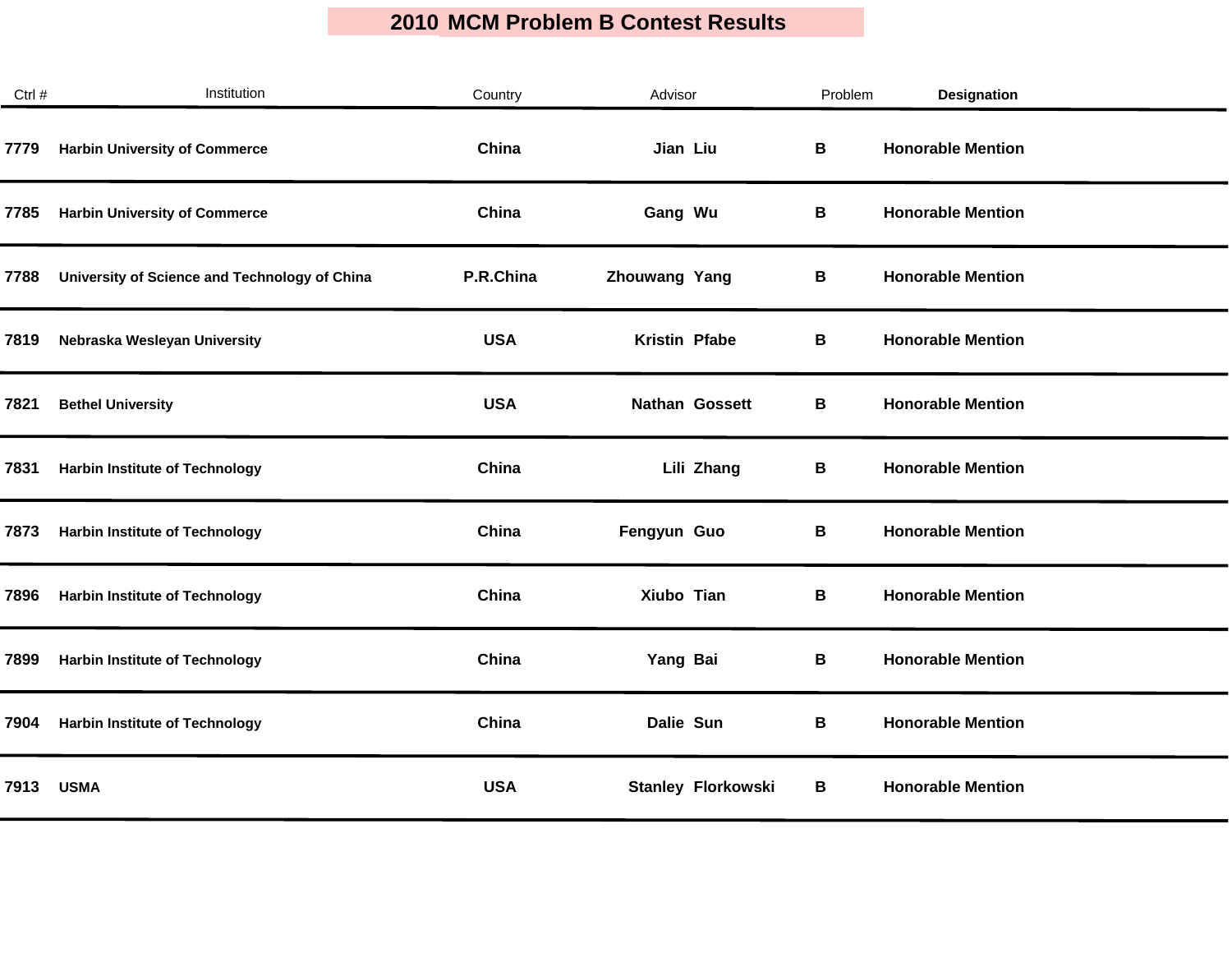| Ctrl # | Institution                                   | Country    | Advisor                   | Problem | <b>Designation</b>       |
|--------|-----------------------------------------------|------------|---------------------------|---------|--------------------------|
| 7779   | <b>Harbin University of Commerce</b>          | China      | Jian Liu                  | В       | <b>Honorable Mention</b> |
| 7785   | <b>Harbin University of Commerce</b>          | China      | Gang Wu                   | В       | <b>Honorable Mention</b> |
| 7788   | University of Science and Technology of China | P.R.China  | Zhouwang Yang             | В       | <b>Honorable Mention</b> |
| 7819   | Nebraska Wesleyan University                  | <b>USA</b> | Kristin Pfabe             | В       | <b>Honorable Mention</b> |
| 7821   | <b>Bethel University</b>                      | <b>USA</b> | <b>Nathan Gossett</b>     | В       | <b>Honorable Mention</b> |
| 7831   | <b>Harbin Institute of Technology</b>         | China      | Lili Zhang                | В       | <b>Honorable Mention</b> |
| 7873   | <b>Harbin Institute of Technology</b>         | China      | Fengyun Guo               | В       | <b>Honorable Mention</b> |
| 7896   | <b>Harbin Institute of Technology</b>         | China      | Xiubo Tian                | В       | <b>Honorable Mention</b> |
| 7899   | <b>Harbin Institute of Technology</b>         | China      | Yang Bai                  | В       | <b>Honorable Mention</b> |
| 7904   | <b>Harbin Institute of Technology</b>         | China      | Dalie Sun                 | В       | <b>Honorable Mention</b> |
| 7913   | <b>USMA</b>                                   | <b>USA</b> | <b>Stanley Florkowski</b> | В       | <b>Honorable Mention</b> |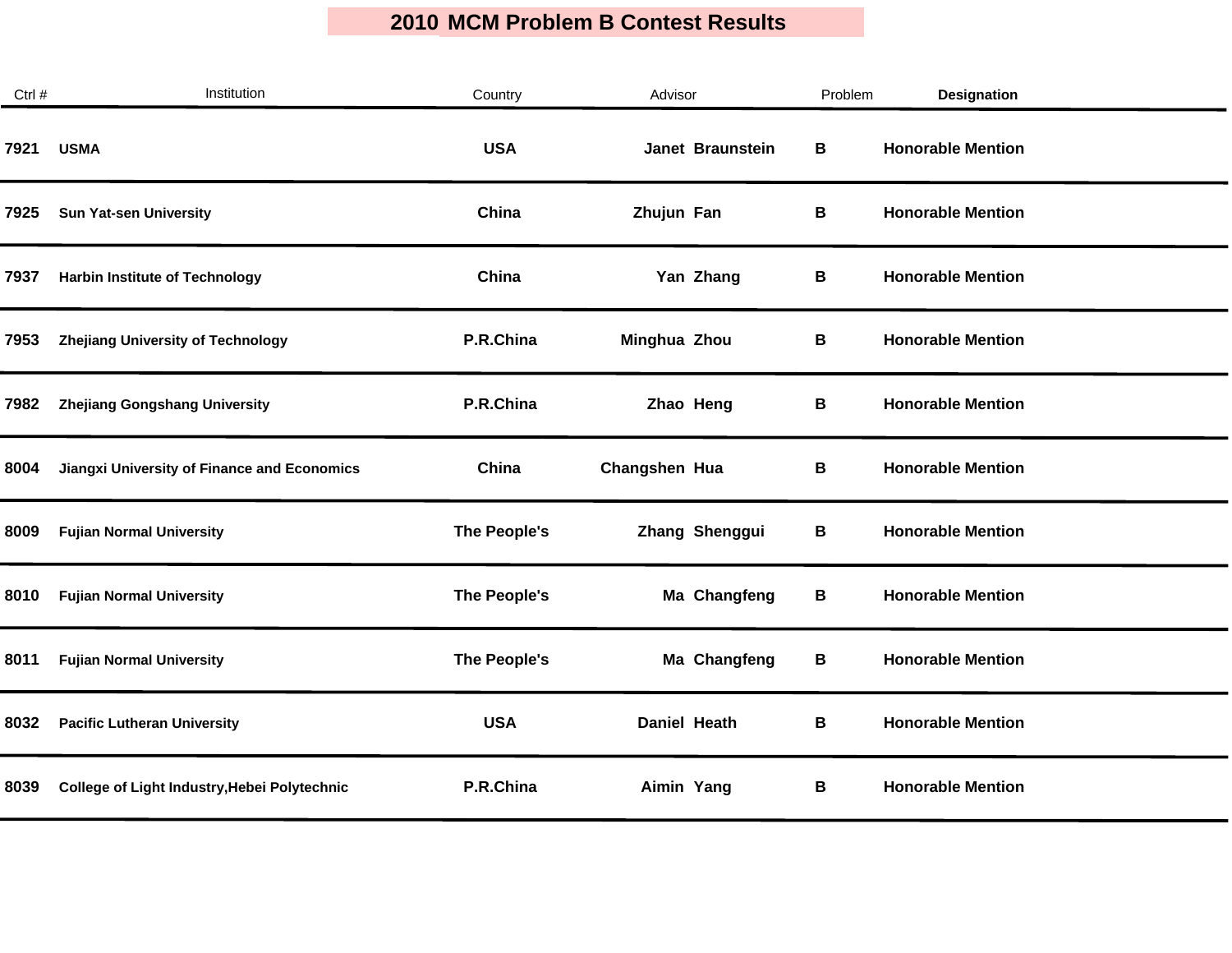| Ctrl # | Institution                                  | Country      | Advisor             | Problem | Designation              |
|--------|----------------------------------------------|--------------|---------------------|---------|--------------------------|
| 7921   | <b>USMA</b>                                  | <b>USA</b>   | Janet Braunstein    | В       | <b>Honorable Mention</b> |
| 7925   | <b>Sun Yat-sen University</b>                | China        | Zhujun Fan          | В       | <b>Honorable Mention</b> |
| 7937   | <b>Harbin Institute of Technology</b>        | China        | Yan Zhang           | В       | <b>Honorable Mention</b> |
| 7953   | <b>Zhejiang University of Technology</b>     | P.R.China    | Minghua Zhou        | В       | <b>Honorable Mention</b> |
| 7982   | <b>Zhejiang Gongshang University</b>         | P.R.China    | Zhao Heng           | В       | <b>Honorable Mention</b> |
| 8004   | Jiangxi University of Finance and Economics  | China        | Changshen Hua       | В       | <b>Honorable Mention</b> |
| 8009   | <b>Fujian Normal University</b>              | The People's | Zhang Shenggui      | В       | <b>Honorable Mention</b> |
| 8010   | <b>Fujian Normal University</b>              | The People's | Ma Changfeng        | В       | <b>Honorable Mention</b> |
| 8011   | <b>Fujian Normal University</b>              | The People's | Ma Changfeng        | В       | <b>Honorable Mention</b> |
| 8032   | <b>Pacific Lutheran University</b>           | <b>USA</b>   | <b>Daniel Heath</b> | В       | <b>Honorable Mention</b> |
| 8039   | College of Light Industry, Hebei Polytechnic | P.R.China    | Aimin Yang          | В       | <b>Honorable Mention</b> |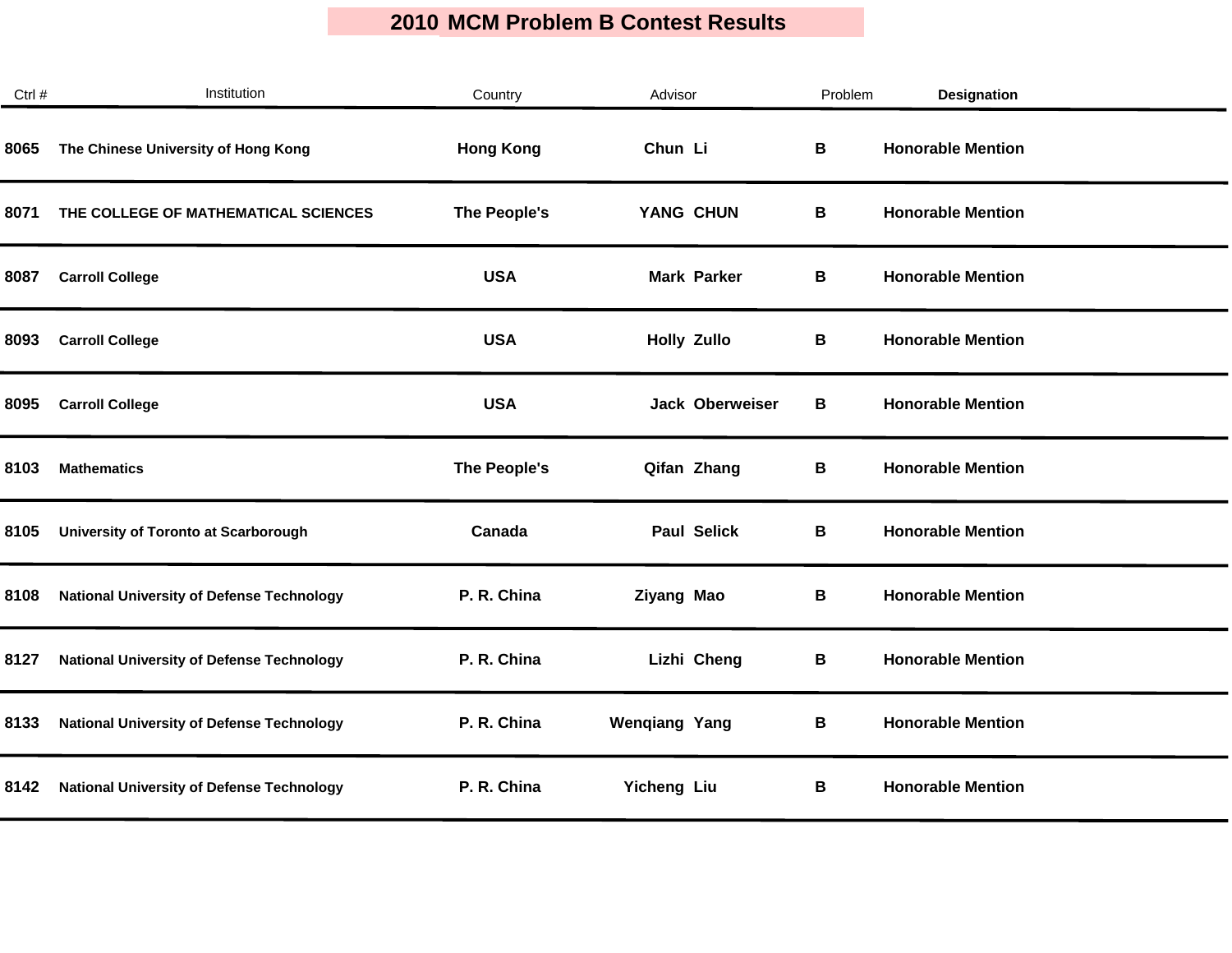| Ctrl # | Institution                                      | Country          | Advisor                | Problem | Designation              |  |
|--------|--------------------------------------------------|------------------|------------------------|---------|--------------------------|--|
| 8065   | The Chinese University of Hong Kong              | <b>Hong Kong</b> | Chun Li                | В       | <b>Honorable Mention</b> |  |
| 8071   | THE COLLEGE OF MATHEMATICAL SCIENCES             | The People's     | YANG CHUN              | В       | <b>Honorable Mention</b> |  |
| 8087   | <b>Carroll College</b>                           | <b>USA</b>       | <b>Mark Parker</b>     | В       | <b>Honorable Mention</b> |  |
| 8093   | <b>Carroll College</b>                           | <b>USA</b>       | <b>Holly Zullo</b>     | В       | <b>Honorable Mention</b> |  |
| 8095   | <b>Carroll College</b>                           | <b>USA</b>       | <b>Jack Oberweiser</b> | В       | <b>Honorable Mention</b> |  |
| 8103   | <b>Mathematics</b>                               | The People's     | Qifan Zhang            | В       | <b>Honorable Mention</b> |  |
| 8105   | University of Toronto at Scarborough             | Canada           | <b>Paul Selick</b>     | В       | <b>Honorable Mention</b> |  |
| 8108   | <b>National University of Defense Technology</b> | P. R. China      | Ziyang Mao             | В       | <b>Honorable Mention</b> |  |
| 8127   | <b>National University of Defense Technology</b> | P. R. China      | Lizhi Cheng            | В       | <b>Honorable Mention</b> |  |
| 8133   | <b>National University of Defense Technology</b> | P. R. China      | <b>Wengiang Yang</b>   | В       | <b>Honorable Mention</b> |  |
| 8142   | <b>National University of Defense Technology</b> | P. R. China      | <b>Yicheng Liu</b>     | В       | <b>Honorable Mention</b> |  |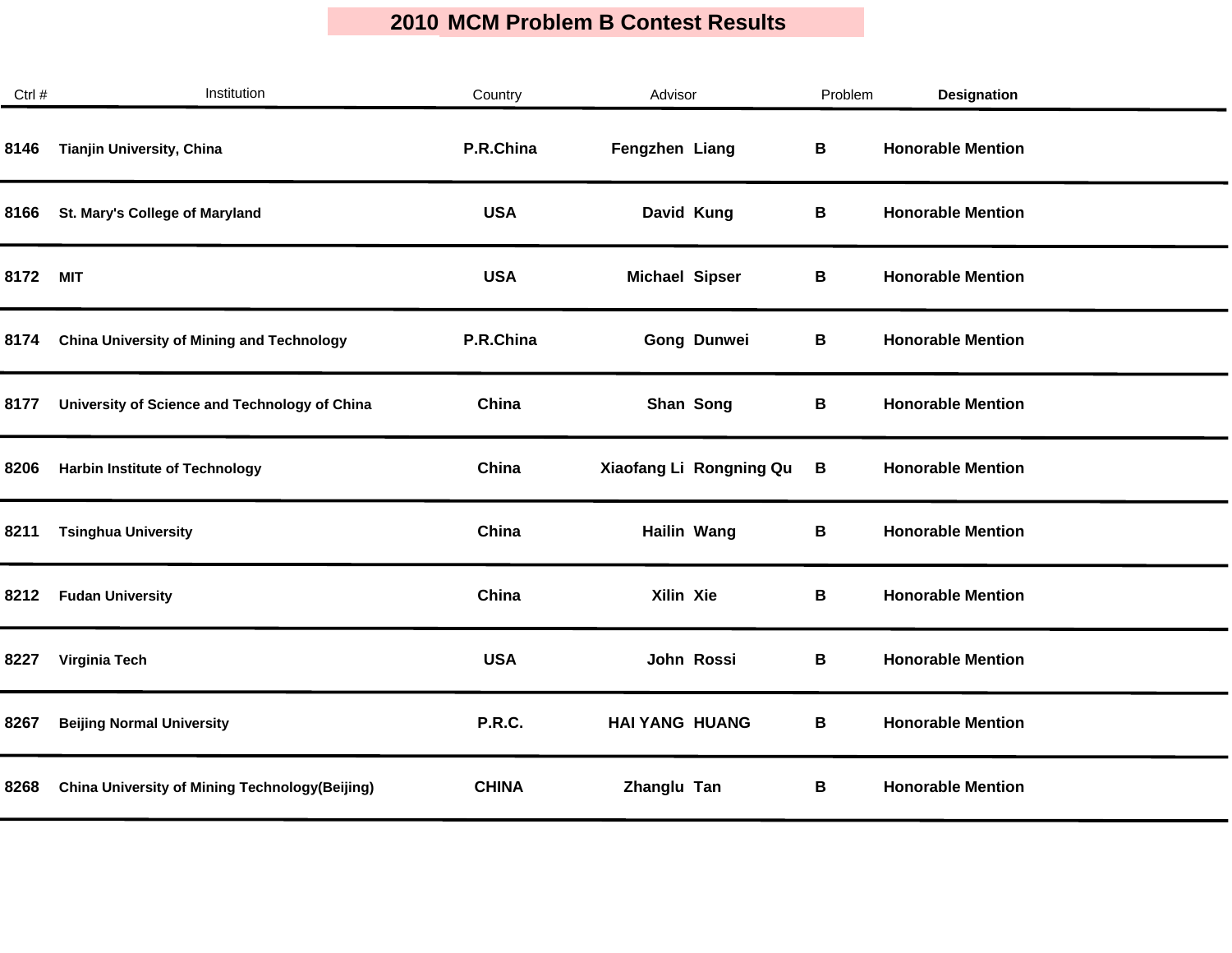| Ctrl # | Institution                                           | Country      | Advisor                 | Problem | Designation              |  |
|--------|-------------------------------------------------------|--------------|-------------------------|---------|--------------------------|--|
| 8146   | Tianjin University, China                             | P.R.China    | Fengzhen Liang          | B       | <b>Honorable Mention</b> |  |
| 8166   | St. Mary's College of Maryland                        | <b>USA</b>   | David Kung              | В       | <b>Honorable Mention</b> |  |
| 8172   | <b>MIT</b>                                            | <b>USA</b>   | <b>Michael Sipser</b>   | В       | <b>Honorable Mention</b> |  |
| 8174   | <b>China University of Mining and Technology</b>      | P.R.China    | Gong Dunwei             | В       | <b>Honorable Mention</b> |  |
| 8177   | University of Science and Technology of China         | China        | Shan Song               | В       | <b>Honorable Mention</b> |  |
| 8206   | <b>Harbin Institute of Technology</b>                 | China        | Xiaofang Li Rongning Qu | В       | <b>Honorable Mention</b> |  |
| 8211   | <b>Tsinghua University</b>                            | China        | <b>Hailin Wang</b>      | В       | <b>Honorable Mention</b> |  |
| 8212   | <b>Fudan University</b>                               | China        | Xilin Xie               | В       | <b>Honorable Mention</b> |  |
| 8227   | Virginia Tech                                         | <b>USA</b>   | John Rossi              | B       | <b>Honorable Mention</b> |  |
| 8267   | <b>Beijing Normal University</b>                      | P.R.C.       | <b>HAI YANG HUANG</b>   | В       | <b>Honorable Mention</b> |  |
| 8268   | <b>China University of Mining Technology(Beijing)</b> | <b>CHINA</b> | Zhanglu Tan             | В       | <b>Honorable Mention</b> |  |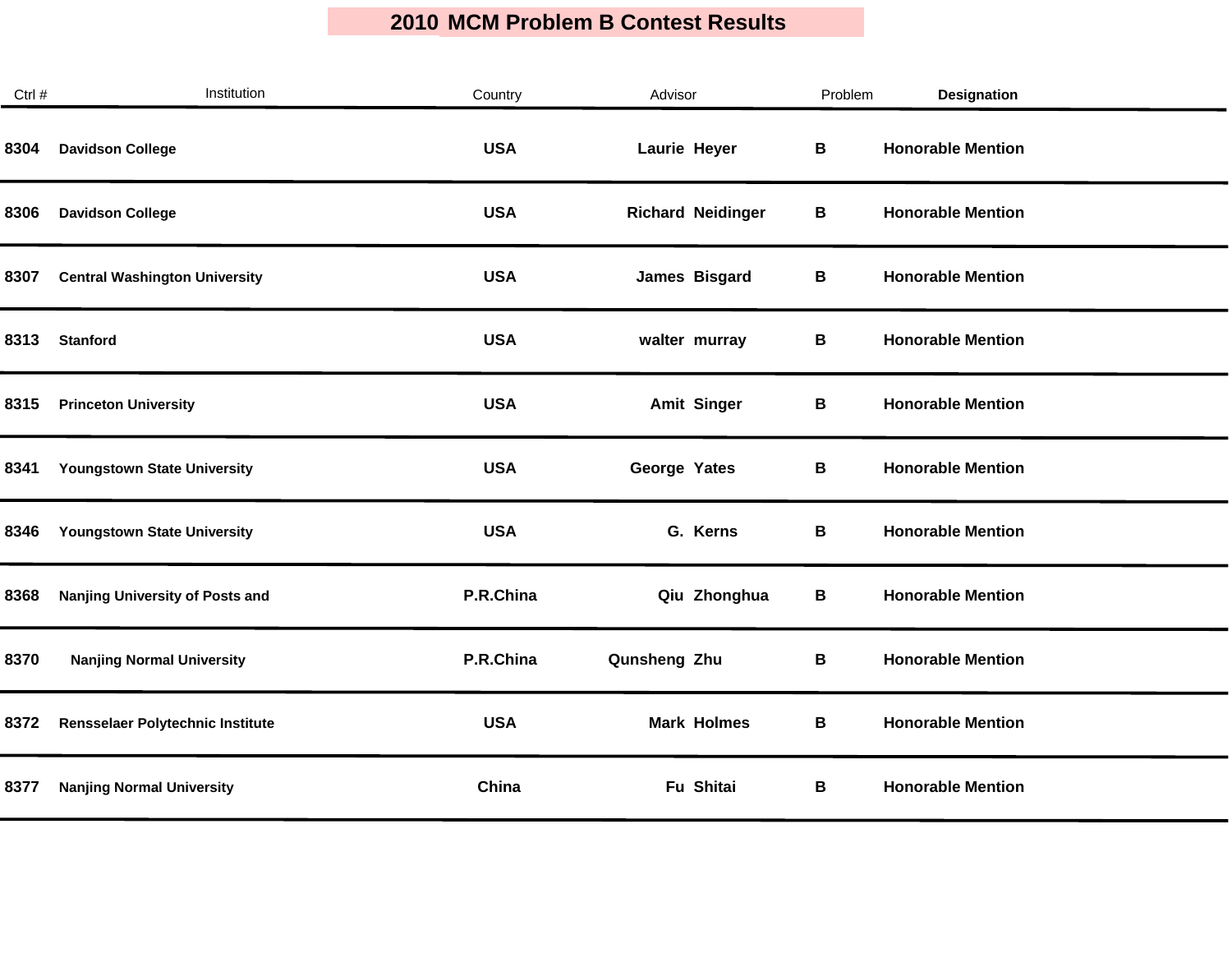| Ctrl # | Institution                          | Country    | Advisor                  | Problem | <b>Designation</b>       |  |
|--------|--------------------------------------|------------|--------------------------|---------|--------------------------|--|
| 8304   | <b>Davidson College</b>              | <b>USA</b> | Laurie Heyer             | B       | <b>Honorable Mention</b> |  |
| 8306   | <b>Davidson College</b>              | <b>USA</b> | <b>Richard Neidinger</b> | В       | <b>Honorable Mention</b> |  |
| 8307   | <b>Central Washington University</b> | <b>USA</b> | James Bisgard            | В       | <b>Honorable Mention</b> |  |
| 8313   | <b>Stanford</b>                      | <b>USA</b> | walter murray            | В       | <b>Honorable Mention</b> |  |
| 8315   | <b>Princeton University</b>          | <b>USA</b> | <b>Amit Singer</b>       | В       | <b>Honorable Mention</b> |  |
| 8341   | <b>Youngstown State University</b>   | <b>USA</b> | George Yates             | В       | <b>Honorable Mention</b> |  |
| 8346   | Youngstown State University          | <b>USA</b> | G. Kerns                 | В       | <b>Honorable Mention</b> |  |
| 8368   | Nanjing University of Posts and      | P.R.China  | Qiu Zhonghua             | В       | <b>Honorable Mention</b> |  |
| 8370   | <b>Nanjing Normal University</b>     | P.R.China  | Qunsheng Zhu             | В       | <b>Honorable Mention</b> |  |
| 8372   | Rensselaer Polytechnic Institute     | <b>USA</b> | <b>Mark Holmes</b>       | В       | <b>Honorable Mention</b> |  |
| 8377   | <b>Nanjing Normal University</b>     | China      | Fu Shitai                | В       | <b>Honorable Mention</b> |  |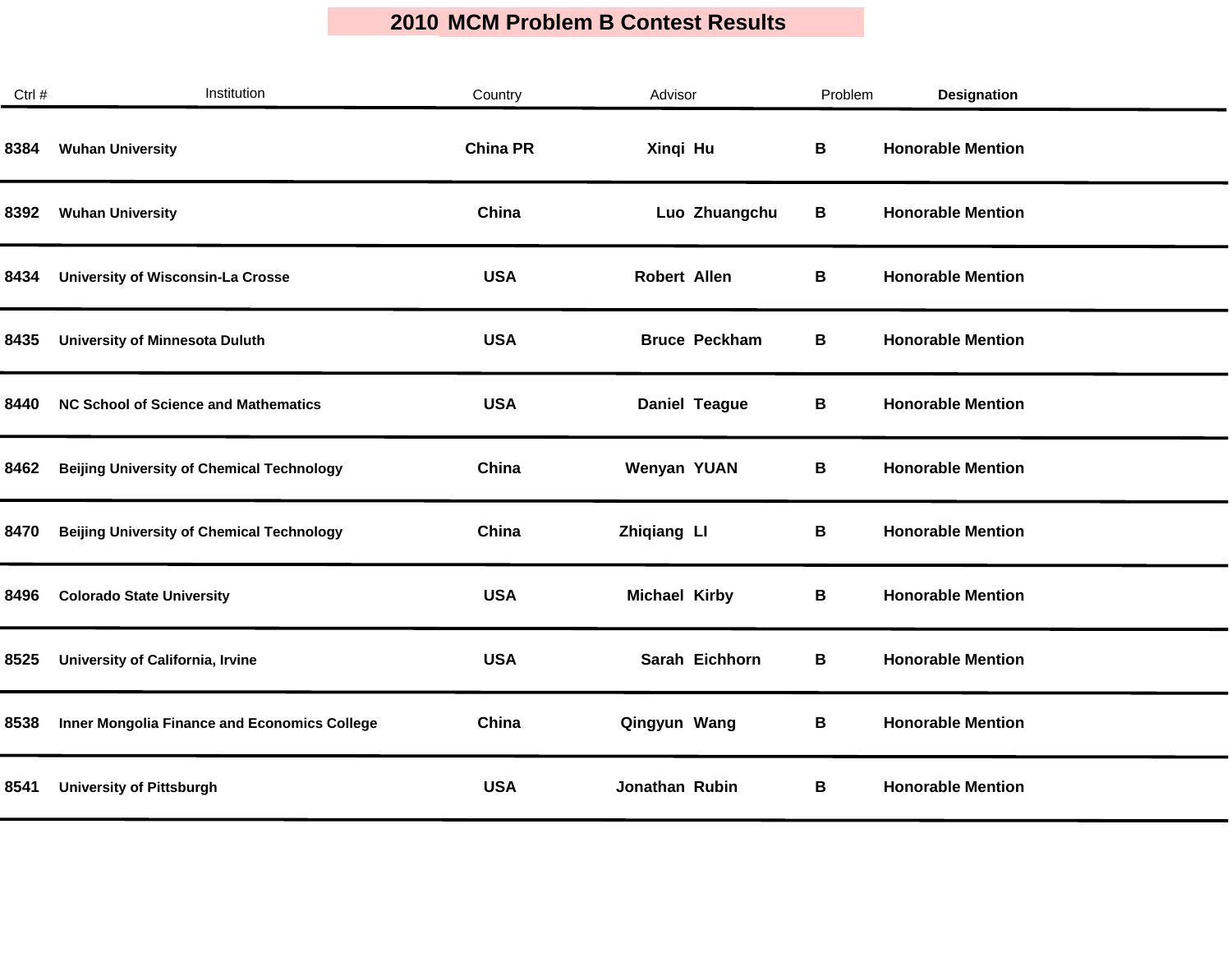| Ctrl # | Institution                                      | Country         | Advisor              | Problem | Designation              |  |
|--------|--------------------------------------------------|-----------------|----------------------|---------|--------------------------|--|
| 8384   | <b>Wuhan University</b>                          | <b>China PR</b> | Xingi Hu             | В       | <b>Honorable Mention</b> |  |
| 8392   | <b>Wuhan University</b>                          | China           | Luo Zhuangchu        | В       | <b>Honorable Mention</b> |  |
| 8434   | <b>University of Wisconsin-La Crosse</b>         | <b>USA</b>      | Robert Allen         | В       | <b>Honorable Mention</b> |  |
| 8435   | <b>University of Minnesota Duluth</b>            | <b>USA</b>      | <b>Bruce Peckham</b> | В       | <b>Honorable Mention</b> |  |
| 8440   | <b>NC School of Science and Mathematics</b>      | <b>USA</b>      | <b>Daniel Teague</b> | В       | <b>Honorable Mention</b> |  |
| 8462   | <b>Beijing University of Chemical Technology</b> | China           | <b>Wenyan YUAN</b>   | В       | <b>Honorable Mention</b> |  |
| 8470   | <b>Beijing University of Chemical Technology</b> | China           | <b>Zhiqiang LI</b>   | В       | <b>Honorable Mention</b> |  |
| 8496   | <b>Colorado State University</b>                 | <b>USA</b>      | <b>Michael Kirby</b> | В       | <b>Honorable Mention</b> |  |
| 8525   | University of California, Irvine                 | <b>USA</b>      | Sarah Eichhorn       | В       | <b>Honorable Mention</b> |  |
| 8538   | Inner Mongolia Finance and Economics College     | China           | Qingyun Wang         | В       | <b>Honorable Mention</b> |  |
| 8541   | <b>University of Pittsburgh</b>                  | <b>USA</b>      | Jonathan Rubin       | В       | <b>Honorable Mention</b> |  |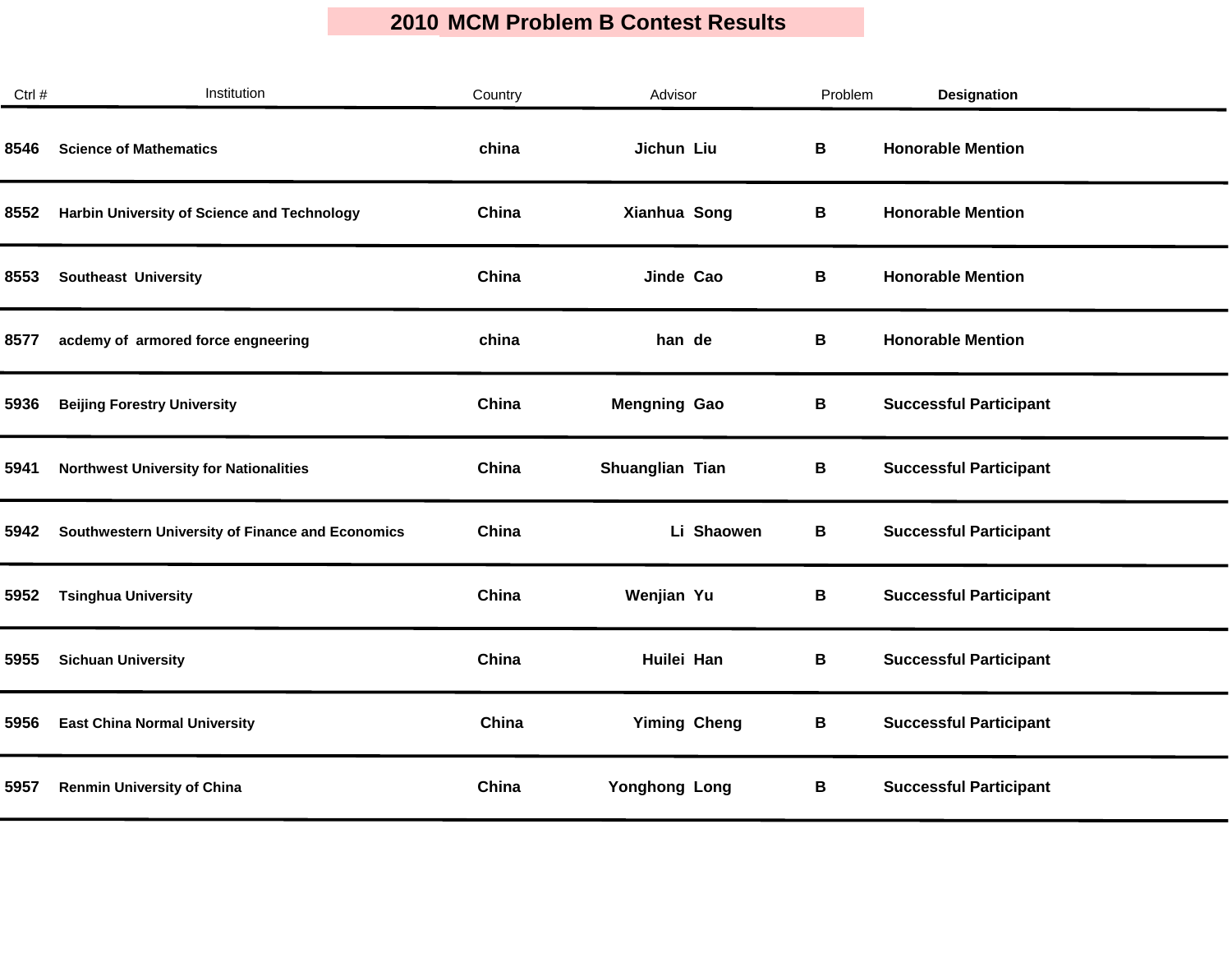| Ctrl # | Institution                                      | Country | Advisor             | Problem | Designation                   |
|--------|--------------------------------------------------|---------|---------------------|---------|-------------------------------|
| 8546   | <b>Science of Mathematics</b>                    | china   | Jichun Liu          | В       | <b>Honorable Mention</b>      |
| 8552   | Harbin University of Science and Technology      | China   | Xianhua Song        | В       | <b>Honorable Mention</b>      |
| 8553   | <b>Southeast University</b>                      | China   | Jinde Cao           | В       | <b>Honorable Mention</b>      |
| 8577   | acdemy of armored force engneering               | china   | han de              | В       | <b>Honorable Mention</b>      |
| 5936   | <b>Beijing Forestry University</b>               | China   | <b>Mengning Gao</b> | В       | <b>Successful Participant</b> |
| 5941   | <b>Northwest University for Nationalities</b>    | China   | Shuanglian Tian     | В       | <b>Successful Participant</b> |
| 5942   | Southwestern University of Finance and Economics | China   | Li Shaowen          | В       | <b>Successful Participant</b> |
| 5952   | <b>Tsinghua University</b>                       | China   | Wenjian Yu          | В       | <b>Successful Participant</b> |
| 5955   | <b>Sichuan University</b>                        | China   | Huilei Han          | В       | <b>Successful Participant</b> |
| 5956   | <b>East China Normal University</b>              | China   | <b>Yiming Cheng</b> | В       | <b>Successful Participant</b> |
| 5957   | <b>Renmin University of China</b>                | China   | Yonghong Long       | В       | <b>Successful Participant</b> |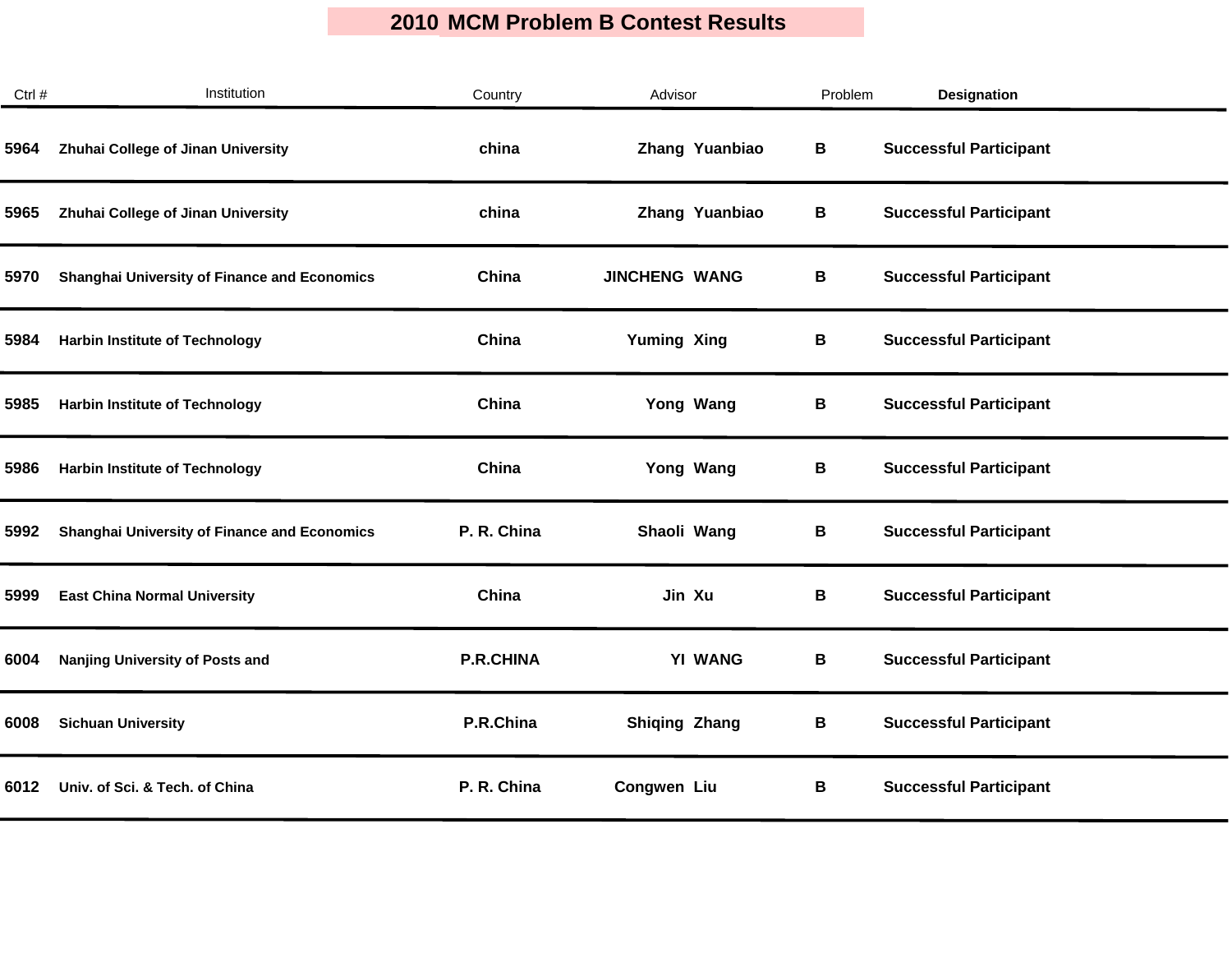| Ctrl # | Institution                                         | Country          | Advisor              | Problem | <b>Designation</b>            |
|--------|-----------------------------------------------------|------------------|----------------------|---------|-------------------------------|
| 5964   | Zhuhai College of Jinan University                  | china            | Zhang Yuanbiao       | В       | <b>Successful Participant</b> |
| 5965   | Zhuhai College of Jinan University                  | china            | Zhang Yuanbiao       | В       | <b>Successful Participant</b> |
| 5970   | <b>Shanghai University of Finance and Economics</b> | China            | <b>JINCHENG WANG</b> | В       | <b>Successful Participant</b> |
| 5984   | <b>Harbin Institute of Technology</b>               | China            | <b>Yuming Xing</b>   | В       | <b>Successful Participant</b> |
| 5985   | <b>Harbin Institute of Technology</b>               | China            | Yong Wang            | B       | <b>Successful Participant</b> |
| 5986   | <b>Harbin Institute of Technology</b>               | China            | Yong Wang            | В       | <b>Successful Participant</b> |
| 5992   | <b>Shanghai University of Finance and Economics</b> | P. R. China      | Shaoli Wang          | В       | <b>Successful Participant</b> |
| 5999   | <b>East China Normal University</b>                 | China            | Jin Xu               | В       | <b>Successful Participant</b> |
| 6004   | Nanjing University of Posts and                     | <b>P.R.CHINA</b> | <b>YI WANG</b>       | B       | <b>Successful Participant</b> |
| 6008   | <b>Sichuan University</b>                           | P.R.China        | <b>Shiqing Zhang</b> | В       | <b>Successful Participant</b> |
| 6012   | Univ. of Sci. & Tech. of China                      | P. R. China      | Congwen Liu          | В       | <b>Successful Participant</b> |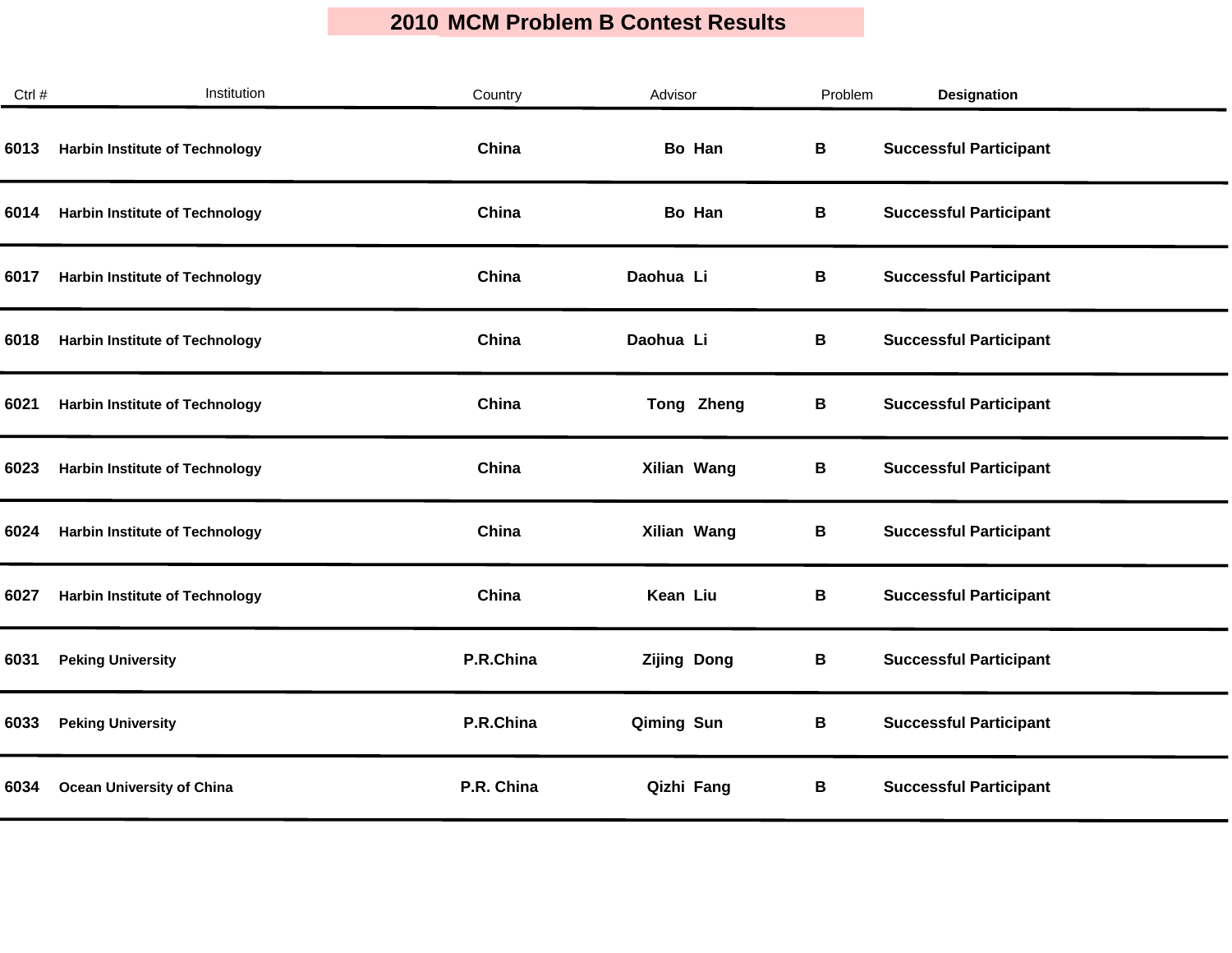| Institution                           | Country    | Advisor            | Problem | <b>Designation</b>            |  |
|---------------------------------------|------------|--------------------|---------|-------------------------------|--|
| <b>Harbin Institute of Technology</b> | China      | Bo Han             | В       | <b>Successful Participant</b> |  |
| <b>Harbin Institute of Technology</b> | China      | Bo Han             | В       | <b>Successful Participant</b> |  |
| <b>Harbin Institute of Technology</b> | China      | Daohua Li          | В       | <b>Successful Participant</b> |  |
| <b>Harbin Institute of Technology</b> | China      | Daohua Li          | В       | <b>Successful Participant</b> |  |
| <b>Harbin Institute of Technology</b> | China      | Tong Zheng         | B       | <b>Successful Participant</b> |  |
| <b>Harbin Institute of Technology</b> | China      | Xilian Wang        | В       | <b>Successful Participant</b> |  |
| <b>Harbin Institute of Technology</b> | China      | Xilian Wang        | В       | <b>Successful Participant</b> |  |
| <b>Harbin Institute of Technology</b> | China      | Kean Liu           | В       | <b>Successful Participant</b> |  |
| <b>Peking University</b>              | P.R.China  | <b>Zijing Dong</b> | B       | <b>Successful Participant</b> |  |
| <b>Peking University</b>              | P.R.China  | Qiming Sun         | В       | <b>Successful Participant</b> |  |
| <b>Ocean University of China</b>      | P.R. China | Qizhi Fang         | В       | <b>Successful Participant</b> |  |
|                                       |            |                    |         |                               |  |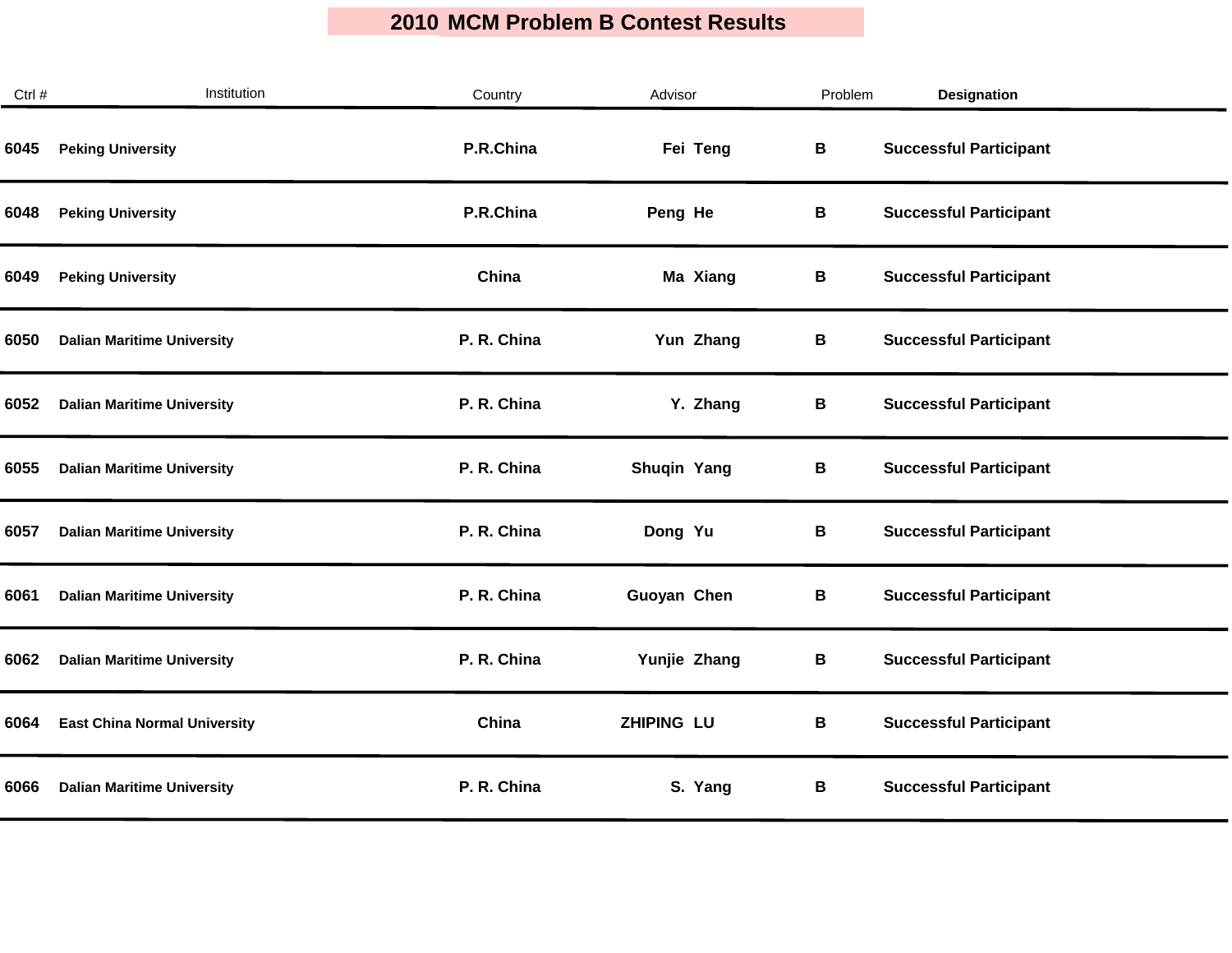| Ctrl # | Institution                         | Country     | Advisor           | Problem | <b>Designation</b>            |
|--------|-------------------------------------|-------------|-------------------|---------|-------------------------------|
| 6045   | <b>Peking University</b>            | P.R.China   | Fei Teng          | В       | <b>Successful Participant</b> |
| 6048   | <b>Peking University</b>            | P.R.China   | Peng He           | В       | <b>Successful Participant</b> |
| 6049   | <b>Peking University</b>            | China       | Ma Xiang          | В       | <b>Successful Participant</b> |
| 6050   | <b>Dalian Maritime University</b>   | P. R. China | Yun Zhang         | В       | <b>Successful Participant</b> |
| 6052   | <b>Dalian Maritime University</b>   | P. R. China | Y. Zhang          | B       | <b>Successful Participant</b> |
| 6055   | <b>Dalian Maritime University</b>   | P. R. China | Shuqin Yang       | B       | <b>Successful Participant</b> |
| 6057   | <b>Dalian Maritime University</b>   | P. R. China | Dong Yu           | В       | <b>Successful Participant</b> |
| 6061   | <b>Dalian Maritime University</b>   | P. R. China | Guoyan Chen       | В       | <b>Successful Participant</b> |
| 6062   | <b>Dalian Maritime University</b>   | P. R. China | Yunjie Zhang      | В       | <b>Successful Participant</b> |
| 6064   | <b>East China Normal University</b> | China       | <b>ZHIPING LU</b> | B       | <b>Successful Participant</b> |
| 6066   | <b>Dalian Maritime University</b>   | P. R. China | S. Yang           | В       | <b>Successful Participant</b> |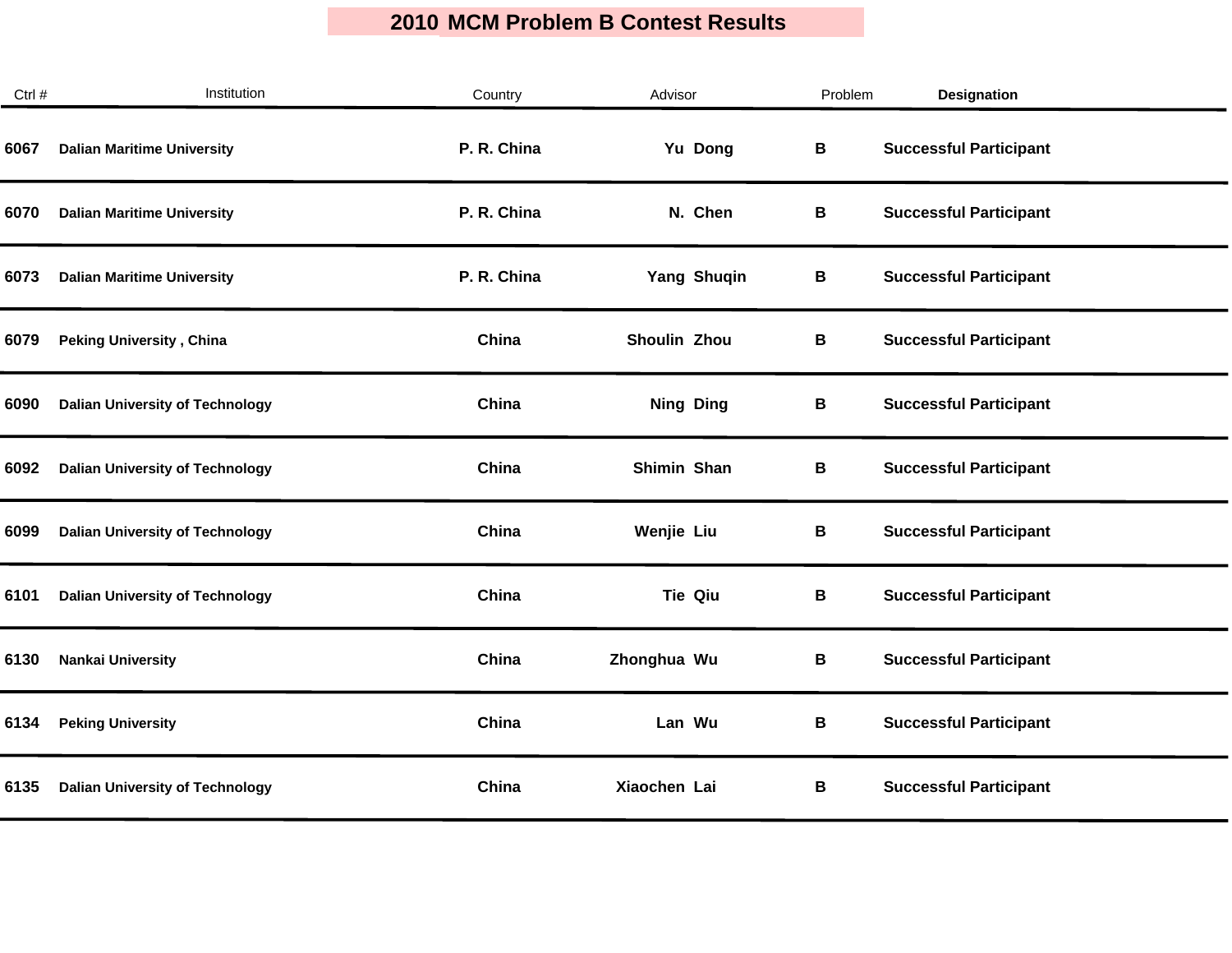| Ctrl # | Institution                            | Country     | Advisor          | Problem | <b>Designation</b>            |
|--------|----------------------------------------|-------------|------------------|---------|-------------------------------|
| 6067   | <b>Dalian Maritime University</b>      | P. R. China | Yu Dong          | B       | <b>Successful Participant</b> |
| 6070   | <b>Dalian Maritime University</b>      | P. R. China | N. Chen          | В       | <b>Successful Participant</b> |
| 6073   | <b>Dalian Maritime University</b>      | P. R. China | Yang Shuqin      | В       | <b>Successful Participant</b> |
| 6079   | <b>Peking University, China</b>        | China       | Shoulin Zhou     | В       | <b>Successful Participant</b> |
| 6090   | <b>Dalian University of Technology</b> | China       | <b>Ning Ding</b> | В       | <b>Successful Participant</b> |
| 6092   | <b>Dalian University of Technology</b> | China       | Shimin Shan      | В       | <b>Successful Participant</b> |
| 6099   | <b>Dalian University of Technology</b> | China       | Wenjie Liu       | В       | <b>Successful Participant</b> |
| 6101   | <b>Dalian University of Technology</b> | China       | <b>Tie Qiu</b>   | В       | <b>Successful Participant</b> |
| 6130   | <b>Nankai University</b>               | China       | Zhonghua Wu      | B       | <b>Successful Participant</b> |
| 6134   | <b>Peking University</b>               | China       | Lan Wu           | B       | <b>Successful Participant</b> |
| 6135   | <b>Dalian University of Technology</b> | China       | Xiaochen Lai     | В       | <b>Successful Participant</b> |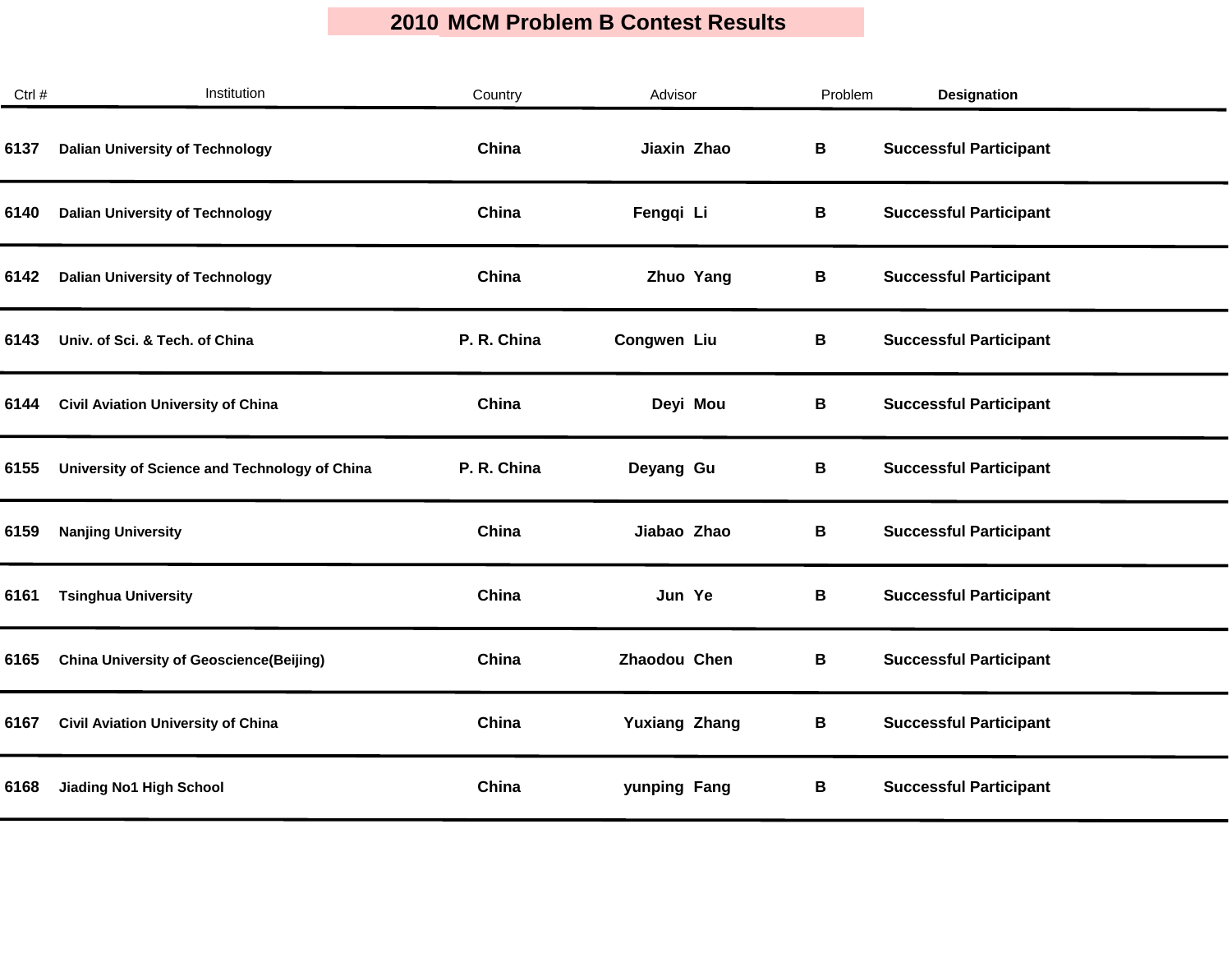| Ctrl # | Institution                                    | Country     | Advisor              | Problem | <b>Designation</b>            |
|--------|------------------------------------------------|-------------|----------------------|---------|-------------------------------|
| 6137   | <b>Dalian University of Technology</b>         | China       | Jiaxin Zhao          | В       | <b>Successful Participant</b> |
| 6140   | <b>Dalian University of Technology</b>         | China       | Fengqi Li            | В       | <b>Successful Participant</b> |
| 6142   | <b>Dalian University of Technology</b>         | China       | Zhuo Yang            | В       | <b>Successful Participant</b> |
| 6143   | Univ. of Sci. & Tech. of China                 | P. R. China | Congwen Liu          | В       | <b>Successful Participant</b> |
| 6144   | <b>Civil Aviation University of China</b>      | China       | Deyi Mou             | В       | <b>Successful Participant</b> |
| 6155   | University of Science and Technology of China  | P. R. China | Deyang Gu            | B       | <b>Successful Participant</b> |
| 6159   | <b>Nanjing University</b>                      | China       | Jiabao Zhao          | В       | <b>Successful Participant</b> |
| 6161   | <b>Tsinghua University</b>                     | China       | Jun Ye               | В       | <b>Successful Participant</b> |
| 6165   | <b>China University of Geoscience(Beijing)</b> | China       | Zhaodou Chen         | В       | <b>Successful Participant</b> |
| 6167   | <b>Civil Aviation University of China</b>      | China       | <b>Yuxiang Zhang</b> | В       | <b>Successful Participant</b> |
| 6168   | <b>Jiading No1 High School</b>                 | China       | yunping Fang         | В       | <b>Successful Participant</b> |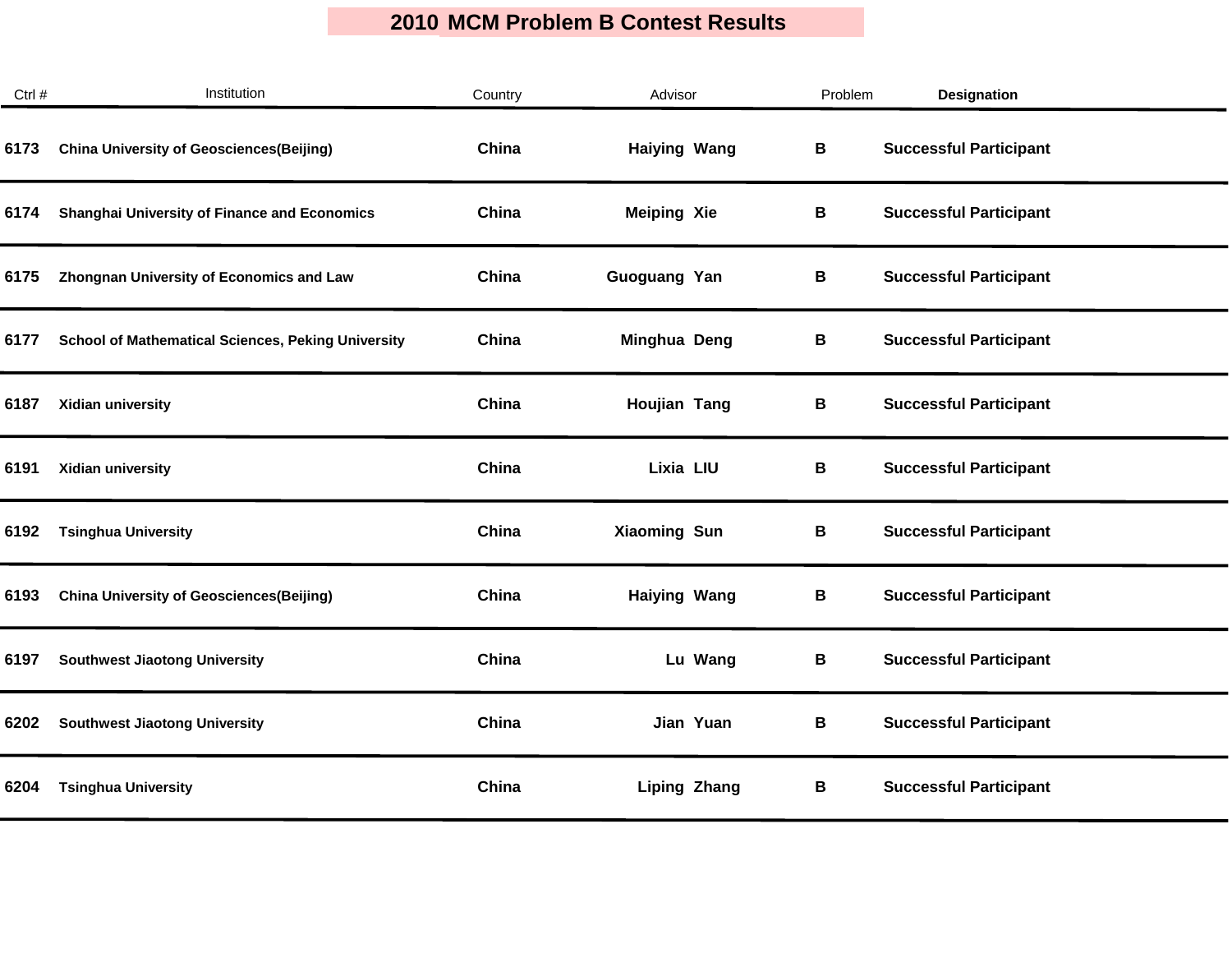| Ctrl # | Institution                                               | Country | Advisor             | Problem | <b>Designation</b>            |  |
|--------|-----------------------------------------------------------|---------|---------------------|---------|-------------------------------|--|
| 6173   | <b>China University of Geosciences(Beijing)</b>           | China   | <b>Haiying Wang</b> | В       | <b>Successful Participant</b> |  |
| 6174   | <b>Shanghai University of Finance and Economics</b>       | China   | <b>Meiping Xie</b>  | В       | <b>Successful Participant</b> |  |
| 6175   | <b>Zhongnan University of Economics and Law</b>           | China   | Guoguang Yan        | В       | <b>Successful Participant</b> |  |
| 6177   | <b>School of Mathematical Sciences, Peking University</b> | China   | Minghua Deng        | В       | <b>Successful Participant</b> |  |
| 6187   | Xidian university                                         | China   | Houjian Tang        | В       | <b>Successful Participant</b> |  |
| 6191   | Xidian university                                         | China   | Lixia LIU           | В       | <b>Successful Participant</b> |  |
| 6192   | <b>Tsinghua University</b>                                | China   | Xiaoming Sun        | В       | <b>Successful Participant</b> |  |
| 6193   | <b>China University of Geosciences(Beijing)</b>           | China   | <b>Haiying Wang</b> | В       | <b>Successful Participant</b> |  |
| 6197   | <b>Southwest Jiaotong University</b>                      | China   | Lu Wang             | В       | <b>Successful Participant</b> |  |
| 6202   | <b>Southwest Jiaotong University</b>                      | China   | Jian Yuan           | В       | <b>Successful Participant</b> |  |
| 6204   | <b>Tsinghua University</b>                                | China   | <b>Liping Zhang</b> | В       | <b>Successful Participant</b> |  |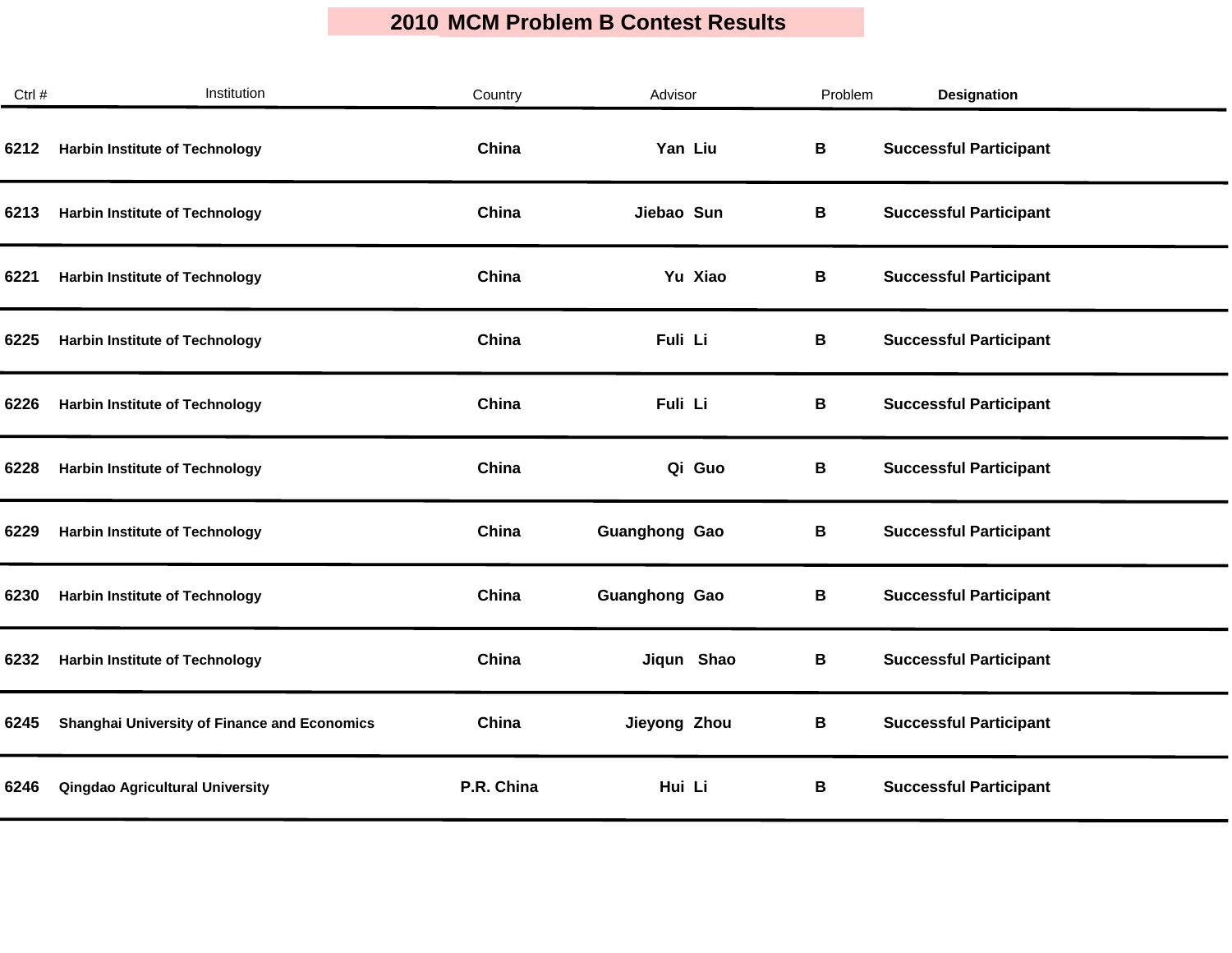| Ctrl # | Institution                                  | Country    | Advisor              | Problem | <b>Designation</b>            |
|--------|----------------------------------------------|------------|----------------------|---------|-------------------------------|
| 6212   | <b>Harbin Institute of Technology</b>        | China      | Yan Liu              | В       | <b>Successful Participant</b> |
| 6213   | <b>Harbin Institute of Technology</b>        | China      | Jiebao Sun           | В       | <b>Successful Participant</b> |
| 6221   | <b>Harbin Institute of Technology</b>        | China      | Yu Xiao              | В       | <b>Successful Participant</b> |
| 6225   | <b>Harbin Institute of Technology</b>        | China      | Fuli Li              | В       | <b>Successful Participant</b> |
| 6226   | <b>Harbin Institute of Technology</b>        | China      | Fuli Li              | В       | <b>Successful Participant</b> |
| 6228   | <b>Harbin Institute of Technology</b>        | China      | Qi Guo               | В       | <b>Successful Participant</b> |
| 6229   | <b>Harbin Institute of Technology</b>        | China      | <b>Guanghong Gao</b> | В       | <b>Successful Participant</b> |
| 6230   | <b>Harbin Institute of Technology</b>        | China      | <b>Guanghong Gao</b> | В       | <b>Successful Participant</b> |
| 6232   | <b>Harbin Institute of Technology</b>        | China      | Jiqun Shao           | B       | <b>Successful Participant</b> |
| 6245   | Shanghai University of Finance and Economics | China      | Jieyong Zhou         | В       | <b>Successful Participant</b> |
| 6246   | <b>Qingdao Agricultural University</b>       | P.R. China | Hui Li               | В       | <b>Successful Participant</b> |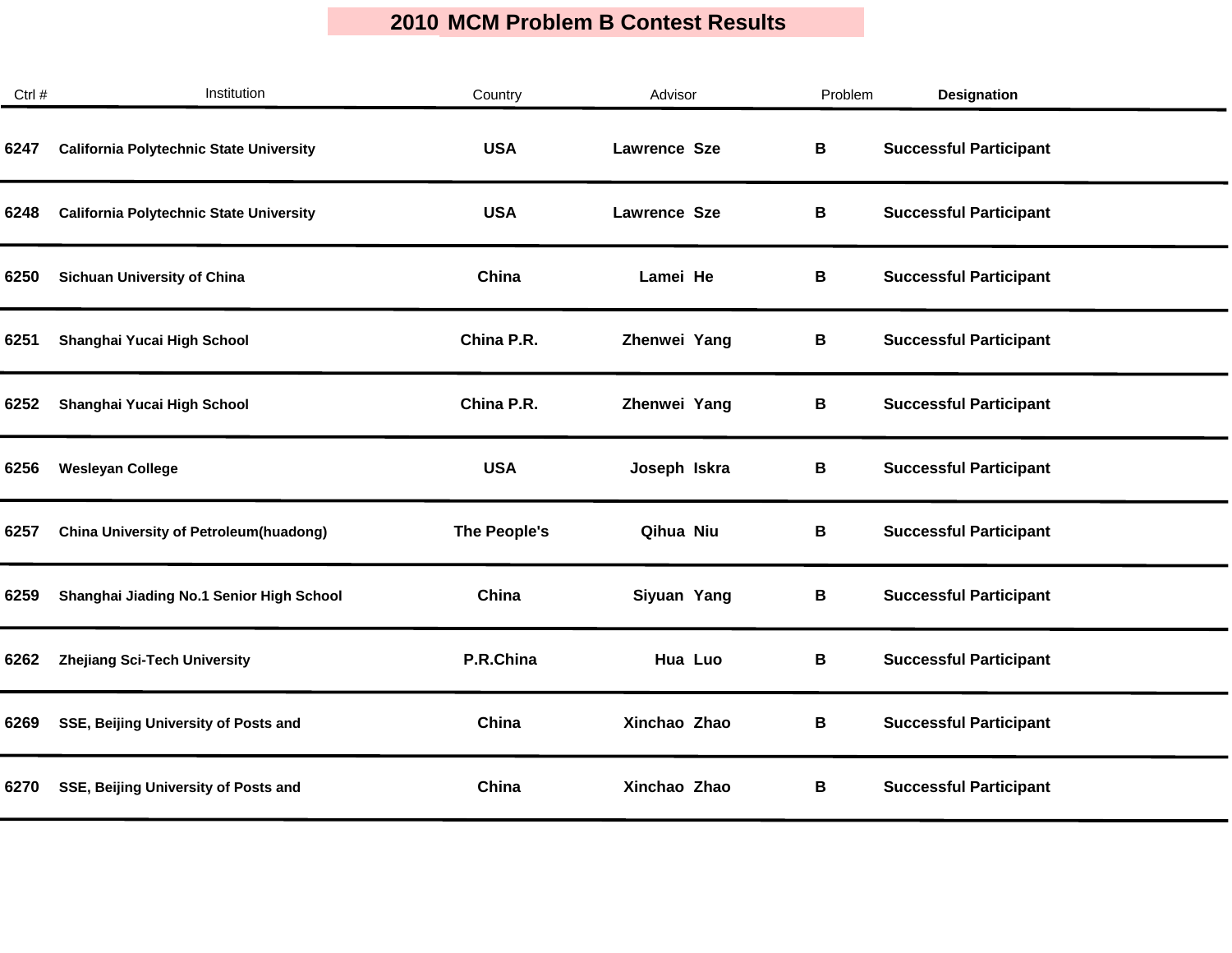| Ctrl # | Institution                                    | Country      | Advisor             | Problem | Designation                   |  |
|--------|------------------------------------------------|--------------|---------------------|---------|-------------------------------|--|
| 6247   | <b>California Polytechnic State University</b> | <b>USA</b>   | <b>Lawrence Sze</b> | В       | <b>Successful Participant</b> |  |
| 6248   | <b>California Polytechnic State University</b> | <b>USA</b>   | <b>Lawrence Sze</b> | В       | <b>Successful Participant</b> |  |
| 6250   | <b>Sichuan University of China</b>             | China        | Lamei He            | В       | <b>Successful Participant</b> |  |
| 6251   | Shanghai Yucai High School                     | China P.R.   | Zhenwei Yang        | В       | <b>Successful Participant</b> |  |
| 6252   | Shanghai Yucai High School                     | China P.R.   | Zhenwei Yang        | В       | <b>Successful Participant</b> |  |
| 6256   | <b>Wesleyan College</b>                        | <b>USA</b>   | Joseph Iskra        | B       | <b>Successful Participant</b> |  |
| 6257   | <b>China University of Petroleum(huadong)</b>  | The People's | Qihua Niu           | В       | <b>Successful Participant</b> |  |
| 6259   | Shanghai Jiading No.1 Senior High School       | China        | Siyuan Yang         | В       | <b>Successful Participant</b> |  |
| 6262   | Zhejiang Sci-Tech University                   | P.R.China    | Hua Luo             | B       | <b>Successful Participant</b> |  |
| 6269   | SSE, Beijing University of Posts and           | China        | Xinchao Zhao        | В       | <b>Successful Participant</b> |  |
| 6270   | SSE, Beijing University of Posts and           | China        | Xinchao Zhao        | В       | <b>Successful Participant</b> |  |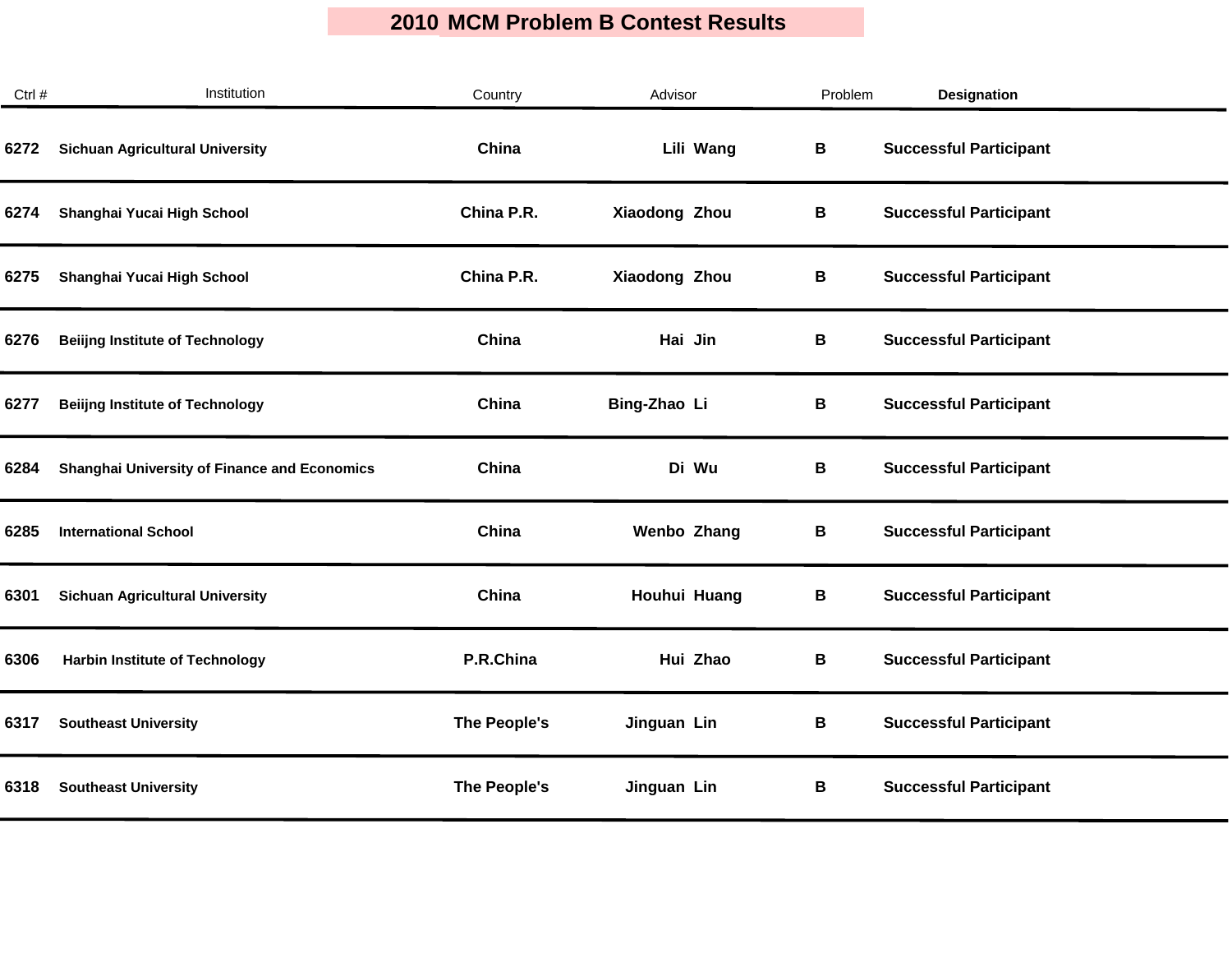| Ctrl # | Institution                                         | Country      | Advisor            | Problem | <b>Designation</b>            |
|--------|-----------------------------------------------------|--------------|--------------------|---------|-------------------------------|
| 6272   | <b>Sichuan Agricultural University</b>              | China        | Lili Wang          | В       | <b>Successful Participant</b> |
| 6274   | Shanghai Yucai High School                          | China P.R.   | Xiaodong Zhou      | В       | <b>Successful Participant</b> |
| 6275   | Shanghai Yucai High School                          | China P.R.   | Xiaodong Zhou      | В       | <b>Successful Participant</b> |
| 6276   | <b>Beiling Institute of Technology</b>              | China        | Hai Jin            | В       | <b>Successful Participant</b> |
| 6277   | <b>Beiling Institute of Technology</b>              | China        | Bing-Zhao Li       | В       | <b>Successful Participant</b> |
| 6284   | <b>Shanghai University of Finance and Economics</b> | China        | Di Wu              | В       | <b>Successful Participant</b> |
| 6285   | <b>International School</b>                         | China        | <b>Wenbo Zhang</b> | В       | <b>Successful Participant</b> |
| 6301   | <b>Sichuan Agricultural University</b>              | China        | Houhui Huang       | B       | <b>Successful Participant</b> |
| 6306   | <b>Harbin Institute of Technology</b>               | P.R.China    | Hui Zhao           | B       | <b>Successful Participant</b> |
| 6317   | <b>Southeast University</b>                         | The People's | Jinguan Lin        | B       | <b>Successful Participant</b> |
| 6318   | <b>Southeast University</b>                         | The People's | Jinguan Lin        | В       | <b>Successful Participant</b> |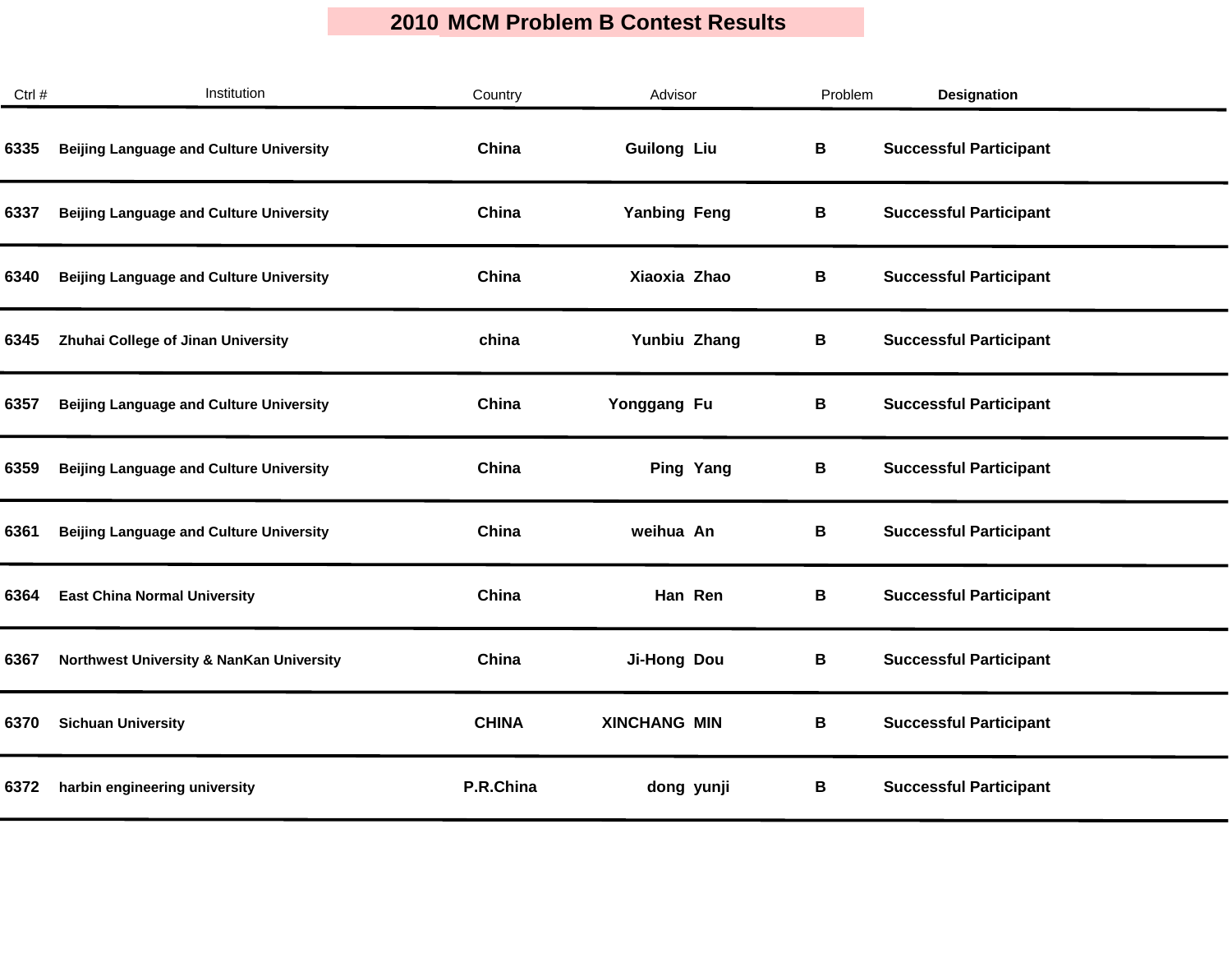| Ctrl # | Institution                                    | Country      | Advisor             | Problem | Designation                   |  |
|--------|------------------------------------------------|--------------|---------------------|---------|-------------------------------|--|
| 6335   | <b>Beijing Language and Culture University</b> | China        | <b>Guilong Liu</b>  | В       | <b>Successful Participant</b> |  |
| 6337   | <b>Beijing Language and Culture University</b> | China        | <b>Yanbing Feng</b> | В       | <b>Successful Participant</b> |  |
| 6340   | <b>Beijing Language and Culture University</b> | China        | Xiaoxia Zhao        | В       | <b>Successful Participant</b> |  |
| 6345   | Zhuhai College of Jinan University             | china        | Yunbiu Zhang        | В       | <b>Successful Participant</b> |  |
| 6357   | <b>Beijing Language and Culture University</b> | China        | Yonggang Fu         | B       | <b>Successful Participant</b> |  |
| 6359   | <b>Beijing Language and Culture University</b> | China        | Ping Yang           | В       | <b>Successful Participant</b> |  |
| 6361   | <b>Beijing Language and Culture University</b> | China        | weihua An           | В       | <b>Successful Participant</b> |  |
| 6364   | <b>East China Normal University</b>            | China        | Han Ren             | В       | <b>Successful Participant</b> |  |
| 6367   | Northwest University & NanKan University       | China        | Ji-Hong Dou         | B       | <b>Successful Participant</b> |  |
| 6370   | <b>Sichuan University</b>                      | <b>CHINA</b> | <b>XINCHANG MIN</b> | В       | <b>Successful Participant</b> |  |
| 6372   | harbin engineering university                  | P.R.China    | dong yunji          | В       | <b>Successful Participant</b> |  |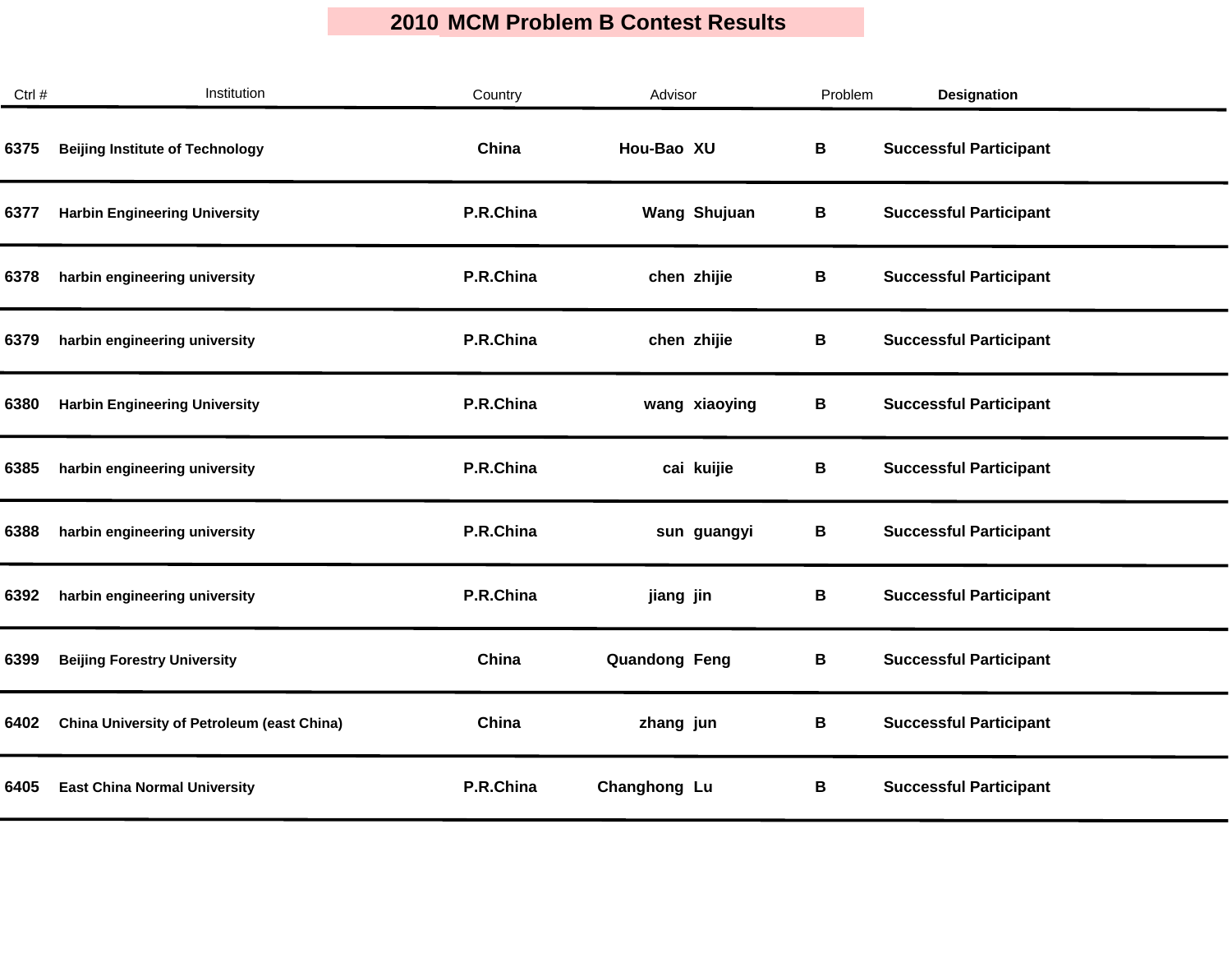| Ctrl # | Institution                                       | Country   | Advisor              | Problem | <b>Designation</b>            |  |
|--------|---------------------------------------------------|-----------|----------------------|---------|-------------------------------|--|
| 6375   | <b>Beijing Institute of Technology</b>            | China     | Hou-Bao XU           | В       | <b>Successful Participant</b> |  |
| 6377   | <b>Harbin Engineering University</b>              | P.R.China | <b>Wang Shujuan</b>  | В       | <b>Successful Participant</b> |  |
| 6378   | harbin engineering university                     | P.R.China | chen zhijie          | В       | <b>Successful Participant</b> |  |
| 6379   | harbin engineering university                     | P.R.China | chen zhijie          | В       | <b>Successful Participant</b> |  |
| 6380   | <b>Harbin Engineering University</b>              | P.R.China | wang xiaoying        | B       | <b>Successful Participant</b> |  |
| 6385   | harbin engineering university                     | P.R.China | cai kuijie           | В       | <b>Successful Participant</b> |  |
| 6388   | harbin engineering university                     | P.R.China | sun guangyi          | В       | <b>Successful Participant</b> |  |
| 6392   | harbin engineering university                     | P.R.China | jiang jin            | В       | <b>Successful Participant</b> |  |
| 6399   | <b>Beijing Forestry University</b>                | China     | <b>Quandong Feng</b> | B       | <b>Successful Participant</b> |  |
| 6402   | <b>China University of Petroleum (east China)</b> | China     | zhang jun            | В       | <b>Successful Participant</b> |  |
| 6405   | <b>East China Normal University</b>               | P.R.China | Changhong Lu         | В       | <b>Successful Participant</b> |  |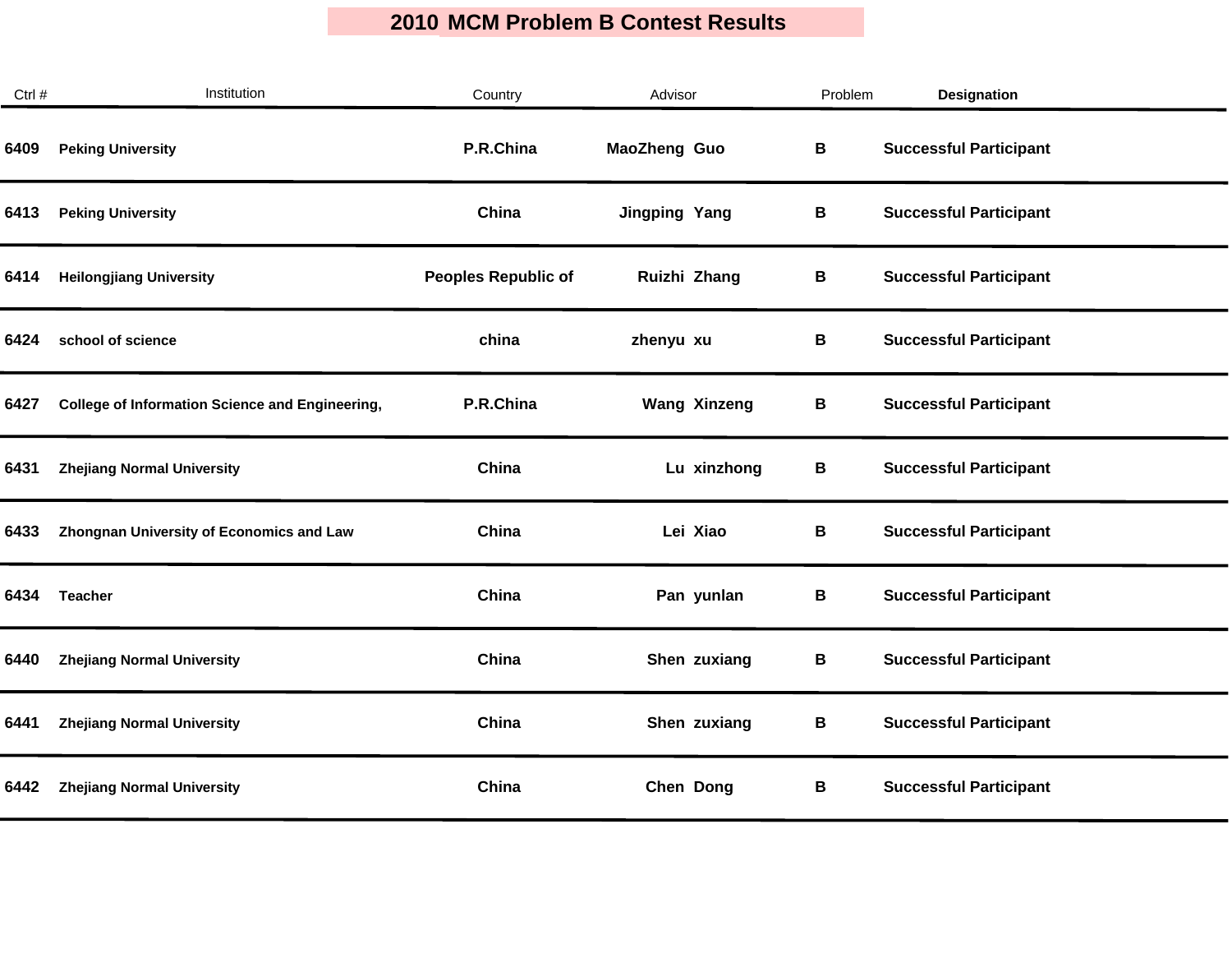| Ctrl # | Institution                                            | Country                    | Advisor              | Problem | <b>Designation</b>            |
|--------|--------------------------------------------------------|----------------------------|----------------------|---------|-------------------------------|
| 6409   | <b>Peking University</b>                               | P.R.China                  | <b>MaoZheng Guo</b>  | В       | <b>Successful Participant</b> |
| 6413   | <b>Peking University</b>                               | China                      | <b>Jingping Yang</b> | В       | <b>Successful Participant</b> |
| 6414   | <b>Heilongjiang University</b>                         | <b>Peoples Republic of</b> | Ruizhi Zhang         | В       | <b>Successful Participant</b> |
| 6424   | school of science                                      | china                      | zhenyu xu            | В       | <b>Successful Participant</b> |
| 6427   | <b>College of Information Science and Engineering,</b> | P.R.China                  | <b>Wang Xinzeng</b>  | B       | <b>Successful Participant</b> |
| 6431   | <b>Zhejiang Normal University</b>                      | China                      | Lu xinzhong          | В       | <b>Successful Participant</b> |
| 6433   | <b>Zhongnan University of Economics and Law</b>        | China                      | Lei Xiao             | В       | <b>Successful Participant</b> |
| 6434   | <b>Teacher</b>                                         | China                      | Pan yunlan           | В       | <b>Successful Participant</b> |
| 6440   | <b>Zhejiang Normal University</b>                      | China                      | Shen zuxiang         | B       | <b>Successful Participant</b> |
| 6441   | <b>Zhejiang Normal University</b>                      | China                      | Shen zuxiang         | В       | <b>Successful Participant</b> |
| 6442   | <b>Zhejiang Normal University</b>                      | China                      | Chen Dong            | В       | <b>Successful Participant</b> |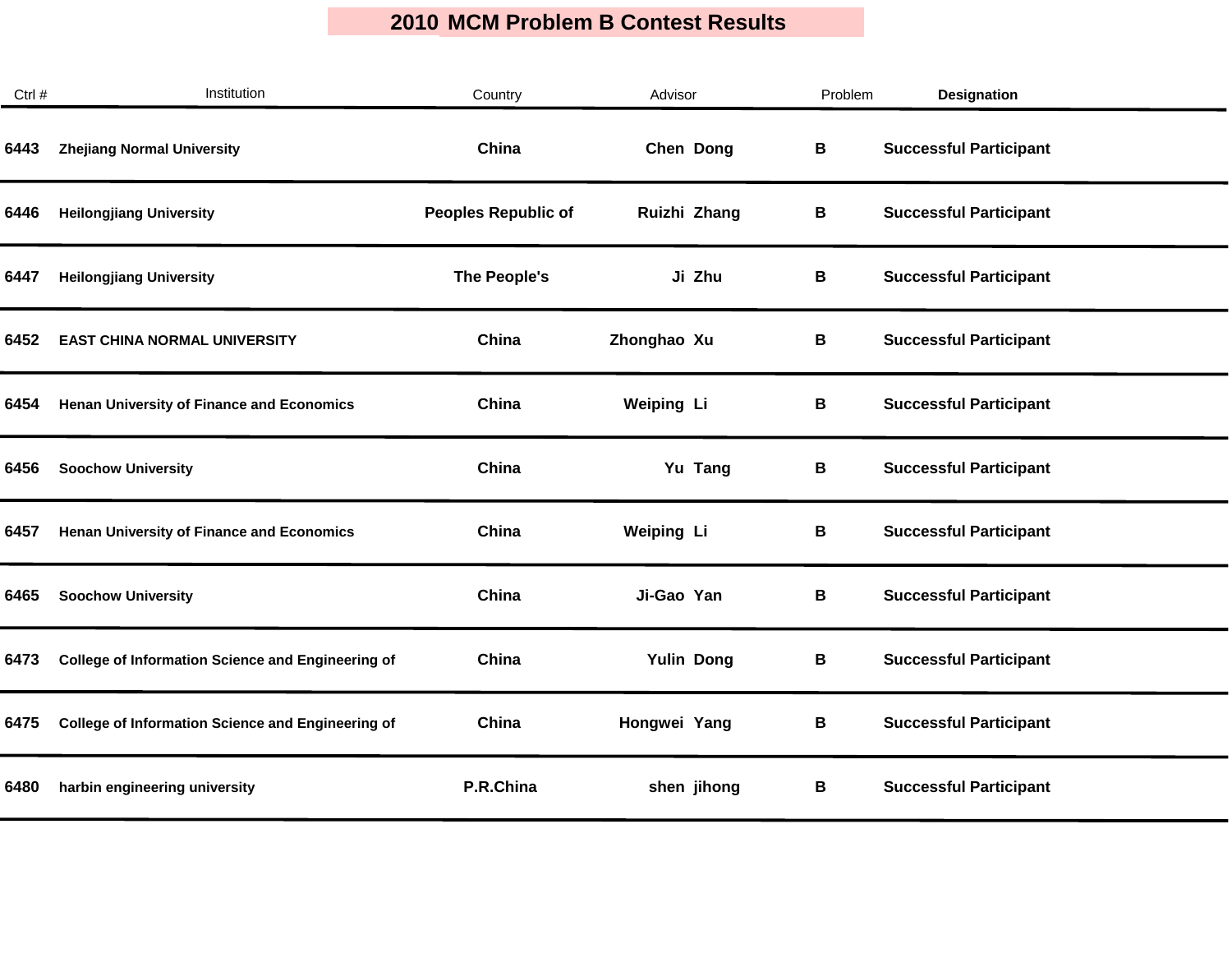| Ctrl # | Institution                                              | Country                    | Advisor           | Problem | <b>Designation</b>            |
|--------|----------------------------------------------------------|----------------------------|-------------------|---------|-------------------------------|
| 6443   | <b>Zhejiang Normal University</b>                        | China                      | Chen Dong         | В       | <b>Successful Participant</b> |
| 6446   | <b>Heilongjiang University</b>                           | <b>Peoples Republic of</b> | Ruizhi Zhang      | В       | <b>Successful Participant</b> |
| 6447   | <b>Heilongjiang University</b>                           | The People's               | Ji Zhu            | В       | <b>Successful Participant</b> |
| 6452   | <b>EAST CHINA NORMAL UNIVERSITY</b>                      | China                      | Zhonghao Xu       | В       | <b>Successful Participant</b> |
| 6454   | <b>Henan University of Finance and Economics</b>         | China                      | <b>Weiping Li</b> | В       | <b>Successful Participant</b> |
| 6456   | <b>Soochow University</b>                                | China                      | Yu Tang           | В       | <b>Successful Participant</b> |
| 6457   | <b>Henan University of Finance and Economics</b>         | China                      | Weiping Li        | В       | <b>Successful Participant</b> |
| 6465   | <b>Soochow University</b>                                | China                      | Ji-Gao Yan        | В       | <b>Successful Participant</b> |
| 6473   | <b>College of Information Science and Engineering of</b> | China                      | <b>Yulin Dong</b> | В       | <b>Successful Participant</b> |
| 6475   | <b>College of Information Science and Engineering of</b> | China                      | Hongwei Yang      | В       | <b>Successful Participant</b> |
| 6480   | harbin engineering university                            | P.R.China                  | shen jihong       | В       | <b>Successful Participant</b> |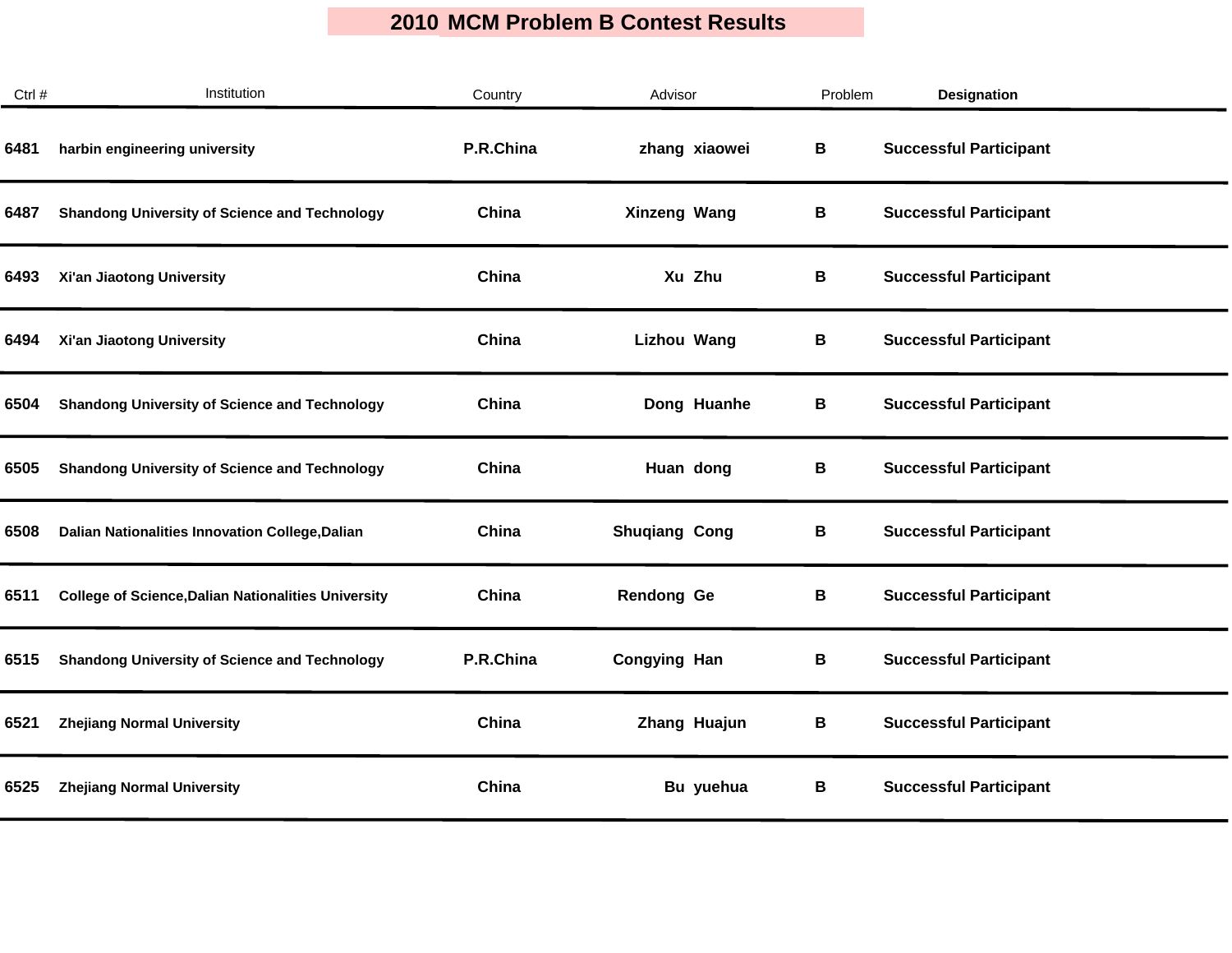| Ctrl # | Institution                                                | Country   | Advisor              | Problem | <b>Designation</b>            |
|--------|------------------------------------------------------------|-----------|----------------------|---------|-------------------------------|
| 6481   | harbin engineering university                              | P.R.China | zhang xiaowei        | В       | <b>Successful Participant</b> |
| 6487   | <b>Shandong University of Science and Technology</b>       | China     | Xinzeng Wang         | В       | <b>Successful Participant</b> |
| 6493   | Xi'an Jiaotong University                                  | China     | Xu Zhu               | В       | <b>Successful Participant</b> |
| 6494   | Xi'an Jiaotong University                                  | China     | <b>Lizhou Wang</b>   | В       | <b>Successful Participant</b> |
| 6504   | <b>Shandong University of Science and Technology</b>       | China     | Dong Huanhe          | В       | <b>Successful Participant</b> |
| 6505   | <b>Shandong University of Science and Technology</b>       | China     | Huan dong            | В       | <b>Successful Participant</b> |
| 6508   | Dalian Nationalities Innovation College, Dalian            | China     | <b>Shuqiang Cong</b> | В       | <b>Successful Participant</b> |
| 6511   | <b>College of Science, Dalian Nationalities University</b> | China     | <b>Rendong Ge</b>    | В       | <b>Successful Participant</b> |
| 6515   | <b>Shandong University of Science and Technology</b>       | P.R.China | <b>Congying Han</b>  | В       | <b>Successful Participant</b> |
| 6521   | <b>Zhejiang Normal University</b>                          | China     | Zhang Huajun         | В       | <b>Successful Participant</b> |
| 6525   | <b>Zhejiang Normal University</b>                          | China     | Bu yuehua            | В       | <b>Successful Participant</b> |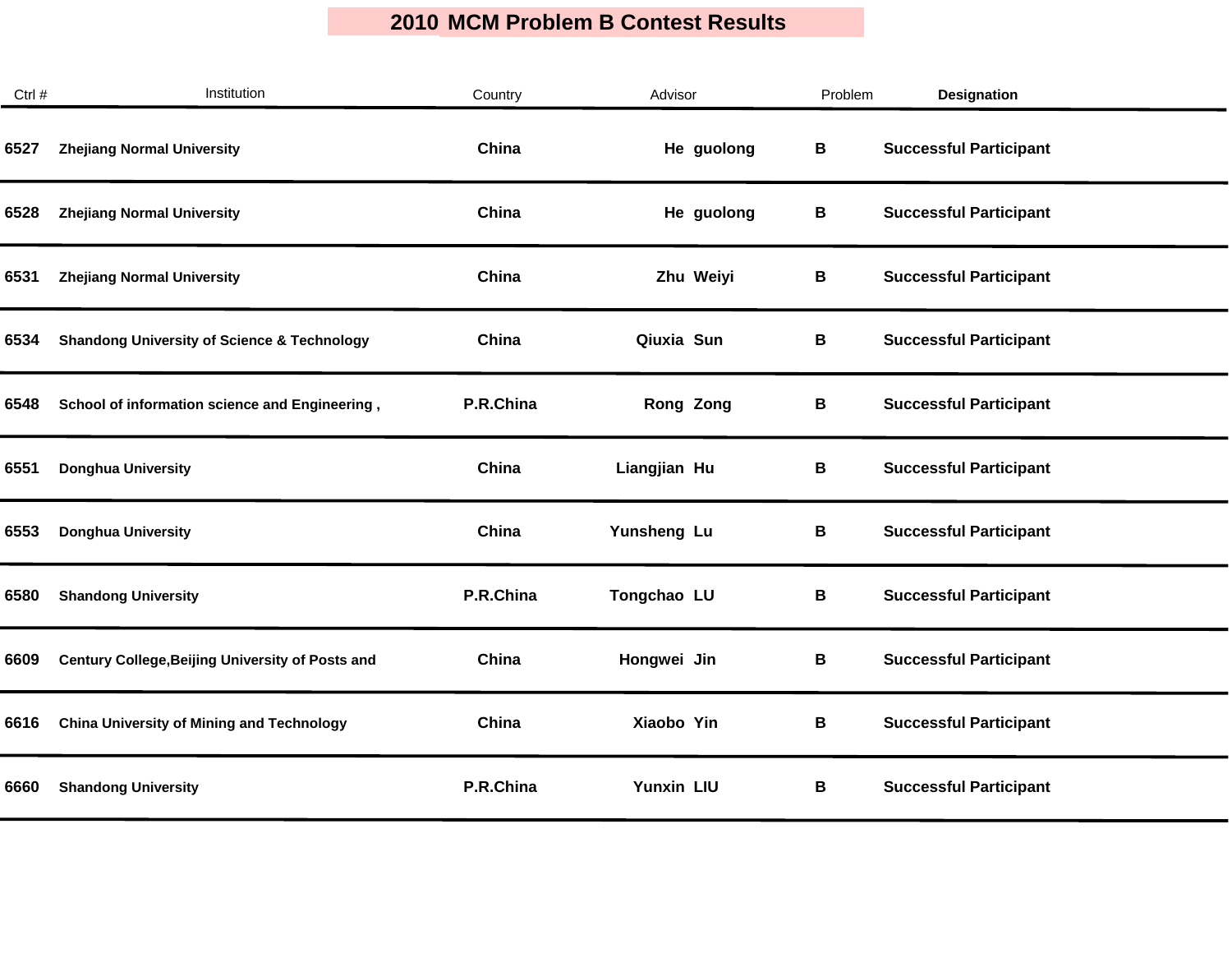| Ctrl # | Institution                                            | Country   | Advisor           | Problem | <b>Designation</b>            |  |
|--------|--------------------------------------------------------|-----------|-------------------|---------|-------------------------------|--|
| 6527   | <b>Zhejiang Normal University</b>                      | China     | He guolong        | В       | <b>Successful Participant</b> |  |
| 6528   | <b>Zhejiang Normal University</b>                      | China     | He guolong        | В       | <b>Successful Participant</b> |  |
| 6531   | <b>Zhejiang Normal University</b>                      | China     | Zhu Weiyi         | В       | <b>Successful Participant</b> |  |
| 6534   | <b>Shandong University of Science &amp; Technology</b> | China     | Qiuxia Sun        | В       | <b>Successful Participant</b> |  |
| 6548   | School of information science and Engineering,         | P.R.China | Rong Zong         | В       | <b>Successful Participant</b> |  |
| 6551   | <b>Donghua University</b>                              | China     | Liangjian Hu      | B       | <b>Successful Participant</b> |  |
| 6553   | <b>Donghua University</b>                              | China     | Yunsheng Lu       | В       | <b>Successful Participant</b> |  |
| 6580   | <b>Shandong University</b>                             | P.R.China | Tongchao LU       | В       | <b>Successful Participant</b> |  |
| 6609   | Century College, Beijing University of Posts and       | China     | Hongwei Jin       | В       | <b>Successful Participant</b> |  |
| 6616   | <b>China University of Mining and Technology</b>       | China     | Xiaobo Yin        | B       | <b>Successful Participant</b> |  |
| 6660   | <b>Shandong University</b>                             | P.R.China | <b>Yunxin LIU</b> | В       | <b>Successful Participant</b> |  |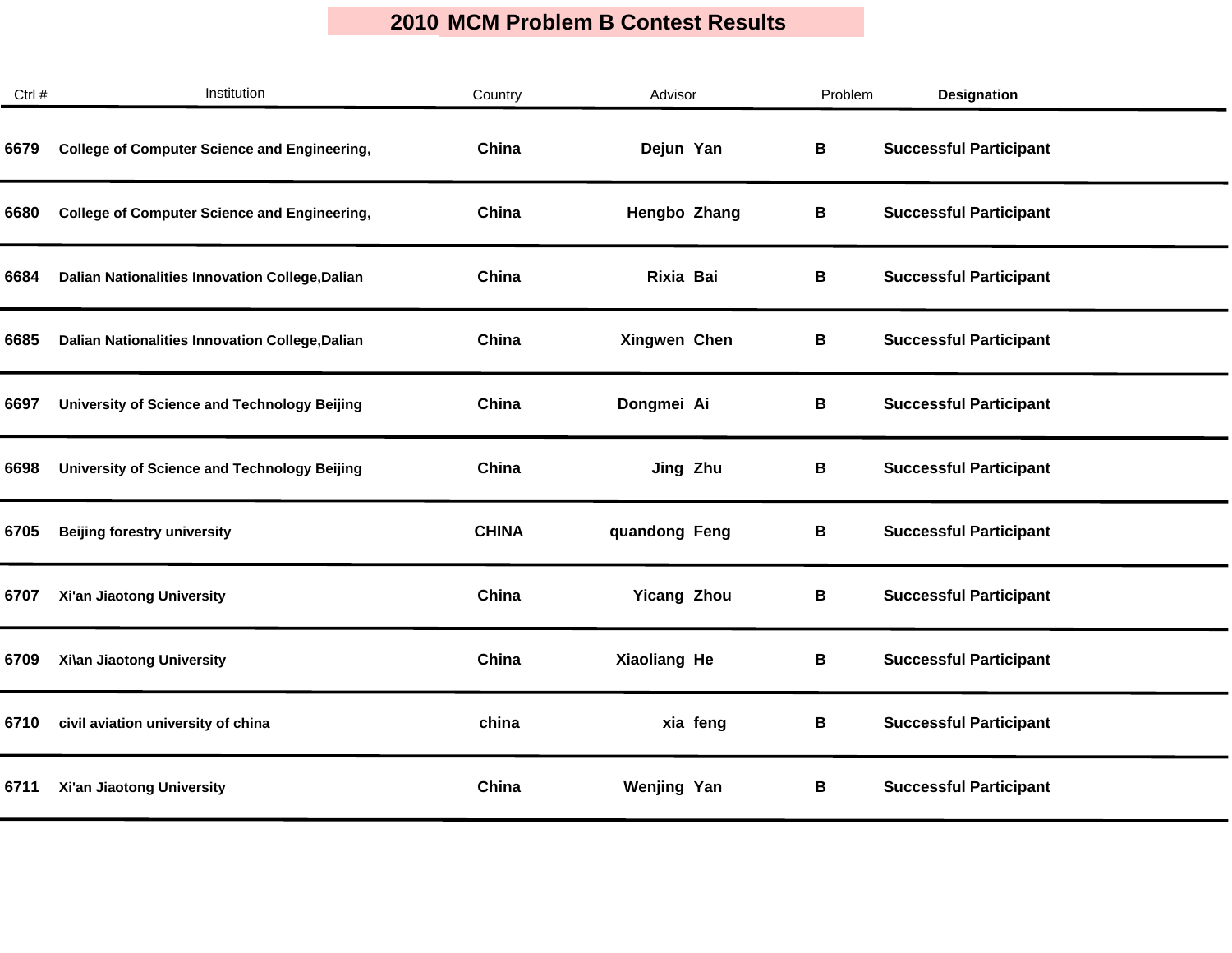| Ctrl # | Institution                                         | Country      | Advisor            | Problem | <b>Designation</b>            |  |
|--------|-----------------------------------------------------|--------------|--------------------|---------|-------------------------------|--|
| 6679   | <b>College of Computer Science and Engineering,</b> | China        | Dejun Yan          | В       | <b>Successful Participant</b> |  |
| 6680   | <b>College of Computer Science and Engineering,</b> | China        | Hengbo Zhang       | В       | <b>Successful Participant</b> |  |
| 6684   | Dalian Nationalities Innovation College, Dalian     | China        | Rixia Bai          | В       | <b>Successful Participant</b> |  |
| 6685   | Dalian Nationalities Innovation College, Dalian     | China        | Xingwen Chen       | В       | <b>Successful Participant</b> |  |
| 6697   | <b>University of Science and Technology Beijing</b> | China        | Dongmei Ai         | В       | <b>Successful Participant</b> |  |
| 6698   | University of Science and Technology Beijing        | China        | Jing Zhu           | В       | <b>Successful Participant</b> |  |
| 6705   | <b>Beijing forestry university</b>                  | <b>CHINA</b> | quandong Feng      | В       | <b>Successful Participant</b> |  |
| 6707   | Xi'an Jiaotong University                           | China        | <b>Yicang Zhou</b> | В       | <b>Successful Participant</b> |  |
| 6709   | Xi\an Jiaotong University                           | China        | Xiaoliang He       | B       | <b>Successful Participant</b> |  |
| 6710   | civil aviation university of china                  | china        | xia feng           | В       | <b>Successful Participant</b> |  |
| 6711   | Xi'an Jiaotong University                           | China        | <b>Wenjing Yan</b> | В       | <b>Successful Participant</b> |  |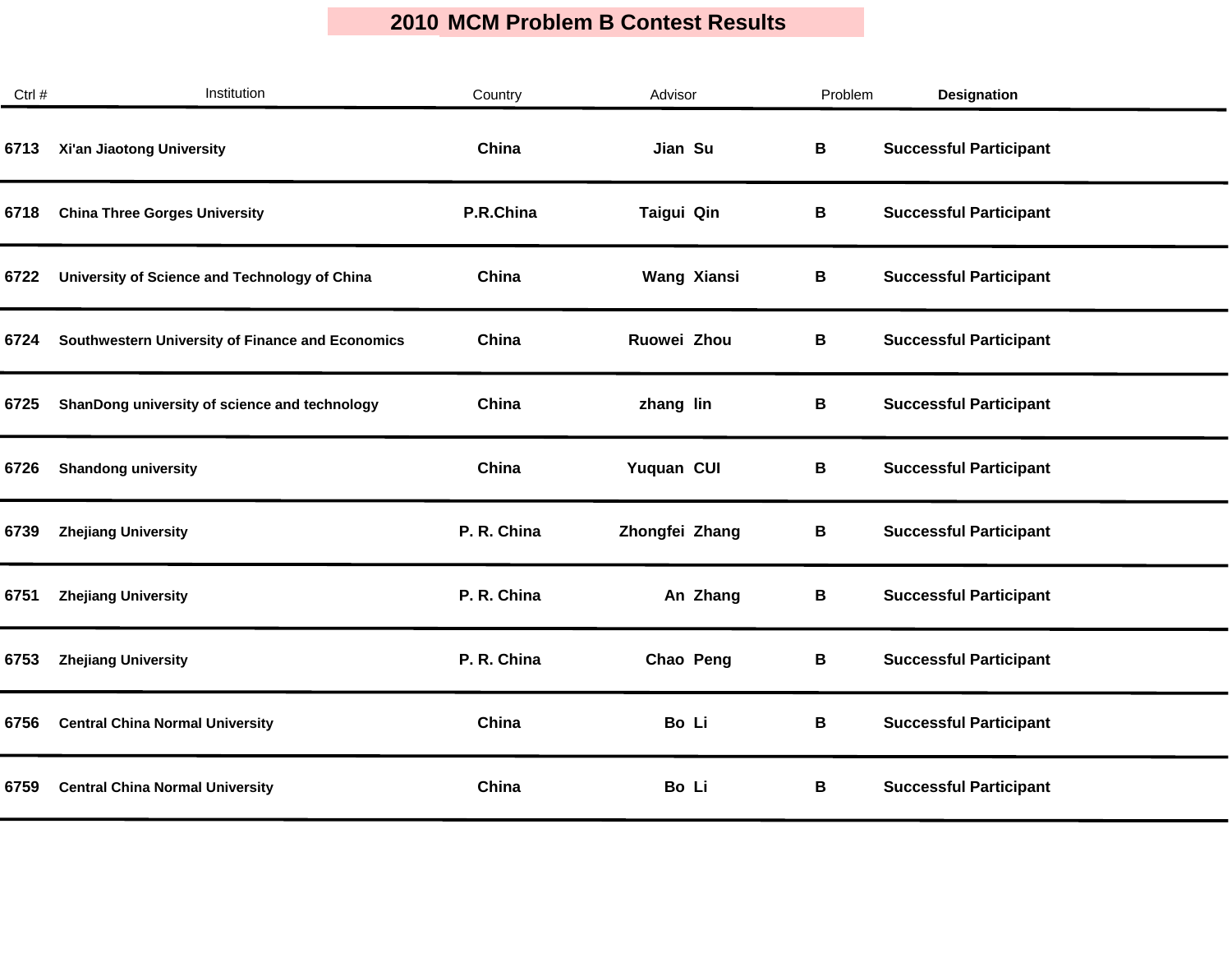| Ctrl # | Institution                                      | Country     | Advisor            | Problem | <b>Designation</b>            |
|--------|--------------------------------------------------|-------------|--------------------|---------|-------------------------------|
| 6713   | Xi'an Jiaotong University                        | China       | Jian Su            | B       | <b>Successful Participant</b> |
| 6718   | <b>China Three Gorges University</b>             | P.R.China   | Taigui Qin         | В       | <b>Successful Participant</b> |
| 6722   | University of Science and Technology of China    | China       | <b>Wang Xiansi</b> | В       | <b>Successful Participant</b> |
| 6724   | Southwestern University of Finance and Economics | China       | Ruowei Zhou        | В       | <b>Successful Participant</b> |
| 6725   | ShanDong university of science and technology    | China       | zhang lin          | В       | <b>Successful Participant</b> |
| 6726   | <b>Shandong university</b>                       | China       | Yuquan CUI         | В       | <b>Successful Participant</b> |
| 6739   | <b>Zhejiang University</b>                       | P. R. China | Zhongfei Zhang     | В       | <b>Successful Participant</b> |
| 6751   | <b>Zhejiang University</b>                       | P. R. China | An Zhang           | В       | <b>Successful Participant</b> |
| 6753   | <b>Zhejiang University</b>                       | P. R. China | Chao Peng          | В       | <b>Successful Participant</b> |
| 6756   | <b>Central China Normal University</b>           | China       | Bo Li              | В       | <b>Successful Participant</b> |
| 6759   | <b>Central China Normal University</b>           | China       | Bo Li              | В       | <b>Successful Participant</b> |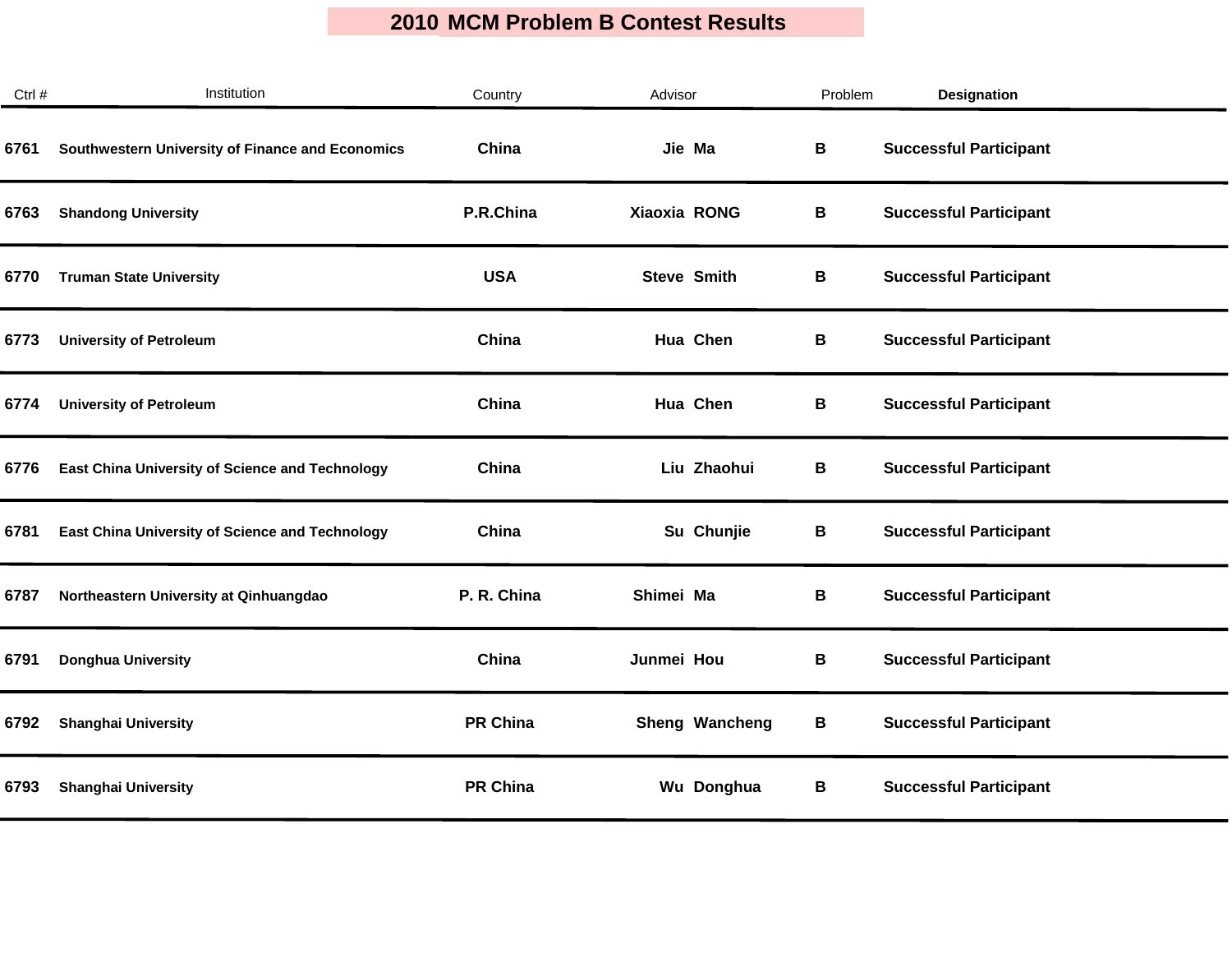| Ctrl # | Institution                                            | Country         | Advisor            | Problem | <b>Designation</b>            |  |
|--------|--------------------------------------------------------|-----------------|--------------------|---------|-------------------------------|--|
| 6761   | Southwestern University of Finance and Economics       | China           | Jie Ma             | B       | <b>Successful Participant</b> |  |
| 6763   | <b>Shandong University</b>                             | P.R.China       | Xiaoxia RONG       | В       | <b>Successful Participant</b> |  |
| 6770   | <b>Truman State University</b>                         | <b>USA</b>      | <b>Steve Smith</b> | В       | <b>Successful Participant</b> |  |
| 6773   | <b>University of Petroleum</b>                         | China           | Hua Chen           | В       | <b>Successful Participant</b> |  |
| 6774   | <b>University of Petroleum</b>                         | China           | Hua Chen           | В       | <b>Successful Participant</b> |  |
| 6776   | East China University of Science and Technology        | China           | Liu Zhaohui        | В       | <b>Successful Participant</b> |  |
| 6781   | <b>East China University of Science and Technology</b> | China           | Su Chunjie         | В       | <b>Successful Participant</b> |  |
| 6787   | Northeastern University at Qinhuangdao                 | P. R. China     | Shimei Ma          | В       | <b>Successful Participant</b> |  |
| 6791   | <b>Donghua University</b>                              | China           | Junmei Hou         | В       | <b>Successful Participant</b> |  |
| 6792   | <b>Shanghai University</b>                             | <b>PR China</b> | Sheng Wancheng     | В       | <b>Successful Participant</b> |  |
| 6793   | <b>Shanghai University</b>                             | <b>PR China</b> | Wu Donghua         | В       | <b>Successful Participant</b> |  |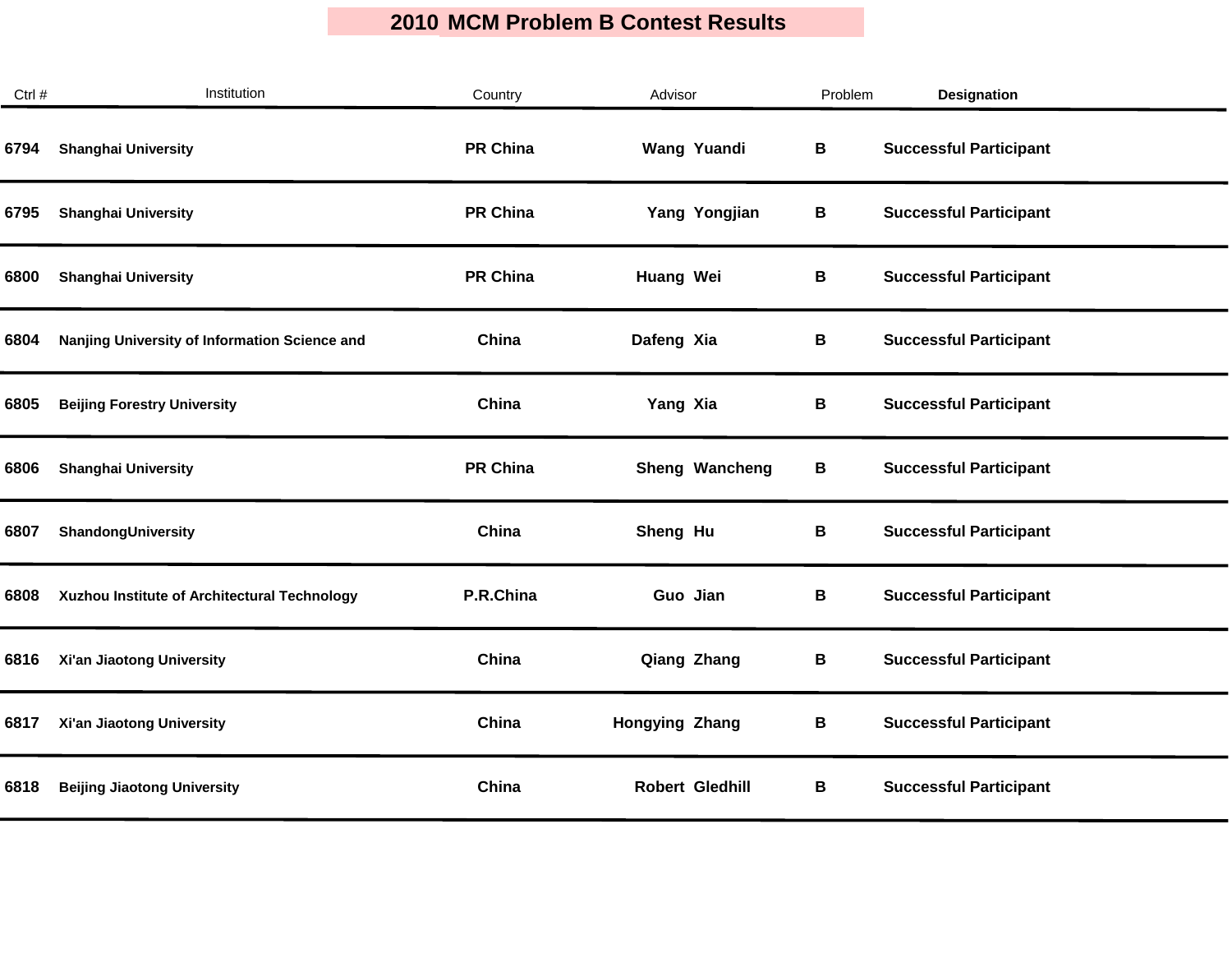| Ctrl # | Institution                                   | Country         | Advisor                | Problem | <b>Designation</b>            |
|--------|-----------------------------------------------|-----------------|------------------------|---------|-------------------------------|
| 6794   | <b>Shanghai University</b>                    | <b>PR China</b> | <b>Wang Yuandi</b>     | B       | <b>Successful Participant</b> |
| 6795   | <b>Shanghai University</b>                    | <b>PR China</b> | Yang Yongjian          | В       | <b>Successful Participant</b> |
| 6800   | <b>Shanghai University</b>                    | <b>PR China</b> | Huang Wei              | В       | <b>Successful Participant</b> |
| 6804   | Nanjing University of Information Science and | China           | Dafeng Xia             | В       | <b>Successful Participant</b> |
| 6805   | <b>Beijing Forestry University</b>            | China           | Yang Xia               | В       | <b>Successful Participant</b> |
| 6806   | <b>Shanghai University</b>                    | <b>PR China</b> | Sheng Wancheng         | В       | <b>Successful Participant</b> |
| 6807   | ShandongUniversity                            | China           | Sheng Hu               | В       | <b>Successful Participant</b> |
| 6808   | Xuzhou Institute of Architectural Technology  | P.R.China       | Guo Jian               | В       | <b>Successful Participant</b> |
| 6816   | Xi'an Jiaotong University                     | China           | <b>Qiang Zhang</b>     | В       | <b>Successful Participant</b> |
| 6817   | Xi'an Jiaotong University                     | China           | <b>Hongying Zhang</b>  | В       | <b>Successful Participant</b> |
| 6818   | <b>Beijing Jiaotong University</b>            | China           | <b>Robert Gledhill</b> | В       | <b>Successful Participant</b> |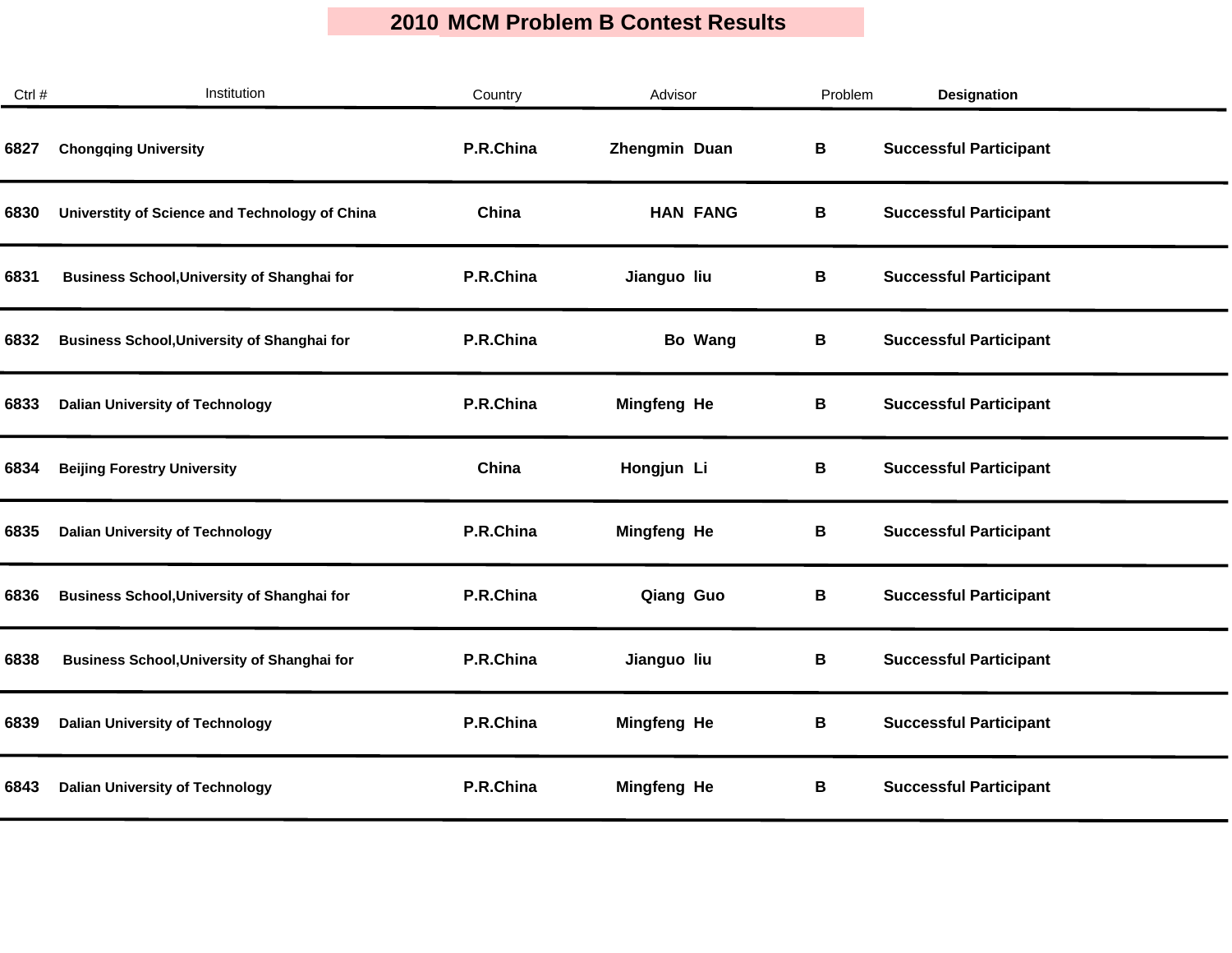| Ctrl # | Institution                                        | Country   | Advisor            | Problem | <b>Designation</b>            |  |
|--------|----------------------------------------------------|-----------|--------------------|---------|-------------------------------|--|
| 6827   | <b>Chongqing University</b>                        | P.R.China | Zhengmin Duan      | В       | <b>Successful Participant</b> |  |
| 6830   | Universtity of Science and Technology of China     | China     | <b>HAN FANG</b>    | В       | <b>Successful Participant</b> |  |
| 6831   | <b>Business School, University of Shanghai for</b> | P.R.China | Jianguo liu        | В       | <b>Successful Participant</b> |  |
| 6832   | <b>Business School, University of Shanghai for</b> | P.R.China | Bo Wang            | В       | <b>Successful Participant</b> |  |
| 6833   | <b>Dalian University of Technology</b>             | P.R.China | Mingfeng He        | B       | <b>Successful Participant</b> |  |
| 6834   | <b>Beijing Forestry University</b>                 | China     | Hongjun Li         | В       | <b>Successful Participant</b> |  |
| 6835   | <b>Dalian University of Technology</b>             | P.R.China | <b>Mingfeng He</b> | В       | <b>Successful Participant</b> |  |
| 6836   | <b>Business School, University of Shanghai for</b> | P.R.China | Qiang Guo          | В       | <b>Successful Participant</b> |  |
| 6838   | <b>Business School, University of Shanghai for</b> | P.R.China | Jianguo liu        | B       | <b>Successful Participant</b> |  |
| 6839   | <b>Dalian University of Technology</b>             | P.R.China | Mingfeng He        | В       | <b>Successful Participant</b> |  |
| 6843   | <b>Dalian University of Technology</b>             | P.R.China | <b>Mingfeng He</b> | В       | <b>Successful Participant</b> |  |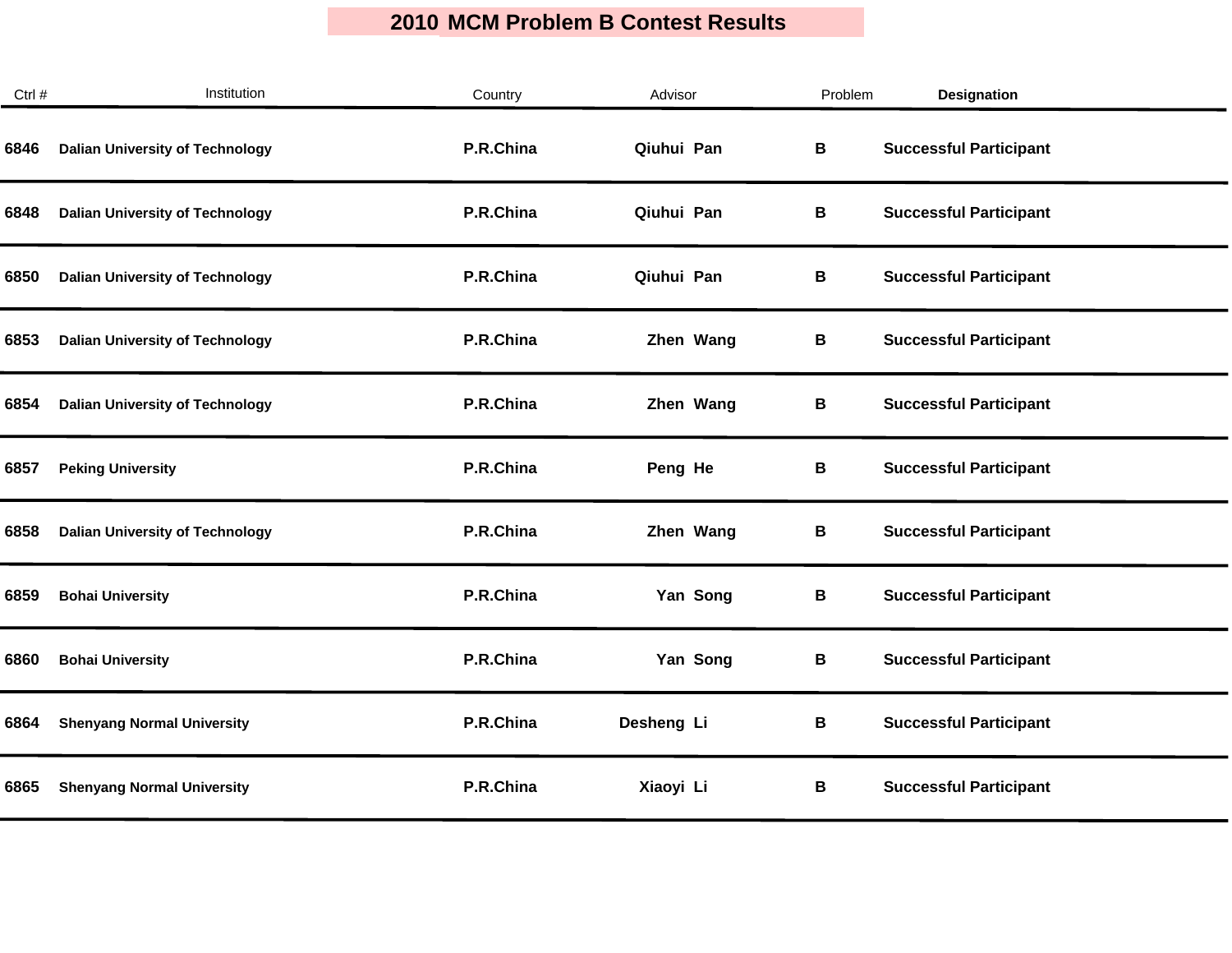| Ctrl # | Institution                            | Country   | Advisor    | Problem | <b>Designation</b>            |
|--------|----------------------------------------|-----------|------------|---------|-------------------------------|
| 6846   | <b>Dalian University of Technology</b> | P.R.China | Qiuhui Pan | В       | <b>Successful Participant</b> |
| 6848   | <b>Dalian University of Technology</b> | P.R.China | Qiuhui Pan | B       | <b>Successful Participant</b> |
| 6850   | <b>Dalian University of Technology</b> | P.R.China | Qiuhui Pan | В       | <b>Successful Participant</b> |
| 6853   | <b>Dalian University of Technology</b> | P.R.China | Zhen Wang  | В       | <b>Successful Participant</b> |
| 6854   | <b>Dalian University of Technology</b> | P.R.China | Zhen Wang  | В       | <b>Successful Participant</b> |
| 6857   | <b>Peking University</b>               | P.R.China | Peng He    | В       | <b>Successful Participant</b> |
| 6858   | <b>Dalian University of Technology</b> | P.R.China | Zhen Wang  | В       | <b>Successful Participant</b> |
| 6859   | <b>Bohai University</b>                | P.R.China | Yan Song   | В       | <b>Successful Participant</b> |
| 6860   | <b>Bohai University</b>                | P.R.China | Yan Song   | B       | <b>Successful Participant</b> |
| 6864   | <b>Shenyang Normal University</b>      | P.R.China | Desheng Li | В       | <b>Successful Participant</b> |
| 6865   | <b>Shenyang Normal University</b>      | P.R.China | Xiaoyi Li  | В       | <b>Successful Participant</b> |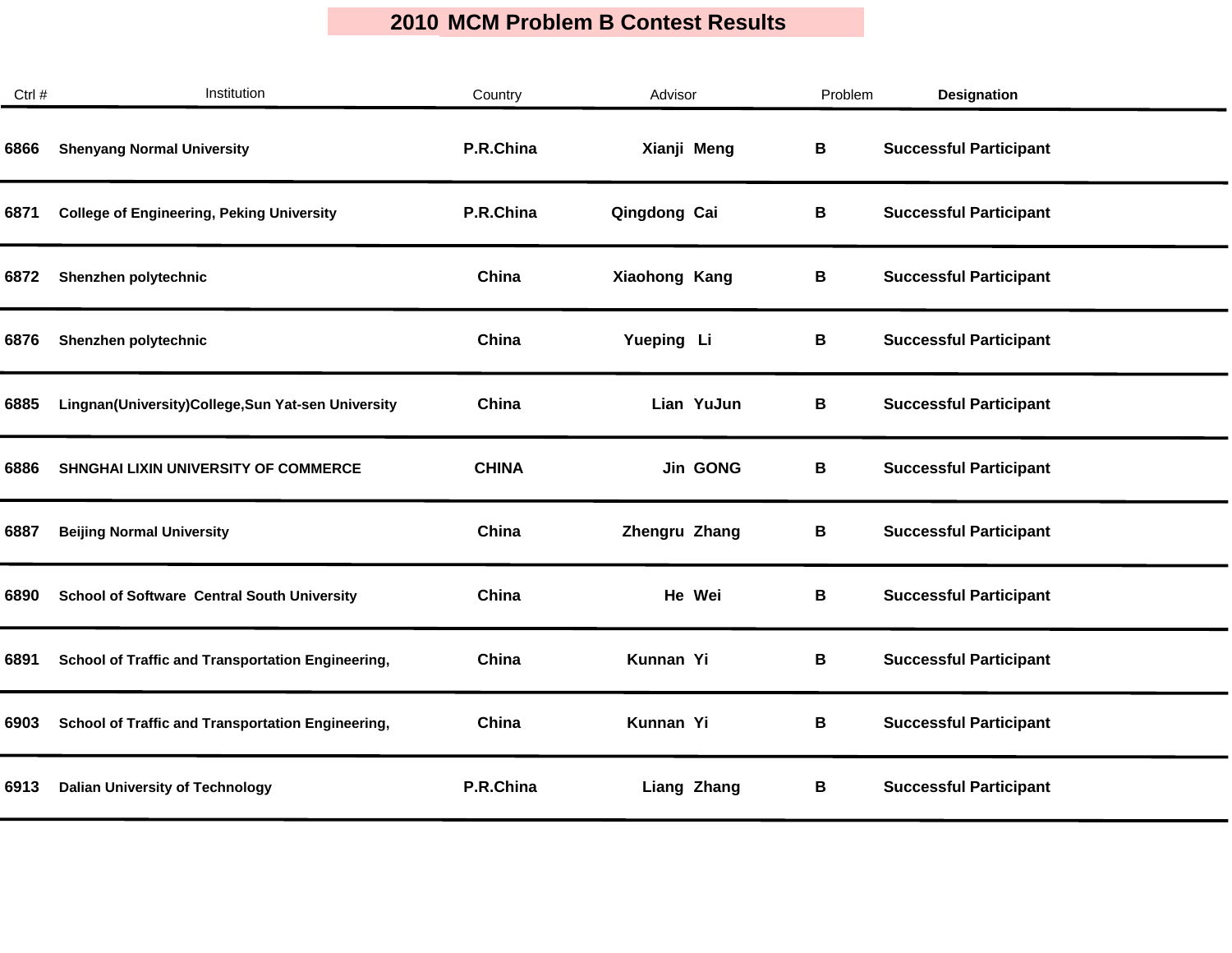| Ctrl # | Institution                                        | Country      | Advisor            | Problem | <b>Designation</b>            |  |
|--------|----------------------------------------------------|--------------|--------------------|---------|-------------------------------|--|
| 6866   | <b>Shenyang Normal University</b>                  | P.R.China    | Xianji Meng        | В       | <b>Successful Participant</b> |  |
| 6871   | <b>College of Engineering, Peking University</b>   | P.R.China    | Qingdong Cai       | В       | <b>Successful Participant</b> |  |
| 6872   | Shenzhen polytechnic                               | China        | Xiaohong Kang      | В       | <b>Successful Participant</b> |  |
| 6876   | Shenzhen polytechnic                               | China        | Yueping Li         | В       | <b>Successful Participant</b> |  |
| 6885   | Lingnan(University)College,Sun Yat-sen University  | China        | Lian YuJun         | В       | <b>Successful Participant</b> |  |
| 6886   | SHNGHAI LIXIN UNIVERSITY OF COMMERCE               | <b>CHINA</b> | <b>Jin GONG</b>    | В       | <b>Successful Participant</b> |  |
| 6887   | <b>Beijing Normal University</b>                   | China        | Zhengru Zhang      | В       | <b>Successful Participant</b> |  |
| 6890   | <b>School of Software Central South University</b> | China        | He Wei             | В       | <b>Successful Participant</b> |  |
| 6891   | School of Traffic and Transportation Engineering,  | China        | Kunnan Yi          | B       | <b>Successful Participant</b> |  |
| 6903   | School of Traffic and Transportation Engineering,  | China        | Kunnan Yi          | В       | <b>Successful Participant</b> |  |
| 6913   | <b>Dalian University of Technology</b>             | P.R.China    | <b>Liang Zhang</b> | В       | <b>Successful Participant</b> |  |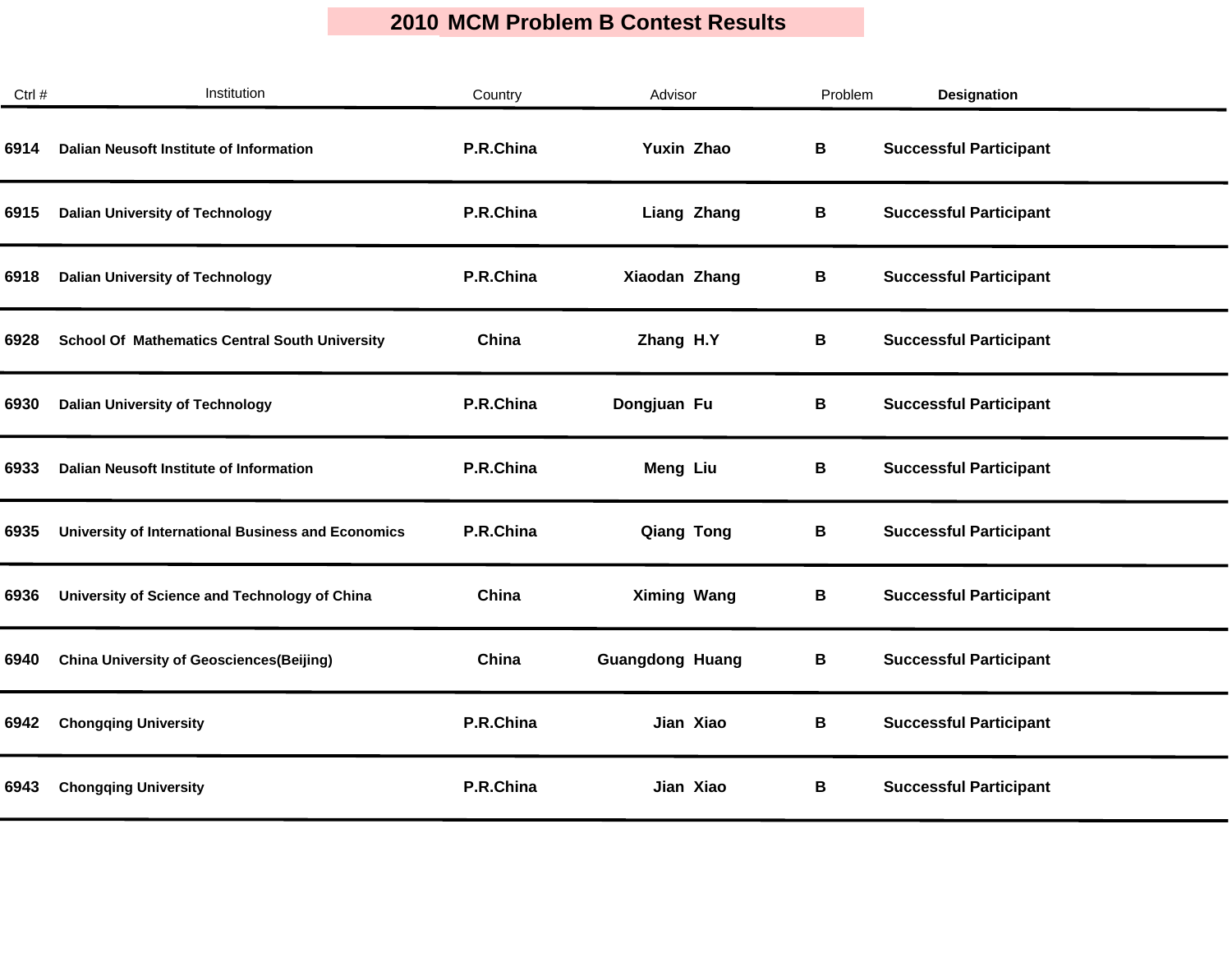| Ctrl # | Institution                                           | Country   | Advisor                | Problem | <b>Designation</b>            |  |
|--------|-------------------------------------------------------|-----------|------------------------|---------|-------------------------------|--|
| 6914   | Dalian Neusoft Institute of Information               | P.R.China | Yuxin Zhao             | B       | <b>Successful Participant</b> |  |
| 6915   | <b>Dalian University of Technology</b>                | P.R.China | <b>Liang Zhang</b>     | В       | <b>Successful Participant</b> |  |
| 6918   | <b>Dalian University of Technology</b>                | P.R.China | Xiaodan Zhang          | В       | <b>Successful Participant</b> |  |
| 6928   | <b>School Of Mathematics Central South University</b> | China     | Zhang H.Y              | В       | <b>Successful Participant</b> |  |
| 6930   | <b>Dalian University of Technology</b>                | P.R.China | Dongjuan Fu            | В       | <b>Successful Participant</b> |  |
| 6933   | Dalian Neusoft Institute of Information               | P.R.China | Meng Liu               | В       | <b>Successful Participant</b> |  |
| 6935   | University of International Business and Economics    | P.R.China | <b>Qiang Tong</b>      | В       | <b>Successful Participant</b> |  |
| 6936   | University of Science and Technology of China         | China     | <b>Ximing Wang</b>     | В       | <b>Successful Participant</b> |  |
| 6940   | <b>China University of Geosciences(Beijing)</b>       | China     | <b>Guangdong Huang</b> | В       | <b>Successful Participant</b> |  |
| 6942   | <b>Chongqing University</b>                           | P.R.China | Jian Xiao              | В       | <b>Successful Participant</b> |  |
| 6943   | <b>Chongqing University</b>                           | P.R.China | Jian Xiao              | В       | <b>Successful Participant</b> |  |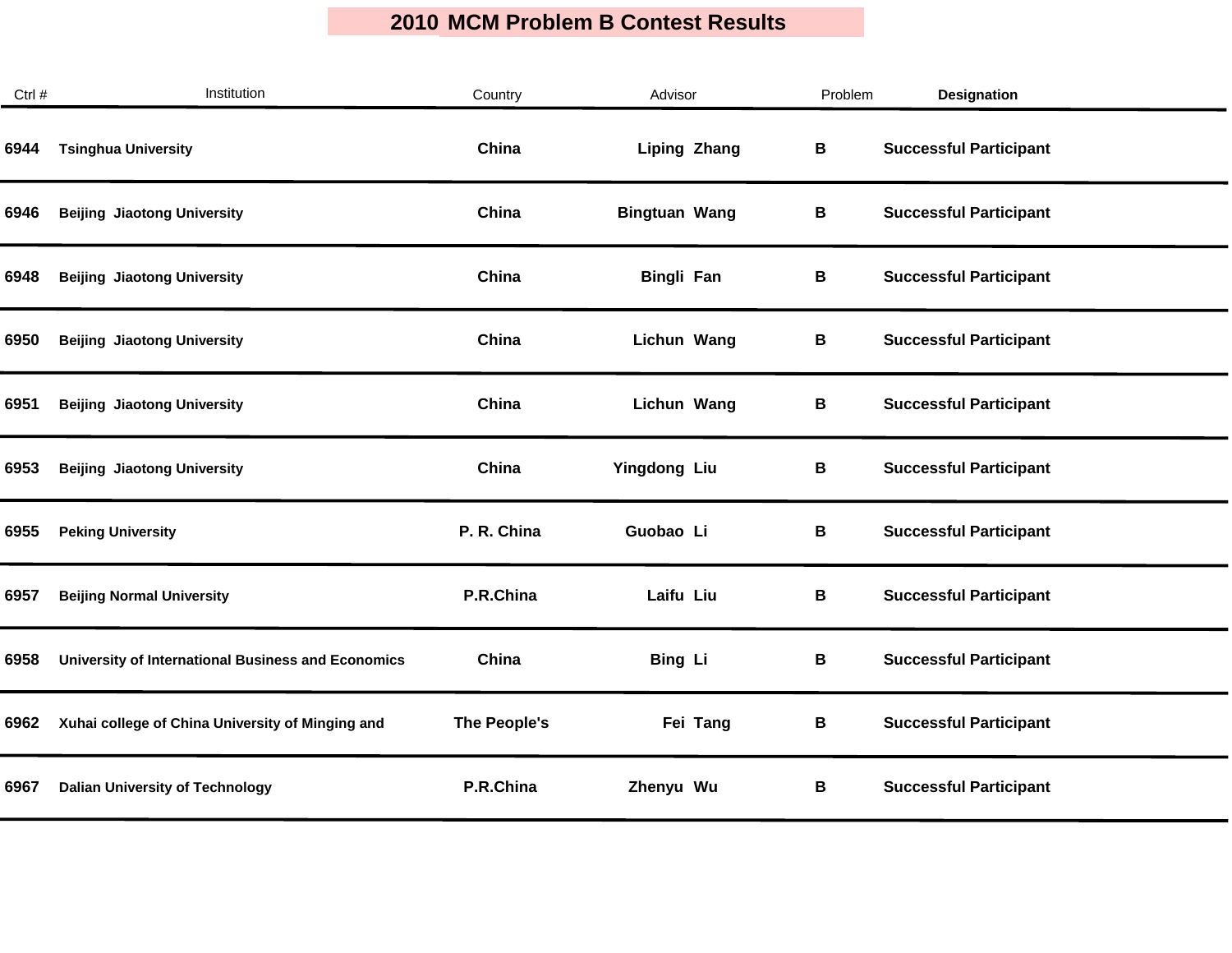| Ctrl # | Institution                                               | Country      | Advisor              | Problem | <b>Designation</b>            |  |
|--------|-----------------------------------------------------------|--------------|----------------------|---------|-------------------------------|--|
| 6944   | <b>Tsinghua University</b>                                | China        | <b>Liping Zhang</b>  | В       | <b>Successful Participant</b> |  |
| 6946   | <b>Beijing Jiaotong University</b>                        | China        | <b>Bingtuan Wang</b> | В       | <b>Successful Participant</b> |  |
| 6948   | <b>Beijing Jiaotong University</b>                        | China        | <b>Bingli Fan</b>    | В       | <b>Successful Participant</b> |  |
| 6950   | <b>Beijing Jiaotong University</b>                        | China        | Lichun Wang          | В       | <b>Successful Participant</b> |  |
| 6951   | <b>Beijing Jiaotong University</b>                        | China        | Lichun Wang          | B       | <b>Successful Participant</b> |  |
| 6953   | <b>Beijing Jiaotong University</b>                        | China        | Yingdong Liu         | В       | <b>Successful Participant</b> |  |
| 6955   | <b>Peking University</b>                                  | P. R. China  | Guobao Li            | В       | <b>Successful Participant</b> |  |
| 6957   | <b>Beijing Normal University</b>                          | P.R.China    | Laifu Liu            | В       | <b>Successful Participant</b> |  |
| 6958   | <b>University of International Business and Economics</b> | China        | <b>Bing Li</b>       | B       | <b>Successful Participant</b> |  |
| 6962   | Xuhai college of China University of Minging and          | The People's | Fei Tang             | В       | <b>Successful Participant</b> |  |
| 6967   | <b>Dalian University of Technology</b>                    | P.R.China    | Zhenyu Wu            | В       | <b>Successful Participant</b> |  |
|        |                                                           |              |                      |         |                               |  |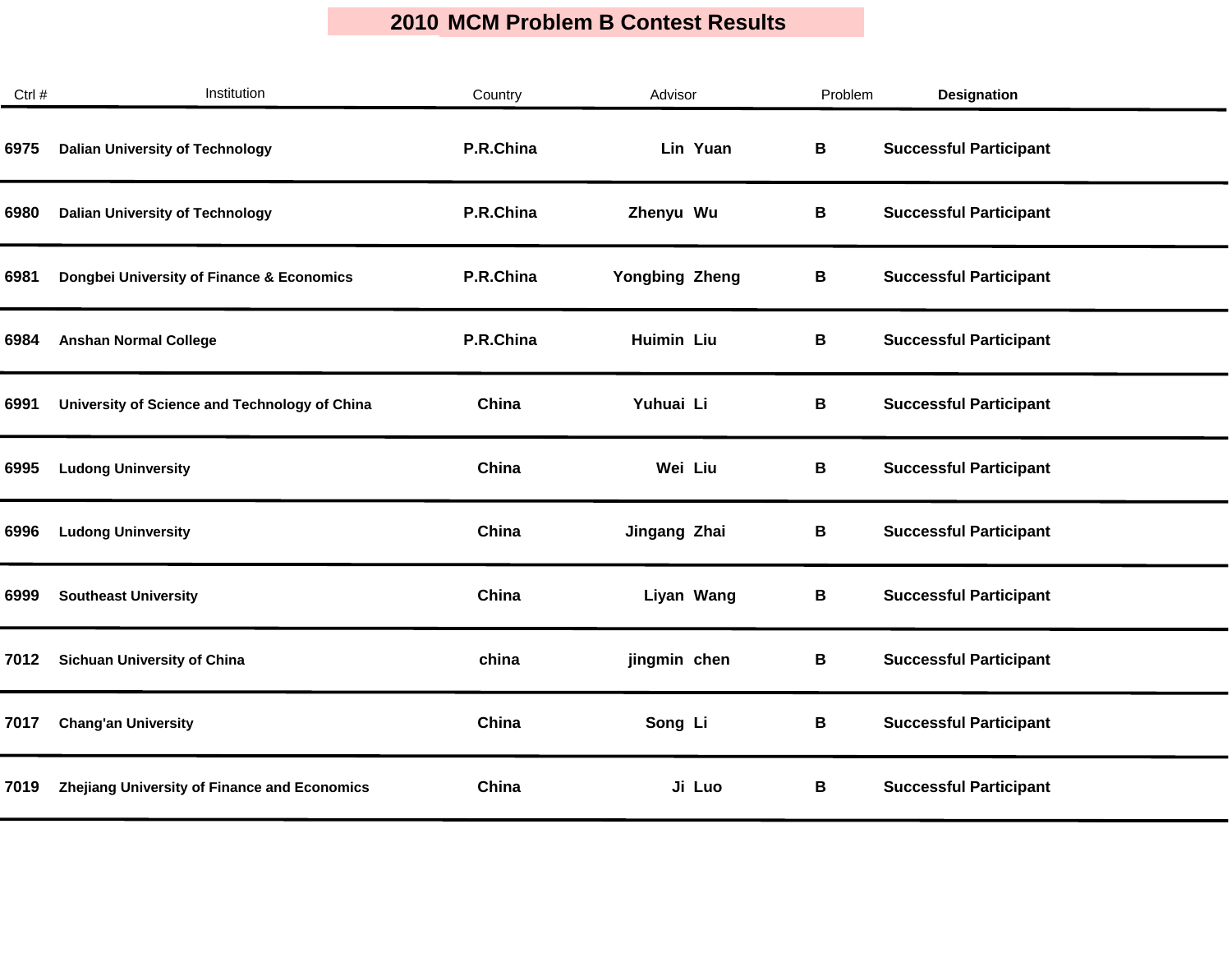| Ctrl # | Institution                                   | Country   | Advisor               | Problem | <b>Designation</b>            |
|--------|-----------------------------------------------|-----------|-----------------------|---------|-------------------------------|
| 6975   | <b>Dalian University of Technology</b>        | P.R.China | Lin Yuan              | B       | <b>Successful Participant</b> |
| 6980   | <b>Dalian University of Technology</b>        | P.R.China | Zhenyu Wu             | В       | <b>Successful Participant</b> |
| 6981   | Dongbei University of Finance & Economics     | P.R.China | <b>Yongbing Zheng</b> | В       | <b>Successful Participant</b> |
| 6984   | <b>Anshan Normal College</b>                  | P.R.China | <b>Huimin Liu</b>     | В       | <b>Successful Participant</b> |
| 6991   | University of Science and Technology of China | China     | Yuhuai Li             | B       | <b>Successful Participant</b> |
| 6995   | <b>Ludong Uninversity</b>                     | China     | Wei Liu               | В       | <b>Successful Participant</b> |
| 6996   | <b>Ludong Uninversity</b>                     | China     | Jingang Zhai          | В       | <b>Successful Participant</b> |
| 6999   | <b>Southeast University</b>                   | China     | Liyan Wang            | В       | <b>Successful Participant</b> |
| 7012   | <b>Sichuan University of China</b>            | china     | jingmin chen          | B       | <b>Successful Participant</b> |
| 7017   | <b>Chang'an University</b>                    | China     | Song Li               | B       | <b>Successful Participant</b> |
| 7019   | Zhejiang University of Finance and Economics  | China     | Ji Luo                | B       | <b>Successful Participant</b> |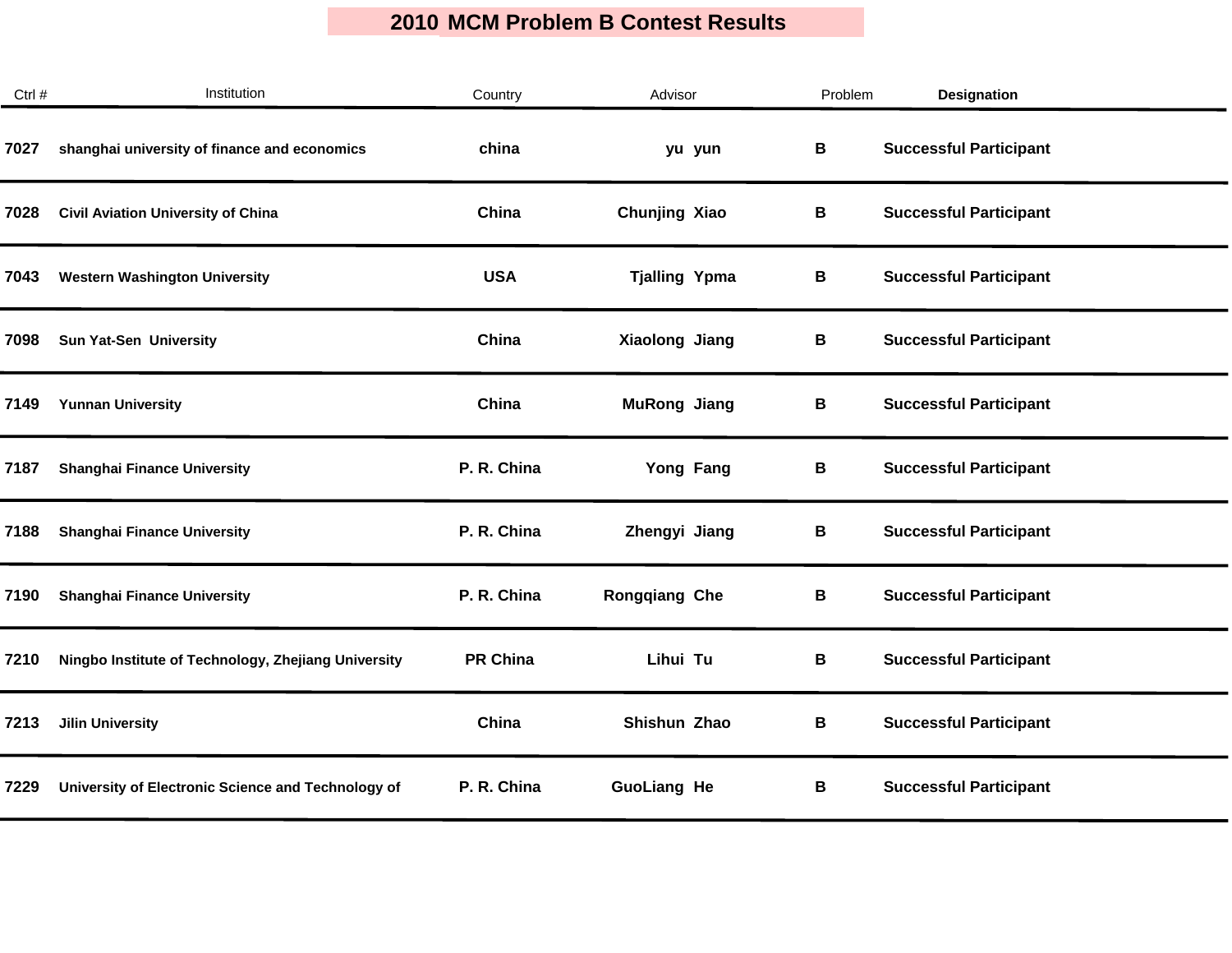| Ctrl # | Institution                                         | Country         | Advisor              | Problem | <b>Designation</b>            |  |
|--------|-----------------------------------------------------|-----------------|----------------------|---------|-------------------------------|--|
| 7027   | shanghai university of finance and economics        | china           | yu yun               | В       | <b>Successful Participant</b> |  |
| 7028   | <b>Civil Aviation University of China</b>           | China           | Chunjing Xiao        | В       | <b>Successful Participant</b> |  |
| 7043   | <b>Western Washington University</b>                | <b>USA</b>      | <b>Tjalling Ypma</b> | В       | <b>Successful Participant</b> |  |
| 7098   | <b>Sun Yat-Sen University</b>                       | China           | Xiaolong Jiang       | В       | <b>Successful Participant</b> |  |
| 7149   | <b>Yunnan University</b>                            | China           | <b>MuRong Jiang</b>  | В       | <b>Successful Participant</b> |  |
| 7187   | <b>Shanghai Finance University</b>                  | P. R. China     | Yong Fang            | В       | <b>Successful Participant</b> |  |
| 7188   | <b>Shanghai Finance University</b>                  | P. R. China     | Zhengyi Jiang        | В       | <b>Successful Participant</b> |  |
| 7190   | <b>Shanghai Finance University</b>                  | P. R. China     | <b>Rongqiang Che</b> | В       | <b>Successful Participant</b> |  |
| 7210   | Ningbo Institute of Technology, Zhejiang University | <b>PR China</b> | Lihui Tu             | В       | <b>Successful Participant</b> |  |
| 7213   | <b>Jilin University</b>                             | China           | Shishun Zhao         | В       | <b>Successful Participant</b> |  |
| 7229   | University of Electronic Science and Technology of  | P. R. China     | <b>GuoLiang He</b>   | В       | <b>Successful Participant</b> |  |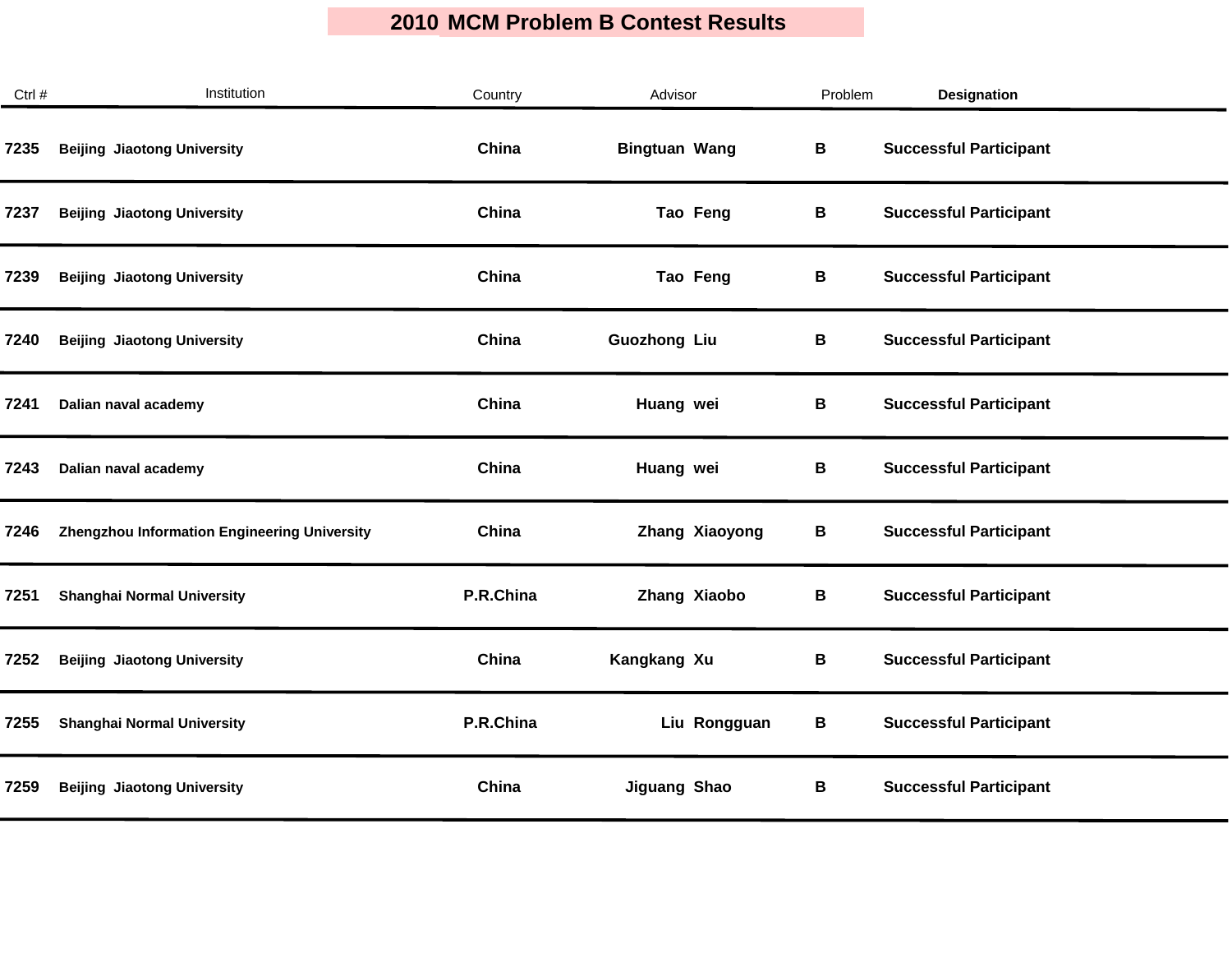| Ctrl # | Institution                                  | Country   | Advisor              | Problem | Designation                   |
|--------|----------------------------------------------|-----------|----------------------|---------|-------------------------------|
| 7235   | <b>Beijing Jiaotong University</b>           | China     | <b>Bingtuan Wang</b> | В       | <b>Successful Participant</b> |
| 7237   | <b>Beijing Jiaotong University</b>           | China     | Tao Feng             | В       | <b>Successful Participant</b> |
| 7239   | <b>Beijing Jiaotong University</b>           | China     | Tao Feng             | В       | <b>Successful Participant</b> |
| 7240   | <b>Beijing Jiaotong University</b>           | China     | <b>Guozhong Liu</b>  | В       | <b>Successful Participant</b> |
| 7241   | Dalian naval academy                         | China     | Huang wei            | В       | <b>Successful Participant</b> |
| 7243   | Dalian naval academy                         | China     | Huang wei            | В       | <b>Successful Participant</b> |
| 7246   | Zhengzhou Information Engineering University | China     | Zhang Xiaoyong       | B       | <b>Successful Participant</b> |
| 7251   | <b>Shanghai Normal University</b>            | P.R.China | Zhang Xiaobo         | B       | <b>Successful Participant</b> |
| 7252   | <b>Beijing Jiaotong University</b>           | China     | Kangkang Xu          | В       | <b>Successful Participant</b> |
| 7255   | <b>Shanghai Normal University</b>            | P.R.China | Liu Rongguan         | В       | <b>Successful Participant</b> |
| 7259   | <b>Beijing Jiaotong University</b>           | China     | Jiguang Shao         | В       | <b>Successful Participant</b> |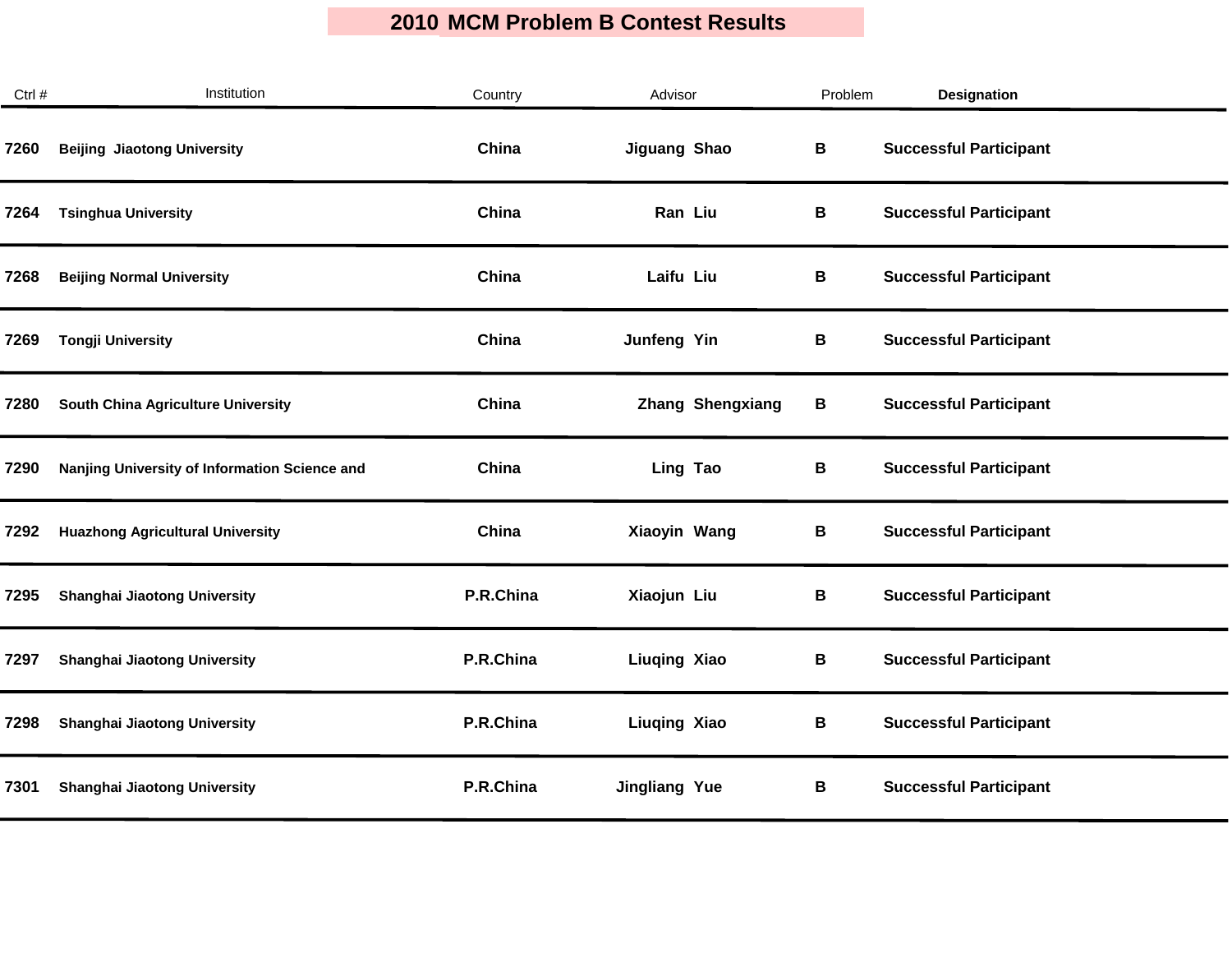| Ctrl # | Institution                                   | Country   | Advisor                 | Problem | Designation                   |  |
|--------|-----------------------------------------------|-----------|-------------------------|---------|-------------------------------|--|
| 7260   | <b>Beijing Jiaotong University</b>            | China     | Jiguang Shao            | В       | <b>Successful Participant</b> |  |
| 7264   | <b>Tsinghua University</b>                    | China     | Ran Liu                 | В       | <b>Successful Participant</b> |  |
| 7268   | <b>Beijing Normal University</b>              | China     | Laifu Liu               | В       | <b>Successful Participant</b> |  |
| 7269   | <b>Tongji University</b>                      | China     | Junfeng Yin             | В       | <b>Successful Participant</b> |  |
| 7280   | South China Agriculture University            | China     | <b>Zhang Shengxiang</b> | В       | <b>Successful Participant</b> |  |
| 7290   | Nanjing University of Information Science and | China     | Ling Tao                | B       | <b>Successful Participant</b> |  |
| 7292   | <b>Huazhong Agricultural University</b>       | China     | Xiaoyin Wang            | В       | <b>Successful Participant</b> |  |
| 7295   | <b>Shanghai Jiaotong University</b>           | P.R.China | Xiaojun Liu             | В       | <b>Successful Participant</b> |  |
| 7297   | <b>Shanghai Jiaotong University</b>           | P.R.China | Liuqing Xiao            | В       | <b>Successful Participant</b> |  |
| 7298   | <b>Shanghai Jiaotong University</b>           | P.R.China | <b>Liuqing Xiao</b>     | B       | <b>Successful Participant</b> |  |
| 7301   | <b>Shanghai Jiaotong University</b>           | P.R.China | <b>Jingliang Yue</b>    | В       | <b>Successful Participant</b> |  |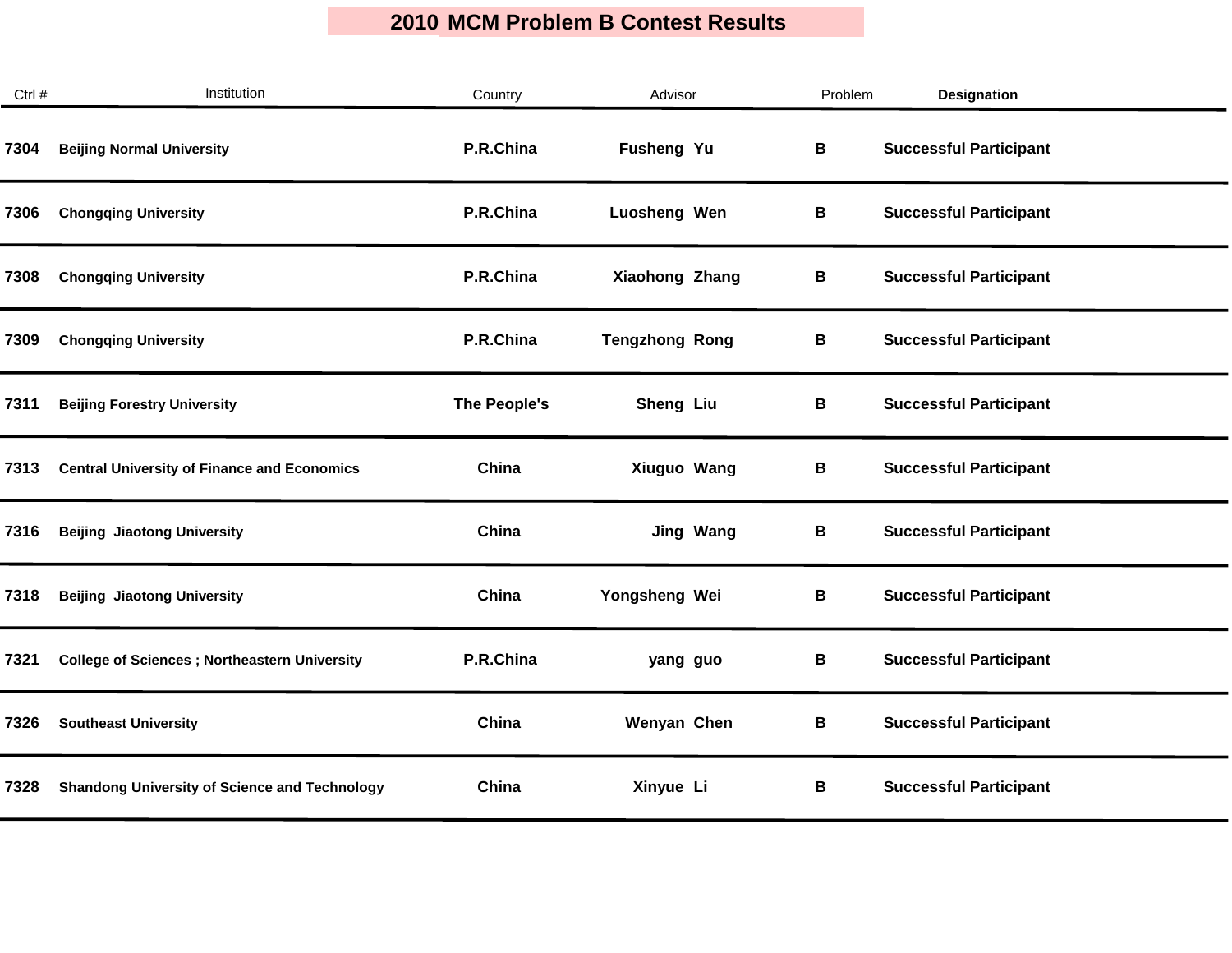| Ctrl # | Institution                                          | Country      | Advisor               | Problem | <b>Designation</b>            |
|--------|------------------------------------------------------|--------------|-----------------------|---------|-------------------------------|
| 7304   | <b>Beijing Normal University</b>                     | P.R.China    | Fusheng Yu            | В       | <b>Successful Participant</b> |
| 7306   | <b>Chongqing University</b>                          | P.R.China    | Luosheng Wen          | В       | <b>Successful Participant</b> |
| 7308   | <b>Chongqing University</b>                          | P.R.China    | Xiaohong Zhang        | В       | <b>Successful Participant</b> |
| 7309   | <b>Chongqing University</b>                          | P.R.China    | <b>Tengzhong Rong</b> | В       | <b>Successful Participant</b> |
| 7311   | <b>Beijing Forestry University</b>                   | The People's | Sheng Liu             | В       | <b>Successful Participant</b> |
| 7313   | <b>Central University of Finance and Economics</b>   | China        | Xiuguo Wang           | В       | <b>Successful Participant</b> |
| 7316   | <b>Beijing Jiaotong University</b>                   | China        | <b>Jing Wang</b>      | В       | <b>Successful Participant</b> |
| 7318   | <b>Beijing Jiaotong University</b>                   | China        | Yongsheng Wei         | В       | <b>Successful Participant</b> |
| 7321   | <b>College of Sciences ; Northeastern University</b> | P.R.China    | yang guo              | В       | <b>Successful Participant</b> |
| 7326   | <b>Southeast University</b>                          | China        | Wenyan Chen           | В       | <b>Successful Participant</b> |
| 7328   | <b>Shandong University of Science and Technology</b> | China        | Xinyue Li             | В       | <b>Successful Participant</b> |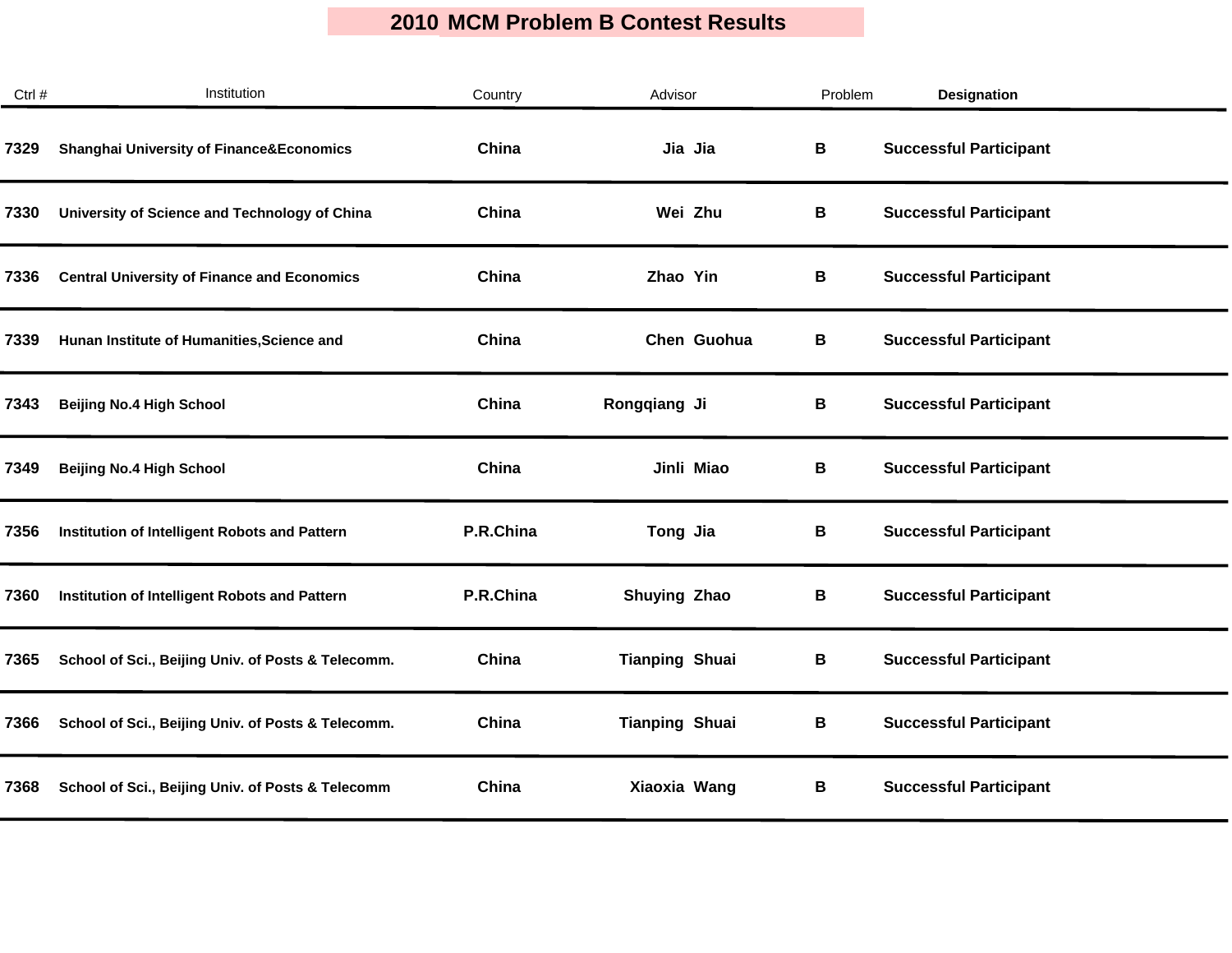| Ctrl # | Institution                                         | Country   | Advisor               | Problem | <b>Designation</b>            |  |
|--------|-----------------------------------------------------|-----------|-----------------------|---------|-------------------------------|--|
| 7329   | <b>Shanghai University of Finance&amp;Economics</b> | China     | Jia Jia               | В       | <b>Successful Participant</b> |  |
| 7330   | University of Science and Technology of China       | China     | Wei Zhu               | В       | <b>Successful Participant</b> |  |
| 7336   | <b>Central University of Finance and Economics</b>  | China     | Zhao Yin              | В       | <b>Successful Participant</b> |  |
| 7339   | Hunan Institute of Humanities, Science and          | China     | Chen Guohua           | В       | <b>Successful Participant</b> |  |
| 7343   | <b>Beijing No.4 High School</b>                     | China     | Rongqiang Ji          | В       | <b>Successful Participant</b> |  |
| 7349   | <b>Beijing No.4 High School</b>                     | China     | Jinli Miao            | В       | <b>Successful Participant</b> |  |
| 7356   | Institution of Intelligent Robots and Pattern       | P.R.China | Tong Jia              | В       | <b>Successful Participant</b> |  |
| 7360   | Institution of Intelligent Robots and Pattern       | P.R.China | Shuying Zhao          | В       | <b>Successful Participant</b> |  |
| 7365   | School of Sci., Beijing Univ. of Posts & Telecomm.  | China     | <b>Tianping Shuai</b> | В       | <b>Successful Participant</b> |  |
| 7366   | School of Sci., Beijing Univ. of Posts & Telecomm.  | China     | <b>Tianping Shuai</b> | В       | <b>Successful Participant</b> |  |
| 7368   | School of Sci., Beijing Univ. of Posts & Telecomm   | China     | Xiaoxia Wang          | В       | <b>Successful Participant</b> |  |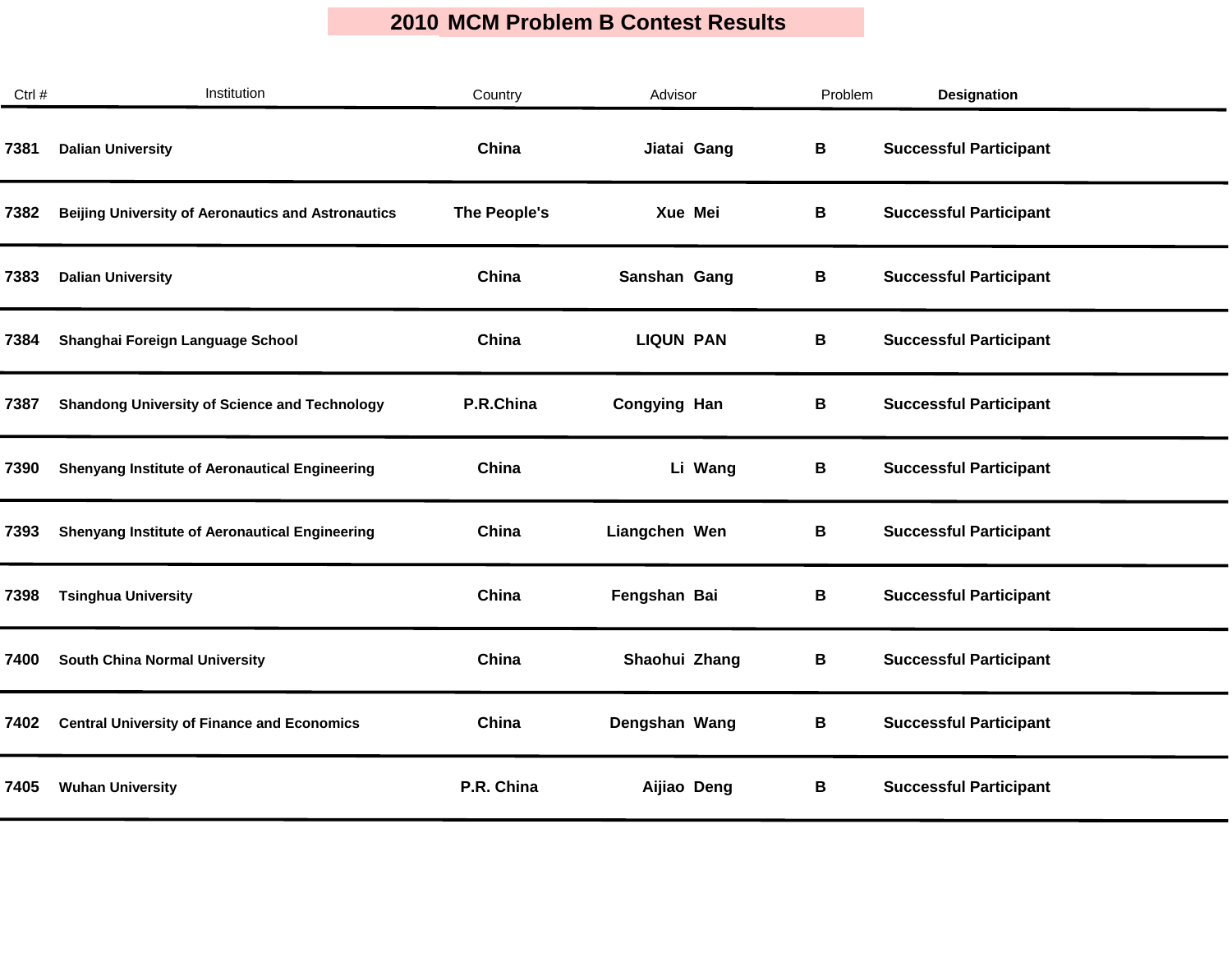| Ctrl # | Institution                                               | Country      | Advisor             | Problem | <b>Designation</b>            |  |
|--------|-----------------------------------------------------------|--------------|---------------------|---------|-------------------------------|--|
| 7381   | <b>Dalian University</b>                                  | China        | Jiatai Gang         | В       | <b>Successful Participant</b> |  |
| 7382   | <b>Beijing University of Aeronautics and Astronautics</b> | The People's | Xue Mei             | В       | <b>Successful Participant</b> |  |
| 7383   | <b>Dalian University</b>                                  | China        | Sanshan Gang        | В       | <b>Successful Participant</b> |  |
| 7384   | Shanghai Foreign Language School                          | China        | <b>LIQUN PAN</b>    | В       | <b>Successful Participant</b> |  |
| 7387   | <b>Shandong University of Science and Technology</b>      | P.R.China    | <b>Congying Han</b> | В       | <b>Successful Participant</b> |  |
| 7390   | <b>Shenyang Institute of Aeronautical Engineering</b>     | China        | Li Wang             | В       | <b>Successful Participant</b> |  |
| 7393   | <b>Shenyang Institute of Aeronautical Engineering</b>     | China        | Liangchen Wen       | В       | <b>Successful Participant</b> |  |
| 7398   | <b>Tsinghua University</b>                                | China        | Fengshan Bai        | В       | <b>Successful Participant</b> |  |
| 7400   | <b>South China Normal University</b>                      | China        | Shaohui Zhang       | В       | <b>Successful Participant</b> |  |
| 7402   | <b>Central University of Finance and Economics</b>        | China        | Dengshan Wang       | В       | <b>Successful Participant</b> |  |
| 7405   | <b>Wuhan University</b>                                   | P.R. China   | Aijiao Deng         | В       | <b>Successful Participant</b> |  |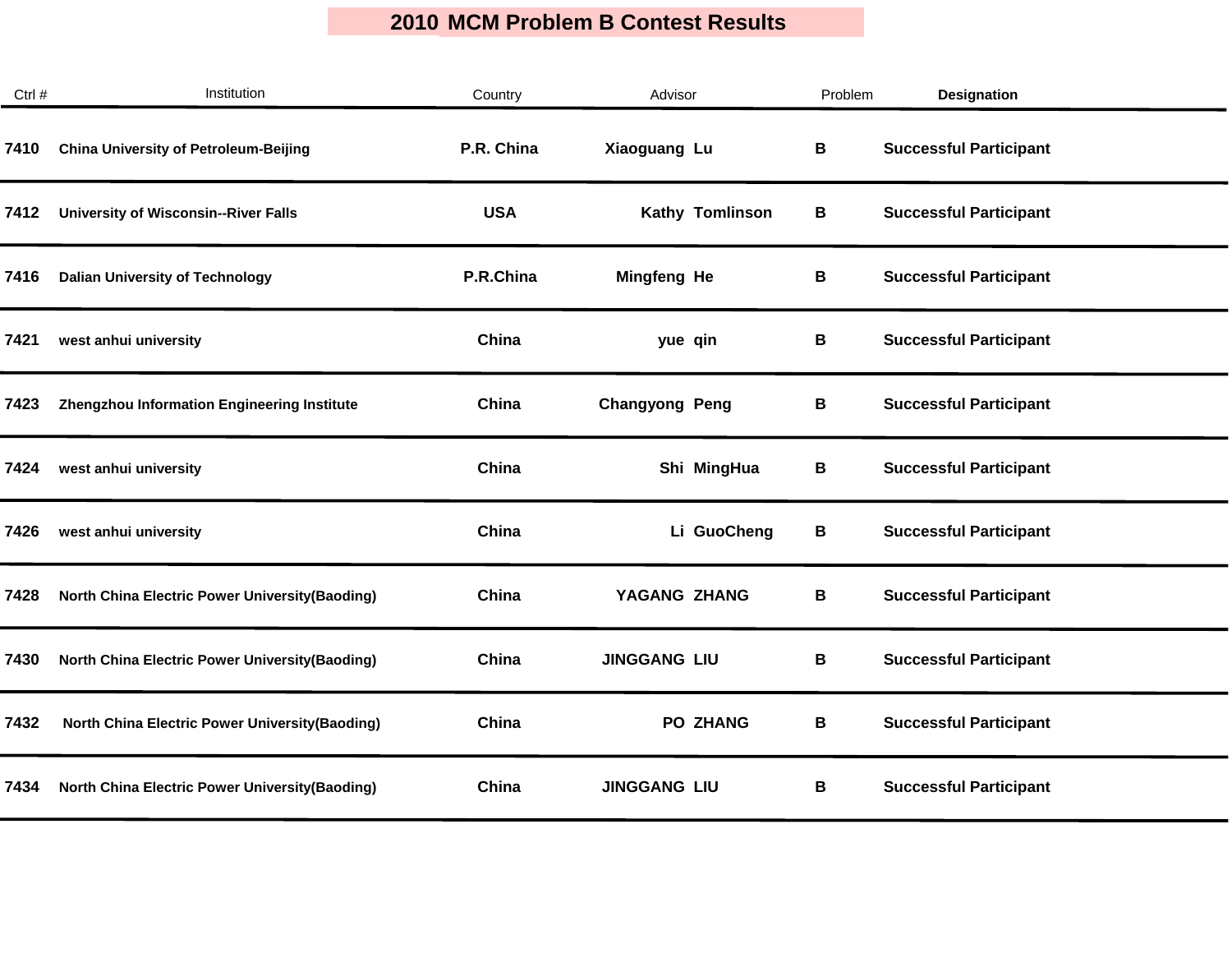| Ctrl # | Institution                                            | Country    | Advisor               | Problem | <b>Designation</b>            |  |
|--------|--------------------------------------------------------|------------|-----------------------|---------|-------------------------------|--|
| 7410   | <b>China University of Petroleum-Beijing</b>           | P.R. China | Xiaoguang Lu          | B       | <b>Successful Participant</b> |  |
| 7412   | <b>University of Wisconsin--River Falls</b>            | <b>USA</b> | Kathy Tomlinson       | В       | <b>Successful Participant</b> |  |
| 7416   | <b>Dalian University of Technology</b>                 | P.R.China  | <b>Mingfeng He</b>    | В       | <b>Successful Participant</b> |  |
| 7421   | west anhui university                                  | China      | yue qin               | В       | <b>Successful Participant</b> |  |
| 7423   | Zhengzhou Information Engineering Institute            | China      | <b>Changyong Peng</b> | В       | <b>Successful Participant</b> |  |
| 7424   | west anhui university                                  | China      | Shi MingHua           | В       | <b>Successful Participant</b> |  |
| 7426   | west anhui university                                  | China      | Li GuoCheng           | В       | <b>Successful Participant</b> |  |
| 7428   | <b>North China Electric Power University (Baoding)</b> | China      | YAGANG ZHANG          | В       | <b>Successful Participant</b> |  |
| 7430   | <b>North China Electric Power University (Baoding)</b> | China      | <b>JINGGANG LIU</b>   | В       | <b>Successful Participant</b> |  |
| 7432   | <b>North China Electric Power University (Baoding)</b> | China      | <b>PO ZHANG</b>       | В       | <b>Successful Participant</b> |  |
| 7434   | <b>North China Electric Power University (Baoding)</b> | China      | <b>JINGGANG LIU</b>   | В       | <b>Successful Participant</b> |  |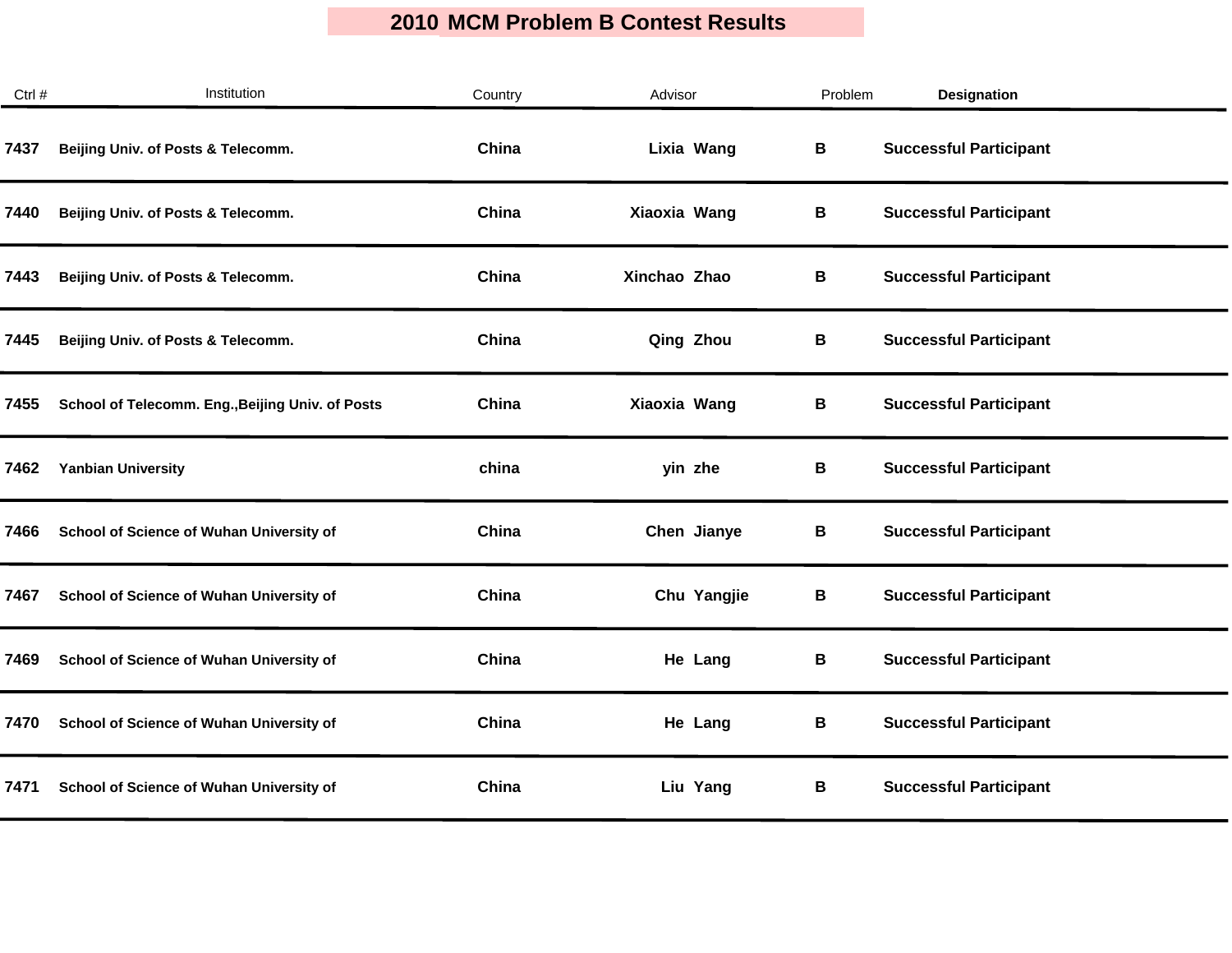| Ctrl # | Institution                                      | Country | Advisor      | Problem | <b>Designation</b>            |  |
|--------|--------------------------------------------------|---------|--------------|---------|-------------------------------|--|
| 7437   | Beijing Univ. of Posts & Telecomm.               | China   | Lixia Wang   | B       | <b>Successful Participant</b> |  |
| 7440   | Beijing Univ. of Posts & Telecomm.               | China   | Xiaoxia Wang | В       | <b>Successful Participant</b> |  |
| 7443   | Beijing Univ. of Posts & Telecomm.               | China   | Xinchao Zhao | В       | <b>Successful Participant</b> |  |
| 7445   | Beijing Univ. of Posts & Telecomm.               | China   | Qing Zhou    | В       | <b>Successful Participant</b> |  |
| 7455   | School of Telecomm. Eng., Beijing Univ. of Posts | China   | Xiaoxia Wang | В       | <b>Successful Participant</b> |  |
| 7462   | <b>Yanbian University</b>                        | china   | yin zhe      | В       | <b>Successful Participant</b> |  |
| 7466   | School of Science of Wuhan University of         | China   | Chen Jianye  | В       | <b>Successful Participant</b> |  |
| 7467   | School of Science of Wuhan University of         | China   | Chu Yangjie  | В       | <b>Successful Participant</b> |  |
| 7469   | School of Science of Wuhan University of         | China   | He Lang      | В       | <b>Successful Participant</b> |  |
| 7470   | School of Science of Wuhan University of         | China   | He Lang      | В       | <b>Successful Participant</b> |  |
| 7471   | School of Science of Wuhan University of         | China   | Liu Yang     | В       | <b>Successful Participant</b> |  |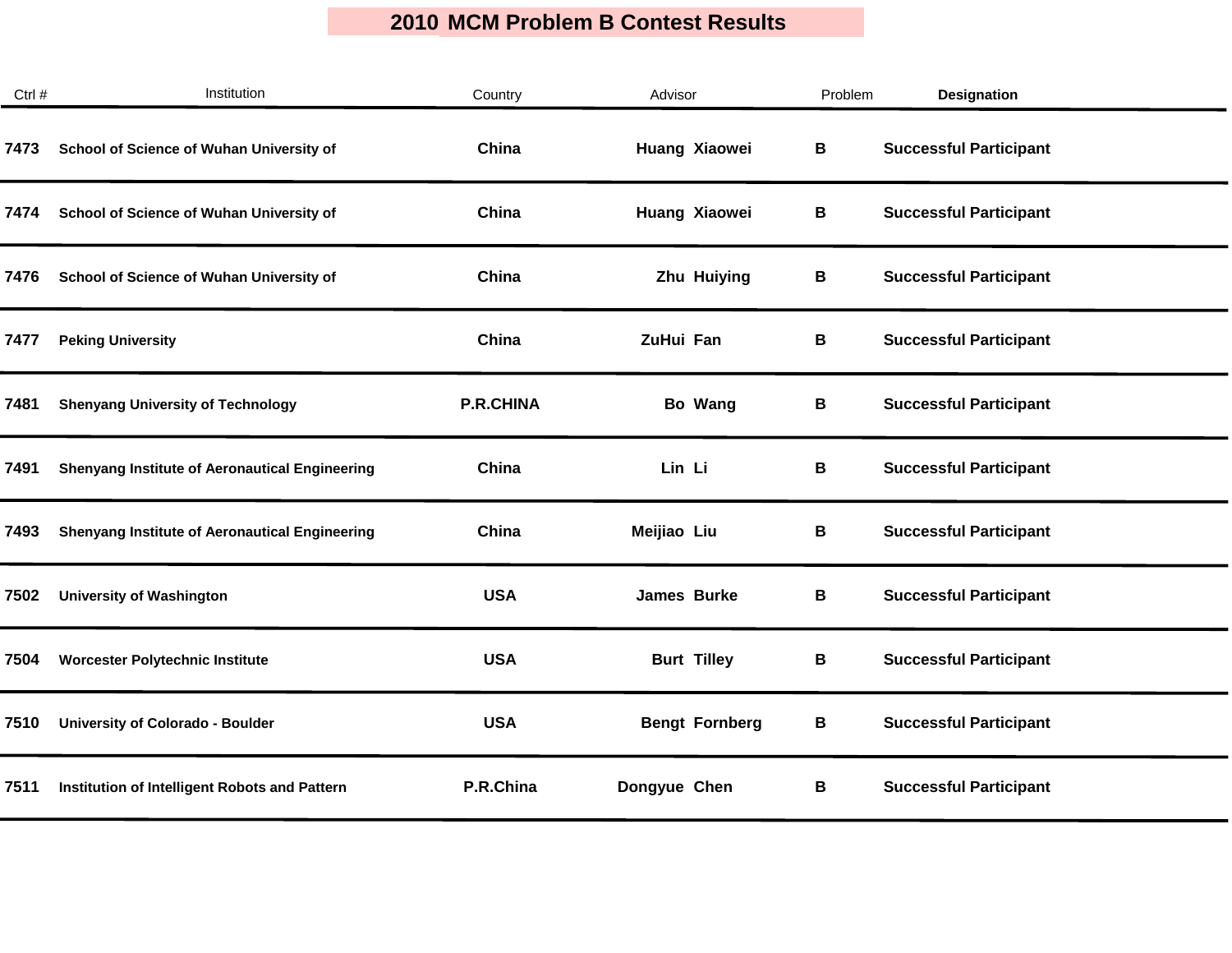| Ctrl # | Institution                                           | Country          | Advisor               | Problem | <b>Designation</b>            |
|--------|-------------------------------------------------------|------------------|-----------------------|---------|-------------------------------|
| 7473   | School of Science of Wuhan University of              | China            | Huang Xiaowei         | В       | <b>Successful Participant</b> |
| 7474   | School of Science of Wuhan University of              | China            | Huang Xiaowei         | В       | <b>Successful Participant</b> |
| 7476   | School of Science of Wuhan University of              | China            | Zhu Huiying           | В       | <b>Successful Participant</b> |
| 7477   | <b>Peking University</b>                              | China            | ZuHui Fan             | В       | <b>Successful Participant</b> |
| 7481   | <b>Shenyang University of Technology</b>              | <b>P.R.CHINA</b> | Bo Wang               | В       | <b>Successful Participant</b> |
| 7491   | <b>Shenyang Institute of Aeronautical Engineering</b> | China            | Lin Li                | В       | <b>Successful Participant</b> |
| 7493   | <b>Shenyang Institute of Aeronautical Engineering</b> | China            | Meijiao Liu           | В       | <b>Successful Participant</b> |
| 7502   | <b>University of Washington</b>                       | <b>USA</b>       | James Burke           | В       | <b>Successful Participant</b> |
| 7504   | <b>Worcester Polytechnic Institute</b>                | <b>USA</b>       | <b>Burt Tilley</b>    | B       | <b>Successful Participant</b> |
| 7510   | University of Colorado - Boulder                      | <b>USA</b>       | <b>Bengt Fornberg</b> | В       | <b>Successful Participant</b> |
| 7511   | Institution of Intelligent Robots and Pattern         | P.R.China        | Dongyue Chen          | В       | <b>Successful Participant</b> |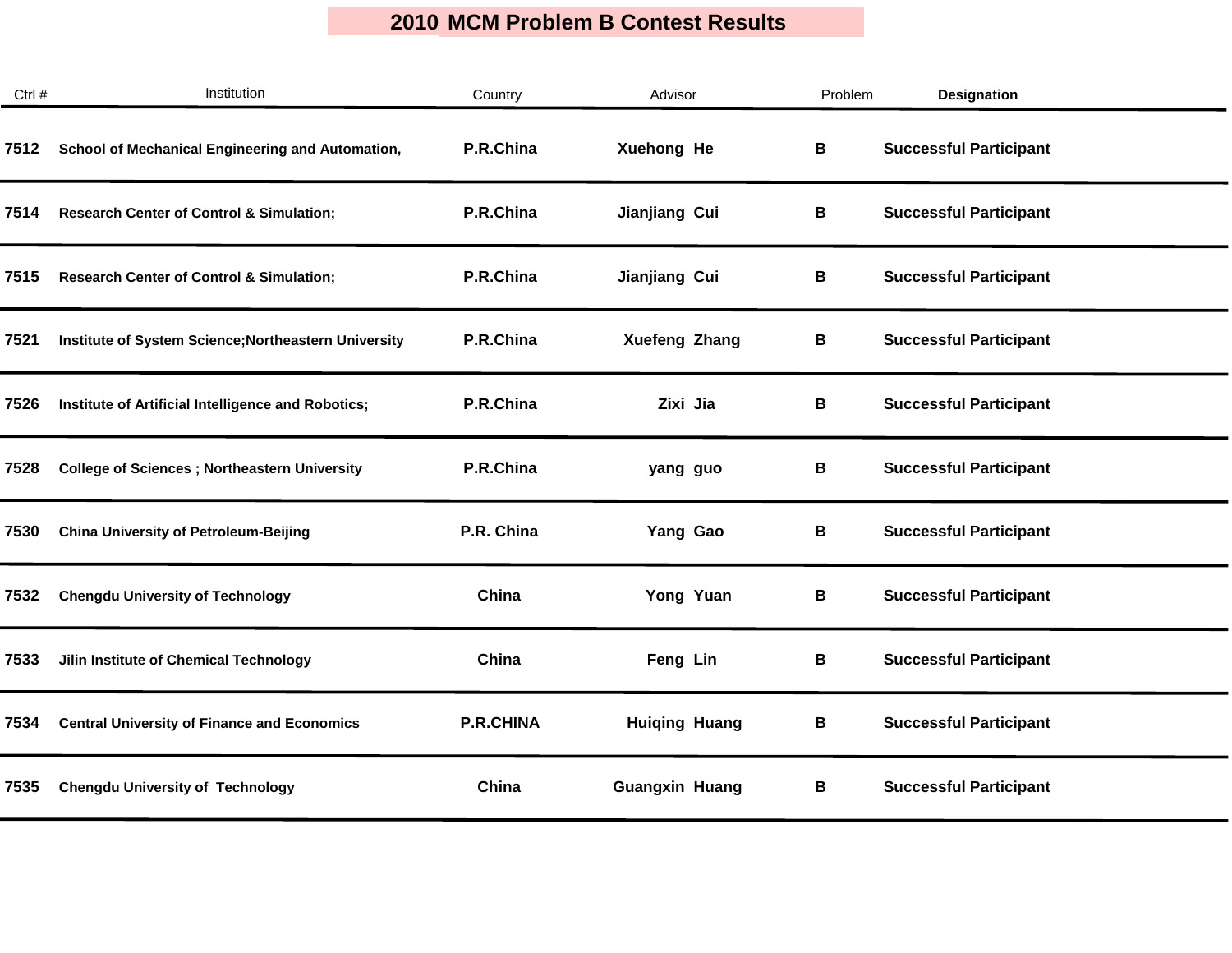| Ctrl # | Institution                                          | Country          | Advisor               | Problem | <b>Designation</b>            |
|--------|------------------------------------------------------|------------------|-----------------------|---------|-------------------------------|
| 7512   | School of Mechanical Engineering and Automation,     | P.R.China        | Xuehong He            | В       | <b>Successful Participant</b> |
| 7514   | <b>Research Center of Control &amp; Simulation;</b>  | P.R.China        | Jianjiang Cui         | В       | <b>Successful Participant</b> |
| 7515   | <b>Research Center of Control &amp; Simulation;</b>  | P.R.China        | Jianjiang Cui         | В       | <b>Successful Participant</b> |
| 7521   | Institute of System Science; Northeastern University | P.R.China        | <b>Xuefeng Zhang</b>  | В       | <b>Successful Participant</b> |
| 7526   | Institute of Artificial Intelligence and Robotics;   | P.R.China        | Zixi Jia              | В       | <b>Successful Participant</b> |
| 7528   | <b>College of Sciences ; Northeastern University</b> | P.R.China        | yang guo              | В       | <b>Successful Participant</b> |
| 7530   | <b>China University of Petroleum-Beijing</b>         | P.R. China       | Yang Gao              | В       | <b>Successful Participant</b> |
| 7532   | <b>Chengdu University of Technology</b>              | China            | Yong Yuan             | В       | <b>Successful Participant</b> |
| 7533   | Jilin Institute of Chemical Technology               | China            | Feng Lin              | В       | <b>Successful Participant</b> |
| 7534   | <b>Central University of Finance and Economics</b>   | <b>P.R.CHINA</b> | <b>Huiging Huang</b>  | В       | <b>Successful Participant</b> |
| 7535   | <b>Chengdu University of Technology</b>              | China            | <b>Guangxin Huang</b> | В       | <b>Successful Participant</b> |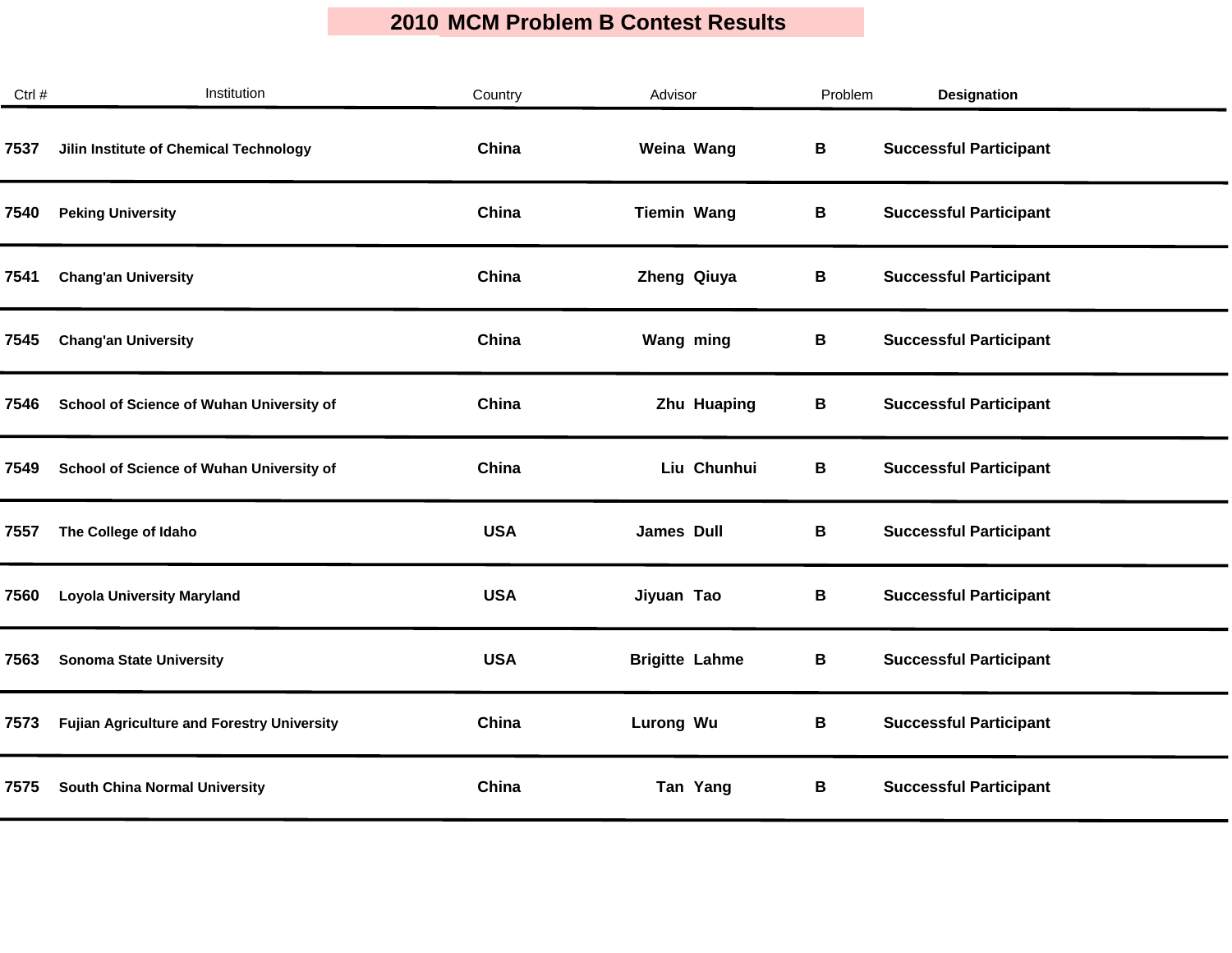| Ctrl # | Institution                                       | Country    | Advisor               | Problem | <b>Designation</b>            |
|--------|---------------------------------------------------|------------|-----------------------|---------|-------------------------------|
| 7537   | Jilin Institute of Chemical Technology            | China      | Weina Wang            | В       | <b>Successful Participant</b> |
| 7540   | <b>Peking University</b>                          | China      | <b>Tiemin Wang</b>    | В       | <b>Successful Participant</b> |
| 7541   | <b>Chang'an University</b>                        | China      | Zheng Qiuya           | В       | <b>Successful Participant</b> |
| 7545   | <b>Chang'an University</b>                        | China      | Wang ming             | В       | <b>Successful Participant</b> |
| 7546   | School of Science of Wuhan University of          | China      | Zhu Huaping           | В       | <b>Successful Participant</b> |
| 7549   | School of Science of Wuhan University of          | China      | Liu Chunhui           | В       | <b>Successful Participant</b> |
| 7557   | The College of Idaho                              | <b>USA</b> | <b>James Dull</b>     | В       | <b>Successful Participant</b> |
| 7560   | <b>Loyola University Maryland</b>                 | <b>USA</b> | Jiyuan Tao            | В       | <b>Successful Participant</b> |
| 7563   | <b>Sonoma State University</b>                    | <b>USA</b> | <b>Brigitte Lahme</b> | B       | <b>Successful Participant</b> |
| 7573   | <b>Fujian Agriculture and Forestry University</b> | China      | Lurong Wu             | В       | <b>Successful Participant</b> |
| 7575   | <b>South China Normal University</b>              | China      | Tan Yang              | В       | <b>Successful Participant</b> |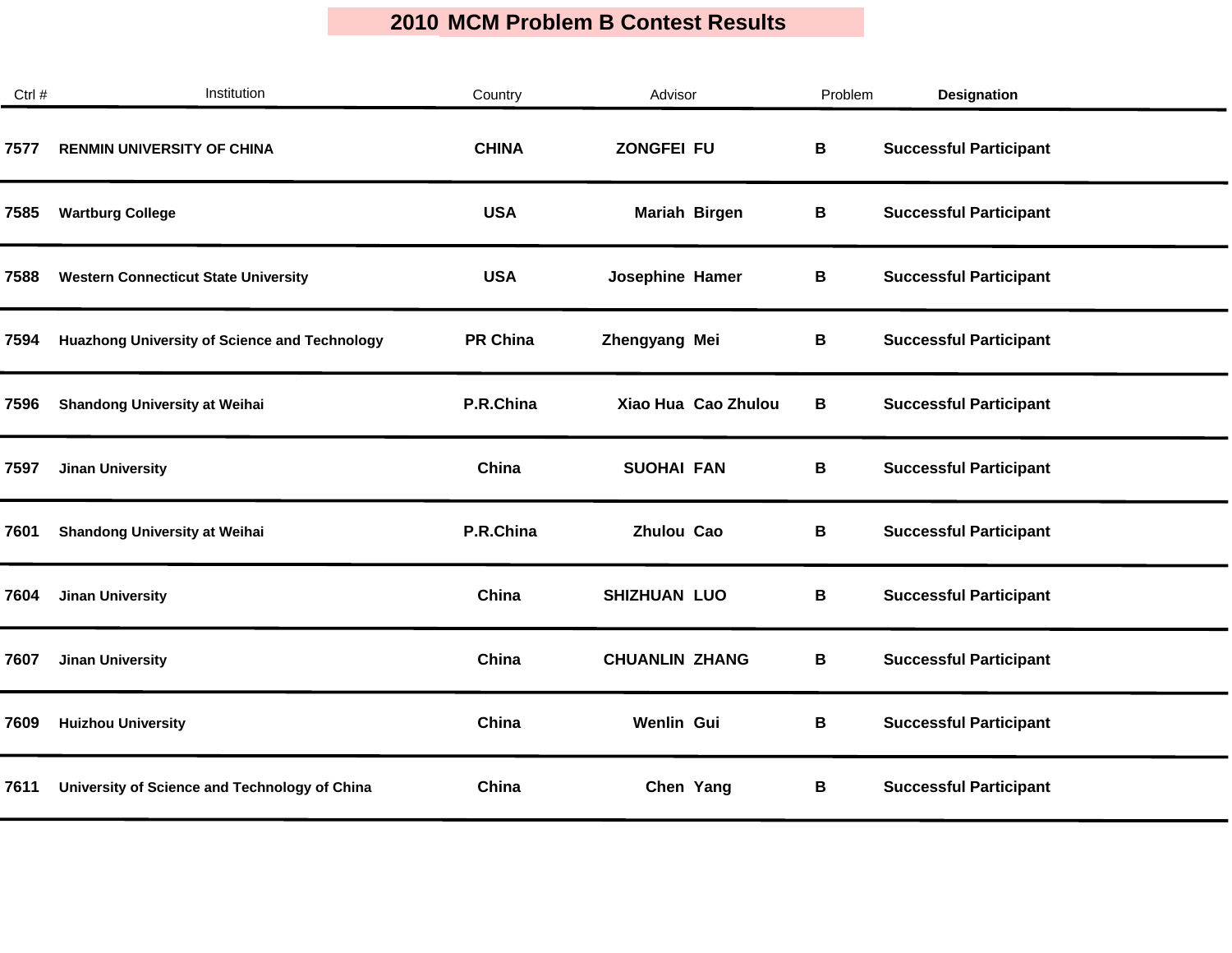| Ctrl # | Institution                                          | Country         | Advisor               | Problem | <b>Designation</b>            |
|--------|------------------------------------------------------|-----------------|-----------------------|---------|-------------------------------|
| 7577   | <b>RENMIN UNIVERSITY OF CHINA</b>                    | <b>CHINA</b>    | <b>ZONGFEI FU</b>     | В       | <b>Successful Participant</b> |
| 7585   | <b>Wartburg College</b>                              | <b>USA</b>      | Mariah Birgen         | В       | <b>Successful Participant</b> |
| 7588   | <b>Western Connecticut State University</b>          | <b>USA</b>      | Josephine Hamer       | В       | <b>Successful Participant</b> |
| 7594   | <b>Huazhong University of Science and Technology</b> | <b>PR China</b> | Zhengyang Mei         | В       | <b>Successful Participant</b> |
| 7596   | <b>Shandong University at Weihai</b>                 | P.R.China       | Xiao Hua Cao Zhulou   | В       | <b>Successful Participant</b> |
| 7597   | <b>Jinan University</b>                              | China           | <b>SUOHAI FAN</b>     | В       | <b>Successful Participant</b> |
| 7601   | Shandong University at Weihai                        | P.R.China       | <b>Zhulou Cao</b>     | В       | <b>Successful Participant</b> |
| 7604   | <b>Jinan University</b>                              | China           | <b>SHIZHUAN LUO</b>   | В       | <b>Successful Participant</b> |
| 7607   | <b>Jinan University</b>                              | China           | <b>CHUANLIN ZHANG</b> | B       | <b>Successful Participant</b> |
| 7609   | <b>Huizhou University</b>                            | China           | Wenlin Gui            | В       | <b>Successful Participant</b> |
| 7611   | University of Science and Technology of China        | China           | Chen Yang             | В       | <b>Successful Participant</b> |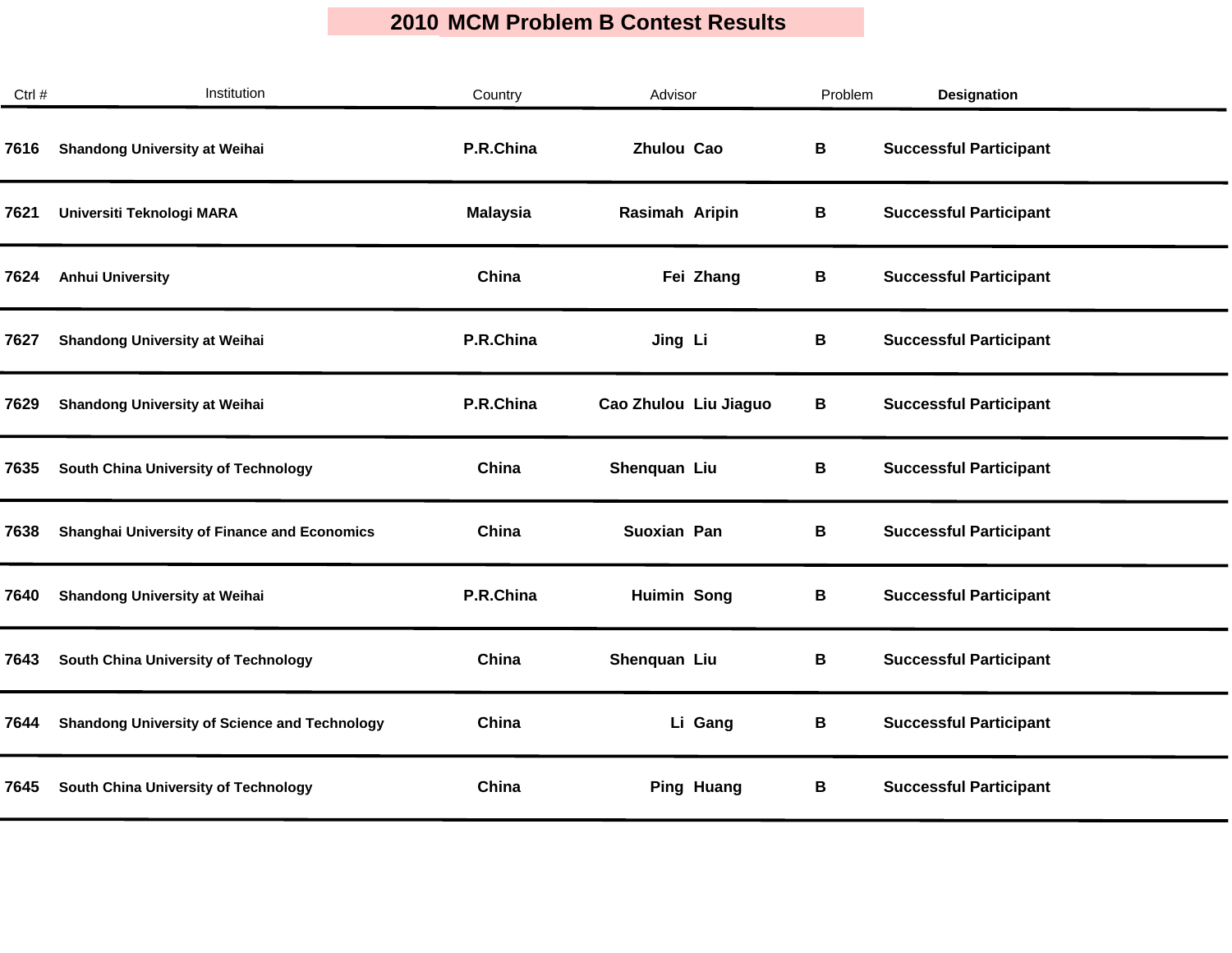| Ctrl # | Institution                                          | Country         | Advisor               | Problem | <b>Designation</b>            |
|--------|------------------------------------------------------|-----------------|-----------------------|---------|-------------------------------|
| 7616   | <b>Shandong University at Weihai</b>                 | P.R.China       | Zhulou Cao            | В       | <b>Successful Participant</b> |
| 7621   | Universiti Teknologi MARA                            | <b>Malaysia</b> | Rasimah Aripin        | В       | <b>Successful Participant</b> |
| 7624   | <b>Anhui University</b>                              | China           | Fei Zhang             | В       | <b>Successful Participant</b> |
| 7627   | <b>Shandong University at Weihai</b>                 | P.R.China       | Jing Li               | В       | <b>Successful Participant</b> |
| 7629   | <b>Shandong University at Weihai</b>                 | P.R.China       | Cao Zhulou Liu Jiaguo | В       | <b>Successful Participant</b> |
| 7635   | South China University of Technology                 | China           | Shenquan Liu          | В       | <b>Successful Participant</b> |
| 7638   | <b>Shanghai University of Finance and Economics</b>  | China           | Suoxian Pan           | В       | <b>Successful Participant</b> |
| 7640   | <b>Shandong University at Weihai</b>                 | P.R.China       | <b>Huimin Song</b>    | В       | <b>Successful Participant</b> |
| 7643   | South China University of Technology                 | China           | Shenquan Liu          | В       | <b>Successful Participant</b> |
| 7644   | <b>Shandong University of Science and Technology</b> | China           | Li Gang               | В       | <b>Successful Participant</b> |
| 7645   | South China University of Technology                 | China           | <b>Ping Huang</b>     | В       | <b>Successful Participant</b> |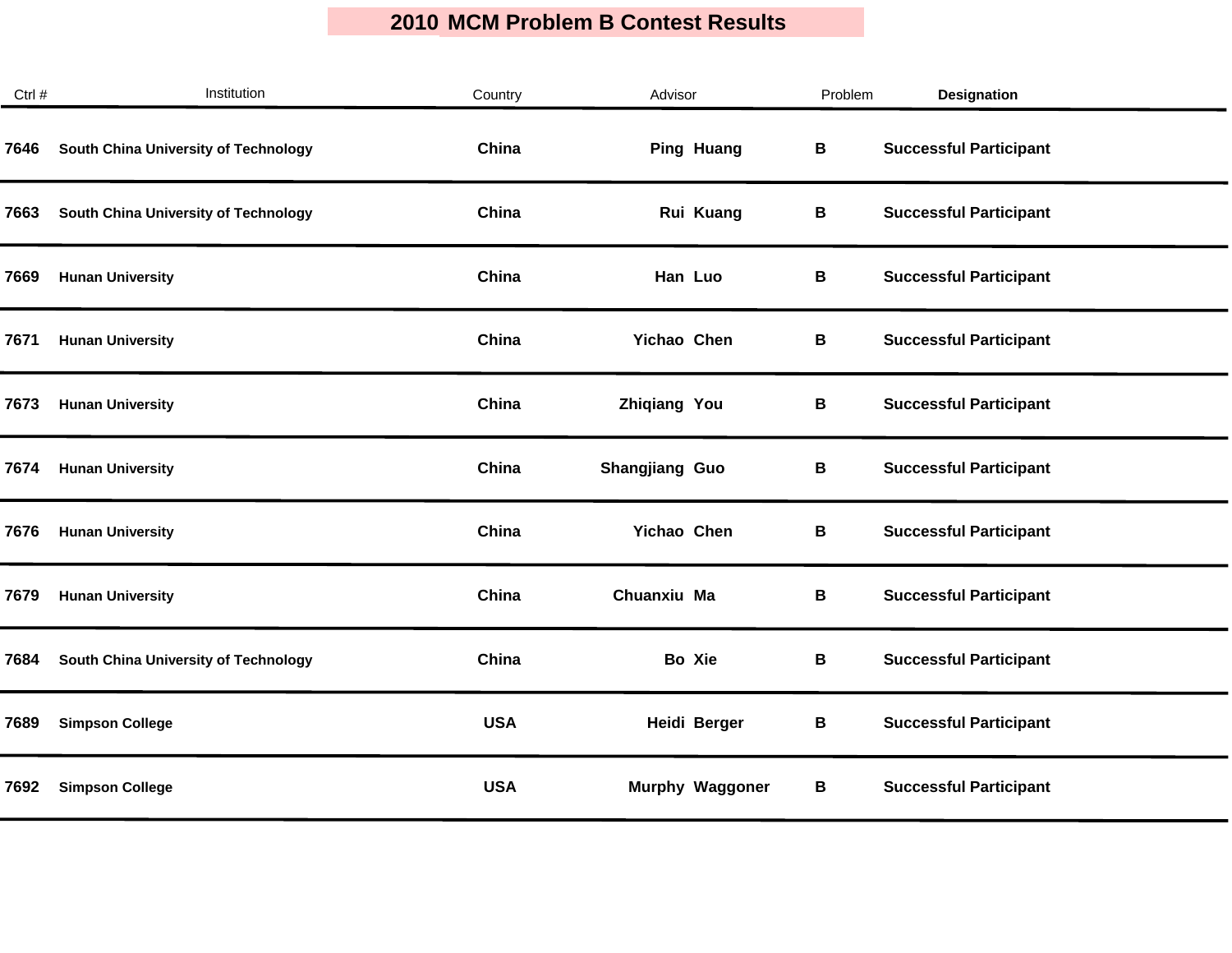| Ctrl # | Institution                          | Country    | Advisor                | Problem | <b>Designation</b>            |
|--------|--------------------------------------|------------|------------------------|---------|-------------------------------|
| 7646   | South China University of Technology | China      | <b>Ping Huang</b>      | В       | <b>Successful Participant</b> |
| 7663   | South China University of Technology | China      | Rui Kuang              | В       | <b>Successful Participant</b> |
| 7669   | <b>Hunan University</b>              | China      | Han Luo                | В       | <b>Successful Participant</b> |
| 7671   | <b>Hunan University</b>              | China      | Yichao Chen            | В       | <b>Successful Participant</b> |
| 7673   | <b>Hunan University</b>              | China      | <b>Zhiqiang You</b>    | В       | <b>Successful Participant</b> |
| 7674   | <b>Hunan University</b>              | China      | Shangjiang Guo         | В       | <b>Successful Participant</b> |
| 7676   | <b>Hunan University</b>              | China      | Yichao Chen            | В       | <b>Successful Participant</b> |
| 7679   | <b>Hunan University</b>              | China      | Chuanxiu Ma            | В       | <b>Successful Participant</b> |
| 7684   | South China University of Technology | China      | Bo Xie                 | В       | <b>Successful Participant</b> |
| 7689   | <b>Simpson College</b>               | <b>USA</b> | Heidi Berger           | В       | <b>Successful Participant</b> |
| 7692   | <b>Simpson College</b>               | <b>USA</b> | <b>Murphy Waggoner</b> | В       | <b>Successful Participant</b> |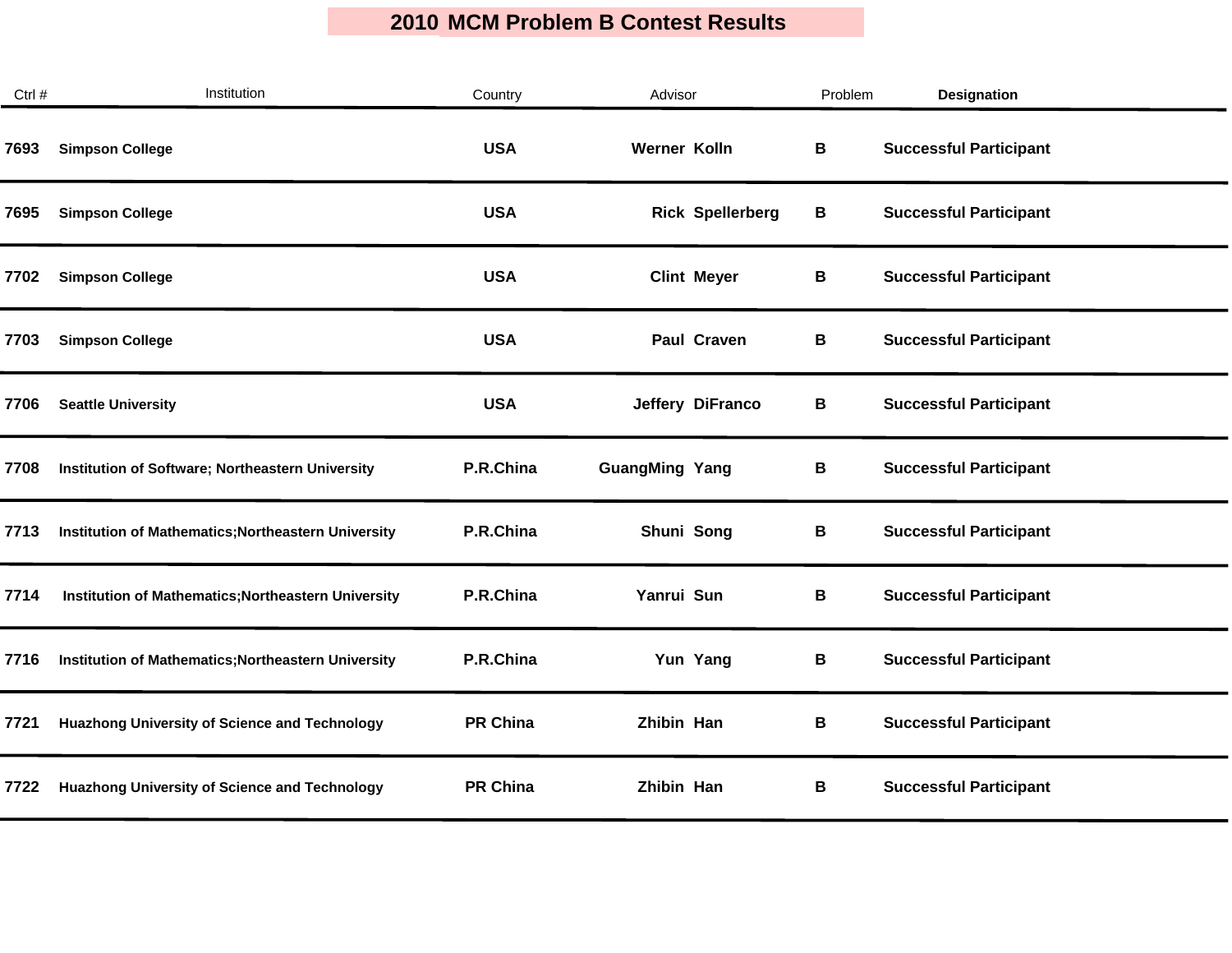| Ctrl # | Institution                                          | Country         | Advisor                 | Problem | <b>Designation</b>            |  |
|--------|------------------------------------------------------|-----------------|-------------------------|---------|-------------------------------|--|
| 7693   | <b>Simpson College</b>                               | <b>USA</b>      | Werner Kolln            | В       | <b>Successful Participant</b> |  |
| 7695   | <b>Simpson College</b>                               | <b>USA</b>      | <b>Rick Spellerberg</b> | В       | <b>Successful Participant</b> |  |
| 7702   | <b>Simpson College</b>                               | <b>USA</b>      | <b>Clint Meyer</b>      | В       | <b>Successful Participant</b> |  |
| 7703   | <b>Simpson College</b>                               | <b>USA</b>      | Paul Craven             | В       | <b>Successful Participant</b> |  |
| 7706   | <b>Seattle University</b>                            | <b>USA</b>      | Jeffery DiFranco        | В       | <b>Successful Participant</b> |  |
| 7708   | Institution of Software; Northeastern University     | P.R.China       | <b>GuangMing Yang</b>   | В       | <b>Successful Participant</b> |  |
| 7713   | Institution of Mathematics; Northeastern University  | P.R.China       | Shuni Song              | В       | <b>Successful Participant</b> |  |
| 7714   | Institution of Mathematics; Northeastern University  | P.R.China       | Yanrui Sun              | В       | <b>Successful Participant</b> |  |
| 7716   | Institution of Mathematics; Northeastern University  | P.R.China       | Yun Yang                | В       | <b>Successful Participant</b> |  |
| 7721   | <b>Huazhong University of Science and Technology</b> | <b>PR China</b> | Zhibin Han              | В       | <b>Successful Participant</b> |  |
| 7722   | <b>Huazhong University of Science and Technology</b> | <b>PR China</b> | Zhibin Han              | В       | <b>Successful Participant</b> |  |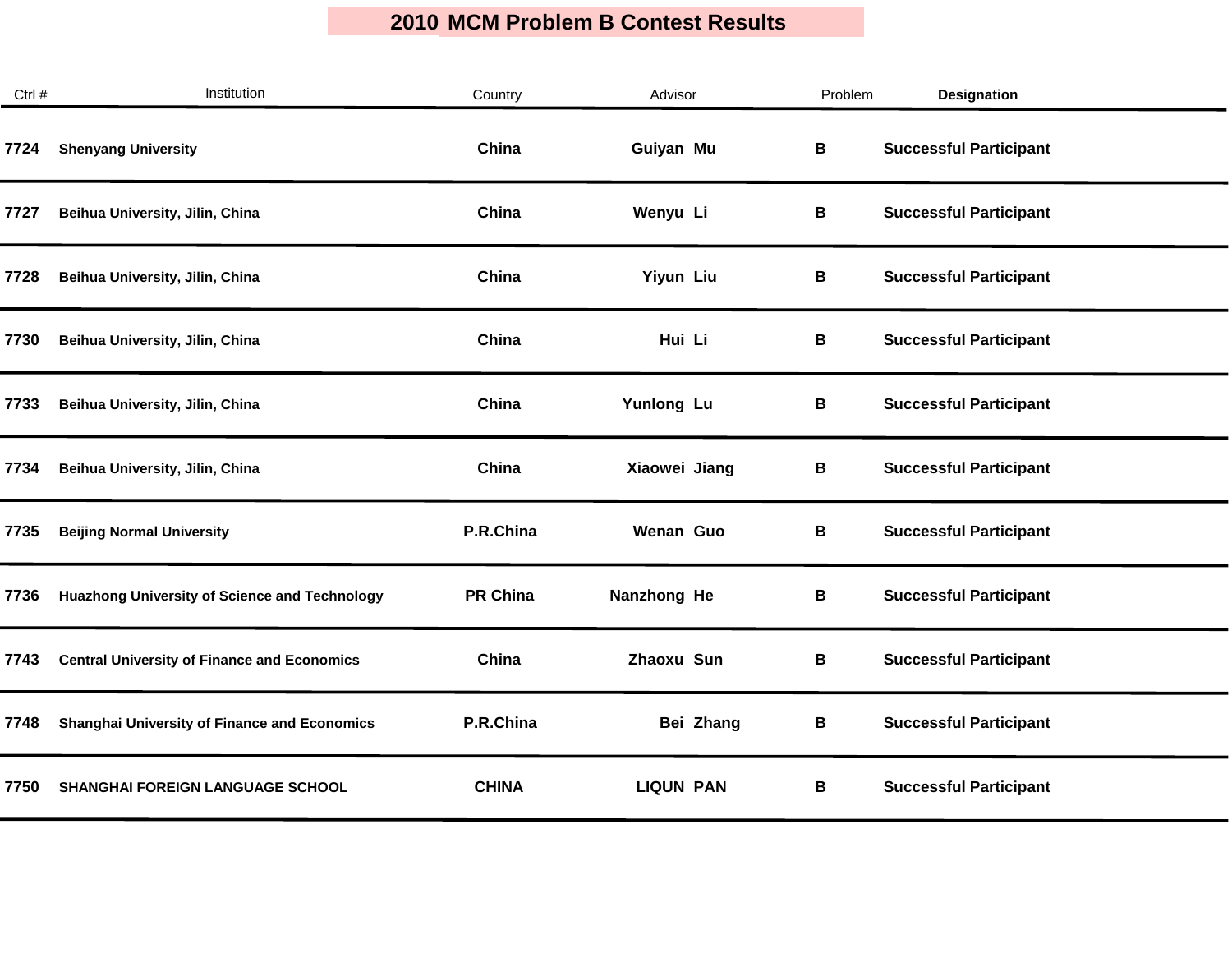| Ctrl # | Institution                                          | Country         | Advisor          | Problem | <b>Designation</b>            |
|--------|------------------------------------------------------|-----------------|------------------|---------|-------------------------------|
| 7724   | <b>Shenyang University</b>                           | China           | Guiyan Mu        | В       | <b>Successful Participant</b> |
| 7727   | Beihua University, Jilin, China                      | China           | Wenyu Li         | B       | <b>Successful Participant</b> |
| 7728   | Beihua University, Jilin, China                      | China           | Yiyun Liu        | В       | <b>Successful Participant</b> |
| 7730   | Beihua University, Jilin, China                      | China           | Hui Li           | В       | <b>Successful Participant</b> |
| 7733   | Beihua University, Jilin, China                      | China           | Yunlong Lu       | B       | <b>Successful Participant</b> |
| 7734   | Beihua University, Jilin, China                      | China           | Xiaowei Jiang    | В       | <b>Successful Participant</b> |
| 7735   | <b>Beijing Normal University</b>                     | P.R.China       | <b>Wenan Guo</b> | В       | <b>Successful Participant</b> |
| 7736   | <b>Huazhong University of Science and Technology</b> | <b>PR China</b> | Nanzhong He      | B       | <b>Successful Participant</b> |
| 7743   | <b>Central University of Finance and Economics</b>   | China           | Zhaoxu Sun       | B       | <b>Successful Participant</b> |
| 7748   | <b>Shanghai University of Finance and Economics</b>  | P.R.China       | Bei Zhang        | В       | <b>Successful Participant</b> |
| 7750   | <b>SHANGHAI FOREIGN LANGUAGE SCHOOL</b>              | <b>CHINA</b>    | <b>LIQUN PAN</b> | В       | <b>Successful Participant</b> |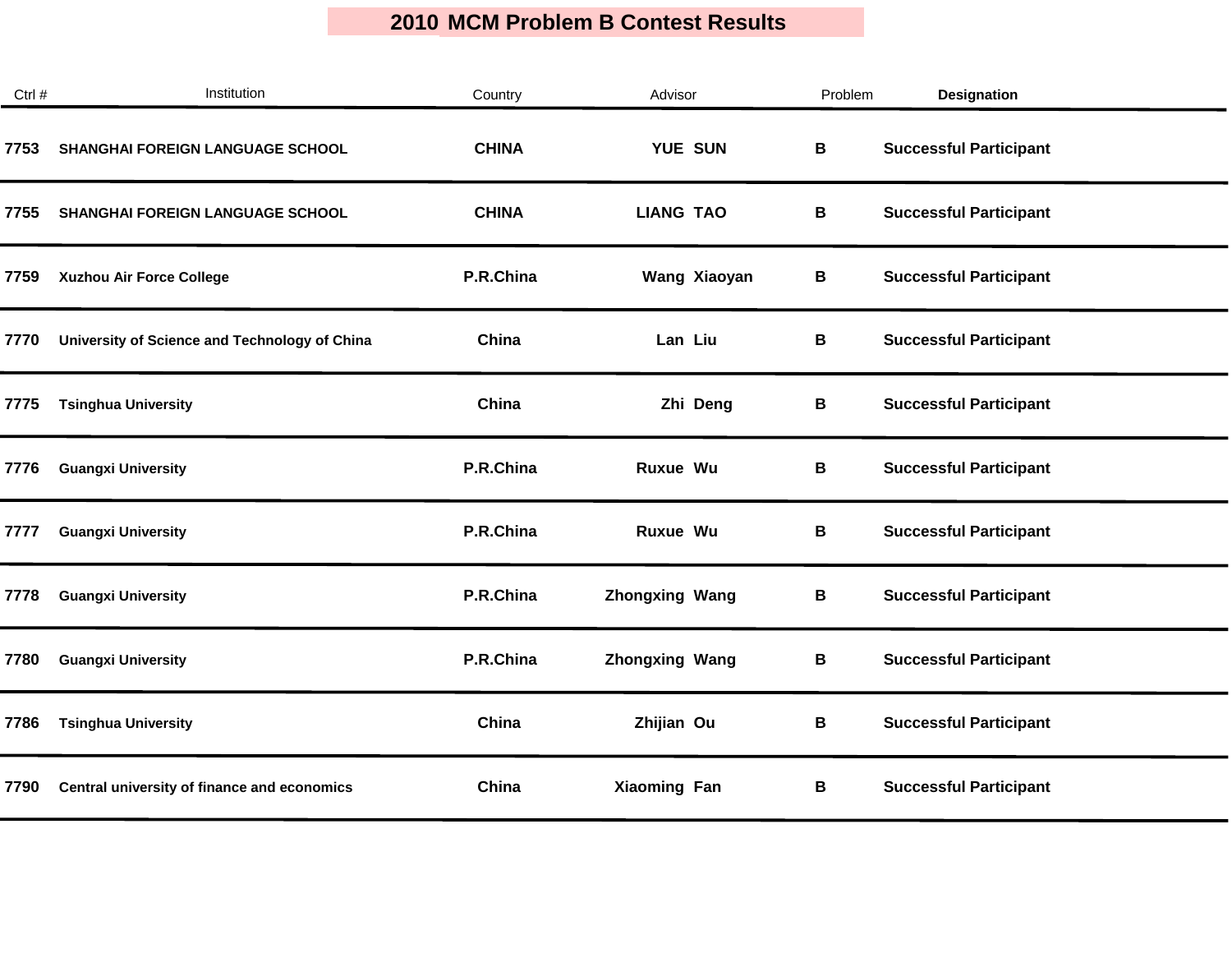| Ctrl # | Institution                                   | Country      | Advisor               | Problem | Designation                   |  |
|--------|-----------------------------------------------|--------------|-----------------------|---------|-------------------------------|--|
| 7753   | <b>SHANGHAI FOREIGN LANGUAGE SCHOOL</b>       | <b>CHINA</b> | <b>YUE SUN</b>        | B       | <b>Successful Participant</b> |  |
| 7755   | <b>SHANGHAI FOREIGN LANGUAGE SCHOOL</b>       | <b>CHINA</b> | <b>LIANG TAO</b>      | В       | <b>Successful Participant</b> |  |
| 7759   | <b>Xuzhou Air Force College</b>               | P.R.China    | Wang Xiaoyan          | В       | <b>Successful Participant</b> |  |
| 7770   | University of Science and Technology of China | China        | Lan Liu               | B       | <b>Successful Participant</b> |  |
| 7775   | <b>Tsinghua University</b>                    | China        | Zhi Deng              | В       | <b>Successful Participant</b> |  |
| 7776   | <b>Guangxi University</b>                     | P.R.China    | Ruxue Wu              | B       | <b>Successful Participant</b> |  |
| 7777   | <b>Guangxi University</b>                     | P.R.China    | Ruxue Wu              | В       | <b>Successful Participant</b> |  |
| 7778   | <b>Guangxi University</b>                     | P.R.China    | <b>Zhongxing Wang</b> | В       | <b>Successful Participant</b> |  |
| 7780   | <b>Guangxi University</b>                     | P.R.China    | <b>Zhongxing Wang</b> | В       | <b>Successful Participant</b> |  |
| 7786   | <b>Tsinghua University</b>                    | China        | Zhijian Ou            | В       | <b>Successful Participant</b> |  |
| 7790   | Central university of finance and economics   | China        | <b>Xiaoming Fan</b>   | В       | <b>Successful Participant</b> |  |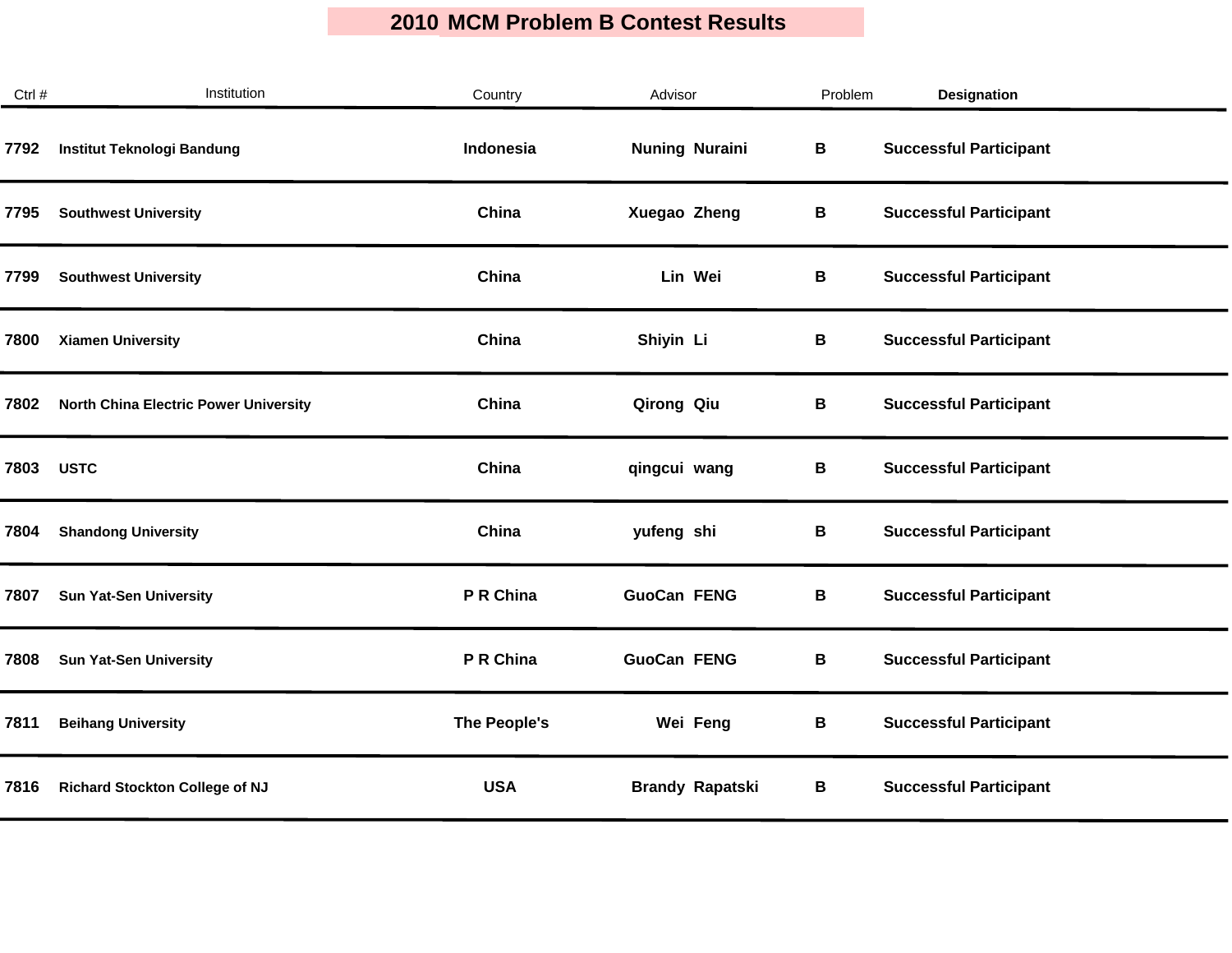| Ctrl # | Institution                                  | Country      | Advisor                | Problem | <b>Designation</b>            |
|--------|----------------------------------------------|--------------|------------------------|---------|-------------------------------|
| 7792   | Institut Teknologi Bandung                   | Indonesia    | <b>Nuning Nuraini</b>  | В       | <b>Successful Participant</b> |
| 7795   | <b>Southwest University</b>                  | China        | Xuegao Zheng           | В       | <b>Successful Participant</b> |
| 7799   | <b>Southwest University</b>                  | China        | Lin Wei                | В       | <b>Successful Participant</b> |
| 7800   | <b>Xiamen University</b>                     | China        | Shiyin Li              | В       | <b>Successful Participant</b> |
| 7802   | <b>North China Electric Power University</b> | China        | Qirong Qiu             | В       | <b>Successful Participant</b> |
| 7803   | <b>USTC</b>                                  | China        | qingcui wang           | В       | <b>Successful Participant</b> |
| 7804   | <b>Shandong University</b>                   | China        | yufeng shi             | В       | <b>Successful Participant</b> |
| 7807   | <b>Sun Yat-Sen University</b>                | P R China    | <b>GuoCan FENG</b>     | В       | <b>Successful Participant</b> |
| 7808   | <b>Sun Yat-Sen University</b>                | P R China    | <b>GuoCan FENG</b>     | В       | <b>Successful Participant</b> |
| 7811   | <b>Beihang University</b>                    | The People's | Wei Feng               | В       | <b>Successful Participant</b> |
| 7816   | <b>Richard Stockton College of NJ</b>        | <b>USA</b>   | <b>Brandy Rapatski</b> | В       | <b>Successful Participant</b> |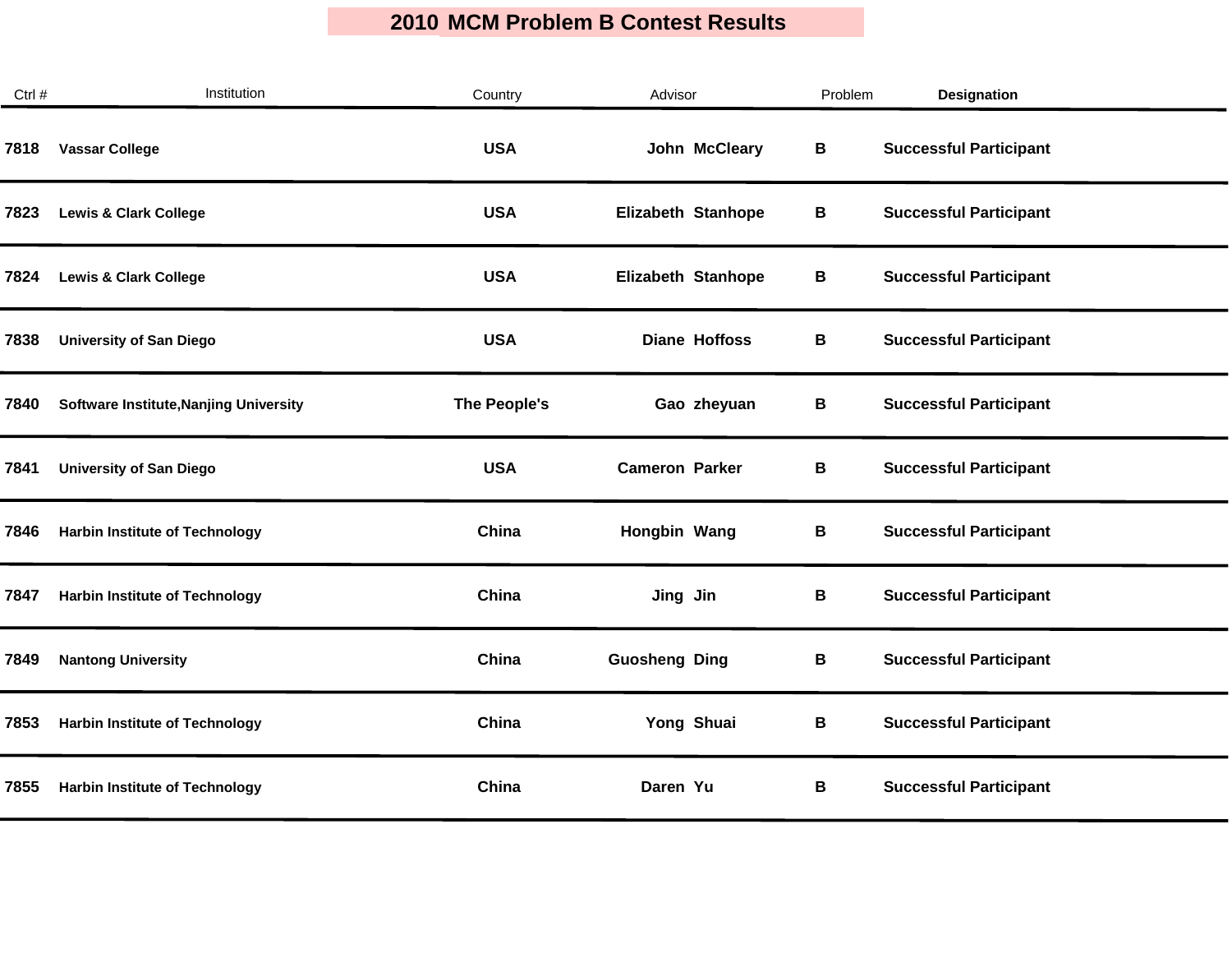| Ctrl # | Institution                                   | Country      | Advisor               | Problem | <b>Designation</b>            |
|--------|-----------------------------------------------|--------------|-----------------------|---------|-------------------------------|
| 7818   | <b>Vassar College</b>                         | <b>USA</b>   | John McCleary         | В       | <b>Successful Participant</b> |
| 7823   | <b>Lewis &amp; Clark College</b>              | <b>USA</b>   | Elizabeth Stanhope    | В       | <b>Successful Participant</b> |
| 7824   | <b>Lewis &amp; Clark College</b>              | <b>USA</b>   | Elizabeth Stanhope    | В       | <b>Successful Participant</b> |
| 7838   | <b>University of San Diego</b>                | <b>USA</b>   | <b>Diane Hoffoss</b>  | B       | <b>Successful Participant</b> |
| 7840   | <b>Software Institute, Nanjing University</b> | The People's | Gao zheyuan           | В       | <b>Successful Participant</b> |
| 7841   | <b>University of San Diego</b>                | <b>USA</b>   | <b>Cameron Parker</b> | В       | <b>Successful Participant</b> |
| 7846   | <b>Harbin Institute of Technology</b>         | China        | Hongbin Wang          | В       | <b>Successful Participant</b> |
| 7847   | <b>Harbin Institute of Technology</b>         | China        | Jing Jin              | В       | <b>Successful Participant</b> |
| 7849   | <b>Nantong University</b>                     | China        | <b>Guosheng Ding</b>  | B       | <b>Successful Participant</b> |
| 7853   | <b>Harbin Institute of Technology</b>         | China        | Yong Shuai            | В       | <b>Successful Participant</b> |
| 7855   | <b>Harbin Institute of Technology</b>         | China        | Daren Yu              | В       | <b>Successful Participant</b> |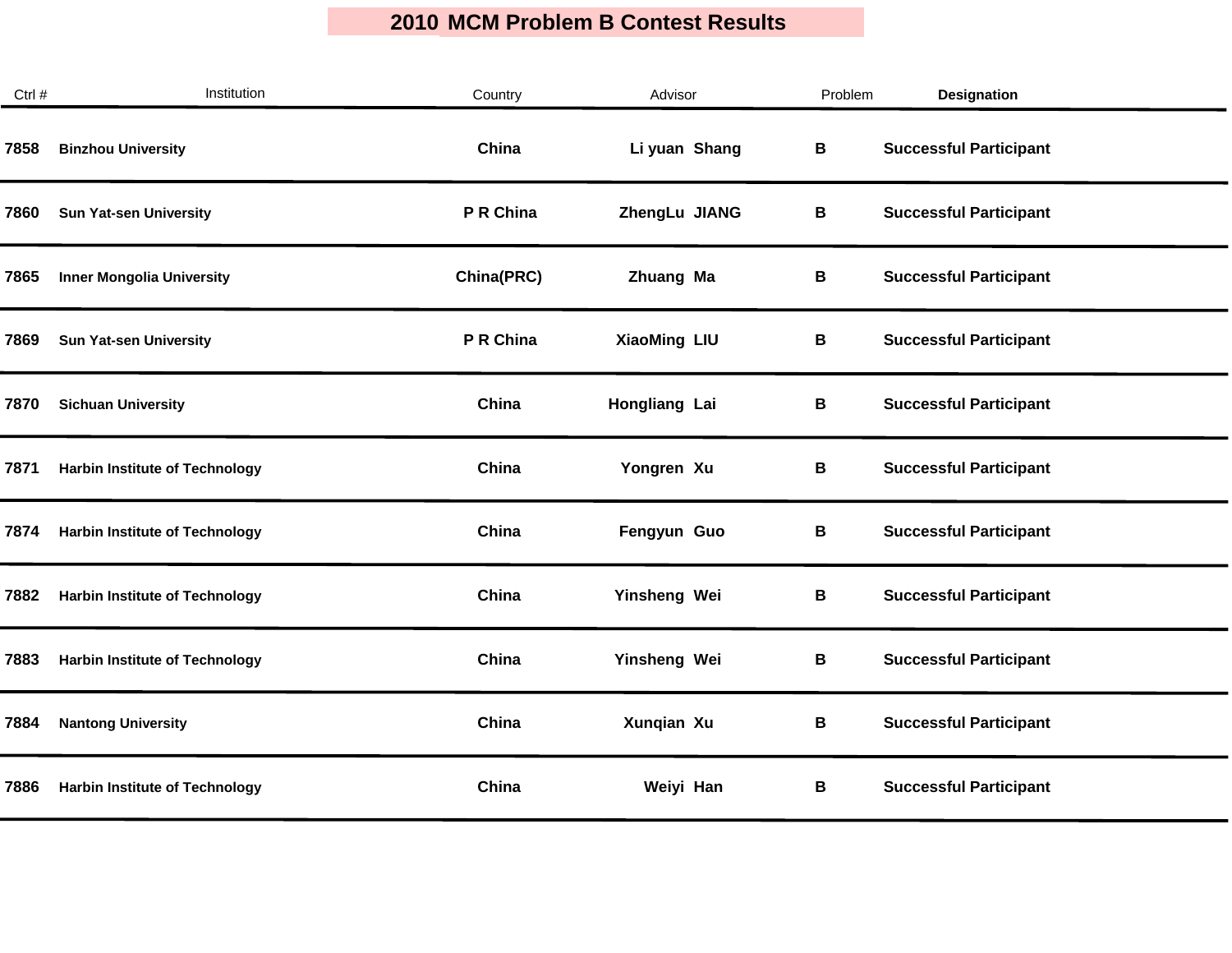| Ctrl # | Institution                           | Country    | Advisor             | Problem | Designation                   |
|--------|---------------------------------------|------------|---------------------|---------|-------------------------------|
| 7858   | <b>Binzhou University</b>             | China      | Li yuan Shang       | В       | <b>Successful Participant</b> |
| 7860   | <b>Sun Yat-sen University</b>         | P R China  | ZhengLu JIANG       | В       | <b>Successful Participant</b> |
| 7865   | <b>Inner Mongolia University</b>      | China(PRC) | Zhuang Ma           | В       | <b>Successful Participant</b> |
| 7869   | <b>Sun Yat-sen University</b>         | P R China  | <b>XiaoMing LIU</b> | В       | <b>Successful Participant</b> |
| 7870   | <b>Sichuan University</b>             | China      | Hongliang Lai       | В       | <b>Successful Participant</b> |
| 7871   | <b>Harbin Institute of Technology</b> | China      | Yongren Xu          | B       | <b>Successful Participant</b> |
| 7874   | <b>Harbin Institute of Technology</b> | China      | Fengyun Guo         | В       | <b>Successful Participant</b> |
| 7882   | <b>Harbin Institute of Technology</b> | China      | Yinsheng Wei        | В       | <b>Successful Participant</b> |
| 7883   | <b>Harbin Institute of Technology</b> | China      | Yinsheng Wei        | В       | <b>Successful Participant</b> |
| 7884   | <b>Nantong University</b>             | China      | Xunqian Xu          | В       | <b>Successful Participant</b> |
| 7886   | <b>Harbin Institute of Technology</b> | China      | Weiyi Han           | В       | <b>Successful Participant</b> |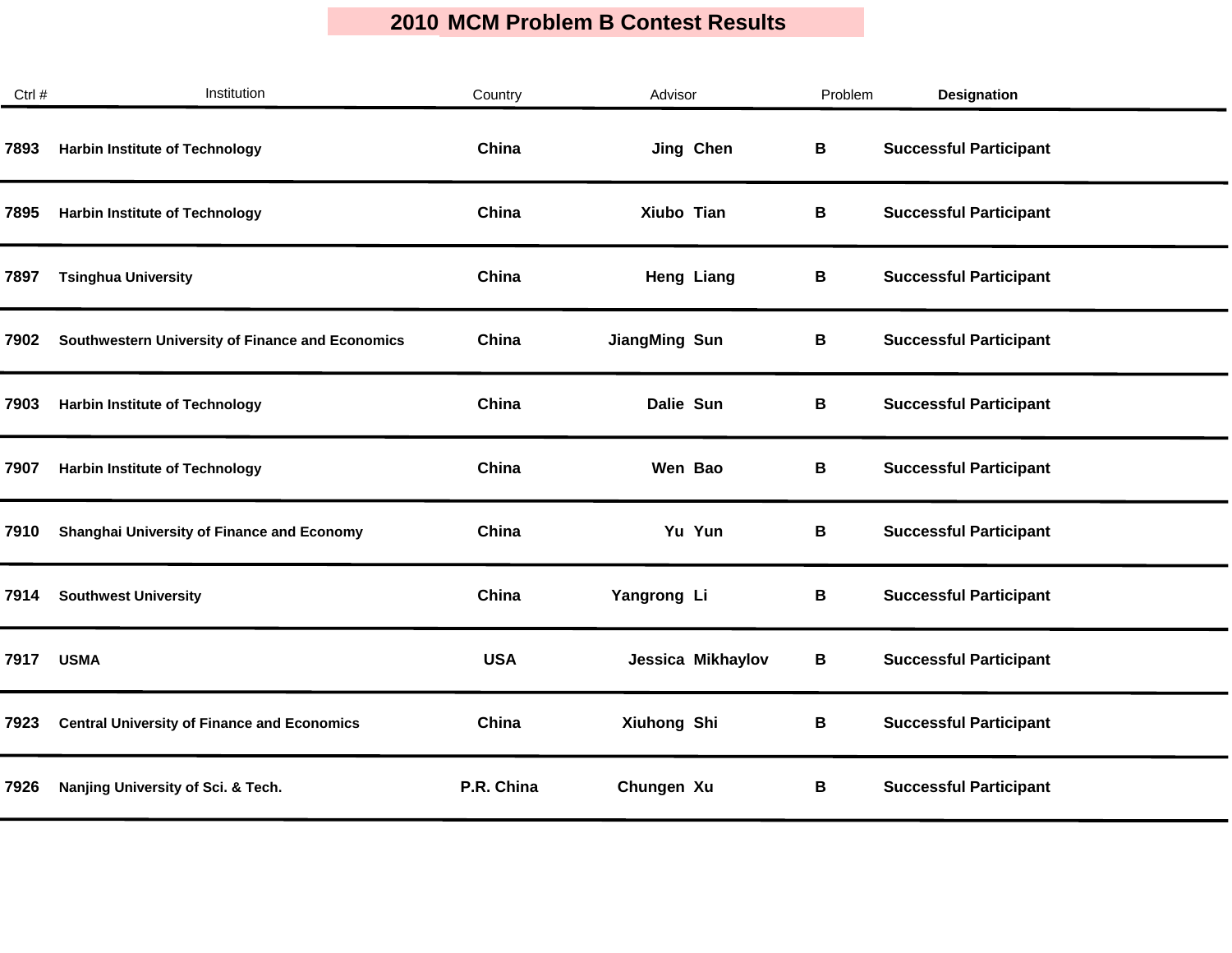| Ctrl # | Institution                                        | Country    | Advisor              | Problem | <b>Designation</b>            |  |
|--------|----------------------------------------------------|------------|----------------------|---------|-------------------------------|--|
| 7893   | <b>Harbin Institute of Technology</b>              | China      | Jing Chen            | В       | <b>Successful Participant</b> |  |
| 7895   | <b>Harbin Institute of Technology</b>              | China      | Xiubo Tian           | В       | <b>Successful Participant</b> |  |
| 7897   | <b>Tsinghua University</b>                         | China      | <b>Heng Liang</b>    | В       | <b>Successful Participant</b> |  |
| 7902   | Southwestern University of Finance and Economics   | China      | <b>JiangMing Sun</b> | В       | <b>Successful Participant</b> |  |
| 7903   | <b>Harbin Institute of Technology</b>              | China      | Dalie Sun            | В       | <b>Successful Participant</b> |  |
| 7907   | <b>Harbin Institute of Technology</b>              | China      | Wen Bao              | В       | <b>Successful Participant</b> |  |
| 7910   | Shanghai University of Finance and Economy         | China      | Yu Yun               | В       | <b>Successful Participant</b> |  |
| 7914   | <b>Southwest University</b>                        | China      | Yangrong Li          | В       | <b>Successful Participant</b> |  |
| 7917   | <b>USMA</b>                                        | <b>USA</b> | Jessica Mikhaylov    | В       | <b>Successful Participant</b> |  |
| 7923   | <b>Central University of Finance and Economics</b> | China      | Xiuhong Shi          | В       | <b>Successful Participant</b> |  |
| 7926   | Nanjing University of Sci. & Tech.                 | P.R. China | Chungen Xu           | В       | <b>Successful Participant</b> |  |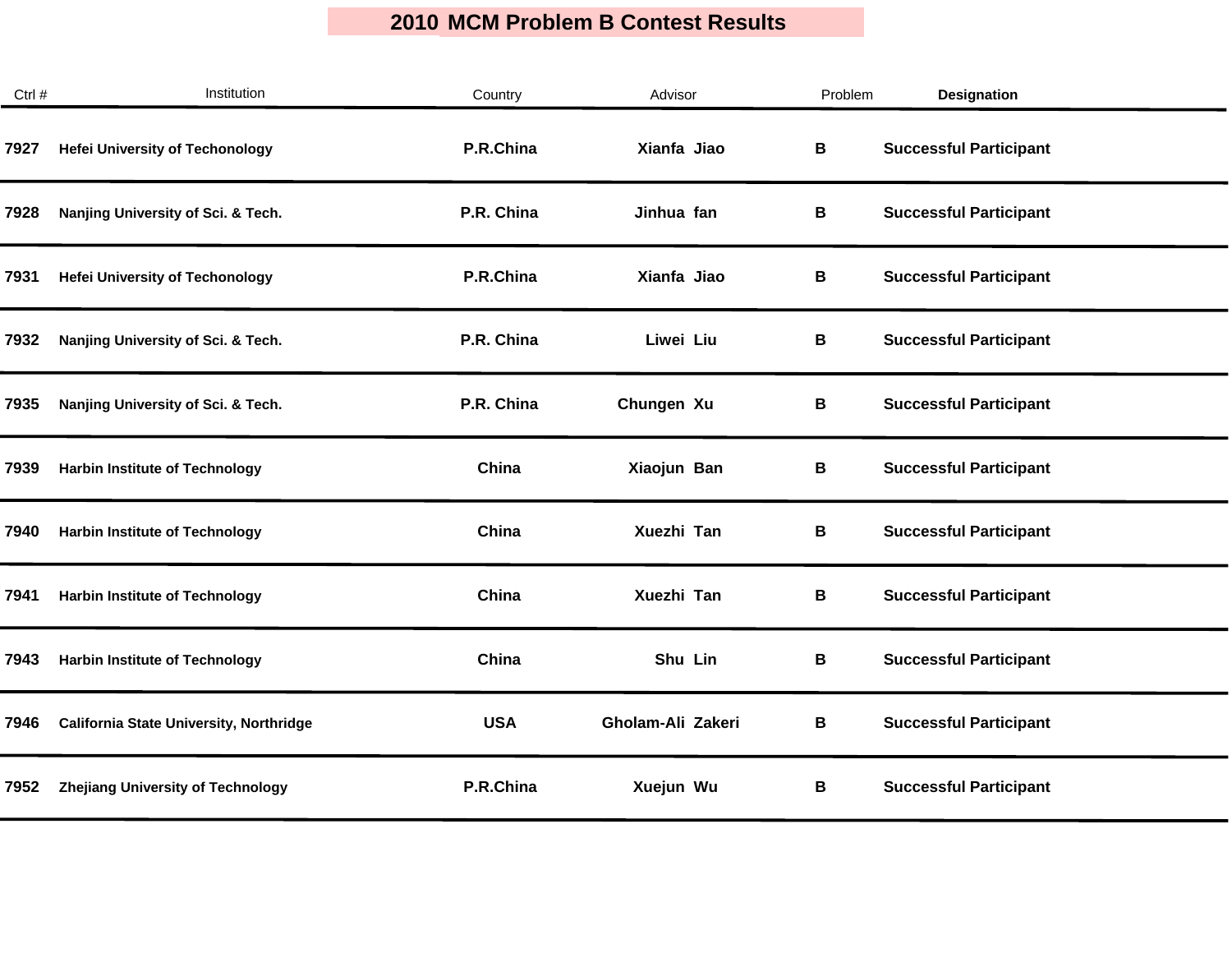| Ctrl # | Institution                                    | Country    | Advisor           | Problem | <b>Designation</b>            |
|--------|------------------------------------------------|------------|-------------------|---------|-------------------------------|
| 7927   | <b>Hefei University of Techonology</b>         | P.R.China  | Xianfa Jiao       | В       | <b>Successful Participant</b> |
| 7928   | Nanjing University of Sci. & Tech.             | P.R. China | Jinhua fan        | В       | <b>Successful Participant</b> |
| 7931   | <b>Hefei University of Techonology</b>         | P.R.China  | Xianfa Jiao       | В       | <b>Successful Participant</b> |
| 7932   | Nanjing University of Sci. & Tech.             | P.R. China | Liwei Liu         | В       | <b>Successful Participant</b> |
| 7935   | Nanjing University of Sci. & Tech.             | P.R. China | Chungen Xu        | В       | <b>Successful Participant</b> |
| 7939   | <b>Harbin Institute of Technology</b>          | China      | Xiaojun Ban       | В       | <b>Successful Participant</b> |
| 7940   | <b>Harbin Institute of Technology</b>          | China      | Xuezhi Tan        | В       | <b>Successful Participant</b> |
| 7941   | <b>Harbin Institute of Technology</b>          | China      | Xuezhi Tan        | B       | <b>Successful Participant</b> |
| 7943   | <b>Harbin Institute of Technology</b>          | China      | Shu Lin           | B       | <b>Successful Participant</b> |
| 7946   | <b>California State University, Northridge</b> | <b>USA</b> | Gholam-Ali Zakeri | В       | <b>Successful Participant</b> |
| 7952   | <b>Zhejiang University of Technology</b>       | P.R.China  | Xuejun Wu         | В       | <b>Successful Participant</b> |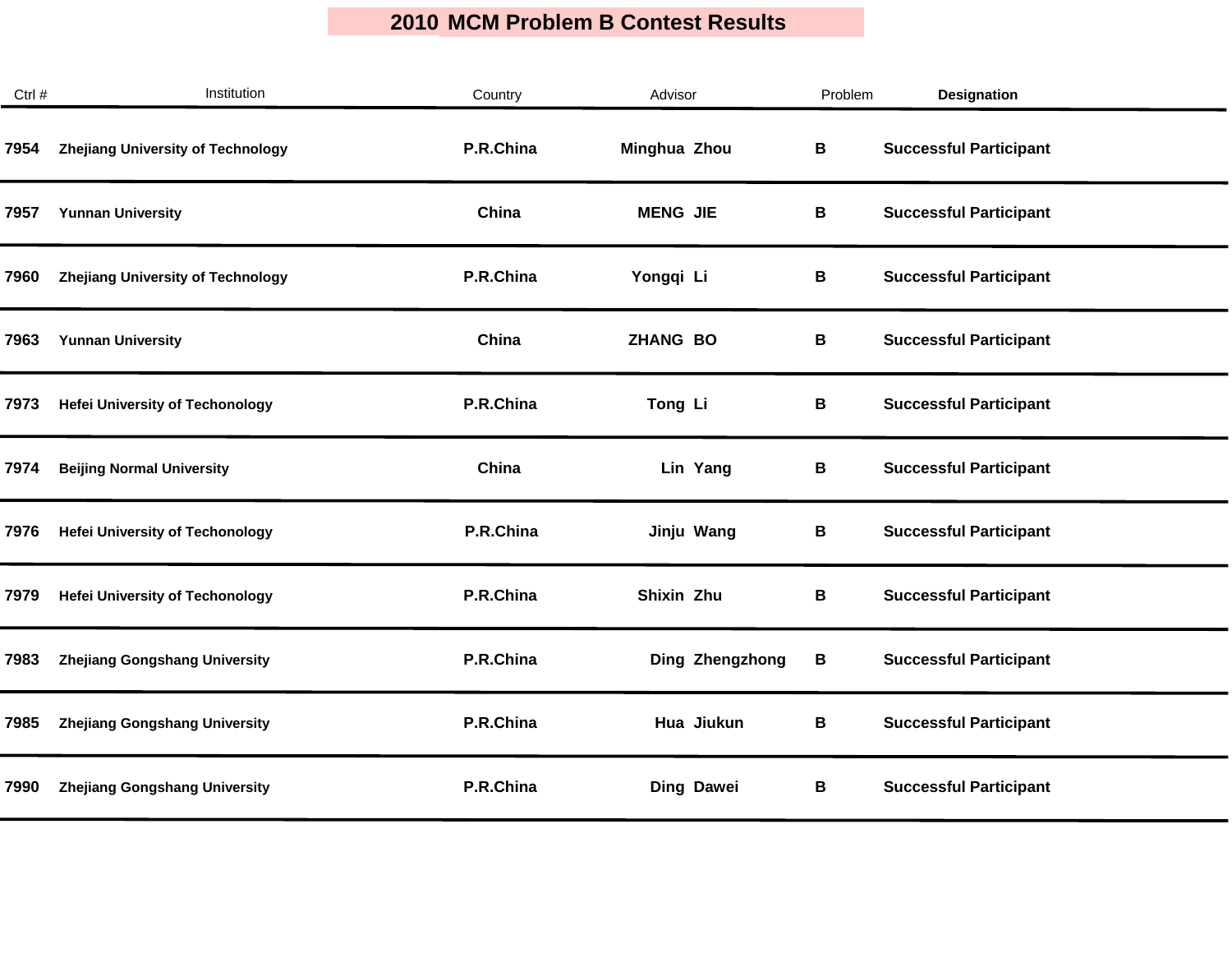| Ctrl # | Institution                              | Country   | Advisor         | Problem | Designation                   |
|--------|------------------------------------------|-----------|-----------------|---------|-------------------------------|
| 7954   | <b>Zhejiang University of Technology</b> | P.R.China | Minghua Zhou    | В       | <b>Successful Participant</b> |
| 7957   | <b>Yunnan University</b>                 | China     | <b>MENG JIE</b> | B       | <b>Successful Participant</b> |
| 7960   | <b>Zhejiang University of Technology</b> | P.R.China | Yongqi Li       | В       | <b>Successful Participant</b> |
| 7963   | <b>Yunnan University</b>                 | China     | <b>ZHANG BO</b> | В       | <b>Successful Participant</b> |
| 7973   | <b>Hefei University of Techonology</b>   | P.R.China | Tong Li         | В       | <b>Successful Participant</b> |
| 7974   | <b>Beijing Normal University</b>         | China     | Lin Yang        | В       | <b>Successful Participant</b> |
| 7976   | <b>Hefei University of Techonology</b>   | P.R.China | Jinju Wang      | В       | <b>Successful Participant</b> |
| 7979   | <b>Hefei University of Techonology</b>   | P.R.China | Shixin Zhu      | В       | <b>Successful Participant</b> |
| 7983   | Zhejiang Gongshang University            | P.R.China | Ding Zhengzhong | В       | <b>Successful Participant</b> |
| 7985   | <b>Zhejiang Gongshang University</b>     | P.R.China | Hua Jiukun      | В       | <b>Successful Participant</b> |
| 7990   | <b>Zhejiang Gongshang University</b>     | P.R.China | Ding Dawei      | В       | <b>Successful Participant</b> |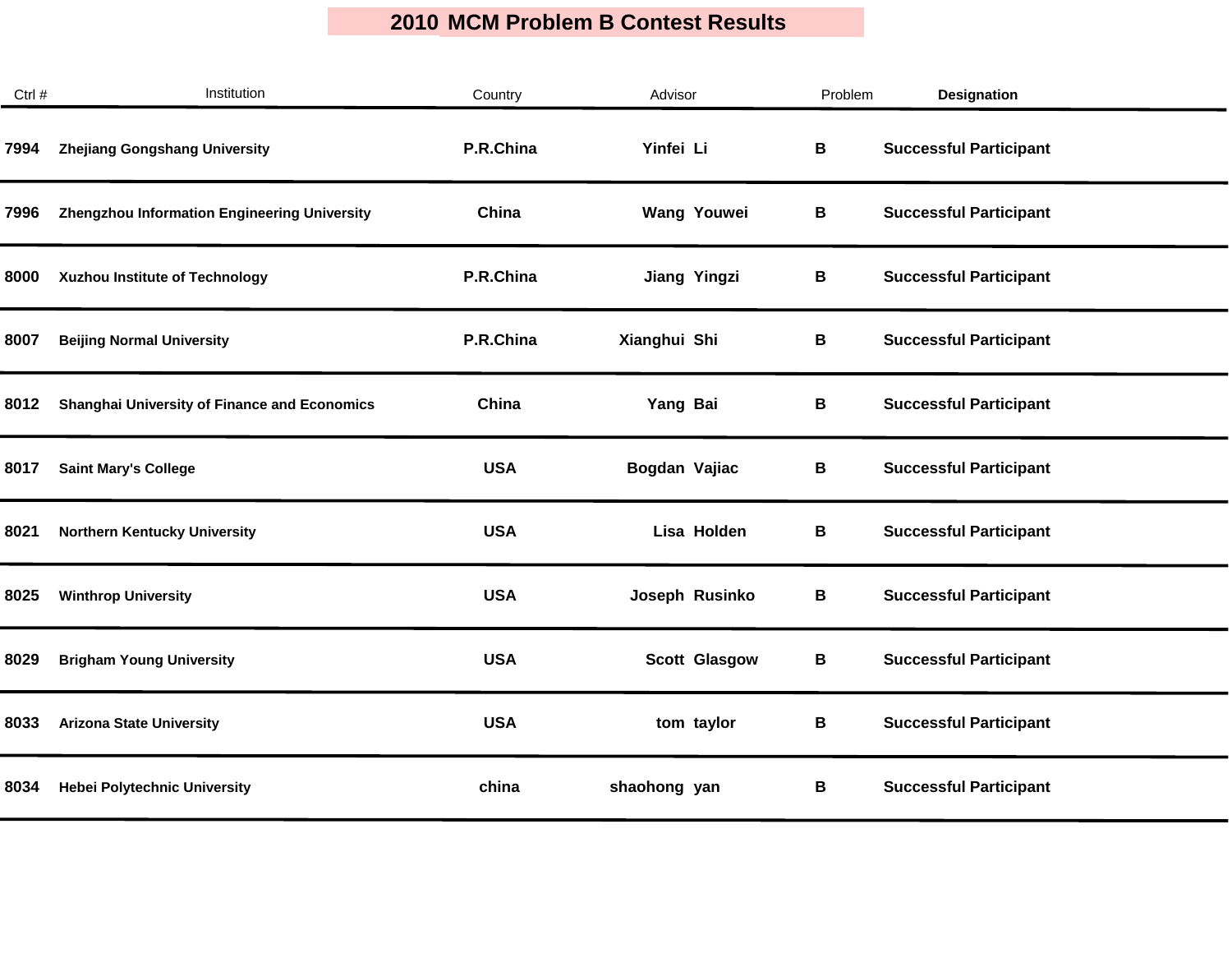| Ctrl # | Institution                                         | Country    | Advisor              | Problem | <b>Designation</b>            |
|--------|-----------------------------------------------------|------------|----------------------|---------|-------------------------------|
| 7994   | <b>Zhejiang Gongshang University</b>                | P.R.China  | Yinfei Li            | В       | <b>Successful Participant</b> |
| 7996   | Zhengzhou Information Engineering University        | China      | <b>Wang Youwei</b>   | В       | <b>Successful Participant</b> |
| 8000   | Xuzhou Institute of Technology                      | P.R.China  | <b>Jiang Yingzi</b>  | В       | <b>Successful Participant</b> |
| 8007   | <b>Beijing Normal University</b>                    | P.R.China  | Xianghui Shi         | В       | <b>Successful Participant</b> |
| 8012   | <b>Shanghai University of Finance and Economics</b> | China      | Yang Bai             | В       | <b>Successful Participant</b> |
| 8017   | <b>Saint Mary's College</b>                         | <b>USA</b> | Bogdan Vajiac        | В       | <b>Successful Participant</b> |
| 8021   | <b>Northern Kentucky University</b>                 | <b>USA</b> | Lisa Holden          | В       | <b>Successful Participant</b> |
| 8025   | <b>Winthrop University</b>                          | <b>USA</b> | Joseph Rusinko       | В       | <b>Successful Participant</b> |
| 8029   | <b>Brigham Young University</b>                     | <b>USA</b> | <b>Scott Glasgow</b> | В       | <b>Successful Participant</b> |
| 8033   | <b>Arizona State University</b>                     | <b>USA</b> | tom taylor           | В       | <b>Successful Participant</b> |
| 8034   | <b>Hebei Polytechnic University</b>                 | china      | shaohong yan         | В       | <b>Successful Participant</b> |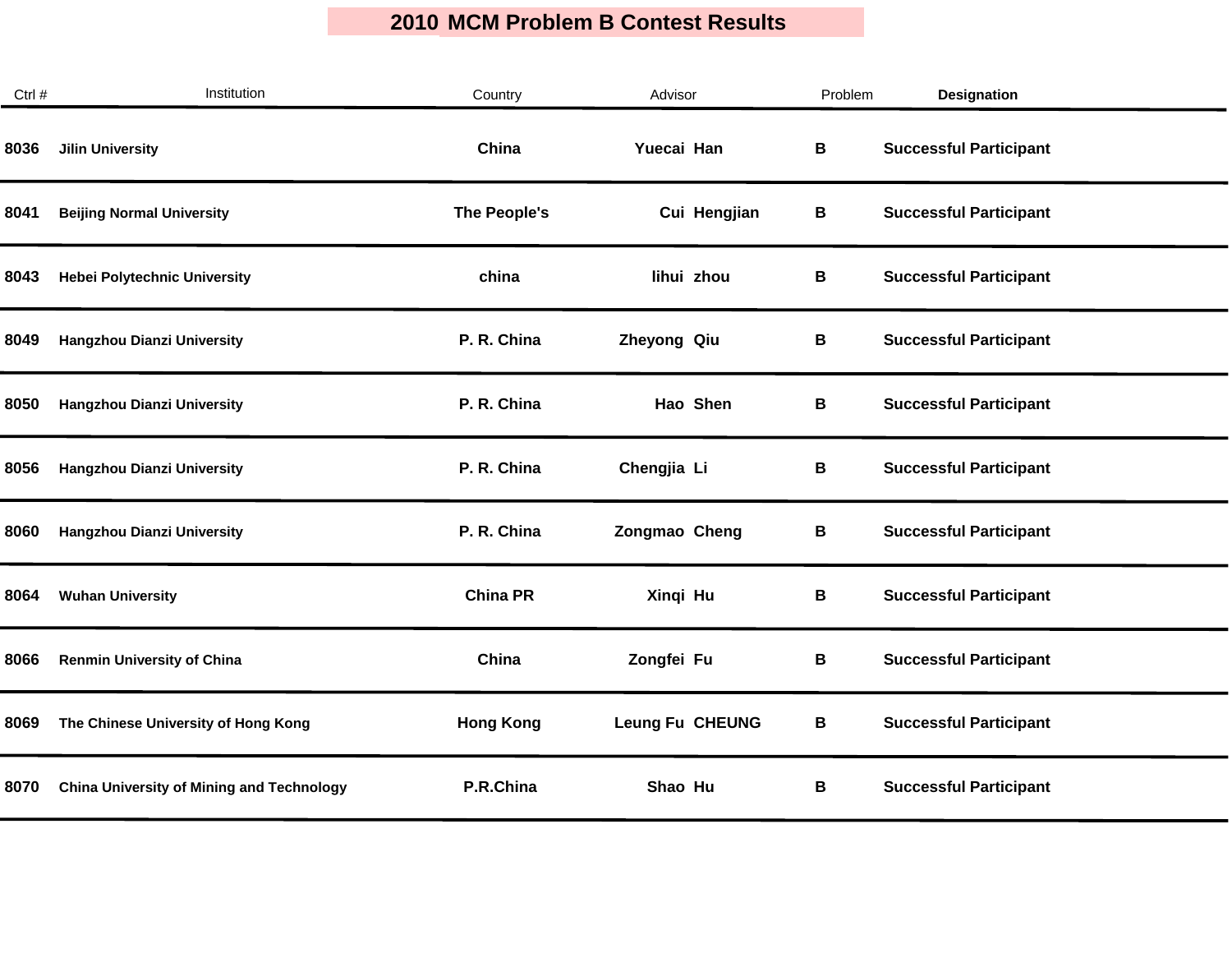| Ctrl # | Institution                                      | Country          | Advisor                | Problem | <b>Designation</b>            |
|--------|--------------------------------------------------|------------------|------------------------|---------|-------------------------------|
| 8036   | <b>Jilin University</b>                          | China            | Yuecai Han             | В       | <b>Successful Participant</b> |
| 8041   | <b>Beijing Normal University</b>                 | The People's     | Cui Hengjian           | В       | <b>Successful Participant</b> |
| 8043   | <b>Hebei Polytechnic University</b>              | china            | lihui zhou             | В       | <b>Successful Participant</b> |
| 8049   | Hangzhou Dianzi University                       | P. R. China      | Zheyong Qiu            | В       | <b>Successful Participant</b> |
| 8050   | Hangzhou Dianzi University                       | P. R. China      | Hao Shen               | В       | <b>Successful Participant</b> |
| 8056   | Hangzhou Dianzi University                       | P. R. China      | Chengjia Li            | В       | <b>Successful Participant</b> |
| 8060   | Hangzhou Dianzi University                       | P. R. China      | Zongmao Cheng          | В       | <b>Successful Participant</b> |
| 8064   | <b>Wuhan University</b>                          | <b>China PR</b>  | Xinqi Hu               | B       | <b>Successful Participant</b> |
| 8066   | <b>Renmin University of China</b>                | China            | Zongfei Fu             | B       | <b>Successful Participant</b> |
| 8069   | The Chinese University of Hong Kong              | <b>Hong Kong</b> | <b>Leung Fu CHEUNG</b> | B       | <b>Successful Participant</b> |
| 8070   | <b>China University of Mining and Technology</b> | P.R.China        | Shao Hu                | В       | <b>Successful Participant</b> |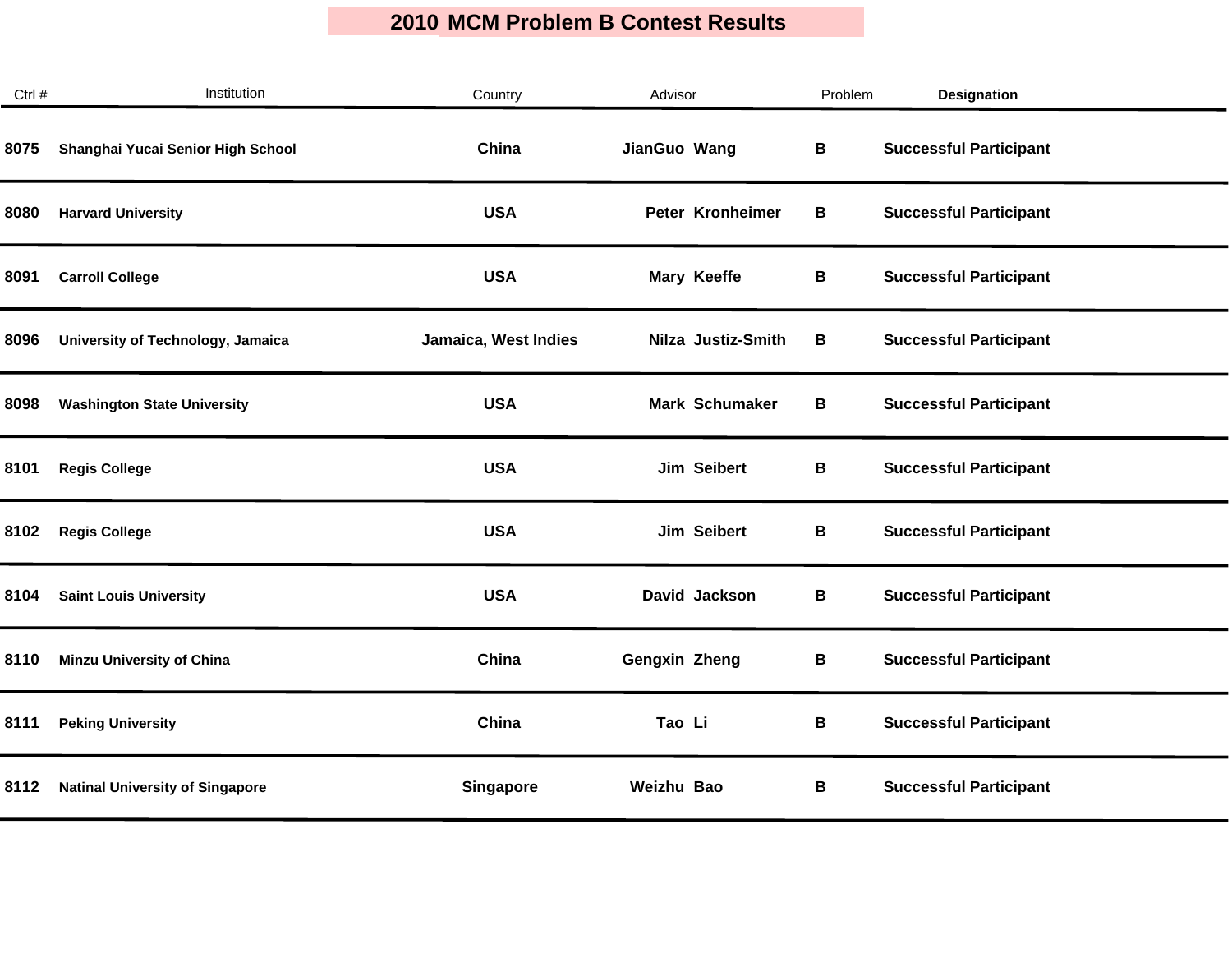| Ctrl # | Institution                            | Country              | Advisor              | Problem | <b>Designation</b>            |
|--------|----------------------------------------|----------------------|----------------------|---------|-------------------------------|
| 8075   | Shanghai Yucai Senior High School      | China                | JianGuo Wang         | B       | <b>Successful Participant</b> |
| 8080   | <b>Harvard University</b>              | <b>USA</b>           | Peter Kronheimer     | В       | <b>Successful Participant</b> |
| 8091   | <b>Carroll College</b>                 | <b>USA</b>           | Mary Keeffe          | В       | <b>Successful Participant</b> |
| 8096   | University of Technology, Jamaica      | Jamaica, West Indies | Nilza Justiz-Smith   | B       | <b>Successful Participant</b> |
| 8098   | <b>Washington State University</b>     | <b>USA</b>           | Mark Schumaker       | В       | <b>Successful Participant</b> |
| 8101   | <b>Regis College</b>                   | <b>USA</b>           | Jim Seibert          | В       | <b>Successful Participant</b> |
| 8102   | <b>Regis College</b>                   | <b>USA</b>           | Jim Seibert          | В       | <b>Successful Participant</b> |
| 8104   | <b>Saint Louis University</b>          | <b>USA</b>           | David Jackson        | B       | <b>Successful Participant</b> |
| 8110   | <b>Minzu University of China</b>       | China                | <b>Gengxin Zheng</b> | B       | <b>Successful Participant</b> |
| 8111   | <b>Peking University</b>               | China                | Tao Li               | B       | <b>Successful Participant</b> |
| 8112   | <b>Natinal University of Singapore</b> | <b>Singapore</b>     | Weizhu Bao           | В       | <b>Successful Participant</b> |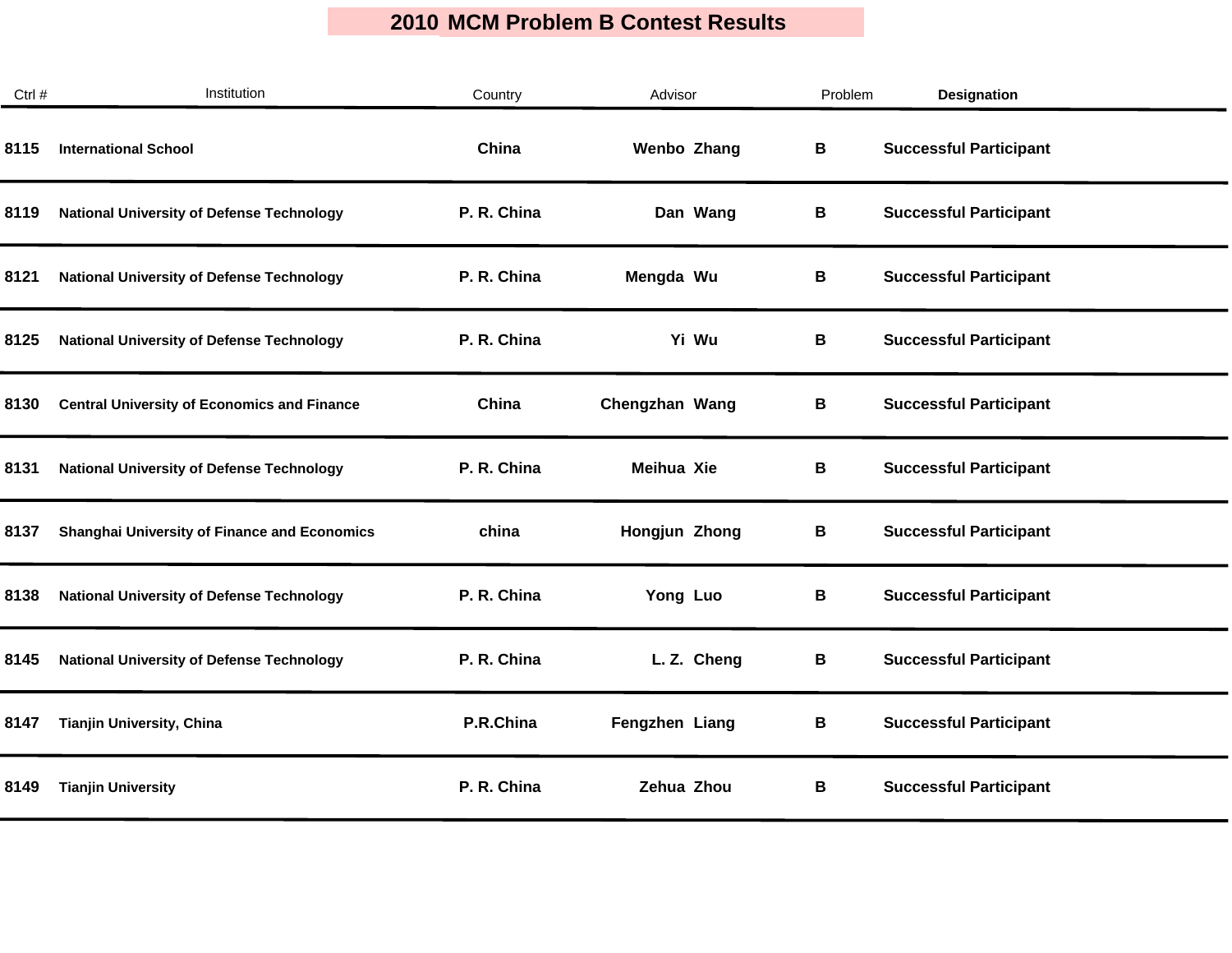| Ctrl # | Institution                                         | Country     | Advisor           | Problem | <b>Designation</b>            |
|--------|-----------------------------------------------------|-------------|-------------------|---------|-------------------------------|
| 8115   | <b>International School</b>                         | China       | Wenbo Zhang       | В       | <b>Successful Participant</b> |
| 8119   | <b>National University of Defense Technology</b>    | P. R. China | Dan Wang          | В       | <b>Successful Participant</b> |
| 8121   | <b>National University of Defense Technology</b>    | P. R. China | Mengda Wu         | В       | <b>Successful Participant</b> |
| 8125   | <b>National University of Defense Technology</b>    | P. R. China | Yi Wu             | В       | <b>Successful Participant</b> |
| 8130   | <b>Central University of Economics and Finance</b>  | China       | Chengzhan Wang    | В       | <b>Successful Participant</b> |
| 8131   | <b>National University of Defense Technology</b>    | P. R. China | <b>Meihua Xie</b> | В       | <b>Successful Participant</b> |
| 8137   | <b>Shanghai University of Finance and Economics</b> | china       | Hongjun Zhong     | В       | <b>Successful Participant</b> |
| 8138   | <b>National University of Defense Technology</b>    | P. R. China | Yong Luo          | В       | <b>Successful Participant</b> |
| 8145   | <b>National University of Defense Technology</b>    | P. R. China | L.Z. Cheng        | В       | <b>Successful Participant</b> |
| 8147   | Tianjin University, China                           | P.R.China   | Fengzhen Liang    | В       | <b>Successful Participant</b> |
| 8149   | <b>Tianjin University</b>                           | P. R. China | Zehua Zhou        | В       | <b>Successful Participant</b> |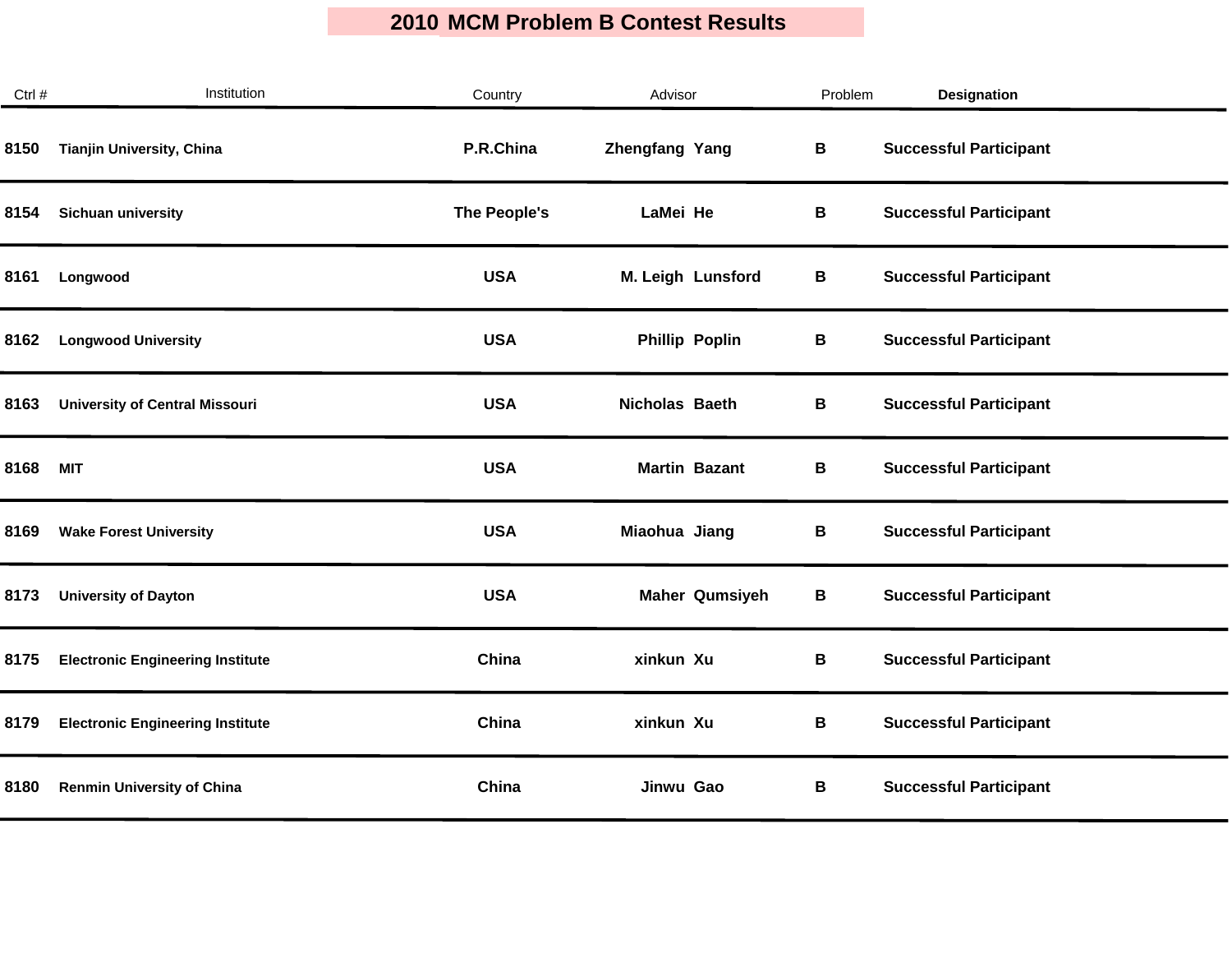| Ctrl # | Institution                             | Country      | Advisor               | Problem | <b>Designation</b>            |  |
|--------|-----------------------------------------|--------------|-----------------------|---------|-------------------------------|--|
| 8150   | Tianjin University, China               | P.R.China    | <b>Zhengfang Yang</b> | В       | <b>Successful Participant</b> |  |
| 8154   | Sichuan university                      | The People's | LaMei He              | В       | <b>Successful Participant</b> |  |
| 8161   | Longwood                                | <b>USA</b>   | M. Leigh Lunsford     | В       | <b>Successful Participant</b> |  |
| 8162   | <b>Longwood University</b>              | <b>USA</b>   | <b>Phillip Poplin</b> | В       | <b>Successful Participant</b> |  |
| 8163   | <b>University of Central Missouri</b>   | <b>USA</b>   | <b>Nicholas Baeth</b> | B       | <b>Successful Participant</b> |  |
| 8168   | <b>MIT</b>                              | <b>USA</b>   | <b>Martin Bazant</b>  | В       | <b>Successful Participant</b> |  |
| 8169   | <b>Wake Forest University</b>           | <b>USA</b>   | Miaohua Jiang         | В       | <b>Successful Participant</b> |  |
| 8173   | <b>University of Dayton</b>             | <b>USA</b>   | <b>Maher Qumsiyeh</b> | В       | <b>Successful Participant</b> |  |
| 8175   | <b>Electronic Engineering Institute</b> | China        | xinkun Xu             | B       | <b>Successful Participant</b> |  |
| 8179   | <b>Electronic Engineering Institute</b> | China        | xinkun Xu             | В       | <b>Successful Participant</b> |  |
| 8180   | <b>Renmin University of China</b>       | China        | Jinwu Gao             | В       | <b>Successful Participant</b> |  |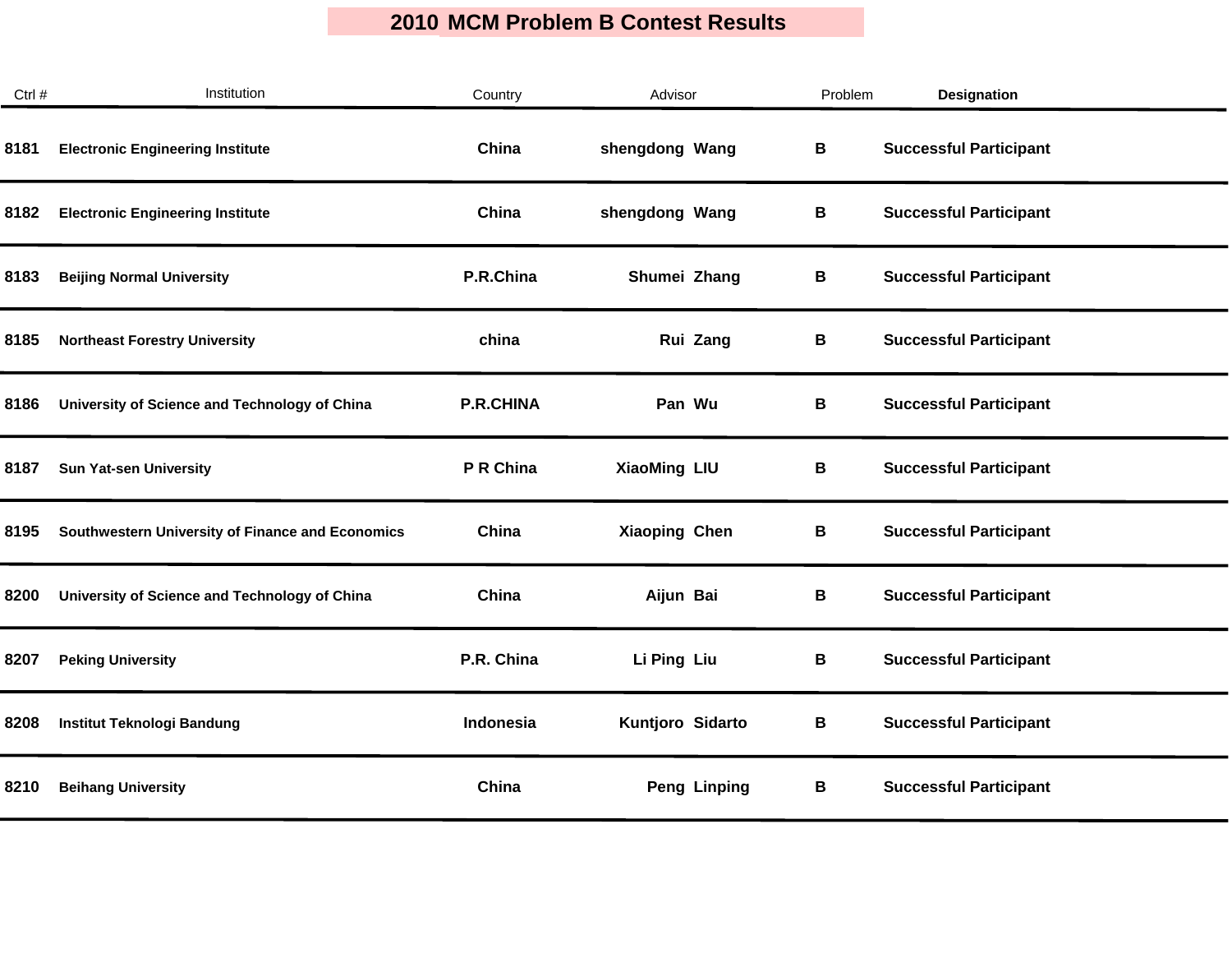| Ctrl # | Institution                                      | Country          | Advisor              | Problem | <b>Designation</b>            |
|--------|--------------------------------------------------|------------------|----------------------|---------|-------------------------------|
| 8181   | <b>Electronic Engineering Institute</b>          | China            | shengdong Wang       | B       | <b>Successful Participant</b> |
| 8182   | <b>Electronic Engineering Institute</b>          | China            | shengdong Wang       | В       | <b>Successful Participant</b> |
| 8183   | <b>Beijing Normal University</b>                 | P.R.China        | Shumei Zhang         | В       | <b>Successful Participant</b> |
| 8185   | <b>Northeast Forestry University</b>             | china            | Rui Zang             | В       | <b>Successful Participant</b> |
| 8186   | University of Science and Technology of China    | <b>P.R.CHINA</b> | Pan Wu               | В       | <b>Successful Participant</b> |
| 8187   | <b>Sun Yat-sen University</b>                    | P R China        | <b>XiaoMing LIU</b>  | B       | <b>Successful Participant</b> |
| 8195   | Southwestern University of Finance and Economics | China            | <b>Xiaoping Chen</b> | В       | <b>Successful Participant</b> |
| 8200   | University of Science and Technology of China    | China            | Aijun Bai            | В       | <b>Successful Participant</b> |
| 8207   | <b>Peking University</b>                         | P.R. China       | Li Ping Liu          | B       | <b>Successful Participant</b> |
| 8208   | <b>Institut Teknologi Bandung</b>                | Indonesia        | Kuntjoro Sidarto     | В       | <b>Successful Participant</b> |
| 8210   | <b>Beihang University</b>                        | China            | <b>Peng Linping</b>  | В       | <b>Successful Participant</b> |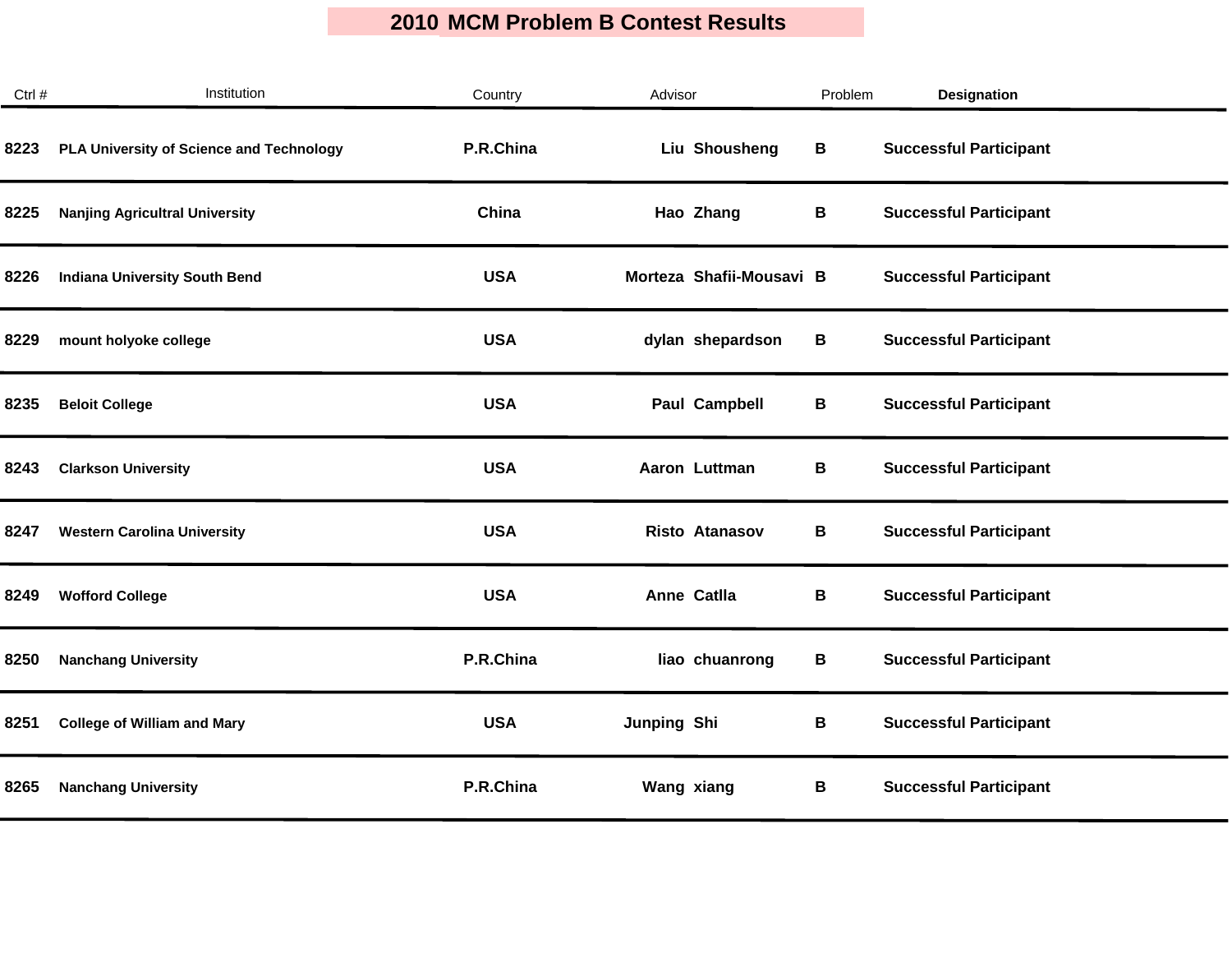| Ctrl # | Institution                              | Country    | Advisor                  | Problem | <b>Designation</b>            |
|--------|------------------------------------------|------------|--------------------------|---------|-------------------------------|
| 8223   | PLA University of Science and Technology | P.R.China  | Liu Shousheng            | В       | <b>Successful Participant</b> |
| 8225   | <b>Nanjing Agricultral University</b>    | China      | Hao Zhang                | В       | <b>Successful Participant</b> |
| 8226   | <b>Indiana University South Bend</b>     | <b>USA</b> | Morteza Shafii-Mousavi B |         | <b>Successful Participant</b> |
| 8229   | mount holyoke college                    | <b>USA</b> | dylan shepardson         | В       | <b>Successful Participant</b> |
| 8235   | <b>Beloit College</b>                    | <b>USA</b> | <b>Paul Campbell</b>     | В       | <b>Successful Participant</b> |
| 8243   | <b>Clarkson University</b>               | <b>USA</b> | Aaron Luttman            | В       | <b>Successful Participant</b> |
| 8247   | <b>Western Carolina University</b>       | <b>USA</b> | <b>Risto Atanasov</b>    | В       | <b>Successful Participant</b> |
| 8249   | <b>Wofford College</b>                   | <b>USA</b> | Anne Catlla              | В       | <b>Successful Participant</b> |
| 8250   | <b>Nanchang University</b>               | P.R.China  | liao chuanrong           | В       | <b>Successful Participant</b> |
| 8251   | <b>College of William and Mary</b>       | <b>USA</b> | Junping Shi              | B       | <b>Successful Participant</b> |
| 8265   | <b>Nanchang University</b>               | P.R.China  | Wang xiang               | В       | <b>Successful Participant</b> |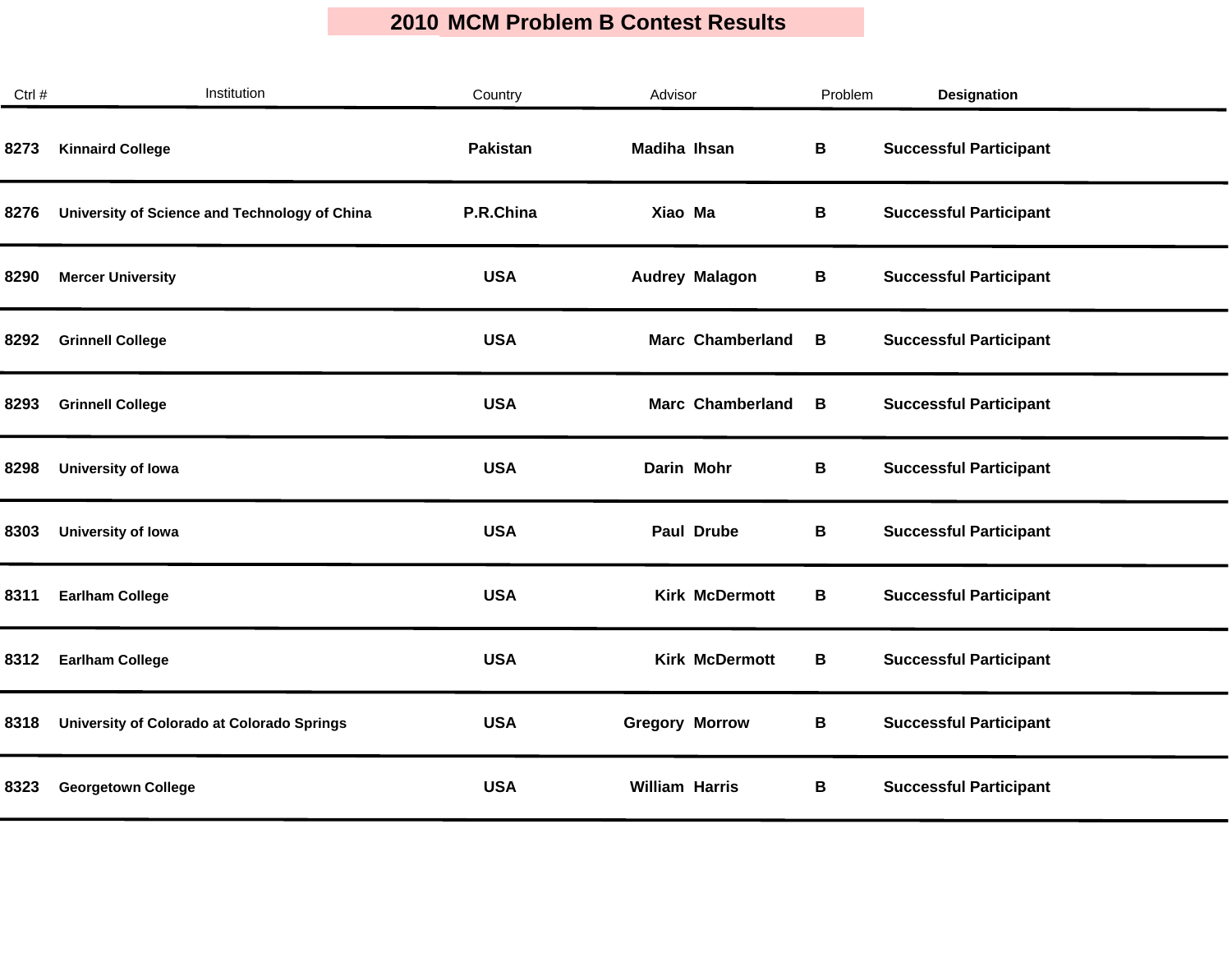| Ctrl # | Institution                                   | Country         | Advisor                 | Problem | <b>Designation</b>            |
|--------|-----------------------------------------------|-----------------|-------------------------|---------|-------------------------------|
| 8273   | <b>Kinnaird College</b>                       | <b>Pakistan</b> | <b>Madiha Ihsan</b>     | В       | <b>Successful Participant</b> |
| 8276   | University of Science and Technology of China | P.R.China       | Xiao Ma                 | В       | <b>Successful Participant</b> |
| 8290   | <b>Mercer University</b>                      | <b>USA</b>      | <b>Audrey Malagon</b>   | В       | <b>Successful Participant</b> |
| 8292   | <b>Grinnell College</b>                       | <b>USA</b>      | <b>Marc Chamberland</b> | B       | <b>Successful Participant</b> |
| 8293   | <b>Grinnell College</b>                       | <b>USA</b>      | <b>Marc Chamberland</b> | В       | <b>Successful Participant</b> |
| 8298   | University of Iowa                            | <b>USA</b>      | Darin Mohr              | В       | <b>Successful Participant</b> |
| 8303   | University of Iowa                            | <b>USA</b>      | Paul Drube              | В       | <b>Successful Participant</b> |
| 8311   | <b>Earlham College</b>                        | <b>USA</b>      | <b>Kirk McDermott</b>   | В       | <b>Successful Participant</b> |
| 8312   | <b>Earlham College</b>                        | <b>USA</b>      | <b>Kirk McDermott</b>   | В       | <b>Successful Participant</b> |
| 8318   | University of Colorado at Colorado Springs    | <b>USA</b>      | <b>Gregory Morrow</b>   | В       | <b>Successful Participant</b> |
| 8323   | <b>Georgetown College</b>                     | <b>USA</b>      | <b>William Harris</b>   | В       | <b>Successful Participant</b> |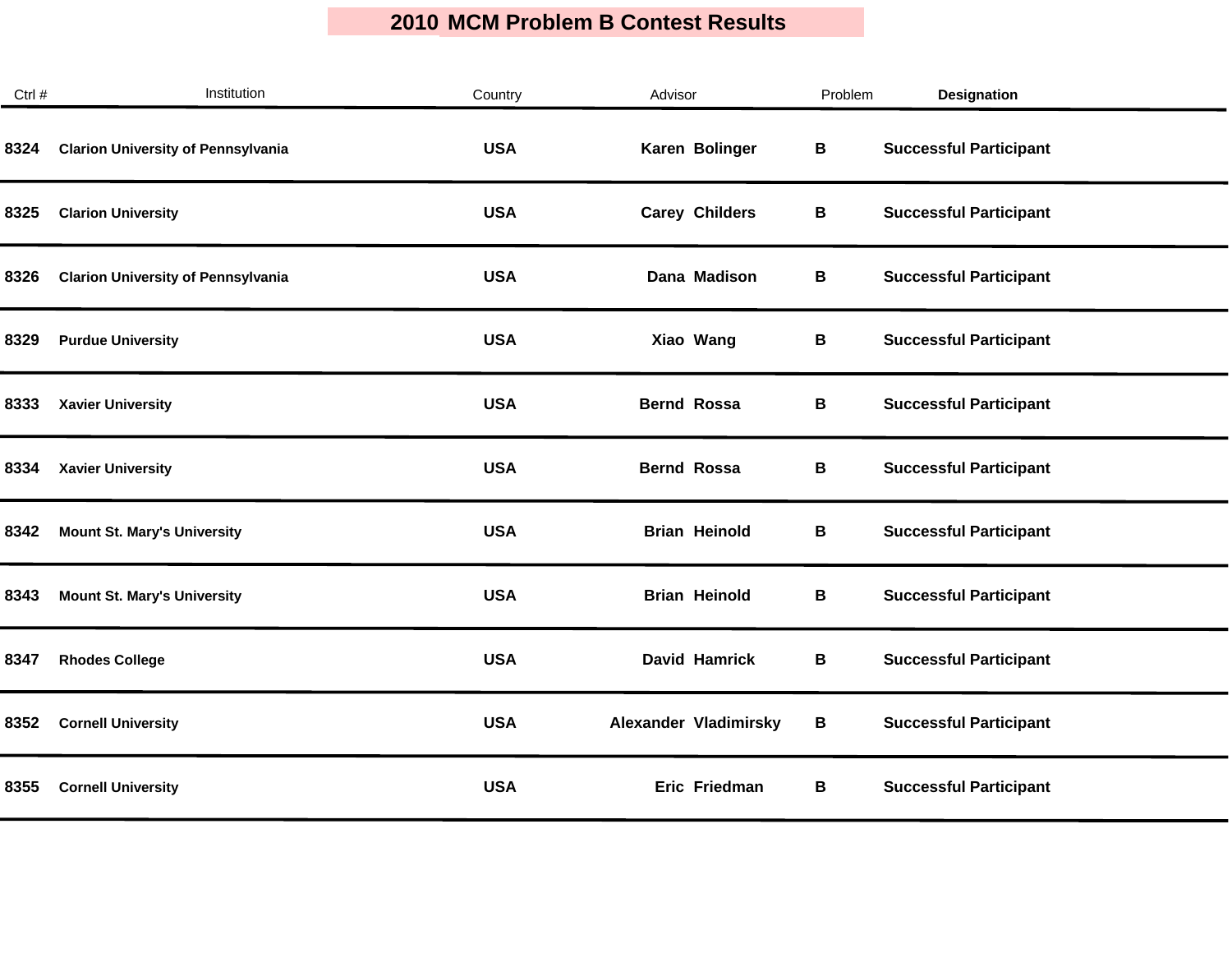| Institution                               | Country    | Advisor               | Problem | Designation                   |
|-------------------------------------------|------------|-----------------------|---------|-------------------------------|
| <b>Clarion University of Pennsylvania</b> | <b>USA</b> | Karen Bolinger        | В       | <b>Successful Participant</b> |
| <b>Clarion University</b>                 | <b>USA</b> | <b>Carey Childers</b> | В       | <b>Successful Participant</b> |
| <b>Clarion University of Pennsylvania</b> | <b>USA</b> | Dana Madison          | В       | <b>Successful Participant</b> |
| <b>Purdue University</b>                  | <b>USA</b> | Xiao Wang             | В       | <b>Successful Participant</b> |
| <b>Xavier University</b>                  | <b>USA</b> | <b>Bernd Rossa</b>    | B       | <b>Successful Participant</b> |
| <b>Xavier University</b>                  | <b>USA</b> | <b>Bernd Rossa</b>    | B       | <b>Successful Participant</b> |
| <b>Mount St. Mary's University</b>        | <b>USA</b> | <b>Brian Heinold</b>  | В       | <b>Successful Participant</b> |
| <b>Mount St. Mary's University</b>        | <b>USA</b> | <b>Brian Heinold</b>  | B       | <b>Successful Participant</b> |
| <b>Rhodes College</b>                     | <b>USA</b> | <b>David Hamrick</b>  | В       | <b>Successful Participant</b> |
| <b>Cornell University</b>                 | <b>USA</b> | Alexander Vladimirsky | B       | <b>Successful Participant</b> |
| <b>Cornell University</b>                 | <b>USA</b> | Eric Friedman         | В       | <b>Successful Participant</b> |
|                                           |            |                       |         |                               |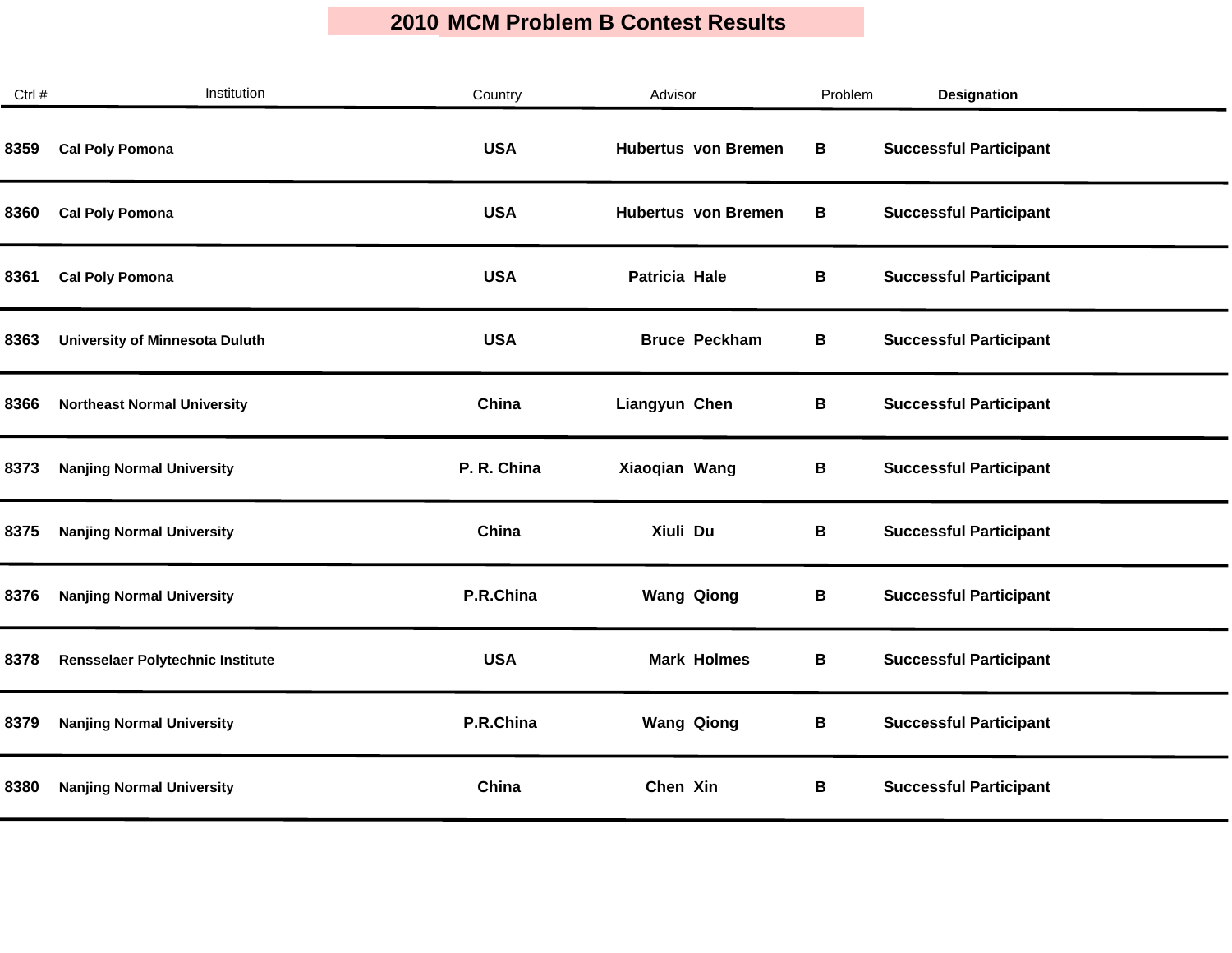| Ctrl # | Institution                           | Country     | Advisor                    | Problem | <b>Designation</b>            |
|--------|---------------------------------------|-------------|----------------------------|---------|-------------------------------|
| 8359   | <b>Cal Poly Pomona</b>                | <b>USA</b>  | <b>Hubertus</b> von Bremen | В       | <b>Successful Participant</b> |
| 8360   | <b>Cal Poly Pomona</b>                | <b>USA</b>  | <b>Hubertus</b> von Bremen | В       | <b>Successful Participant</b> |
| 8361   | <b>Cal Poly Pomona</b>                | <b>USA</b>  | Patricia Hale              | В       | <b>Successful Participant</b> |
| 8363   | <b>University of Minnesota Duluth</b> | <b>USA</b>  | <b>Bruce Peckham</b>       | В       | <b>Successful Participant</b> |
| 8366   | <b>Northeast Normal University</b>    | China       | Liangyun Chen              | В       | <b>Successful Participant</b> |
| 8373   | <b>Nanjing Normal University</b>      | P. R. China | Xiaoqian Wang              | В       | <b>Successful Participant</b> |
| 8375   | <b>Nanjing Normal University</b>      | China       | Xiuli Du                   | В       | <b>Successful Participant</b> |
| 8376   | <b>Nanjing Normal University</b>      | P.R.China   | <b>Wang Qiong</b>          | В       | <b>Successful Participant</b> |
| 8378   | Rensselaer Polytechnic Institute      | <b>USA</b>  | <b>Mark Holmes</b>         | В       | <b>Successful Participant</b> |
| 8379   | <b>Nanjing Normal University</b>      | P.R.China   | <b>Wang Qiong</b>          | В       | <b>Successful Participant</b> |
| 8380   | <b>Nanjing Normal University</b>      | China       | Chen Xin                   | В       | <b>Successful Participant</b> |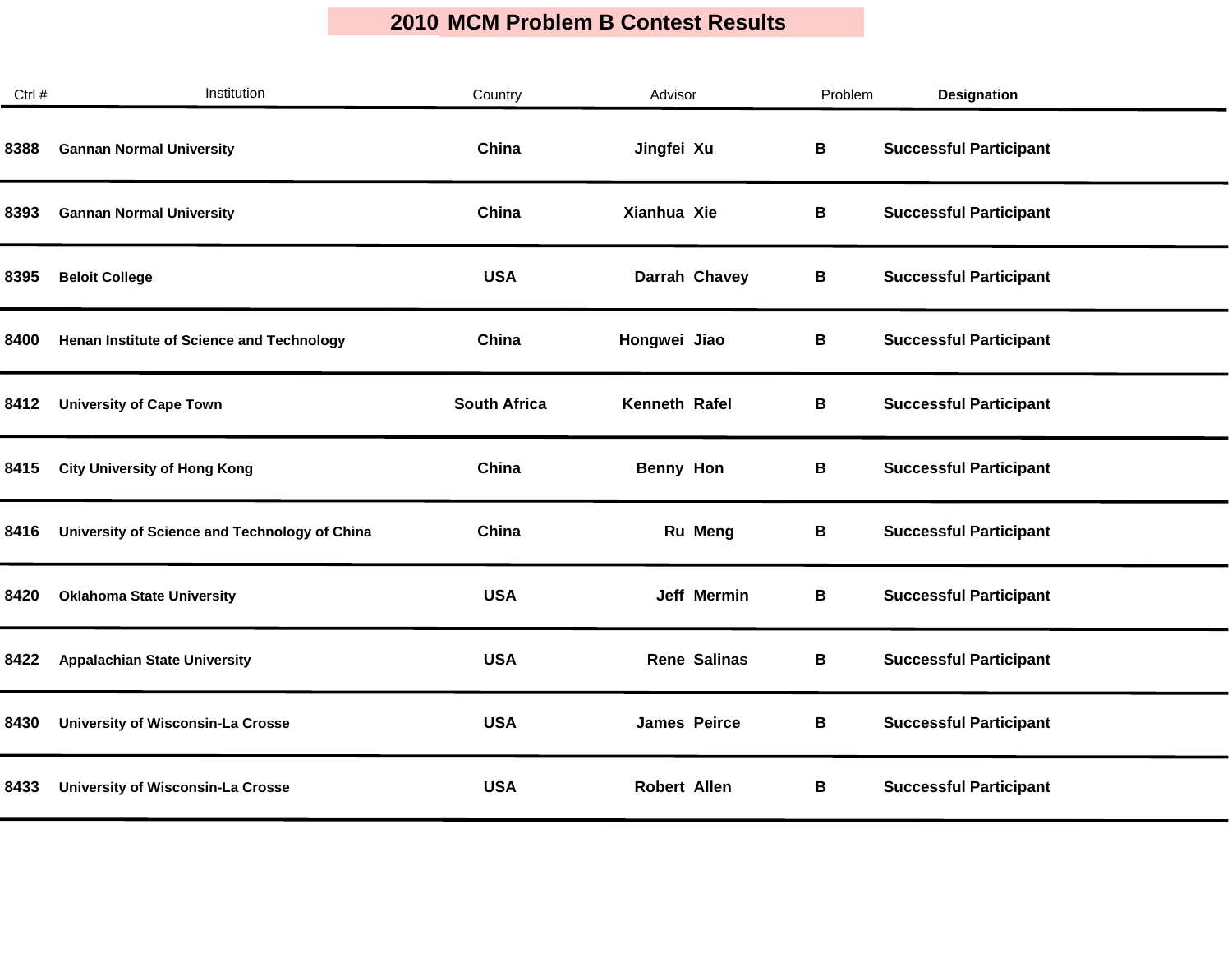| Ctrl # | Institution                                   | Country             | Advisor             | Problem | <b>Designation</b>            |
|--------|-----------------------------------------------|---------------------|---------------------|---------|-------------------------------|
| 8388   | <b>Gannan Normal University</b>               | China               | Jingfei Xu          | B       | <b>Successful Participant</b> |
| 8393   | <b>Gannan Normal University</b>               | China               | Xianhua Xie         | В       | <b>Successful Participant</b> |
| 8395   | <b>Beloit College</b>                         | <b>USA</b>          | Darrah Chavey       | В       | <b>Successful Participant</b> |
| 8400   | Henan Institute of Science and Technology     | China               | Hongwei Jiao        | В       | <b>Successful Participant</b> |
| 8412   | <b>University of Cape Town</b>                | <b>South Africa</b> | Kenneth Rafel       | В       | <b>Successful Participant</b> |
| 8415   | <b>City University of Hong Kong</b>           | China               | Benny Hon           | В       | <b>Successful Participant</b> |
| 8416   | University of Science and Technology of China | China               | Ru Meng             | В       | <b>Successful Participant</b> |
| 8420   | <b>Oklahoma State University</b>              | <b>USA</b>          | Jeff Mermin         | В       | <b>Successful Participant</b> |
| 8422   | <b>Appalachian State University</b>           | <b>USA</b>          | <b>Rene Salinas</b> | B       | <b>Successful Participant</b> |
| 8430   | <b>University of Wisconsin-La Crosse</b>      | <b>USA</b>          | <b>James Peirce</b> | В       | <b>Successful Participant</b> |
| 8433   | <b>University of Wisconsin-La Crosse</b>      | <b>USA</b>          | <b>Robert Allen</b> | В       | <b>Successful Participant</b> |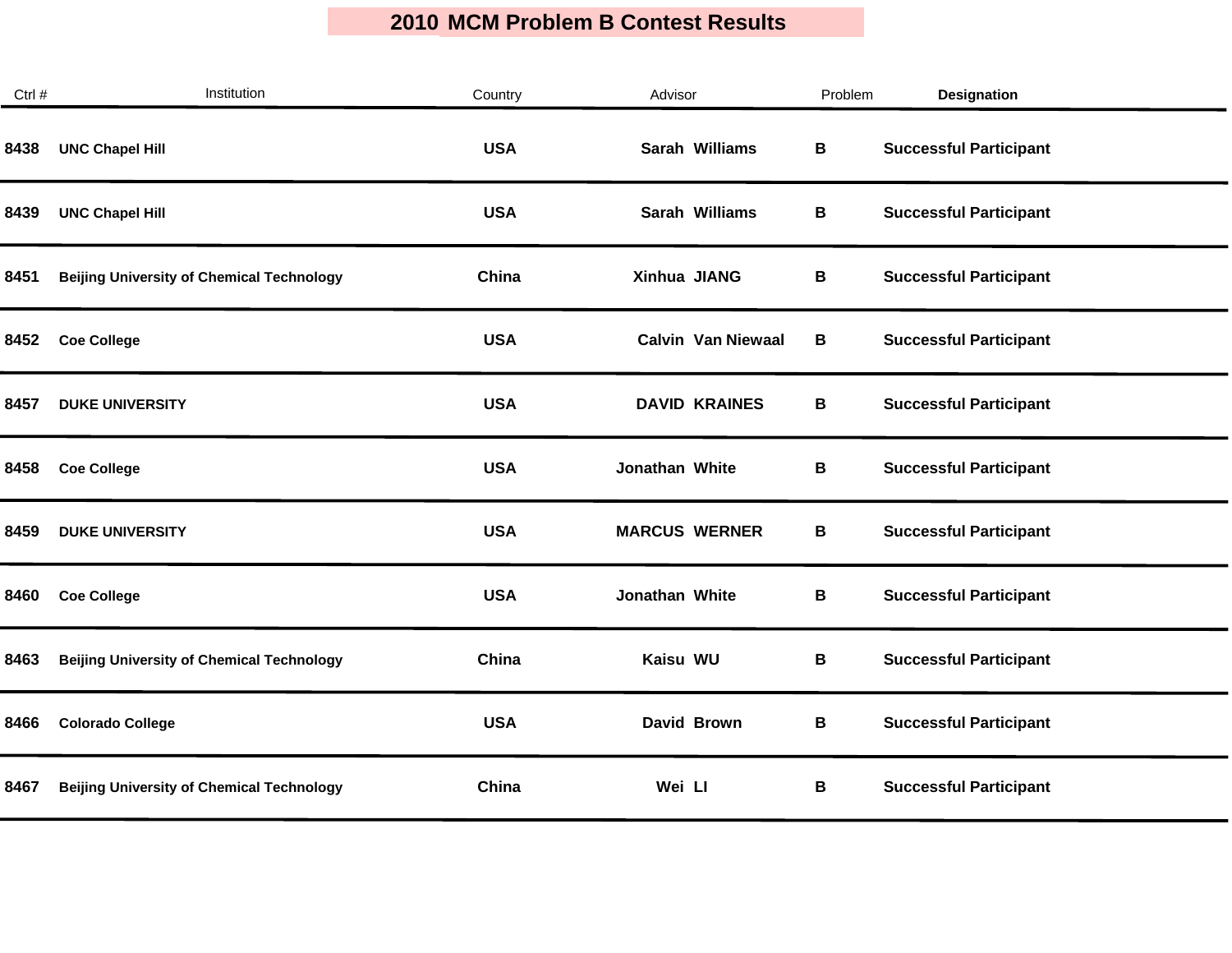| Ctrl # | Institution                                      | Country    | Advisor                   | Problem | <b>Designation</b>            |  |
|--------|--------------------------------------------------|------------|---------------------------|---------|-------------------------------|--|
| 8438   | <b>UNC Chapel Hill</b>                           | <b>USA</b> | Sarah Williams            | В       | <b>Successful Participant</b> |  |
| 8439   | <b>UNC Chapel Hill</b>                           | <b>USA</b> | Sarah Williams            | В       | <b>Successful Participant</b> |  |
| 8451   | <b>Beijing University of Chemical Technology</b> | China      | Xinhua JIANG              | В       | <b>Successful Participant</b> |  |
| 8452   | <b>Coe College</b>                               | <b>USA</b> | <b>Calvin Van Niewaal</b> | B       | <b>Successful Participant</b> |  |
| 8457   | <b>DUKE UNIVERSITY</b>                           | <b>USA</b> | <b>DAVID KRAINES</b>      | B       | <b>Successful Participant</b> |  |
| 8458   | <b>Coe College</b>                               | <b>USA</b> | Jonathan White            | B       | <b>Successful Participant</b> |  |
| 8459   | <b>DUKE UNIVERSITY</b>                           | <b>USA</b> | <b>MARCUS WERNER</b>      | В       | <b>Successful Participant</b> |  |
| 8460   | <b>Coe College</b>                               | <b>USA</b> | Jonathan White            | В       | <b>Successful Participant</b> |  |
| 8463   | <b>Beijing University of Chemical Technology</b> | China      | Kaisu WU                  | В       | <b>Successful Participant</b> |  |
| 8466   | <b>Colorado College</b>                          | <b>USA</b> | David Brown               | В       | <b>Successful Participant</b> |  |
| 8467   | <b>Beijing University of Chemical Technology</b> | China      | Wei Ll                    | В       | <b>Successful Participant</b> |  |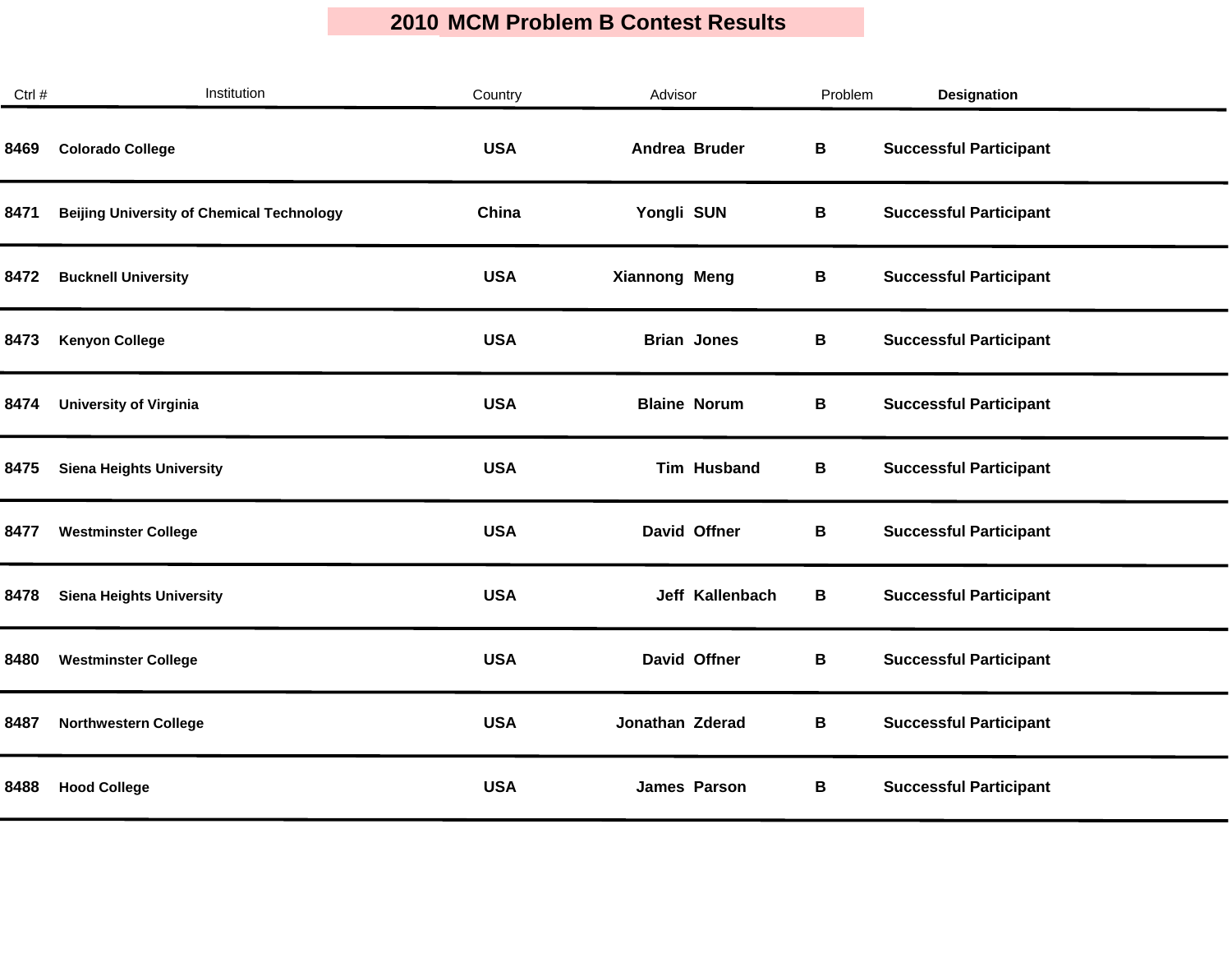| Ctrl # | Institution                                      | Country    | Advisor              | Problem | Designation                   |  |
|--------|--------------------------------------------------|------------|----------------------|---------|-------------------------------|--|
| 8469   | <b>Colorado College</b>                          | <b>USA</b> | Andrea Bruder        | B       | <b>Successful Participant</b> |  |
| 8471   | <b>Beijing University of Chemical Technology</b> | China      | Yongli SUN           | B       | <b>Successful Participant</b> |  |
| 8472   | <b>Bucknell University</b>                       | <b>USA</b> | <b>Xiannong Meng</b> | В       | <b>Successful Participant</b> |  |
| 8473   | <b>Kenyon College</b>                            | <b>USA</b> | <b>Brian Jones</b>   | В       | <b>Successful Participant</b> |  |
| 8474   | <b>University of Virginia</b>                    | <b>USA</b> | <b>Blaine Norum</b>  | B       | <b>Successful Participant</b> |  |
| 8475   | <b>Siena Heights University</b>                  | <b>USA</b> | <b>Tim Husband</b>   | B       | <b>Successful Participant</b> |  |
| 8477   | <b>Westminster College</b>                       | <b>USA</b> | David Offner         | В       | <b>Successful Participant</b> |  |
| 8478   | <b>Siena Heights University</b>                  | <b>USA</b> | Jeff Kallenbach      | В       | <b>Successful Participant</b> |  |
| 8480   | <b>Westminster College</b>                       | <b>USA</b> | David Offner         | B       | <b>Successful Participant</b> |  |
| 8487   | <b>Northwestern College</b>                      | <b>USA</b> | Jonathan Zderad      | B       | <b>Successful Participant</b> |  |
| 8488   | <b>Hood College</b>                              | <b>USA</b> | James Parson         | В       | <b>Successful Participant</b> |  |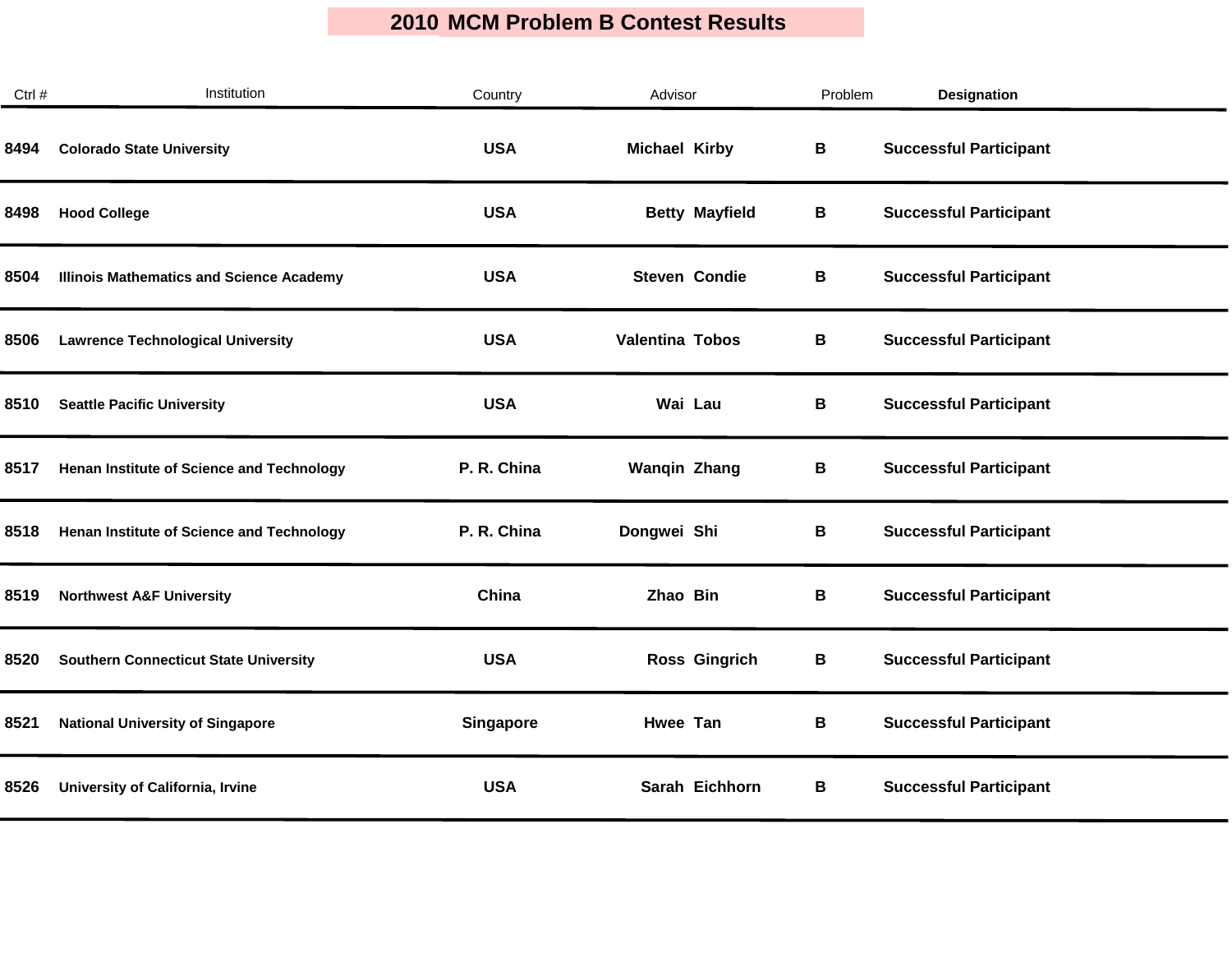| Ctrl # | Institution                                      | Country          | Advisor                | Problem | <b>Designation</b>            |
|--------|--------------------------------------------------|------------------|------------------------|---------|-------------------------------|
| 8494   | <b>Colorado State University</b>                 | <b>USA</b>       | <b>Michael Kirby</b>   | В       | <b>Successful Participant</b> |
| 8498   | <b>Hood College</b>                              | <b>USA</b>       | <b>Betty Mayfield</b>  | В       | <b>Successful Participant</b> |
| 8504   | <b>Illinois Mathematics and Science Academy</b>  | <b>USA</b>       | <b>Steven Condie</b>   | В       | <b>Successful Participant</b> |
| 8506   | <b>Lawrence Technological University</b>         | <b>USA</b>       | <b>Valentina Tobos</b> | В       | <b>Successful Participant</b> |
| 8510   | <b>Seattle Pacific University</b>                | <b>USA</b>       | Wai Lau                | В       | <b>Successful Participant</b> |
| 8517   | <b>Henan Institute of Science and Technology</b> | P. R. China      | <b>Wanqin Zhang</b>    | В       | <b>Successful Participant</b> |
| 8518   | Henan Institute of Science and Technology        | P. R. China      | Dongwei Shi            | В       | <b>Successful Participant</b> |
| 8519   | <b>Northwest A&amp;F University</b>              | China            | Zhao Bin               | В       | <b>Successful Participant</b> |
| 8520   | <b>Southern Connecticut State University</b>     | <b>USA</b>       | <b>Ross Gingrich</b>   | В       | <b>Successful Participant</b> |
| 8521   | <b>National University of Singapore</b>          | <b>Singapore</b> | Hwee Tan               | В       | <b>Successful Participant</b> |
| 8526   | University of California, Irvine                 | <b>USA</b>       | Sarah Eichhorn         | В       | <b>Successful Participant</b> |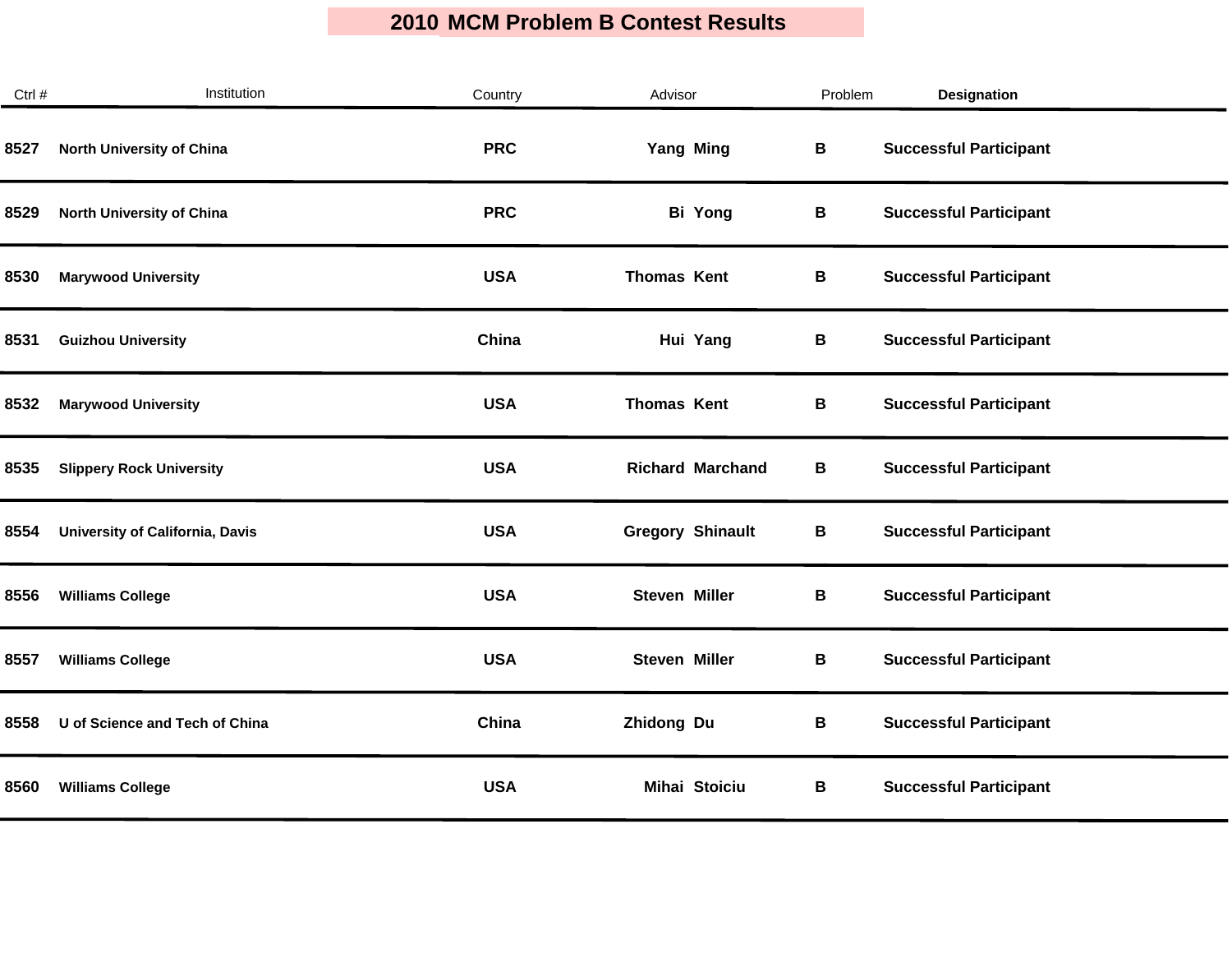| Ctrl # | Institution                     | Country    | Advisor                 | Problem | <b>Designation</b>            |
|--------|---------------------------------|------------|-------------------------|---------|-------------------------------|
| 8527   | North University of China       | <b>PRC</b> | <b>Yang Ming</b>        | B       | <b>Successful Participant</b> |
| 8529   | North University of China       | <b>PRC</b> | <b>Bi Yong</b>          | В       | <b>Successful Participant</b> |
| 8530   | <b>Marywood University</b>      | <b>USA</b> | <b>Thomas Kent</b>      | В       | <b>Successful Participant</b> |
| 8531   | <b>Guizhou University</b>       | China      | Hui Yang                | В       | <b>Successful Participant</b> |
| 8532   | <b>Marywood University</b>      | <b>USA</b> | <b>Thomas Kent</b>      | В       | <b>Successful Participant</b> |
| 8535   | <b>Slippery Rock University</b> | <b>USA</b> | <b>Richard Marchand</b> | В       | <b>Successful Participant</b> |
| 8554   | University of California, Davis | <b>USA</b> | <b>Gregory Shinault</b> | B       | <b>Successful Participant</b> |
| 8556   | <b>Williams College</b>         | <b>USA</b> | <b>Steven Miller</b>    | В       | <b>Successful Participant</b> |
| 8557   | <b>Williams College</b>         | <b>USA</b> | <b>Steven Miller</b>    | В       | <b>Successful Participant</b> |
| 8558   | U of Science and Tech of China  | China      | Zhidong Du              | В       | <b>Successful Participant</b> |
| 8560   | <b>Williams College</b>         | <b>USA</b> | Mihai Stoiciu           | В       | <b>Successful Participant</b> |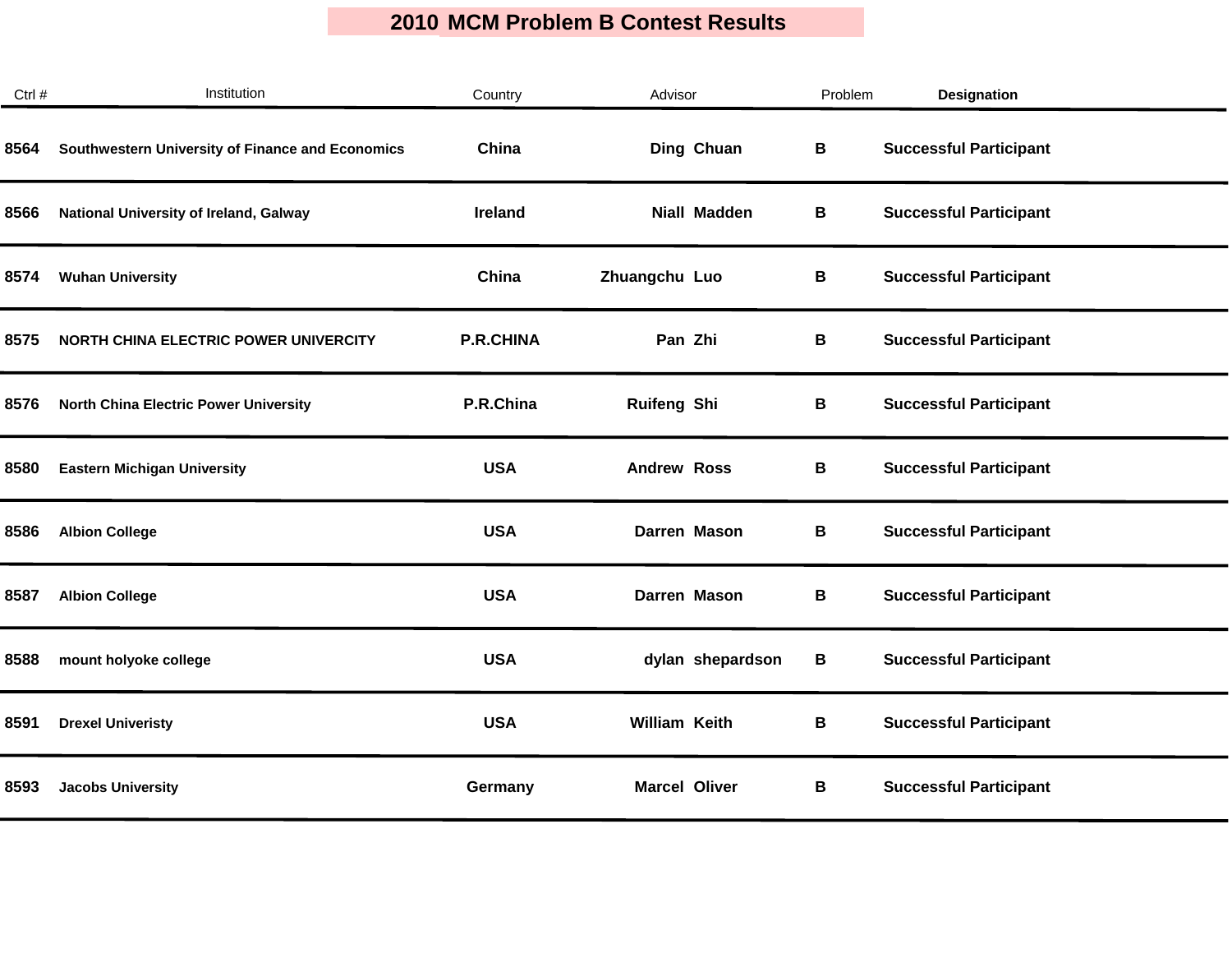| Ctrl # | Institution                                      | Country          | Advisor              | Problem | <b>Designation</b>            |  |
|--------|--------------------------------------------------|------------------|----------------------|---------|-------------------------------|--|
| 8564   | Southwestern University of Finance and Economics | China            | Ding Chuan           | В       | <b>Successful Participant</b> |  |
| 8566   | National University of Ireland, Galway           | <b>Ireland</b>   | <b>Niall Madden</b>  | В       | <b>Successful Participant</b> |  |
| 8574   | <b>Wuhan University</b>                          | China            | Zhuangchu Luo        | В       | <b>Successful Participant</b> |  |
| 8575   | NORTH CHINA ELECTRIC POWER UNIVERCITY            | <b>P.R.CHINA</b> | Pan Zhi              | В       | <b>Successful Participant</b> |  |
| 8576   | <b>North China Electric Power University</b>     | P.R.China        | <b>Ruifeng Shi</b>   | В       | <b>Successful Participant</b> |  |
| 8580   | <b>Eastern Michigan University</b>               | <b>USA</b>       | <b>Andrew Ross</b>   | В       | <b>Successful Participant</b> |  |
| 8586   | <b>Albion College</b>                            | <b>USA</b>       | Darren Mason         | В       | <b>Successful Participant</b> |  |
| 8587   | <b>Albion College</b>                            | <b>USA</b>       | Darren Mason         | В       | <b>Successful Participant</b> |  |
| 8588   | mount holyoke college                            | <b>USA</b>       | dylan shepardson     | B       | <b>Successful Participant</b> |  |
| 8591   | <b>Drexel Univeristy</b>                         | <b>USA</b>       | <b>William Keith</b> | В       | <b>Successful Participant</b> |  |
| 8593   | <b>Jacobs University</b>                         | Germany          | <b>Marcel Oliver</b> | В       | <b>Successful Participant</b> |  |